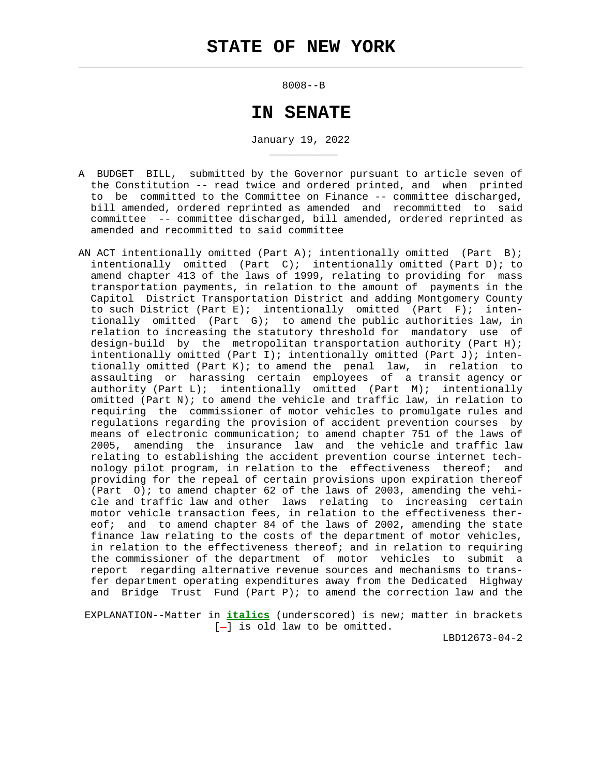$\mathcal{L}_\text{max} = \frac{1}{2} \sum_{i=1}^{n} \frac{1}{2} \sum_{i=1}^{n} \frac{1}{2} \sum_{i=1}^{n} \frac{1}{2} \sum_{i=1}^{n} \frac{1}{2} \sum_{i=1}^{n} \frac{1}{2} \sum_{i=1}^{n} \frac{1}{2} \sum_{i=1}^{n} \frac{1}{2} \sum_{i=1}^{n} \frac{1}{2} \sum_{i=1}^{n} \frac{1}{2} \sum_{i=1}^{n} \frac{1}{2} \sum_{i=1}^{n} \frac{1}{2} \sum_{i=1}^{n} \frac{1$ 

\_\_\_\_\_\_\_\_\_\_\_

8008--B

# **IN SENATE**

January 19, 2022

- A BUDGET BILL, submitted by the Governor pursuant to article seven of the Constitution -- read twice and ordered printed, and when printed to be committed to the Committee on Finance -- committee discharged, bill amended, ordered reprinted as amended and recommitted to said committee -- committee discharged, bill amended, ordered reprinted as amended and recommitted to said committee
- AN ACT intentionally omitted (Part A); intentionally omitted (Part B); intentionally omitted (Part C); intentionally omitted (Part D); to amend chapter 413 of the laws of 1999, relating to providing for mass transportation payments, in relation to the amount of payments in the Capitol District Transportation District and adding Montgomery County to such District (Part E); intentionally omitted (Part F); inten tionally omitted (Part G); to amend the public authorities law, in relation to increasing the statutory threshold for mandatory use of design-build by the metropolitan transportation authority (Part H); intentionally omitted (Part I); intentionally omitted (Part J); inten tionally omitted (Part K); to amend the penal law, in relation to assaulting or harassing certain employees of a transit agency or authority (Part L); intentionally omitted (Part M); intentionally omitted (Part N); to amend the vehicle and traffic law, in relation to requiring the commissioner of motor vehicles to promulgate rules and regulations regarding the provision of accident prevention courses by means of electronic communication; to amend chapter 751 of the laws of 2005, amending the insurance law and the vehicle and traffic law relating to establishing the accident prevention course internet tech nology pilot program, in relation to the effectiveness thereof; and providing for the repeal of certain provisions upon expiration thereof (Part  $0$ ); to amend chapter 62 of the laws of 2003, amending the vehi cle and traffic law and other laws relating to increasing certain motor vehicle transaction fees, in relation to the effectiveness ther eof; and to amend chapter 84 of the laws of 2002, amending the state finance law relating to the costs of the department of motor vehicles, in relation to the effectiveness thereof; and in relation to requiring the commissioner of the department of motor vehicles to submit a report regarding alternative revenue sources and mechanisms to trans fer department operating expenditures away from the Dedicated Highway and Bridge Trust Fund (Part P); to amend the correction law and the

 EXPLANATION--Matter in **italics** (underscored) is new; matter in brackets [-] is old law to be omitted.

LBD12673-04-2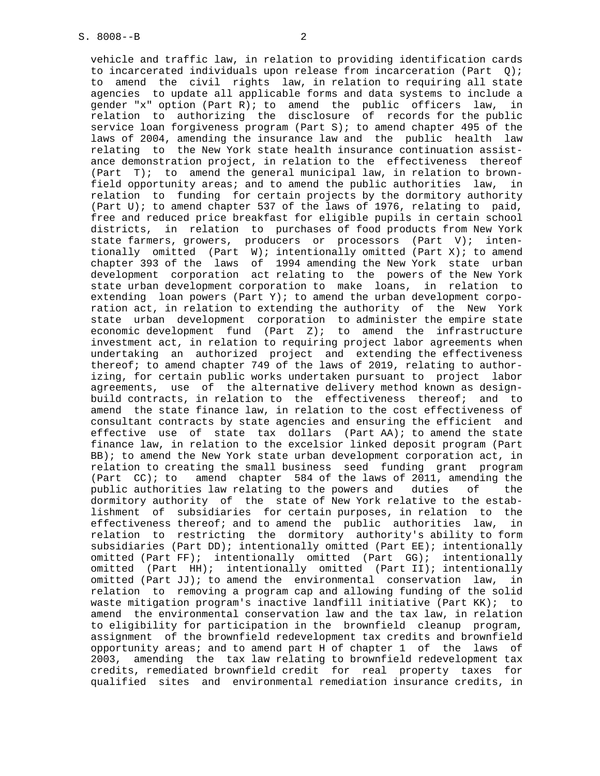vehicle and traffic law, in relation to providing identification cards to incarcerated individuals upon release from incarceration (Part Q); to amend the civil rights law, in relation to requiring all state agencies to update all applicable forms and data systems to include a gender "x" option (Part R); to amend the public officers law, in relation to authorizing the disclosure of records for the public service loan forgiveness program (Part S); to amend chapter 495 of the laws of 2004, amending the insurance law and the public health law relating to the New York state health insurance continuation assist ance demonstration project, in relation to the effectiveness thereof (Part T); to amend the general municipal law, in relation to brown field opportunity areas; and to amend the public authorities law, in relation to funding for certain projects by the dormitory authority (Part U); to amend chapter 537 of the laws of 1976, relating to paid, free and reduced price breakfast for eligible pupils in certain school districts, in relation to purchases of food products from New York state farmers, growers, producers or processors (Part V); inten tionally omitted (Part W); intentionally omitted (Part X); to amend chapter 393 of the laws of 1994 amending the New York state urban development corporation act relating to the powers of the New York state urban development corporation to make loans, in relation to extending loan powers (Part Y); to amend the urban development corpo ration act, in relation to extending the authority of the New York state urban development corporation to administer the empire state economic development fund (Part Z); to amend the infrastructure investment act, in relation to requiring project labor agreements when undertaking an authorized project and extending the effectiveness thereof; to amend chapter 749 of the laws of 2019, relating to author izing, for certain public works undertaken pursuant to project labor agreements, use of the alternative delivery method known as design build contracts, in relation to the effectiveness thereof; and to amend the state finance law, in relation to the cost effectiveness of consultant contracts by state agencies and ensuring the efficient and effective use of state tax dollars (Part AA); to amend the state finance law, in relation to the excelsior linked deposit program (Part BB); to amend the New York state urban development corporation act, in relation to creating the small business seed funding grant program (Part CC); to amend chapter 584 of the laws of 2011, amending the public authorities law relating to the powers and duties of the dormitory authority of the state of New York relative to the estab lishment of subsidiaries for certain purposes, in relation to the effectiveness thereof; and to amend the public authorities law, in relation to restricting the dormitory authority's ability to form subsidiaries (Part DD); intentionally omitted (Part EE); intentionally omitted (Part FF); intentionally omitted (Part GG); intentionally omitted (Part HH); intentionally omitted (Part II); intentionally omitted (Part JJ); to amend the environmental conservation law, in relation to removing a program cap and allowing funding of the solid waste mitigation program's inactive landfill initiative (Part KK); to amend the environmental conservation law and the tax law, in relation to eligibility for participation in the brownfield cleanup program, assignment of the brownfield redevelopment tax credits and brownfield opportunity areas; and to amend part H of chapter 1 of the laws of 2003, amending the tax law relating to brownfield redevelopment tax credits, remediated brownfield credit for real property taxes for qualified sites and environmental remediation insurance credits, in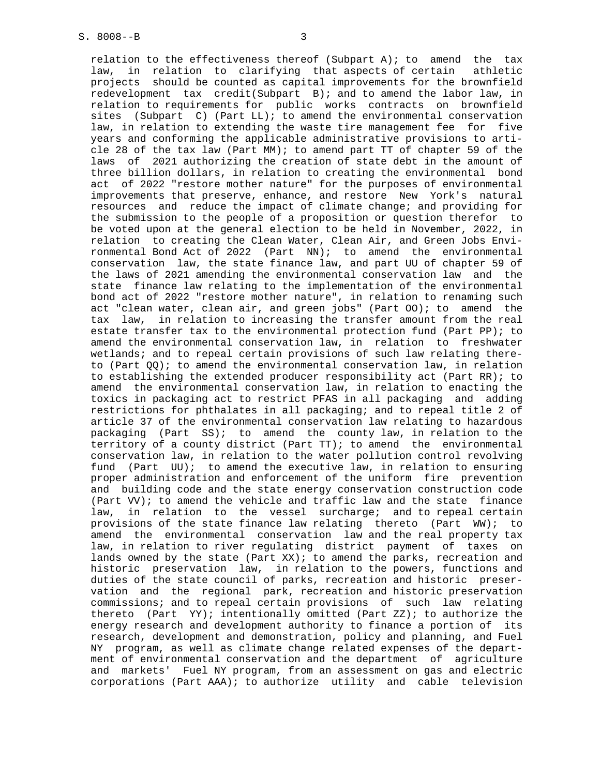relation to the effectiveness thereof (Subpart A); to amend the tax law, in relation to clarifying that aspects of certain athletic projects should be counted as capital improvements for the brownfield redevelopment tax credit(Subpart B); and to amend the labor law, in relation to requirements for public works contracts on brownfield sites (Subpart C) (Part LL); to amend the environmental conservation law, in relation to extending the waste tire management fee for five years and conforming the applicable administrative provisions to arti cle 28 of the tax law (Part MM); to amend part TT of chapter 59 of the laws of 2021 authorizing the creation of state debt in the amount of three billion dollars, in relation to creating the environmental bond act of 2022 "restore mother nature" for the purposes of environmental improvements that preserve, enhance, and restore New York's natural resources and reduce the impact of climate change; and providing for the submission to the people of a proposition or question therefor to be voted upon at the general election to be held in November, 2022, in relation to creating the Clean Water, Clean Air, and Green Jobs Envi ronmental Bond Act of 2022 (Part NN); to amend the environmental conservation law, the state finance law, and part UU of chapter 59 of the laws of 2021 amending the environmental conservation law and the state finance law relating to the implementation of the environmental bond act of 2022 "restore mother nature", in relation to renaming such act "clean water, clean air, and green jobs" (Part OO); to amend the tax law, in relation to increasing the transfer amount from the real estate transfer tax to the environmental protection fund (Part PP); to amend the environmental conservation law, in relation to freshwater wetlands; and to repeal certain provisions of such law relating there to (Part  $QQ$ ); to amend the environmental conservation law, in relation to establishing the extended producer responsibility act (Part RR); to amend the environmental conservation law, in relation to enacting the toxics in packaging act to restrict PFAS in all packaging and adding restrictions for phthalates in all packaging; and to repeal title 2 of article 37 of the environmental conservation law relating to hazardous packaging (Part SS); to amend the county law, in relation to the territory of a county district (Part TT); to amend the environmental conservation law, in relation to the water pollution control revolving fund (Part UU); to amend the executive law, in relation to ensuring proper administration and enforcement of the uniform fire prevention and building code and the state energy conservation construction code (Part VV); to amend the vehicle and traffic law and the state finance law, in relation to the vessel surcharge; and to repeal certain provisions of the state finance law relating thereto (Part WW); to amend the environmental conservation law and the real property tax law, in relation to river regulating district payment of taxes on lands owned by the state (Part XX); to amend the parks, recreation and historic preservation law, in relation to the powers, functions and duties of the state council of parks, recreation and historic preser vation and the regional park, recreation and historic preservation commissions; and to repeal certain provisions of such law relating thereto (Part YY); intentionally omitted (Part ZZ); to authorize the energy research and development authority to finance a portion of its research, development and demonstration, policy and planning, and Fuel NY program, as well as climate change related expenses of the depart ment of environmental conservation and the department of agriculture and markets' Fuel NY program, from an assessment on gas and electric corporations (Part AAA); to authorize utility and cable television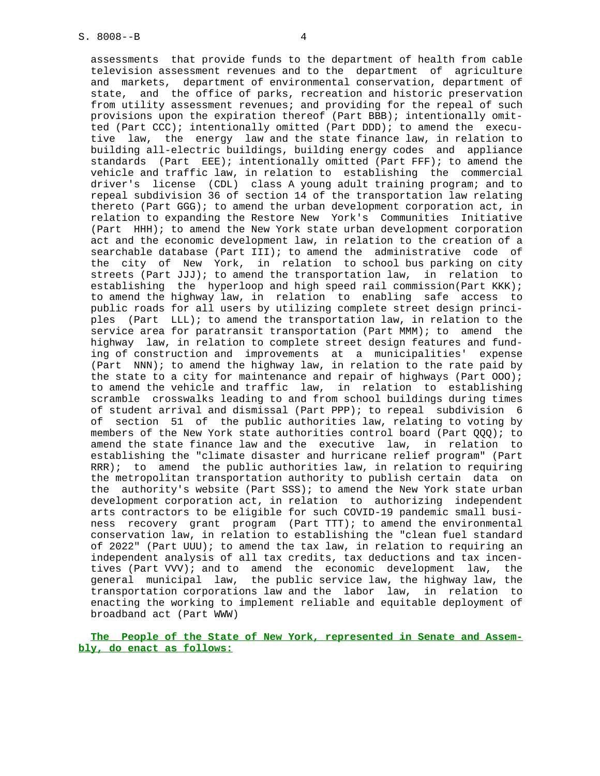assessments that provide funds to the department of health from cable television assessment revenues and to the department of agriculture and markets, department of environmental conservation, department of state, and the office of parks, recreation and historic preservation from utility assessment revenues; and providing for the repeal of such provisions upon the expiration thereof (Part BBB); intentionally omit ted (Part CCC); intentionally omitted (Part DDD); to amend the execu tive law, the energy law and the state finance law, in relation to building all-electric buildings, building energy codes and appliance standards (Part EEE); intentionally omitted (Part FFF); to amend the vehicle and traffic law, in relation to establishing the commercial driver's license (CDL) class A young adult training program; and to repeal subdivision 36 of section 14 of the transportation law relating thereto (Part GGG); to amend the urban development corporation act, in relation to expanding the Restore New York's Communities Initiative (Part HHH); to amend the New York state urban development corporation act and the economic development law, in relation to the creation of a searchable database (Part III); to amend the administrative code of the city of New York, in relation to school bus parking on city streets (Part JJJ); to amend the transportation law, in relation to establishing the hyperloop and high speed rail commission(Part KKK); to amend the highway law, in relation to enabling safe access to public roads for all users by utilizing complete street design princi ples (Part LLL); to amend the transportation law, in relation to the service area for paratransit transportation (Part MMM); to amend the highway law, in relation to complete street design features and fund ing of construction and improvements at a municipalities' expense (Part NNN); to amend the highway law, in relation to the rate paid by the state to a city for maintenance and repair of highways (Part  $000$ ); to amend the vehicle and traffic law, in relation to establishing scramble crosswalks leading to and from school buildings during times of student arrival and dismissal (Part PPP); to repeal subdivision 6 of section 51 of the public authorities law, relating to voting by members of the New York state authorities control board (Part QQQ); to amend the state finance law and the executive law, in relation to establishing the "climate disaster and hurricane relief program" (Part RRR); to amend the public authorities law, in relation to requiring the metropolitan transportation authority to publish certain data on the authority's website (Part SSS); to amend the New York state urban development corporation act, in relation to authorizing independent arts contractors to be eligible for such COVID-19 pandemic small busi ness recovery grant program (Part TTT); to amend the environmental conservation law, in relation to establishing the "clean fuel standard of 2022" (Part UUU); to amend the tax law, in relation to requiring an independent analysis of all tax credits, tax deductions and tax incen tives (Part VVV); and to amend the economic development law, the general municipal law, the public service law, the highway law, the transportation corporations law and the labor law, in relation to enacting the working to implement reliable and equitable deployment of broadband act (Part WWW)

 **The People of the State of New York, represented in Senate and Assem bly, do enact as follows:**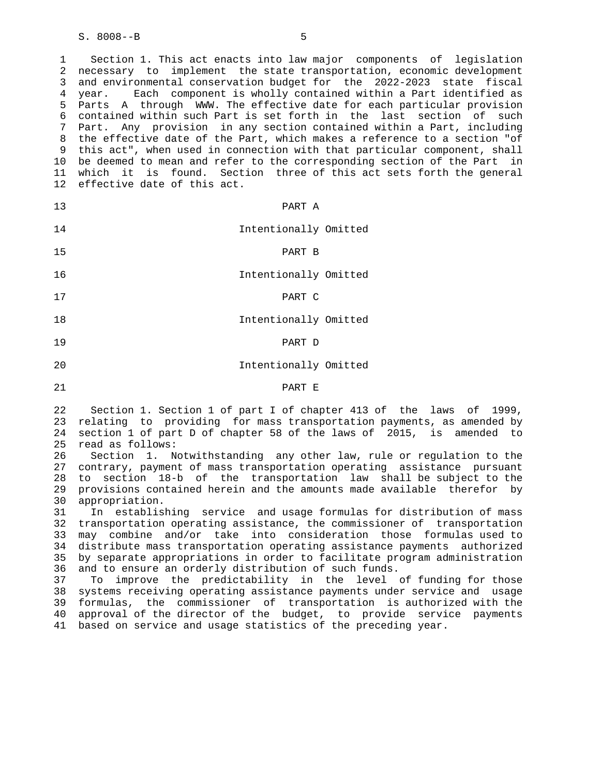1 Section 1. This act enacts into law major components of legislation 2 necessary to implement the state transportation, economic development 3 and environmental conservation budget for the 2022-2023 state fiscal 4 year. Each component is wholly contained within a Part identified as 5 Parts A through WWW. The effective date for each particular provision 6 contained within such Part is set forth in the last section of such 7 Part. Any provision in any section contained within a Part, including 8 the effective date of the Part, which makes a reference to a section "of 9 this act", when used in connection with that particular component, shall 10 be deemed to mean and refer to the corresponding section of the Part in 11 which it is found. Section three of this act sets forth the general 12 effective date of this act.

| PART A                | 13 |
|-----------------------|----|
| Intentionally Omitted | 14 |
| PART B                | 15 |
| Intentionally Omitted | 16 |
| PART C                | 17 |
| Intentionally Omitted | 18 |
| PART D                | 19 |
| Intentionally Omitted | 20 |

#### 21 PART E

 22 Section 1. Section 1 of part I of chapter 413 of the laws of 1999, 23 relating to providing for mass transportation payments, as amended by 24 section 1 of part D of chapter 58 of the laws of 2015, is amended to 25 read as follows:

 26 Section 1. Notwithstanding any other law, rule or regulation to the 27 contrary, payment of mass transportation operating assistance pursuant 28 to section 18-b of the transportation law shall be subject to the 29 provisions contained herein and the amounts made available therefor by 30 appropriation.

 31 In establishing service and usage formulas for distribution of mass 32 transportation operating assistance, the commissioner of transportation 33 may combine and/or take into consideration those formulas used to 34 distribute mass transportation operating assistance payments authorized 35 by separate appropriations in order to facilitate program administration 36 and to ensure an orderly distribution of such funds.

 37 To improve the predictability in the level of funding for those 38 systems receiving operating assistance payments under service and usage 39 formulas, the commissioner of transportation is authorized with the 40 approval of the director of the budget, to provide service payments 41 based on service and usage statistics of the preceding year.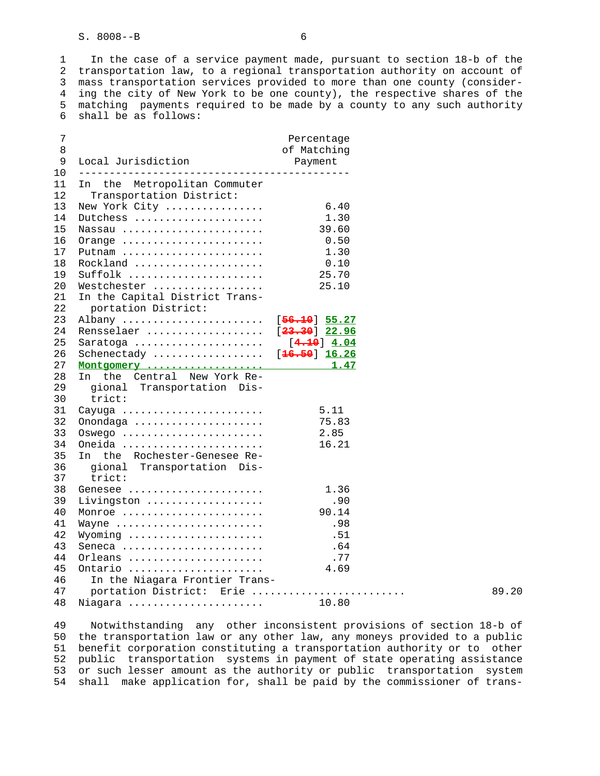1 In the case of a service payment made, pursuant to section 18-b of the 2 transportation law, to a regional transportation authority on account of 3 mass transportation services provided to more than one county (consider- 4 ing the city of New York to be one county), the respective shares of the 5 matching payments required to be made by a county to any such authority 6 shall be as follows:

| 7<br>8 |                                | Percentage<br>of Matching |       |
|--------|--------------------------------|---------------------------|-------|
| 9      | Local Jurisdiction             |                           |       |
| 10     |                                | Payment                   |       |
| 11     | In the Metropolitan Commuter   |                           |       |
| 12     | Transportation District:       |                           |       |
| 13     | New York City                  | 6.40                      |       |
| 14     | Dutchess                       | 1.30                      |       |
| 15     | Nassau                         | 39.60                     |       |
| 16     |                                | 0.50                      |       |
| 17     | Orange<br>Putnam               | 1.30                      |       |
| 18     | Rockland                       | 0.10                      |       |
| 19     | Suffolk                        | 25.70                     |       |
| 20     | Westchester                    | 25.10                     |       |
| 21     | In the Capital District Trans- |                           |       |
| 22     | portation District:            |                           |       |
| 23     | Albany  [56.10] 55.27          |                           |       |
| 24     | Rensselaer  [23.30] 22.96      |                           |       |
| 25     | Saratoga  [4.10] 4.04          |                           |       |
| 26     | Schenectady  [16.50] 16.26     |                           |       |
| 27     |                                |                           |       |
| 28     | In the Central New York Re-    |                           |       |
| 29     | gional Transportation Dis-     |                           |       |
| 30     | trict:                         |                           |       |
| 31     | Cayuga                         | 5.11                      |       |
| 32     | Onondaga                       | 75.83                     |       |
| 33     | Oswego                         | 2.85                      |       |
| 34     | Oneida                         | 16.21                     |       |
| 35     | In the Rochester-Genesee Re-   |                           |       |
| 36     | gional Transportation Dis-     |                           |       |
| 37     | trict:                         |                           |       |
| 38     | Genesee                        | 1.36                      |       |
| 39     | Livingston                     | .90                       |       |
| 40     | Monroe                         | 90.14                     |       |
| 41     | Wayne                          | .98                       |       |
| 42     | Wyoming                        | .51                       |       |
| 43     | Seneca                         | .64                       |       |
| 44     | Orleans                        | .77                       |       |
| 45     | Ontario                        | 4.69                      |       |
| 46     | In the Niagara Frontier Trans- |                           |       |
| 47     | portation District: Erie       |                           | 89.20 |
| 48     | Niagara                        | 10.80                     |       |
|        |                                |                           |       |

 49 Notwithstanding any other inconsistent provisions of section 18-b of 50 the transportation law or any other law, any moneys provided to a public 51 benefit corporation constituting a transportation authority or to other 52 public transportation systems in payment of state operating assistance 53 or such lesser amount as the authority or public transportation system 54 shall make application for, shall be paid by the commissioner of trans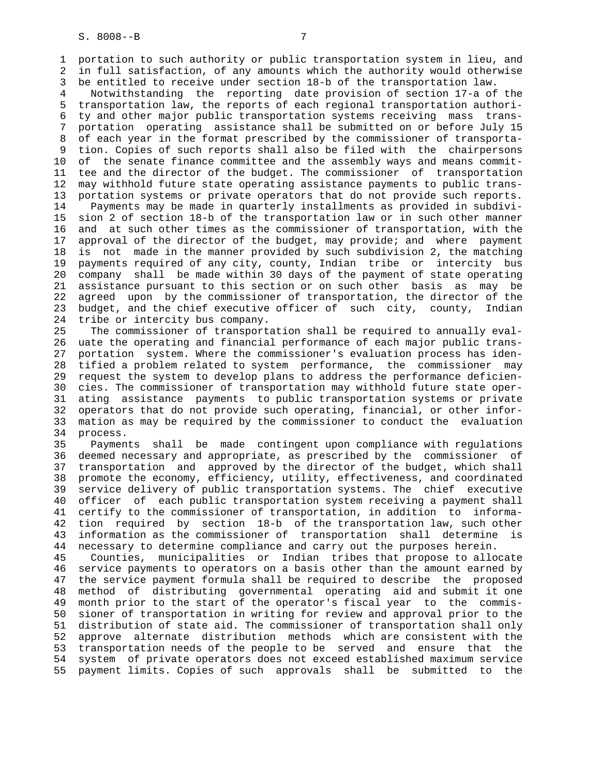1 portation to such authority or public transportation system in lieu, and 2 in full satisfaction, of any amounts which the authority would otherwise 3 be entitled to receive under section 18-b of the transportation law.

 4 Notwithstanding the reporting date provision of section 17-a of the 5 transportation law, the reports of each regional transportation authori- 6 ty and other major public transportation systems receiving mass trans- 7 portation operating assistance shall be submitted on or before July 15 8 of each year in the format prescribed by the commissioner of transporta- 9 tion. Copies of such reports shall also be filed with the chairpersons 10 of the senate finance committee and the assembly ways and means commit- 11 tee and the director of the budget. The commissioner of transportation 12 may withhold future state operating assistance payments to public trans- 13 portation systems or private operators that do not provide such reports. 14 Payments may be made in quarterly installments as provided in subdivi- 15 sion 2 of section 18-b of the transportation law or in such other manner 16 and at such other times as the commissioner of transportation, with the 17 approval of the director of the budget, may provide; and where payment 18 is not made in the manner provided by such subdivision 2, the matching 19 payments required of any city, county, Indian tribe or intercity bus 20 company shall be made within 30 days of the payment of state operating 21 assistance pursuant to this section or on such other basis as may be 22 agreed upon by the commissioner of transportation, the director of the 23 budget, and the chief executive officer of such city, county, Indian 24 tribe or intercity bus company.

 25 The commissioner of transportation shall be required to annually eval- 26 uate the operating and financial performance of each major public trans- 27 portation system. Where the commissioner's evaluation process has iden- 28 tified a problem related to system performance, the commissioner may 29 request the system to develop plans to address the performance deficien- 30 cies. The commissioner of transportation may withhold future state oper- 31 ating assistance payments to public transportation systems or private 32 operators that do not provide such operating, financial, or other infor- 33 mation as may be required by the commissioner to conduct the evaluation 34 process.

 35 Payments shall be made contingent upon compliance with regulations 36 deemed necessary and appropriate, as prescribed by the commissioner of 37 transportation and approved by the director of the budget, which shall 38 promote the economy, efficiency, utility, effectiveness, and coordinated 39 service delivery of public transportation systems. The chief executive 40 officer of each public transportation system receiving a payment shall 41 certify to the commissioner of transportation, in addition to informa- 42 tion required by section 18-b of the transportation law, such other 43 information as the commissioner of transportation shall determine is 44 necessary to determine compliance and carry out the purposes herein.

 45 Counties, municipalities or Indian tribes that propose to allocate 46 service payments to operators on a basis other than the amount earned by 47 the service payment formula shall be required to describe the proposed 48 method of distributing governmental operating aid and submit it one 49 month prior to the start of the operator's fiscal year to the commis- 50 sioner of transportation in writing for review and approval prior to the 51 distribution of state aid. The commissioner of transportation shall only 52 approve alternate distribution methods which are consistent with the 53 transportation needs of the people to be served and ensure that the 54 system of private operators does not exceed established maximum service 55 payment limits. Copies of such approvals shall be submitted to the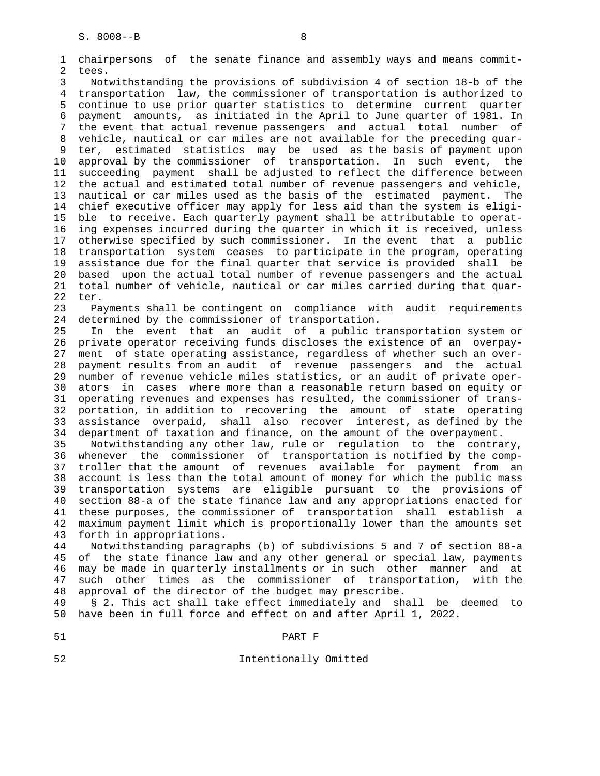1 chairpersons of the senate finance and assembly ways and means commit- 2 tees.

 3 Notwithstanding the provisions of subdivision 4 of section 18-b of the 4 transportation law, the commissioner of transportation is authorized to 5 continue to use prior quarter statistics to determine current quarter 6 payment amounts, as initiated in the April to June quarter of 1981. In 7 the event that actual revenue passengers and actual total number of 8 vehicle, nautical or car miles are not available for the preceding quar- 9 ter, estimated statistics may be used as the basis of payment upon<br>10 approval by the commissioner of transportation. In such event, the approval by the commissioner of transportation. In such event, the 11 succeeding payment shall be adjusted to reflect the difference between 12 the actual and estimated total number of revenue passengers and vehicle, 13 nautical or car miles used as the basis of the estimated payment. The 14 chief executive officer may apply for less aid than the system is eligi- 15 ble to receive. Each quarterly payment shall be attributable to operat- 16 ing expenses incurred during the quarter in which it is received, unless 17 otherwise specified by such commissioner. In the event that a public 18 transportation system ceases to participate in the program, operating 19 assistance due for the final quarter that service is provided shall be 20 based upon the actual total number of revenue passengers and the actual 21 total number of vehicle, nautical or car miles carried during that quar- 22 ter.

 23 Payments shall be contingent on compliance with audit requirements 24 determined by the commissioner of transportation.

 25 In the event that an audit of a public transportation system or 26 private operator receiving funds discloses the existence of an overpay- 27 ment of state operating assistance, regardless of whether such an over- 28 payment results from an audit of revenue passengers and the actual 29 number of revenue vehicle miles statistics, or an audit of private oper- 30 ators in cases where more than a reasonable return based on equity or 31 operating revenues and expenses has resulted, the commissioner of trans- 32 portation, in addition to recovering the amount of state operating 33 assistance overpaid, shall also recover interest, as defined by the 34 department of taxation and finance, on the amount of the overpayment.

 35 Notwithstanding any other law, rule or regulation to the contrary, 36 whenever the commissioner of transportation is notified by the comp- 37 troller that the amount of revenues available for payment from an 38 account is less than the total amount of money for which the public mass 39 transportation systems are eligible pursuant to the provisions of 40 section 88-a of the state finance law and any appropriations enacted for 41 these purposes, the commissioner of transportation shall establish a 42 maximum payment limit which is proportionally lower than the amounts set 43 forth in appropriations.

 44 Notwithstanding paragraphs (b) of subdivisions 5 and 7 of section 88-a 45 of the state finance law and any other general or special law, payments 46 may be made in quarterly installments or in such other manner and at 47 such other times as the commissioner of transportation, with the 48 approval of the director of the budget may prescribe.

 49 § 2. This act shall take effect immediately and shall be deemed to 50 have been in full force and effect on and after April 1, 2022.

52 Intentionally Omitted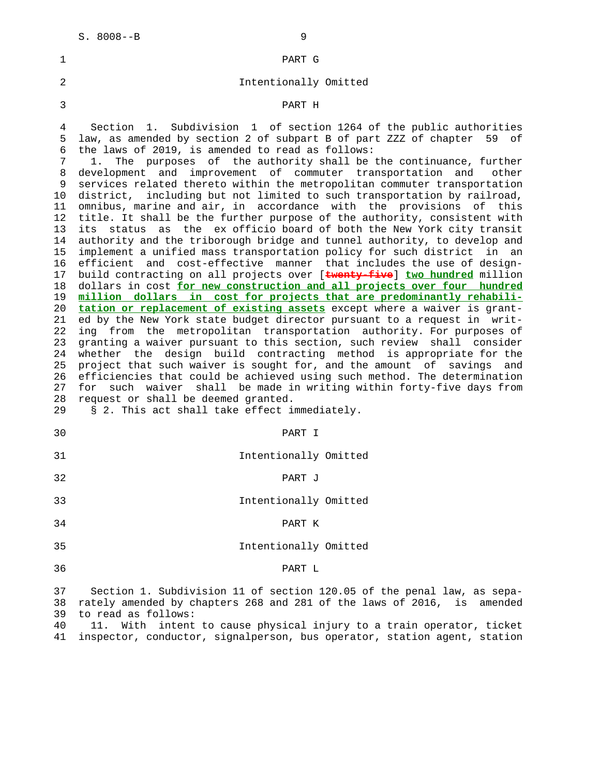| 1                                                                                                                                                  | PART G                                                                                                                                                                                                                                                                                                                                                                                                                                                                                                                                                                                                                                                                                                                                                                                                                                                                                                                                                                                                                                                                                                                                                                                                                                                                                                                                                                                                                                                                                                                                                                                                                                                                                                                                                                                                                                                                                                     |
|----------------------------------------------------------------------------------------------------------------------------------------------------|------------------------------------------------------------------------------------------------------------------------------------------------------------------------------------------------------------------------------------------------------------------------------------------------------------------------------------------------------------------------------------------------------------------------------------------------------------------------------------------------------------------------------------------------------------------------------------------------------------------------------------------------------------------------------------------------------------------------------------------------------------------------------------------------------------------------------------------------------------------------------------------------------------------------------------------------------------------------------------------------------------------------------------------------------------------------------------------------------------------------------------------------------------------------------------------------------------------------------------------------------------------------------------------------------------------------------------------------------------------------------------------------------------------------------------------------------------------------------------------------------------------------------------------------------------------------------------------------------------------------------------------------------------------------------------------------------------------------------------------------------------------------------------------------------------------------------------------------------------------------------------------------------------|
| 2                                                                                                                                                  | Intentionally Omitted                                                                                                                                                                                                                                                                                                                                                                                                                                                                                                                                                                                                                                                                                                                                                                                                                                                                                                                                                                                                                                                                                                                                                                                                                                                                                                                                                                                                                                                                                                                                                                                                                                                                                                                                                                                                                                                                                      |
| 3                                                                                                                                                  | PART H                                                                                                                                                                                                                                                                                                                                                                                                                                                                                                                                                                                                                                                                                                                                                                                                                                                                                                                                                                                                                                                                                                                                                                                                                                                                                                                                                                                                                                                                                                                                                                                                                                                                                                                                                                                                                                                                                                     |
| 4<br>5<br>6<br>7<br>8<br>9<br>10<br>11<br>12<br>13<br>14<br>15<br>16<br>17<br>18<br>19<br>20<br>21<br>22<br>23<br>24<br>25<br>26<br>27<br>28<br>29 | 1. Subdivision 1 of section 1264 of the public authorities<br>Section<br>law, as amended by section 2 of subpart B of part ZZZ of chapter 59<br>of<br>the laws of 2019, is amended to read as follows:<br>The purposes of the authority shall be the continuance, further<br>1.<br>development and improvement of commuter transportation and<br>other<br>services related thereto within the metropolitan commuter transportation<br>district, including but not limited to such transportation by railroad,<br>omnibus, marine and air, in accordance with the provisions of this<br>title. It shall be the further purpose of the authority, consistent with<br>its status as the ex officio board of both the New York city transit<br>authority and the triborough bridge and tunnel authority, to develop and<br>implement a unified mass transportation policy for such district in an<br>efficient and cost-effective manner that includes the use of design-<br>build contracting on all projects over [twenty-five] two hundred million<br>dollars in cost for new construction and all projects over four hundred<br>million dollars in cost for projects that are predominantly rehabili-<br>tation or replacement of existing assets except where a waiver is grant-<br>ed by the New York state budget director pursuant to a request in writ-<br>ing from the metropolitan transportation authority. For purposes of<br>granting a waiver pursuant to this section, such review shall consider<br>whether the design build contracting method is appropriate for the<br>project that such waiver is sought for, and the amount of savings<br>and<br>efficiencies that could be achieved using such method. The determination<br>for such waiver shall be made in writing within forty-five days from<br>request or shall be deemed granted.<br>§ 2. This act shall take effect immediately. |
| 30                                                                                                                                                 | PART I                                                                                                                                                                                                                                                                                                                                                                                                                                                                                                                                                                                                                                                                                                                                                                                                                                                                                                                                                                                                                                                                                                                                                                                                                                                                                                                                                                                                                                                                                                                                                                                                                                                                                                                                                                                                                                                                                                     |
| 31                                                                                                                                                 | Intentionally Omitted                                                                                                                                                                                                                                                                                                                                                                                                                                                                                                                                                                                                                                                                                                                                                                                                                                                                                                                                                                                                                                                                                                                                                                                                                                                                                                                                                                                                                                                                                                                                                                                                                                                                                                                                                                                                                                                                                      |
| 32                                                                                                                                                 | PART J                                                                                                                                                                                                                                                                                                                                                                                                                                                                                                                                                                                                                                                                                                                                                                                                                                                                                                                                                                                                                                                                                                                                                                                                                                                                                                                                                                                                                                                                                                                                                                                                                                                                                                                                                                                                                                                                                                     |
| 33                                                                                                                                                 | Intentionally Omitted                                                                                                                                                                                                                                                                                                                                                                                                                                                                                                                                                                                                                                                                                                                                                                                                                                                                                                                                                                                                                                                                                                                                                                                                                                                                                                                                                                                                                                                                                                                                                                                                                                                                                                                                                                                                                                                                                      |
| 34                                                                                                                                                 | PART K                                                                                                                                                                                                                                                                                                                                                                                                                                                                                                                                                                                                                                                                                                                                                                                                                                                                                                                                                                                                                                                                                                                                                                                                                                                                                                                                                                                                                                                                                                                                                                                                                                                                                                                                                                                                                                                                                                     |
| 35                                                                                                                                                 | Intentionally Omitted                                                                                                                                                                                                                                                                                                                                                                                                                                                                                                                                                                                                                                                                                                                                                                                                                                                                                                                                                                                                                                                                                                                                                                                                                                                                                                                                                                                                                                                                                                                                                                                                                                                                                                                                                                                                                                                                                      |
| 36                                                                                                                                                 | PART L                                                                                                                                                                                                                                                                                                                                                                                                                                                                                                                                                                                                                                                                                                                                                                                                                                                                                                                                                                                                                                                                                                                                                                                                                                                                                                                                                                                                                                                                                                                                                                                                                                                                                                                                                                                                                                                                                                     |
| 37<br>38<br>39                                                                                                                                     | Section 1. Subdivision 11 of section 120.05 of the penal law, as sepa-<br>rately amended by chapters 268 and 281 of the laws of 2016, is<br>amended<br>to read as follows:                                                                                                                                                                                                                                                                                                                                                                                                                                                                                                                                                                                                                                                                                                                                                                                                                                                                                                                                                                                                                                                                                                                                                                                                                                                                                                                                                                                                                                                                                                                                                                                                                                                                                                                                 |

 40 11. With intent to cause physical injury to a train operator, ticket 41 inspector, conductor, signalperson, bus operator, station agent, station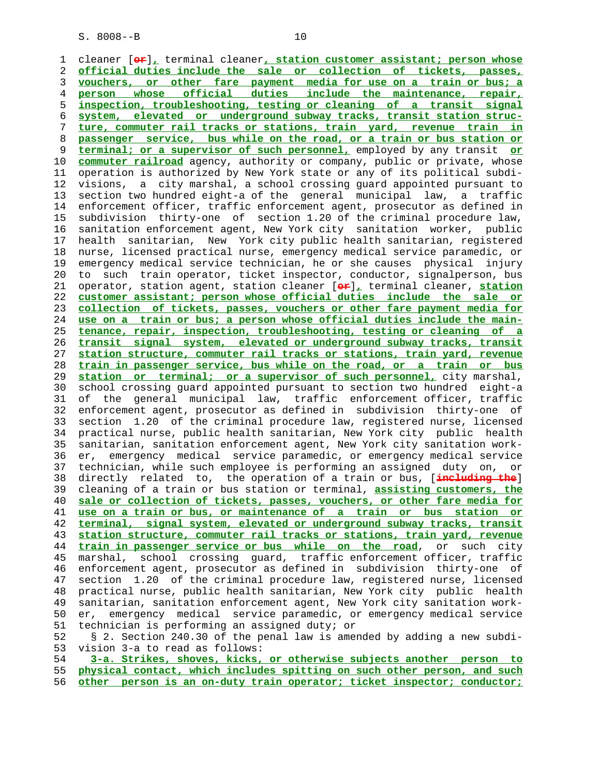1 cleaner [**or**]**,** terminal cleaner**, station customer assistant; person whose** 2 **official duties include the sale or collection of tickets, passes,** 3 **vouchers, or other fare payment media for use on a train or bus; a** 4 **person whose official duties include the maintenance, repair,** 5 **inspection, troubleshooting, testing or cleaning of a transit signal** 6 **system, elevated or underground subway tracks, transit station struc-** 7 **ture, commuter rail tracks or stations, train yard, revenue train in** 8 **passenger service, bus while on the road, or a train or bus station or** 9 **terminal; or a supervisor of such personnel,** employed by any transit **or** 10 **commuter railroad** agency, authority or company, public or private, whose 11 operation is authorized by New York state or any of its political subdi- 12 visions, a city marshal, a school crossing guard appointed pursuant to 13 section two hundred eight-a of the general municipal law, a traffic 14 enforcement officer, traffic enforcement agent, prosecutor as defined in 15 subdivision thirty-one of section 1.20 of the criminal procedure law, 16 sanitation enforcement agent, New York city sanitation worker, public 17 health sanitarian, New York city public health sanitarian, registered 18 nurse, licensed practical nurse, emergency medical service paramedic, or 19 emergency medical service technician, he or she causes physical injury 20 to such train operator, ticket inspector, conductor, signalperson, bus 21 operator, station agent, station cleaner [**or**]**,** terminal cleaner, **station** 22 **customer assistant; person whose official duties include the sale or** 23 **collection of tickets, passes, vouchers or other fare payment media for** 24 **use on a train or bus; a person whose official duties include the main-** 25 **tenance, repair, inspection, troubleshooting, testing or cleaning of a** 26 **transit signal system, elevated or underground subway tracks, transit** 27 **station structure, commuter rail tracks or stations, train yard, revenue** 28 **train in passenger service, bus while on the road, or a train or bus** 29 **station or terminal; or a supervisor of such personnel,** city marshal, 30 school crossing guard appointed pursuant to section two hundred eight-a 31 of the general municipal law, traffic enforcement officer, traffic 32 enforcement agent, prosecutor as defined in subdivision thirty-one of 33 section 1.20 of the criminal procedure law, registered nurse, licensed 34 practical nurse, public health sanitarian, New York city public health 35 sanitarian, sanitation enforcement agent, New York city sanitation work- 36 er, emergency medical service paramedic, or emergency medical service 37 technician, while such employee is performing an assigned duty on, or 38 directly related to, the operation of a train or bus, [**including the**] 39 cleaning of a train or bus station or terminal, **assisting customers, the** 40 **sale or collection of tickets, passes, vouchers, or other fare media for** 41 **use on a train or bus, or maintenance of a train or bus station or** 42 **terminal, signal system, elevated or underground subway tracks, transit** 43 **station structure, commuter rail tracks or stations, train yard, revenue** 44 **train in passenger service or bus while on the road**, or such city 45 marshal, school crossing guard, traffic enforcement officer, traffic 46 enforcement agent, prosecutor as defined in subdivision thirty-one of 47 section 1.20 of the criminal procedure law, registered nurse, licensed 48 practical nurse, public health sanitarian, New York city public health 49 sanitarian, sanitation enforcement agent, New York city sanitation work- 50 er, emergency medical service paramedic, or emergency medical service 51 technician is performing an assigned duty; or 52 § 2. Section 240.30 of the penal law is amended by adding a new subdi- 53 vision 3-a to read as follows:

 54 **3-a. Strikes, shoves, kicks, or otherwise subjects another person to** 55 **physical contact, which includes spitting on such other person, and such** 56 **other person is an on-duty train operator; ticket inspector; conductor;**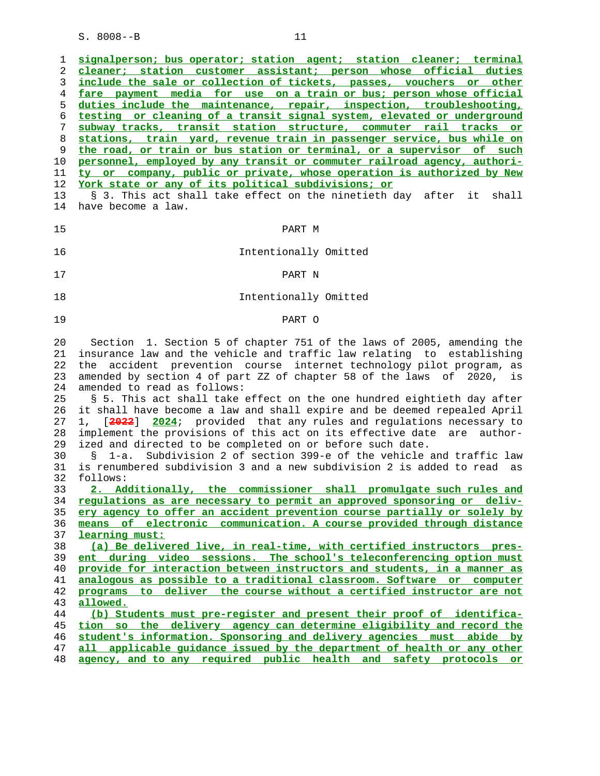| ı             | signalperson; bus operator; station agent; station cleaner; terminal        |
|---------------|-----------------------------------------------------------------------------|
| 2             | cleaner; station customer assistant; person whose official duties           |
| 3             | include the sale or collection of tickets, passes, vouchers or other        |
| 4             | fare payment media for use on a train or bus; person whose official         |
| 5             | duties include the maintenance, repair, inspection, troubleshooting,        |
| 6             | testing or cleaning of a transit signal system, elevated or underground     |
| 7             | subway tracks, transit station structure, commuter rail tracks or           |
| 8             | stations, train yard, revenue train in passenger service, bus while on      |
|               | the road, or train or bus station or terminal, or a supervisor of such      |
| 9<br>10       | personnel, employed by any transit or commuter railroad agency, authori-    |
| 11            | ty or company, public or private, whose operation is authorized by New      |
| 12            | York state or any of its political subdivisions; or                         |
| 13            | § 3. This act shall take effect on the ninetieth day after it shall         |
|               | have become a law.                                                          |
|               |                                                                             |
|               | PART M                                                                      |
|               |                                                                             |
|               | Intentionally Omitted                                                       |
|               |                                                                             |
|               | PART N                                                                      |
|               |                                                                             |
|               | Intentionally Omitted                                                       |
|               |                                                                             |
|               | PART O                                                                      |
|               |                                                                             |
|               | Section 1. Section 5 of chapter 751 of the laws of 2005, amending the       |
| $20 \,$<br>21 | insurance law and the vehicle and traffic law relating to establishing      |
|               | the accident prevention course internet technology pilot program, as        |
|               | amended by section 4 of part ZZ of chapter 58 of the laws of 2020, is       |
|               | amended to read as follows:                                                 |
|               | § 5. This act shall take effect on the one hundred eightieth day after      |
|               |                                                                             |
|               | it shall have become a law and shall expire and be deemed repealed April    |
|               | 1, [2022] 2024; provided that any rules and regulations necessary to        |
|               | implement the provisions of this act on its effective date<br>are author-   |
|               | ized and directed to be completed on or before such date.                   |
|               | Subdivision 2 of section 399-e of the vehicle and traffic law<br>1-a.<br>S. |
|               | is renumbered subdivision 3 and a new subdivision 2 is added to read as     |
|               | follows:                                                                    |
|               | 2. Additionally, the commissioner shall promulgate such rules and           |
|               | regulations as are necessary to permit an approved sponsoring or deliv-     |
|               | ery agency to offer an accident prevention course partially or solely by    |
|               | means of electronic communication. A course provided through distance       |
|               | learning must:                                                              |
|               | (a) Be delivered live, in real-time, with certified instructors pres-       |
|               | ent during video sessions. The school's teleconferencing option must        |
|               | provide for interaction between instructors and students, in a manner as    |
|               | analogous as possible to a traditional classroom. Software or computer      |
|               | programs to deliver the course without a certified instructor are not       |
|               | allowed.                                                                    |
|               | (b) Students must pre-register and present their proof of identifica-       |
| 44<br>45      | tion so the delivery agency can determine eligibility and record the        |
|               | student's information. Sponsoring and delivery agencies must abide by       |
|               | all applicable quidance issued by the department of health or any other     |
| 47            | agency, and to any required public health and safety protocols or           |
| 48            |                                                                             |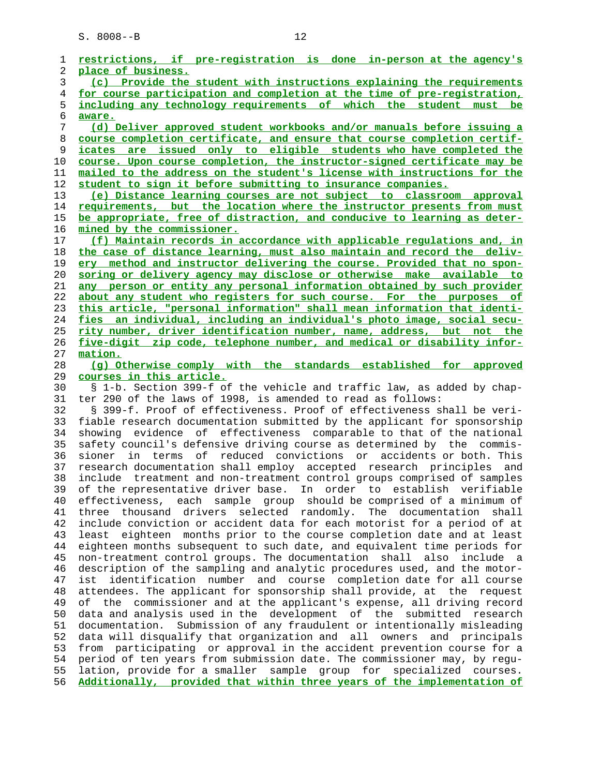| 1  | restrictions, if pre-registration is done in-person at the agency's        |
|----|----------------------------------------------------------------------------|
| 2  | place of business.                                                         |
| 3  | (c) Provide the student with instructions explaining the requirements      |
| 4  | for course participation and completion at the time of pre-registration,   |
| 5  | including any technology requirements of which the student must be         |
| 6  | aware.                                                                     |
| 7  | (d) Deliver approved student workbooks and/or manuals before issuing a     |
| 8  | course completion certificate, and ensure that course completion certif-   |
| 9  | icates are issued only to eligible students who have completed the         |
| 10 | course. Upon course completion, the instructor-signed certificate may be   |
|    |                                                                            |
| 11 | mailed to the address on the student's license with instructions for the   |
| 12 | student to sign it before submitting to insurance companies.               |
| 13 | (e) Distance learning courses are not subject to classroom approval        |
| 14 | requirements, but the location where the instructor presents from must     |
| 15 | be appropriate, free of distraction, and conducive to learning as deter-   |
| 16 | mined by the commissioner.                                                 |
| 17 | (f) Maintain records in accordance with applicable regulations and, in     |
| 18 | the case of distance learning, must also maintain and record the deliv-    |
| 19 | ery method and instructor delivering the course. Provided that no spon-    |
| 20 | soring or delivery agency may disclose or otherwise make available to      |
| 21 | any person or entity any personal information obtained by such provider    |
| 22 | about any student who registers for such course. For the purposes of       |
| 23 | this article, "personal information" shall mean information that identi-   |
| 24 | fies an individual, including an individual's photo image, social secu-    |
| 25 | rity number, driver identification number, name, address, but not the      |
| 26 | five-digit zip code, telephone number, and medical or disability infor-    |
| 27 | mation.                                                                    |
| 28 | (q) Otherwise comply with the standards established for approved           |
| 29 | courses in this article.                                                   |
| 30 | § 1-b. Section 399-f of the vehicle and traffic law, as added by chap-     |
| 31 | ter 290 of the laws of 1998, is amended to read as follows:                |
| 32 | § 399-f. Proof of effectiveness. Proof of effectiveness shall be veri-     |
| 33 | fiable research documentation submitted by the applicant for sponsorship   |
| 34 | evidence of effectiveness comparable to that of the national<br>showing    |
| 35 | safety council's defensive driving course as determined by the commis-     |
| 36 | terms                                                                      |
|    | of<br>reduced convictions or accidents or both. This<br>sioner<br>in       |
| 37 | research documentation shall employ accepted research principles and       |
| 38 | include treatment and non-treatment control groups comprised of samples    |
| 39 | of the representative driver base. In order to establish verifiable        |
| 40 | effectiveness, each sample group should be comprised of a minimum of       |
| 41 | three thousand drivers selected randomly. The documentation shall          |
| 42 | include conviction or accident data for each motorist for a period of at   |
| 43 | least eighteen months prior to the course completion date and at least     |
| 44 | eighteen months subsequent to such date, and equivalent time periods for   |
| 45 | non-treatment control groups. The documentation shall also<br>include a    |
| 46 | description of the sampling and analytic procedures used, and the motor-   |
| 47 | identification number and course completion date for all course<br>ist     |
| 48 | attendees. The applicant for sponsorship shall provide, at the request     |
| 49 | the commissioner and at the applicant's expense, all driving record<br>оf  |
| 50 | data and analysis used in the development of the submitted research        |
| 51 | Submission of any fraudulent or intentionally misleading<br>documentation. |
| 52 | data will disqualify that organization and all owners and principals       |
| 53 | from participating or approval in the accident prevention course for a     |
| 54 | period of ten years from submission date. The commissioner may, by regu-   |
| 55 | lation, provide for a smaller sample group for specialized courses.        |
| 56 | Additionally, provided that within three years of the implementation of    |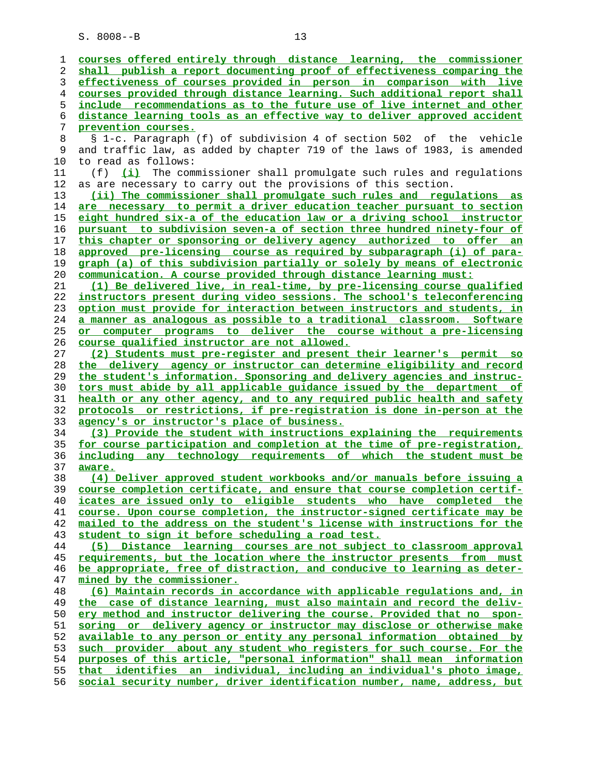| 1        | courses offered entirely through distance learning, the commissioner                                                                             |
|----------|--------------------------------------------------------------------------------------------------------------------------------------------------|
| 2        | shall publish a report documenting proof of effectiveness comparing the                                                                          |
| 3        | effectiveness of courses provided in person in comparison with live                                                                              |
| 4        | courses provided through distance learning. Such additional report shall                                                                         |
| 5        | include recommendations as to the future use of live internet and other                                                                          |
| 6        | distance learning tools as an effective way to deliver approved accident                                                                         |
| 7        | prevention courses.                                                                                                                              |
| 8        | § 1-c. Paragraph (f) of subdivision 4 of section 502 of the vehicle                                                                              |
| 9        | and traffic law, as added by chapter 719 of the laws of 1983, is amended                                                                         |
| 10       | to read as follows:                                                                                                                              |
| 11       | (i)<br>The commissioner shall promulgate such rules and regulations<br>(f)                                                                       |
| 12       | as are necessary to carry out the provisions of this section.                                                                                    |
| 13       | (ii) The commissioner shall promulgate such rules and regulations as                                                                             |
| 14       | are necessary to permit a driver education teacher pursuant to section                                                                           |
| 15<br>16 | eight hundred six-a of the education law or a driving school instructor                                                                          |
| $17$     | pursuant to subdivision seven-a of section three hundred ninety-four of<br>this chapter or sponsoring or delivery agency authorized to offer an  |
| 18       | approved pre-licensing course as required by subparagraph (i) of para-                                                                           |
| 19       | graph (a) of this subdivision partially or solely by means of electronic                                                                         |
| 20       | communication. A course provided through distance learning must:                                                                                 |
| 21       | (1) Be delivered live, in real-time, by pre-licensing course qualified                                                                           |
| 22       | instructors present during video sessions. The school's teleconferencing                                                                         |
| 23       | option must provide for interaction between instructors and students, in                                                                         |
| 24       | a manner as analogous as possible to a traditional classroom. Software                                                                           |
| 25       | or computer programs to deliver the course without a pre-licensing                                                                               |
| 26       | course qualified instructor are not allowed.                                                                                                     |
| 27       | (2) Students must pre-register and present their learner's permit so                                                                             |
| 28       | the delivery agency or instructor can determine eligibility and record                                                                           |
| 29       | the student's information. Sponsoring and delivery agencies and instruc-                                                                         |
| 30       | tors must abide by all applicable guidance issued by the department of                                                                           |
| 31       | health or any other agency, and to any required public health and safety                                                                         |
| 32       | protocols or restrictions, if pre-registration is done in-person at the                                                                          |
| 33       | agency's or instructor's place of business.                                                                                                      |
| 34       | (3) Provide the student with instructions explaining the requirements                                                                            |
| 35<br>36 | for course participation and completion at the time of pre-registration,<br>including any technology requirements of which the student must be   |
| 37       | aware.                                                                                                                                           |
| 38       | (4) Deliver approved student workbooks and/or manuals before issuing a                                                                           |
| 39       | course completion certificate, and ensure that course completion certif-                                                                         |
| 40       | icates are issued only to eligible students who have completed the                                                                               |
| 41       | course. Upon course completion, the instructor-signed certificate may be                                                                         |
| 42       | mailed to the address on the student's license with instructions for the                                                                         |
| 43       | student to sign it before scheduling a road test.                                                                                                |
| 44       | Distance learning courses are not subject to classroom approval<br>(5)                                                                           |
| 45       | requirements, but the location where the instructor presents from must                                                                           |
| 46       | be appropriate, free of distraction, and conducive to learning as deter-                                                                         |
| 47       | mined by the commissioner.                                                                                                                       |
| 48       | (6) Maintain records in accordance with applicable regulations and, in                                                                           |
| 49       | the case of distance learning, must also maintain and record the deliv-                                                                          |
| 50       | ery method and instructor delivering the course. Provided that no spon-                                                                          |
| 51       | soring or delivery agency or instructor may disclose or otherwise make                                                                           |
| 52       | available to any person or entity any personal information obtained by                                                                           |
| 53       | such provider about any student who registers for such course. For the                                                                           |
| 54<br>55 | purposes of this article, "personal information" shall mean information<br>that identifies an individual, including an individual's photo image, |
| 56       | social security number, driver identification number, name, address, but                                                                         |
|          |                                                                                                                                                  |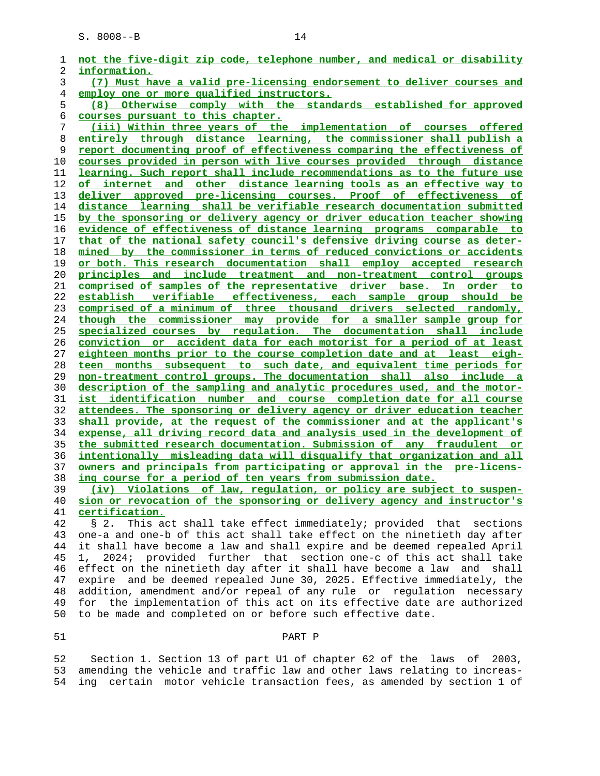| 1  | not the five-digit zip code, telephone number, and medical or disability |
|----|--------------------------------------------------------------------------|
| 2  | information.                                                             |
| 3  | (7) Must have a valid pre-licensing endorsement to deliver courses and   |
| 4  | employ one or more qualified instructors.                                |
| 5  | (8) Otherwise comply with the standards established for approved         |
| 6  | courses pursuant to this chapter.                                        |
| 7  | (iii) Within three years of the implementation of courses offered        |
| 8  | entirely through distance learning, the commissioner shall publish a     |
| 9  | report documenting proof of effectiveness comparing the effectiveness of |
| 10 | courses provided in person with live courses provided through distance   |
| 11 | learning. Such report shall include recommendations as to the future use |
| 12 | of internet and other distance learning tools as an effective way to     |
| 13 | deliver approved pre-licensing courses. Proof of effectiveness of        |
| 14 | distance learning shall be verifiable research documentation submitted   |
| 15 | by the sponsoring or delivery agency or driver education teacher showing |
| 16 | evidence of effectiveness of distance learning programs comparable to    |
| 17 | that of the national safety council's defensive driving course as deter- |
| 18 | mined by the commissioner in terms of reduced convictions or accidents   |
| 19 | or both. This research documentation shall employ accepted research      |
| 20 | principles and include treatment and non-treatment control groups        |
| 21 | comprised of samples of the representative driver base. In order to      |
| 22 | establish verifiable effectiveness, each sample group should be          |
| 23 | comprised of a minimum of three thousand drivers selected randomly,      |
| 24 | though the commissioner may provide for a smaller sample group for       |
| 25 | specialized courses by regulation. The documentation shall include       |
| 26 | conviction or accident data for each motorist for a period of at least   |
| 27 | eighteen months prior to the course completion date and at least eigh-   |
| 28 | teen months subsequent to such date, and equivalent time periods for     |
| 29 | non-treatment control groups. The documentation shall also include a     |
| 30 | description of the sampling and analytic procedures used, and the motor- |
| 31 | ist identification number and course completion date for all course      |
| 32 | attendees. The sponsoring or delivery agency or driver education teacher |
| 33 | shall provide, at the request of the commissioner and at the applicant's |
| 34 | expense, all driving record data and analysis used in the development of |
| 35 | the submitted research documentation. Submission of any fraudulent or    |
| 36 | intentionally misleading data will disqualify that organization and all  |
| 37 | owners and principals from participating or approval in the pre-licens-  |
| 38 | ing course for a period of ten years from submission date.               |
| 39 | (iv) Violations of law, regulation, or policy are subject to suspen-     |

**sion or revocation of the sponsoring or delivery agency and instructor's certification.**

 42 § 2. This act shall take effect immediately; provided that sections 43 one-a and one-b of this act shall take effect on the ninetieth day after 44 it shall have become a law and shall expire and be deemed repealed April 45 1, 2024; provided further that section one-c of this act shall take 46 effect on the ninetieth day after it shall have become a law and shall 47 expire and be deemed repealed June 30, 2025. Effective immediately, the 48 addition, amendment and/or repeal of any rule or regulation necessary 49 for the implementation of this act on its effective date are authorized 50 to be made and completed on or before such effective date.

### 51 PART P

 52 Section 1. Section 13 of part U1 of chapter 62 of the laws of 2003, 53 amending the vehicle and traffic law and other laws relating to increas- 54 ing certain motor vehicle transaction fees, as amended by section 1 of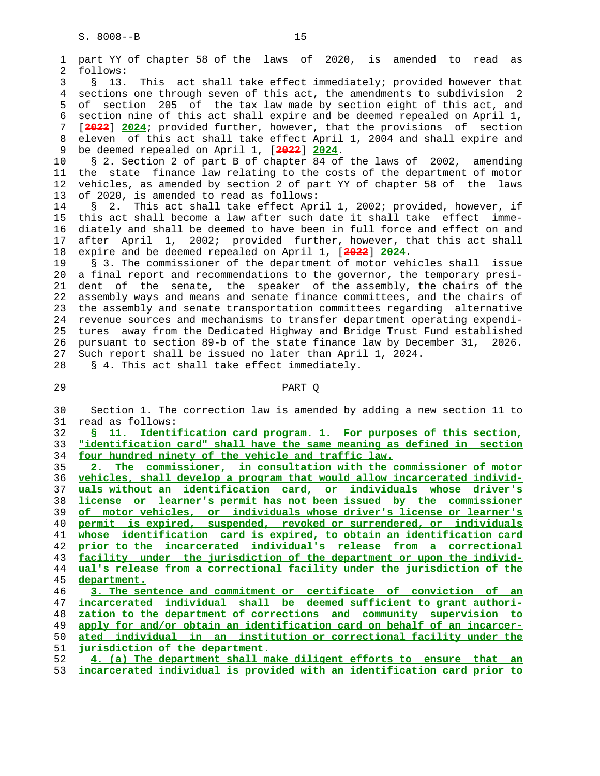2 follows:

 10 § 2. Section 2 of part B of chapter 84 of the laws of 2002, amending 11 the state finance law relating to the costs of the department of motor 12 vehicles, as amended by section 2 of part YY of chapter 58 of the laws 13 of 2020, is amended to read as follows:

 14 § 2. This act shall take effect April 1, 2002; provided, however, if 15 this act shall become a law after such date it shall take effect imme- 16 diately and shall be deemed to have been in full force and effect on and 17 after April 1, 2002; provided further, however, that this act shall 18 expire and be deemed repealed on April 1, [**2022**] **2024**.

 19 § 3. The commissioner of the department of motor vehicles shall issue 20 a final report and recommendations to the governor, the temporary presi- 21 dent of the senate, the speaker of the assembly, the chairs of the 22 assembly ways and means and senate finance committees, and the chairs of 23 the assembly and senate transportation committees regarding alternative 24 revenue sources and mechanisms to transfer department operating expendi- 25 tures away from the Dedicated Highway and Bridge Trust Fund established 26 pursuant to section 89-b of the state finance law by December 31, 2026. 27 Such report shall be issued no later than April 1, 2024.

28 § 4. This act shall take effect immediately.

### 29 PART Q

 30 Section 1. The correction law is amended by adding a new section 11 to 31 read as follows:

 32 **§ 11. Identification card program. 1. For purposes of this section,** 33 **"identification card" shall have the same meaning as defined in section** 34 **four hundred ninety of the vehicle and traffic law.**

**2. The commissioner, in consultation with the commissioner of motor vehicles, shall develop a program that would allow incarcerated individ- uals without an identification card, or individuals whose driver's license or learner's permit has not been issued by the commissioner of motor vehicles, or individuals whose driver's license or learner's permit is expired, suspended, revoked or surrendered, or individuals whose identification card is expired, to obtain an identification card prior to the incarcerated individual's release from a correctional facility under the jurisdiction of the department or upon the individ- ual's release from a correctional facility under the jurisdiction of the department. 3. The sentence and commitment or certificate of conviction of an incarcerated individual shall be deemed sufficient to grant authori- zation to the department of corrections and community supervision to apply for and/or obtain an identification card on behalf of an incarcer- ated individual in an institution or correctional facility under the**

51 **jurisdiction of the department.**

 52 **4. (a) The department shall make diligent efforts to ensure that an** 53 **incarcerated individual is provided with an identification card prior to**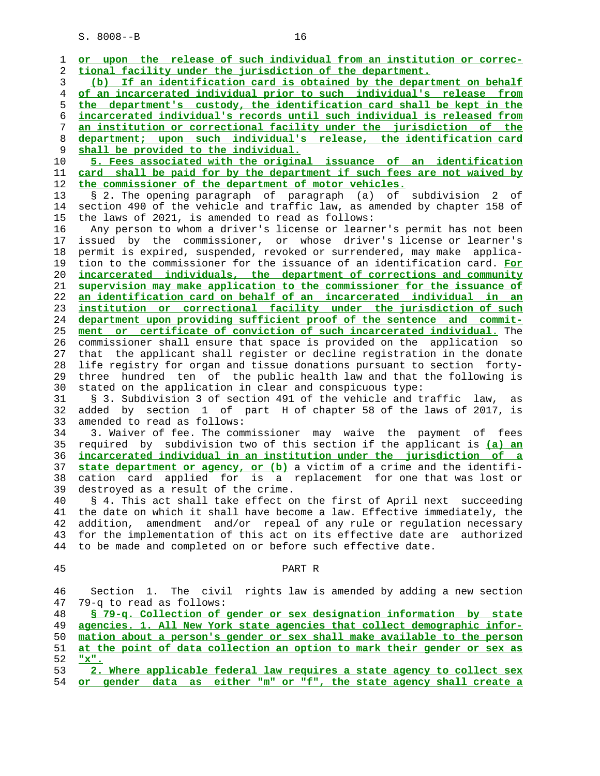| 1  | or upon the release of such individual from an institution or correc-    |
|----|--------------------------------------------------------------------------|
| 2  | tional facility under the jurisdiction of the department.                |
| 3  | (b) If an identification card is obtained by the department on behalf    |
| 4  | of an incarcerated individual prior to such individual's release from    |
| 5  | the department's custody, the identification card shall be kept in the   |
| 6  | incarcerated individual's records until such individual is released from |
| 7  | an institution or correctional facility under the jurisdiction of the    |
| 8  | department; upon such individual's release, the identification card      |
| 9  | shall be provided to the individual.                                     |
| 10 | 5. Fees associated with the original issuance of an identification       |
| 11 | card shall be paid for by the department if such fees are not waived by  |
| 12 | the commissioner of the department of motor vehicles.                    |
| 13 | § 2. The opening paragraph of paragraph (a) of subdivision 2<br>of       |
| 14 | section 490 of the vehicle and traffic law, as amended by chapter 158 of |
| 15 | the laws of 2021, is amended to read as follows:                         |
| 16 | Any person to whom a driver's license or learner's permit has not been   |
| 17 | issued by the commissioner, or whose driver's license or learner's       |
| 18 | permit is expired, suspended, revoked or surrendered, may make applica-  |
| 19 | tion to the commissioner for the issuance of an identification card. For |
| 20 | incarcerated individuals, the department of corrections and community    |
| 21 | supervision may make application to the commissioner for the issuance of |
| 22 | an identification card on behalf of an incarcerated individual in an     |
| 23 | institution or correctional facility under the jurisdiction of such      |
| 24 | department upon providing sufficient proof of the sentence and commit-   |
| 25 | ment or certificate of conviction of such incarcerated individual. The   |
| 26 | commissioner shall ensure that space is provided on the application so   |
| 27 | that the applicant shall register or decline registration in the donate  |
| 28 | life registry for organ and tissue donations pursuant to section forty-  |
| 29 | three hundred ten of the public health law and that the following is     |
| 30 | stated on the application in clear and conspicuous type:                 |
| 31 | § 3. Subdivision 3 of section 491 of the vehicle and traffic law,<br>as  |
| 32 | added by section 1 of part H of chapter 58 of the laws of 2017, is       |
| 33 | amended to read as follows:                                              |
| 34 | 3. Waiver of fee. The commissioner may waive the payment of fees         |
| 35 | required by subdivision two of this section if the applicant is (a) an   |
| 36 | incarcerated individual in an institution under the jurisdiction of a    |
| 37 | state department or agency, or (b) a victim of a crime and the identifi- |
| 38 | cation card applied for is a replacement for one that was lost or        |
| 39 | destroyed as a result of the crime.                                      |
| 40 | § 4. This act shall take effect on the first of April next succeeding    |
| 41 | the date on which it shall have become a law. Effective immediately, the |
| 42 | amendment and/or repeal of any rule or regulation necessary<br>addition, |
| 43 | for the implementation of this act on its effective date are authorized  |
| 44 | to be made and completed on or before such effective date.               |
|    |                                                                          |
| 45 | PART R                                                                   |
|    |                                                                          |
| 46 | Section 1. The civil<br>rights law is amended by adding a new section    |
| 47 | 79-q to read as follows:                                                 |
| 48 | § 79-q. Collection of gender or sex designation information by state     |
| 49 | agencies. 1. All New York state agencies that collect demographic infor- |
| 50 | mation about a person's gender or sex shall make available to the person |
| 51 | at the point of data collection an option to mark their gender or sex as |
| 52 | $"x"$ .                                                                  |
| 53 | 2. Where applicable federal law requires a state agency to collect sex   |
| 54 | or gender data as either "m" or "f", the state agency shall create a     |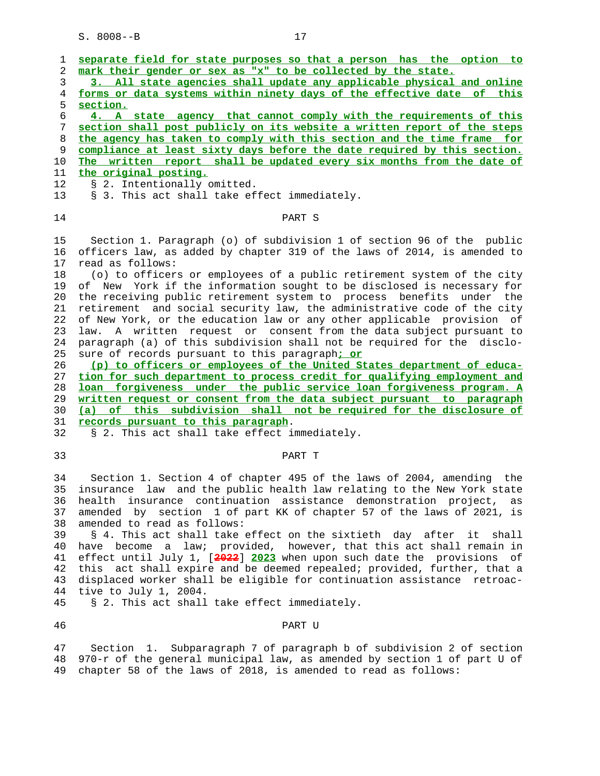| 1        | separate field for state purposes so that a person has the option to                                                                               |
|----------|----------------------------------------------------------------------------------------------------------------------------------------------------|
| 2        | mark their gender or sex as "x" to be collected by the state.                                                                                      |
| 3        | 3. All state agencies shall update any applicable physical and online                                                                              |
| 4        | forms or data systems within ninety days of the effective date of this                                                                             |
| 5        | section.                                                                                                                                           |
| 6        | 4. A state agency that cannot comply with the requirements of this                                                                                 |
| 7        | section shall post publicly on its website a written report of the steps                                                                           |
| 8        | the agency has taken to comply with this section and the time frame for                                                                            |
| 9        | compliance at least sixty days before the date required by this section.                                                                           |
| 10       | The written report shall be updated every six months from the date of                                                                              |
| 11       | the original posting.                                                                                                                              |
| 12       | § 2. Intentionally omitted.                                                                                                                        |
| 13       | § 3. This act shall take effect immediately.                                                                                                       |
| 14       | PART S                                                                                                                                             |
|          |                                                                                                                                                    |
| 15       | Section 1. Paragraph (o) of subdivision 1 of section 96 of the public                                                                              |
| 16       | officers law, as added by chapter 319 of the laws of 2014, is amended to                                                                           |
| 17       | read as follows:                                                                                                                                   |
| 18       | (o) to officers or employees of a public retirement system of the city                                                                             |
| 19       | of New York if the information sought to be disclosed is necessary for                                                                             |
| 20       | the receiving public retirement system to process benefits under the                                                                               |
| 21       | retirement and social security law, the administrative code of the city                                                                            |
| 22       | of New York, or the education law or any other applicable provision of                                                                             |
| 23       | law. A written request or consent from the data subject pursuant to                                                                                |
| 24       | paragraph (a) of this subdivision shall not be required for the disclo-                                                                            |
| 25<br>26 | sure of records pursuant to this paragraph: or                                                                                                     |
| 27       | (p) to officers or employees of the United States department of educa-<br>tion for such department to process credit for qualifying employment and |
| 28       | loan forgiveness under the public service loan forgiveness program. A                                                                              |
| 29       | written request or consent from the data subject pursuant to paragraph                                                                             |
| 30       | (a) of this subdivision shall not be required for the disclosure of                                                                                |
| 31       | records pursuant to this paragraph.                                                                                                                |
| 32       | § 2. This act shall take effect immediately.                                                                                                       |
|          |                                                                                                                                                    |
| 33       | PART T                                                                                                                                             |
|          |                                                                                                                                                    |
| 34       | Section 1. Section 4 of chapter 495 of the laws of 2004, amending the                                                                              |
| 35       | insurance law and the public health law relating to the New York state                                                                             |
| 36       | health insurance continuation assistance demonstration project, as                                                                                 |
| 37       | amended by section 1 of part KK of chapter 57 of the laws of 2021, is                                                                              |
| 38       | amended to read as follows:                                                                                                                        |
| 39       | § 4. This act shall take effect on the sixtieth day after it shall                                                                                 |
| 40       | have become a law; provided, however, that this act shall remain in                                                                                |
| 41       | effect until July 1, [2022] 2023 when upon such date the provisions of                                                                             |
| 42       | this act shall expire and be deemed repealed; provided, further, that a                                                                            |
| 43       | displaced worker shall be eligible for continuation assistance retroac-                                                                            |
| 44       | tive to July 1, 2004.                                                                                                                              |
| 45       | § 2. This act shall take effect immediately.                                                                                                       |
| 46       | PART U                                                                                                                                             |
|          |                                                                                                                                                    |
| 47       | Section 1. Subparagraph 7 of paragraph b of subdivision 2 of section                                                                               |
| 48<br>49 | 970-r of the general municipal law, as amended by section 1 of part U of<br>chapter 58 of the laws of 2018, is amended to read as follows:         |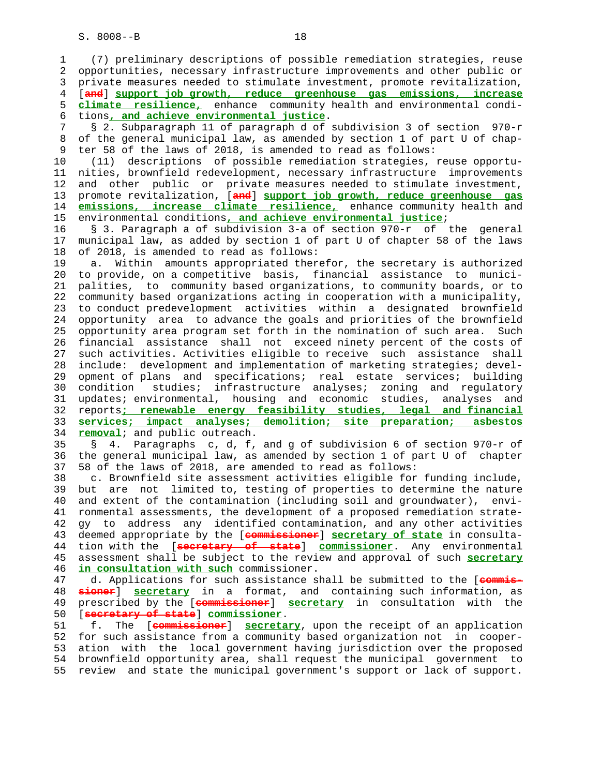1 (7) preliminary descriptions of possible remediation strategies, reuse 2 opportunities, necessary infrastructure improvements and other public or 3 private measures needed to stimulate investment, promote revitalization, 4 [**and**] **support job growth, reduce greenhouse gas emissions, increase** 5 **climate resilience,** enhance community health and environmental condi- 6 tions**, and achieve environmental justice**. 7 § 2. Subparagraph 11 of paragraph d of subdivision 3 of section 970-r 8 of the general municipal law, as amended by section 1 of part U of chap- 9 ter 58 of the laws of 2018, is amended to read as follows: 10 (11) descriptions of possible remediation strategies, reuse opportu- 11 nities, brownfield redevelopment, necessary infrastructure improvements 12 and other public or private measures needed to stimulate investment, 13 promote revitalization, [**and**] **support job growth, reduce greenhouse gas** 14 **emissions, increase climate resilience,** enhance community health and 15 environmental conditions**, and achieve environmental justice**; 16 § 3. Paragraph a of subdivision 3-a of section 970-r of the general 17 municipal law, as added by section 1 of part U of chapter 58 of the laws 18 of 2018, is amended to read as follows: 19 a. Within amounts appropriated therefor, the secretary is authorized 20 to provide, on a competitive basis, financial assistance to munici- 21 palities, to community based organizations, to community boards, or to 22 community based organizations acting in cooperation with a municipality, 23 to conduct predevelopment activities within a designated brownfield 24 opportunity area to advance the goals and priorities of the brownfield 25 opportunity area program set forth in the nomination of such area. Such 26 financial assistance shall not exceed ninety percent of the costs of 27 such activities. Activities eligible to receive such assistance shall 28 include: development and implementation of marketing strategies; devel- 29 opment of plans and specifications; real estate services; building 30 condition studies; infrastructure analyses; zoning and regulatory 31 updates; environmental, housing and economic studies, analyses and 32 reports**; renewable energy feasibility studies, legal and financial** 33 **services; impact analyses; demolition; site preparation; asbestos** 34 **removal**; and public outreach. 35 § 4. Paragraphs c, d, f, and g of subdivision 6 of section 970-r of 36 the general municipal law, as amended by section 1 of part U of chapter 37 58 of the laws of 2018, are amended to read as follows: 38 c. Brownfield site assessment activities eligible for funding include, 39 but are not limited to, testing of properties to determine the nature 40 and extent of the contamination (including soil and groundwater), envi- 41 ronmental assessments, the development of a proposed remediation strate- 42 gy to address any identified contamination, and any other activities 43 deemed appropriate by the [**commissioner**] **secretary of state** in consulta- 44 tion with the [**secretary of state**] **commissioner**. Any environmental 45 assessment shall be subject to the review and approval of such **secretary** 46 **in consultation with such** commissioner. 47 d. Applications for such assistance shall be submitted to the [**commis-** 48 **sioner**] **secretary** in a format, and containing such information, as 49 prescribed by the [**commissioner**] **secretary** in consultation with the 50 [**secretary of state**] **commissioner**. 51 f. The [**commissioner**] **secretary**, upon the receipt of an application 52 for such assistance from a community based organization not in cooper- 53 ation with the local government having jurisdiction over the proposed 54 brownfield opportunity area, shall request the municipal government to 55 review and state the municipal government's support or lack of support.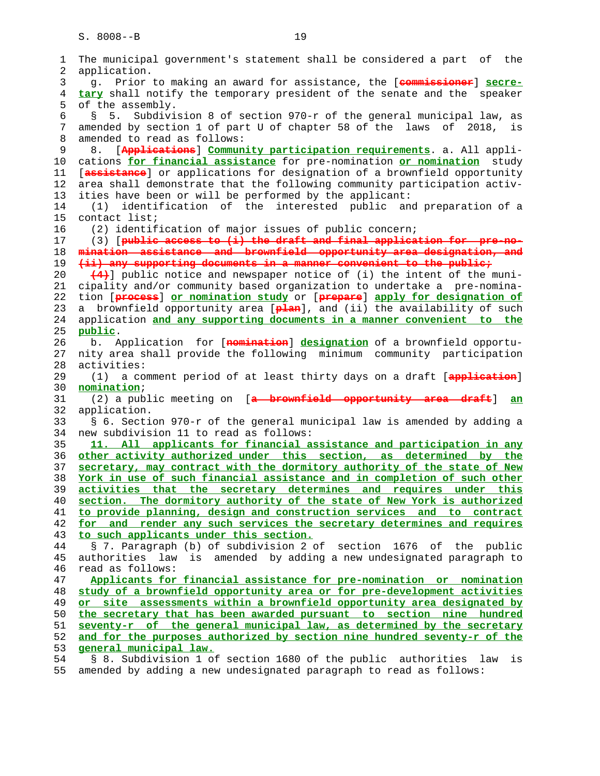| 1  | The municipal government's statement shall be considered a part of the      |
|----|-----------------------------------------------------------------------------|
| 2  | application.                                                                |
| 3  | g. Prior to making an award for assistance, the [commissioner] secre-       |
| 4  | tary shall notify the temporary president of the senate and the speaker     |
| 5  | of the assembly.                                                            |
| 6  | Subdivision 8 of section 970-r of the general municipal law, as<br>5.<br>Š. |
| 7  | amended by section 1 of part U of chapter 58 of the laws of 2018,<br>is     |
| 8  | amended to read as follows:                                                 |
| 9  | [Applications] Community participation requirements. a. All appli-<br>8.    |
| 10 | cations for financial assistance for pre-nomination or nomination study     |
| 11 | [assistance] or applications for designation of a brownfield opportunity    |
|    |                                                                             |
| 12 | area shall demonstrate that the following community participation activ-    |
| 13 | ities have been or will be performed by the applicant:                      |
| 14 | identification of the interested public and preparation of a<br>(1)         |
| 15 | contact list;                                                               |
| 16 | (2) identification of major issues of public concern;                       |
| 17 | (3) [public access to (i) the draft and final application for pre-no-       |
| 18 | mination assistance and brownfield opportunity area-designation, and        |
| 19 | (ii) any supporting documents in a manner convenient to the public;         |
| 20 | (4) public notice and newspaper notice of (i) the intent of the muni-       |
| 21 | cipality and/or community based organization to undertake a pre-nomina-     |
| 22 | tion [process] or nomination study or [prepare] apply for designation of    |
| 23 | a brownfield opportunity area [plan], and (ii) the availability of such     |
| 24 | application and any supporting documents in a manner convenient to the      |
| 25 | public.                                                                     |
| 26 | b. Application for [nomination] designation of a brownfield opportu-        |
| 27 | nity area shall provide the following minimum community participation       |
| 28 | activities:                                                                 |
| 29 | (1) a comment period of at least thirty days on a draft [application]       |
| 30 | nomination;                                                                 |
| 31 | (2) a public meeting on [a brownfield opportunity area draft]<br>an         |
| 32 | application.                                                                |
| 33 | § 6. Section 970-r of the general municipal law is amended by adding a      |
| 34 | new subdivision 11 to read as follows:                                      |
| 35 | 11. All applicants for financial assistance and participation in any        |
| 36 | other activity authorized under this section, as determined by the          |
| 37 | secretary, may contract with the dormitory authority of the state of New    |
| 38 | York in use of such financial assistance and in completion of such other    |
| 39 | activities that the secretary determines and requires under this            |
| 40 | section. The dormitory authority of the state of New York is authorized     |
| 41 | to provide planning, design and construction services and to contract       |
| 42 | for and render any such services the secretary determines and requires      |
| 43 | to such applicants under this section.                                      |
| 44 | § 7. Paragraph (b) of subdivision 2 of section 1676 of the public           |
| 45 | is amended by adding a new undesignated paragraph to<br>authorities law     |
| 46 | read as follows:                                                            |
| 47 | Applicants for financial assistance for pre-nomination or nomination        |
| 48 | study of a brownfield opportunity area or for pre-development activities    |
| 49 | site assessments within a brownfield opportunity area designated by<br>or   |
| 50 | the secretary that has been awarded pursuant to section nine hundred        |
| 51 | seventy-r of the general municipal law, as determined by the secretary      |
| 52 | and for the purposes authorized by section nine hundred seventy-r of the    |
| 53 | general municipal law.                                                      |
| 54 | § 8. Subdivision 1 of section 1680 of the public authorities law<br>is      |
| 55 | amended by adding a new undesignated paragraph to read as follows:          |
|    |                                                                             |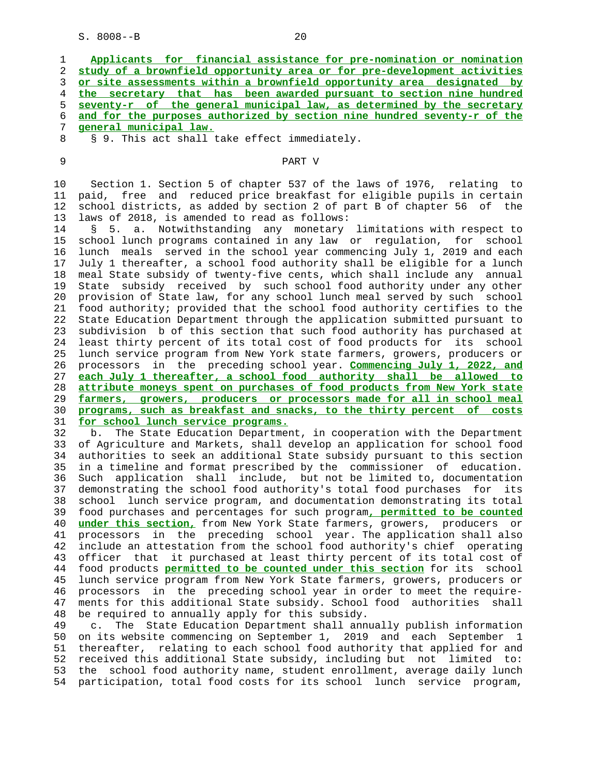| 1  | Applicants for financial assistance for pre-nomination or nomination      |
|----|---------------------------------------------------------------------------|
| 2  | study of a brownfield opportunity area or for pre-development activities  |
| 3  | or site assessments within a brownfield opportunity area designated by    |
| 4  | the secretary that has been awarded pursuant to section nine hundred      |
| 5  | seventy-r of the general municipal law, as determined by the secretary    |
| 6  | and for the purposes authorized by section nine hundred seventy-r of the  |
| 7  | general municipal law.                                                    |
| 8  | § 9. This act shall take effect immediately.                              |
| 9  | PART V                                                                    |
| 10 | Section 1. Section 5 of chapter 537 of the laws of 1976, relating to      |
| 11 | paid, free and reduced price breakfast for eligible pupils in certain     |
| 12 | school districts, as added by section 2 of part B of chapter 56 of the    |
| 13 | laws of 2018, is amended to read as follows:                              |
| 14 | 5. a. Notwithstanding any monetary limitations with respect to<br>Ş.      |
| 15 | school lunch programs contained in any law or regulation, for school      |
| 16 | lunch meals served in the school year commencing July 1, 2019 and each    |
| 17 | July 1 thereafter, a school food authority shall be eligible for a lunch  |
| 18 | meal State subsidy of twenty-five cents, which shall include any annual   |
| 19 | State subsidy received by such school food authority under any other      |
| 20 | provision of State law, for any school lunch meal served by such school   |
| 21 | food authority; provided that the school food authority certifies to the  |
| 22 | State Education Department through the application submitted pursuant to  |
| 23 | subdivision b of this section that such food authority has purchased at   |
| 24 | least thirty percent of its total cost of food products for its<br>school |
| 25 | lunch service program from New York state farmers, growers, producers or  |
| 26 | in the preceding school year. Commencing July 1, 2022, and<br>processors  |
| 27 | each July 1 thereafter, a school food authority shall be allowed to       |
| 28 | attribute moneys spent on purchases of food products from New York state  |
| 29 | farmers, growers, producers or processors made for all in school meal     |
| 30 | programs, such as breakfast and snacks, to the thirty percent of costs    |
| 31 | for school lunch service programs.                                        |
| 32 | The State Education Department, in cooperation with the Department<br>b.  |
| 33 | of Agriculture and Markets, shall develop an application for school food  |
| 34 | authorities to seek an additional State subsidy pursuant to this section  |
| 35 | in a timeline and format prescribed by the commissioner of education      |

 34 authorities to seek an additional State subsidy pursuant to this section timeline and format prescribed by the commissioner of education. 36 Such application shall include, but not be limited to, documentation 37 demonstrating the school food authority's total food purchases for its 38 school lunch service program, and documentation demonstrating its total 39 food purchases and percentages for such program**, permitted to be counted** 40 **under this section,** from New York State farmers, growers, producers or 41 processors in the preceding school year. The application shall also 42 include an attestation from the school food authority's chief operating 43 officer that it purchased at least thirty percent of its total cost of 44 food products **permitted to be counted under this section** for its school 45 lunch service program from New York State farmers, growers, producers or 46 processors in the preceding school year in order to meet the require- 47 ments for this additional State subsidy. School food authorities shall 48 be required to annually apply for this subsidy.

 49 c. The State Education Department shall annually publish information 50 on its website commencing on September 1, 2019 and each September 1 51 thereafter, relating to each school food authority that applied for and 52 received this additional State subsidy, including but not limited to: 53 the school food authority name, student enrollment, average daily lunch 54 participation, total food costs for its school lunch service program,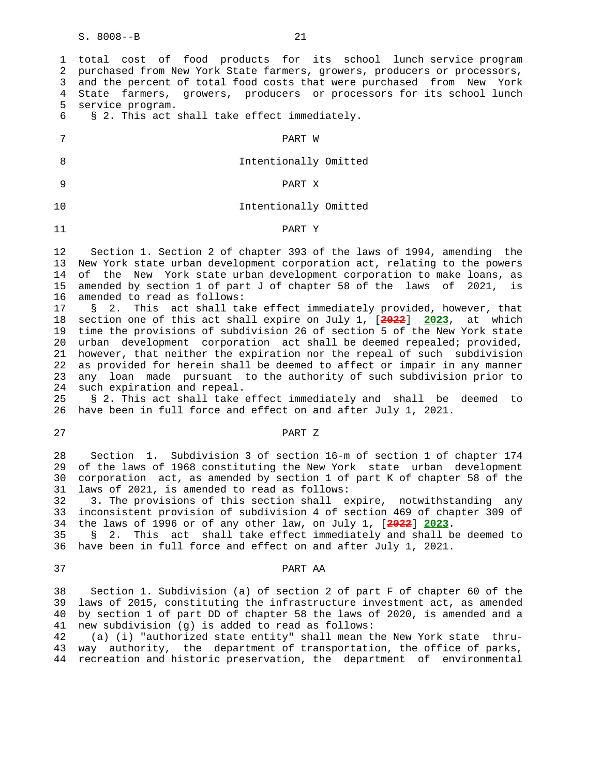| 1<br>2<br>3<br>4<br>5<br>6                            | total cost of food products for its school lunch service program<br>purchased from New York State farmers, growers, producers or processors,<br>and the percent of total food costs that were purchased from New York<br>State farmers, growers, producers or processors for its school lunch<br>service program.<br>§ 2. This act shall take effect immediately.                                                                                                                                |
|-------------------------------------------------------|--------------------------------------------------------------------------------------------------------------------------------------------------------------------------------------------------------------------------------------------------------------------------------------------------------------------------------------------------------------------------------------------------------------------------------------------------------------------------------------------------|
| 7                                                     | PART W                                                                                                                                                                                                                                                                                                                                                                                                                                                                                           |
| 8                                                     | Intentionally Omitted                                                                                                                                                                                                                                                                                                                                                                                                                                                                            |
| 9                                                     | PART X                                                                                                                                                                                                                                                                                                                                                                                                                                                                                           |
| 10                                                    | Intentionally Omitted                                                                                                                                                                                                                                                                                                                                                                                                                                                                            |
| 11                                                    | PART Y                                                                                                                                                                                                                                                                                                                                                                                                                                                                                           |
| $12 \overline{ }$<br>13<br>14<br>15<br>16<br>17<br>18 | Section 1. Section 2 of chapter 393 of the laws of 1994, amending the<br>New York state urban development corporation act, relating to the powers<br>of the New York state urban development corporation to make loans, as<br>amended by section 1 of part J of chapter 58 of the laws of 2021, is<br>amended to read as follows:<br>2. This act shall take effect immediately provided, however, that<br>$\mathcal{S}$<br>section one of this act shall expire on July 1, [2022] 2023, at which |
| 19<br>20<br>21<br>22<br>23<br>24                      | time the provisions of subdivision 26 of section 5 of the New York state<br>urban development corporation act shall be deemed repealed; provided,<br>however, that neither the expiration nor the repeal of such subdivision<br>as provided for herein shall be deemed to affect or impair in any manner<br>loan made pursuant to the authority of such subdivision prior to<br>any<br>such expiration and repeal.                                                                               |

 25 § 2. This act shall take effect immediately and shall be deemed to 26 have been in full force and effect on and after July 1, 2021.

## 27 PART Z

 28 Section 1. Subdivision 3 of section 16-m of section 1 of chapter 174 29 of the laws of 1968 constituting the New York state urban development 30 corporation act, as amended by section 1 of part K of chapter 58 of the 31 laws of 2021, is amended to read as follows:

 32 3. The provisions of this section shall expire, notwithstanding any 33 inconsistent provision of subdivision 4 of section 469 of chapter 309 of 34 the laws of 1996 or of any other law, on July 1, [**2022**] **2023**.

 35 § 2. This act shall take effect immediately and shall be deemed to 36 have been in full force and effect on and after July 1, 2021.

### 37 PART AA

 38 Section 1. Subdivision (a) of section 2 of part F of chapter 60 of the 39 laws of 2015, constituting the infrastructure investment act, as amended 40 by section 1 of part DD of chapter 58 the laws of 2020, is amended and a 41 new subdivision (g) is added to read as follows:

 42 (a) (i) "authorized state entity" shall mean the New York state thru- 43 way authority, the department of transportation, the office of parks, 44 recreation and historic preservation, the department of environmental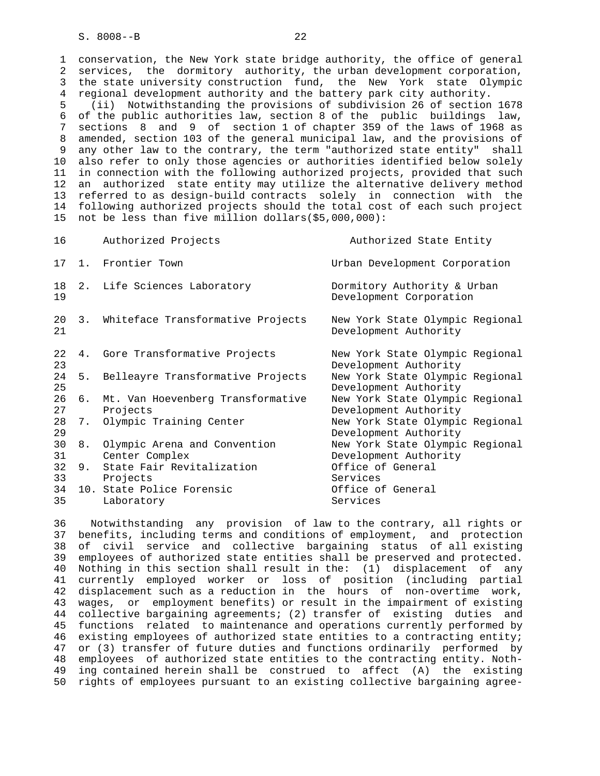1 conservation, the New York state bridge authority, the office of general 2 services, the dormitory authority, the urban development corporation, 3 the state university construction fund, the New York state Olympic 4 regional development authority and the battery park city authority. 5 (ii) Notwithstanding the provisions of subdivision 26 of section 1678 6 of the public authorities law, section 8 of the public buildings law, 7 sections 8 and 9 of section 1 of chapter 359 of the laws of 1968 as 8 amended, section 103 of the general municipal law, and the provisions of 9 any other law to the contrary, the term "authorized state entity" shall 10 also refer to only those agencies or authorities identified below solely 11 in connection with the following authorized projects, provided that such 12 an authorized state entity may utilize the alternative delivery method 13 referred to as design-build contracts solely in connection with the 14 following authorized projects should the total cost of each such project 15 not be less than five million dollars(\$5,000,000):

| 16       |    | Authorized Projects                            | Authorized State Entity                                  |
|----------|----|------------------------------------------------|----------------------------------------------------------|
|          |    | 17 1. Frontier Town                            | Urban Development Corporation                            |
| 18<br>19 |    | 2. Life Sciences Laboratory                    | Dormitory Authority & Urban<br>Development Corporation   |
| 20<br>21 |    | 3. Whiteface Transformative Projects           | New York State Olympic Regional<br>Development Authority |
| 22<br>23 |    | 4. Gore Transformative Projects                | New York State Olympic Regional<br>Development Authority |
| 24<br>25 | 5. | Belleayre Transformative Projects              | New York State Olympic Regional<br>Development Authority |
| 26<br>27 | б. | Mt. Van Hoevenberg Transformative<br>Projects  | New York State Olympic Regional<br>Development Authority |
| 28<br>29 | 7. | Olympic Training Center                        | New York State Olympic Regional<br>Development Authority |
| 30<br>31 | 8. | Olympic Arena and Convention<br>Center Complex | New York State Olympic Regional<br>Development Authority |
| 32<br>33 | 9. | State Fair Revitalization<br>Projects          | Office of General<br>Services                            |
| 34<br>35 |    | 10. State Police Forensic<br>Laboratory        | Office of General<br>Services                            |
|          |    |                                                |                                                          |

 36 Notwithstanding any provision of law to the contrary, all rights or 37 benefits, including terms and conditions of employment, and protection 38 of civil service and collective bargaining status of all existing 39 employees of authorized state entities shall be preserved and protected. 40 Nothing in this section shall result in the: (1) displacement of any 41 currently employed worker or loss of position (including partial 42 displacement such as a reduction in the hours of non-overtime work, 43 wages, or employment benefits) or result in the impairment of existing 44 collective bargaining agreements; (2) transfer of existing duties and 45 functions related to maintenance and operations currently performed by 46 existing employees of authorized state entities to a contracting entity; 47 or (3) transfer of future duties and functions ordinarily performed by 48 employees of authorized state entities to the contracting entity. Noth- 49 ing contained herein shall be construed to affect (A) the existing 50 rights of employees pursuant to an existing collective bargaining agree-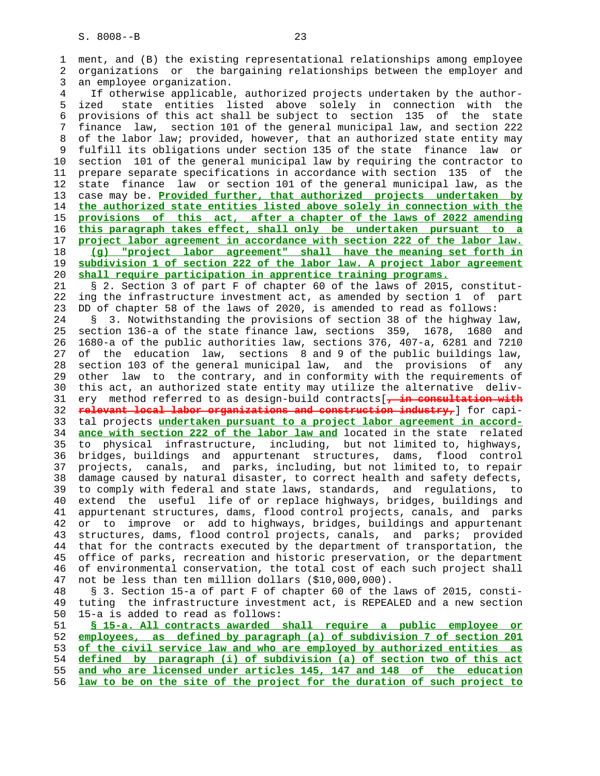1 ment, and (B) the existing representational relationships among employee 2 organizations or the bargaining relationships between the employer and 3 an employee organization. 4 If otherwise applicable, authorized projects undertaken by the author- 5 ized state entities listed above solely in connection with the 6 provisions of this act shall be subject to section 135 of the state 7 finance law, section 101 of the general municipal law, and section 222 8 of the labor law; provided, however, that an authorized state entity may 9 fulfill its obligations under section 135 of the state finance law or<br>10 section 101 of the general municipal law by requiring the contractor to section 101 of the general municipal law by requiring the contractor to 11 prepare separate specifications in accordance with section 135 of the 12 state finance law or section 101 of the general municipal law, as the 13 case may be. **Provided further, that authorized projects undertaken by** 14 **the authorized state entities listed above solely in connection with the** 15 **provisions of this act, after a chapter of the laws of 2022 amending** 16 **this paragraph takes effect, shall only be undertaken pursuant to a** 17 **project labor agreement in accordance with section 222 of the labor law.** 18 **(g) "project labor agreement" shall have the meaning set forth in** 19 **subdivision 1 of section 222 of the labor law. A project labor agreement** 20 **shall require participation in apprentice training programs.** 21 § 2. Section 3 of part F of chapter 60 of the laws of 2015, constitut- 22 ing the infrastructure investment act, as amended by section 1 of part 23 DD of chapter 58 of the laws of 2020, is amended to read as follows: 24 § 3. Notwithstanding the provisions of section 38 of the highway law, 25 section 136-a of the state finance law, sections 359, 1678, 1680 and 26 1680-a of the public authorities law, sections 376, 407-a, 6281 and 7210 27 of the education law, sections 8 and 9 of the public buildings law, 28 section 103 of the general municipal law, and the provisions of any 29 other law to the contrary, and in conformity with the requirements of 30 this act, an authorized state entity may utilize the alternative deliv- 31 ery method referred to as design-build contracts[**, in consultation with** 32 **relevant local labor organizations and construction industry,**] for capi- 33 tal projects **undertaken pursuant to a project labor agreement in accord-** 34 **ance with section 222 of the labor law and** located in the state related 35 to physical infrastructure, including, but not limited to, highways, 36 bridges, buildings and appurtenant structures, dams, flood control 37 projects, canals, and parks, including, but not limited to, to repair 38 damage caused by natural disaster, to correct health and safety defects, 39 to comply with federal and state laws, standards, and regulations, to 40 extend the useful life of or replace highways, bridges, buildings and 41 appurtenant structures, dams, flood control projects, canals, and parks 42 or to improve or add to highways, bridges, buildings and appurtenant 43 structures, dams, flood control projects, canals, and parks; provided 44 that for the contracts executed by the department of transportation, the 45 office of parks, recreation and historic preservation, or the department 46 of environmental conservation, the total cost of each such project shall 47 not be less than ten million dollars (\$10,000,000). 48 § 3. Section 15-a of part F of chapter 60 of the laws of 2015, consti- 49 tuting the infrastructure investment act, is REPEALED and a new section 50 15-a is added to read as follows: 51 **§ 15-a. All contracts awarded shall require a public employee or** 52 **employees, as defined by paragraph (a) of subdivision 7 of section 201** 53 **of the civil service law and who are employed by authorized entities as** 54 **defined by paragraph (i) of subdivision (a) of section two of this act** 55 **and who are licensed under articles 145, 147 and 148 of the education** 56 **law to be on the site of the project for the duration of such project to**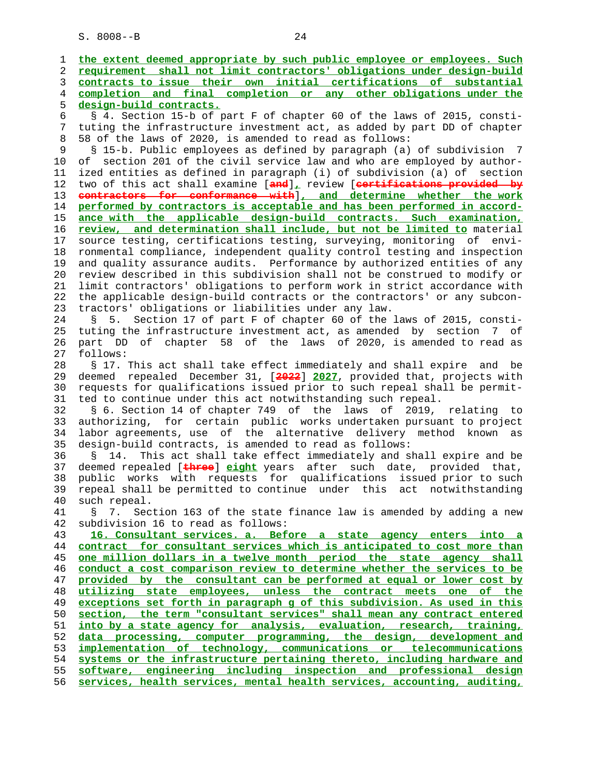1 **the extent deemed appropriate by such public employee or employees. Such** 2 **requirement shall not limit contractors' obligations under design-build** 3 **contracts to issue their own initial certifications of substantial** 4 **completion and final completion or any other obligations under the** 5 **design-build contracts.** 6 § 4. Section 15-b of part F of chapter 60 of the laws of 2015, consti- 7 tuting the infrastructure investment act, as added by part DD of chapter 8 58 of the laws of 2020, is amended to read as follows: 9 § 15-b. Public employees as defined by paragraph (a) of subdivision 7 10 of section 201 of the civil service law and who are employed by author- 11 ized entities as defined in paragraph (i) of subdivision (a) of section 12 two of this act shall examine [**and**]**,** review [**certifications provided by** 13 **contractors for conformance with**]**, and determine whether the work** 14 **performed by contractors is acceptable and has been performed in accord-** 15 **ance with the applicable design-build contracts. Such examination,** 16 **review, and determination shall include, but not be limited to** material 17 source testing, certifications testing, surveying, monitoring of envi- 18 ronmental compliance, independent quality control testing and inspection 19 and quality assurance audits. Performance by authorized entities of any 20 review described in this subdivision shall not be construed to modify or 21 limit contractors' obligations to perform work in strict accordance with 22 the applicable design-build contracts or the contractors' or any subcon- 23 tractors' obligations or liabilities under any law. 24 § 5. Section 17 of part F of chapter 60 of the laws of 2015, consti- 25 tuting the infrastructure investment act, as amended by section 7 of 26 part DD of chapter 58 of the laws of 2020, is amended to read as 27 follows: 28 § 17. This act shall take effect immediately and shall expire and be 29 deemed repealed December 31, [**2022**] **2027**, provided that, projects with 30 requests for qualifications issued prior to such repeal shall be permit- 31 ted to continue under this act notwithstanding such repeal. 32 § 6. Section 14 of chapter 749 of the laws of 2019, relating to 33 authorizing, for certain public works undertaken pursuant to project 34 labor agreements, use of the alternative delivery method known as 35 design-build contracts, is amended to read as follows: 36 § 14. This act shall take effect immediately and shall expire and be 37 deemed repealed [**three**] **eight** years after such date, provided that, 38 public works with requests for qualifications issued prior to such 39 repeal shall be permitted to continue under this act notwithstanding 40 such repeal. 41 § 7. Section 163 of the state finance law is amended by adding a new 42 subdivision 16 to read as follows: 43 **16. Consultant services. a. Before a state agency enters into a** 44 **contract for consultant services which is anticipated to cost more than** 45 **one million dollars in a twelve month period the state agency shall** 46 **conduct a cost comparison review to determine whether the services to be** 47 **provided by the consultant can be performed at equal or lower cost by** 48 **utilizing state employees, unless the contract meets one of the** 49 **exceptions set forth in paragraph g of this subdivision. As used in this** 50 **section, the term "consultant services" shall mean any contract entered** 51 **into by a state agency for analysis, evaluation, research, training,** 52 **data processing, computer programming, the design, development and** 53 **implementation of technology, communications or telecommunications** 54 **systems or the infrastructure pertaining thereto, including hardware and** 55 **software, engineering including inspection and professional design** 56 **services, health services, mental health services, accounting, auditing,**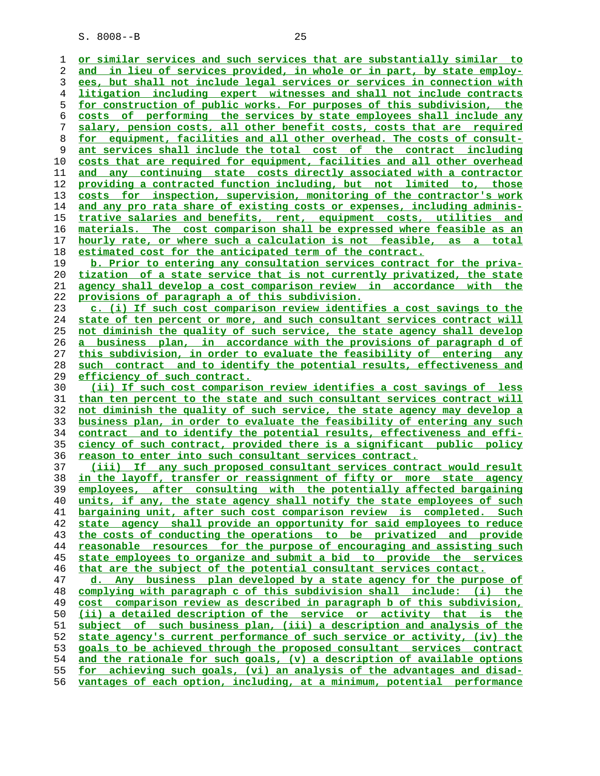**or similar services and such services that are substantially similar to and in lieu of services provided, in whole or in part, by state employ- ees, but shall not include legal services or services in connection with litigation including expert witnesses and shall not include contracts for construction of public works. For purposes of this subdivision, the costs of performing the services by state employees shall include any salary, pension costs, all other benefit costs, costs that are required for equipment, facilities and all other overhead. The costs of consult- ant services shall include the total cost of the contract including costs that are required for equipment, facilities and all other overhead and any continuing state costs directly associated with a contractor providing a contracted function including, but not limited to, those costs for inspection, supervision, monitoring of the contractor's work and any pro rata share of existing costs or expenses, including adminis- trative salaries and benefits, rent, equipment costs, utilities and materials. The cost comparison shall be expressed where feasible as an hourly rate, or where such a calculation is not feasible, as a total estimated cost for the anticipated term of the contract. b. Prior to entering any consultation services contract for the priva- tization of a state service that is not currently privatized, the state agency shall develop a cost comparison review in accordance with the provisions of paragraph a of this subdivision. c. (i) If such cost comparison review identifies a cost savings to the state of ten percent or more, and such consultant services contract will not diminish the quality of such service, the state agency shall develop a business plan, in accordance with the provisions of paragraph d of this subdivision, in order to evaluate the feasibility of entering any such contract and to identify the potential results, effectiveness and efficiency of such contract. (ii) If such cost comparison review identifies a cost savings of less than ten percent to the state and such consultant services contract will not diminish the quality of such service, the state agency may develop a business plan, in order to evaluate the feasibility of entering any such contract and to identify the potential results, effectiveness and effi- ciency of such contract, provided there is a significant public policy reason to enter into such consultant services contract. (iii) If any such proposed consultant services contract would result in the layoff, transfer or reassignment of fifty or more state agency employees, after consulting with the potentially affected bargaining units, if any, the state agency shall notify the state employees of such bargaining unit, after such cost comparison review is completed. Such state agency shall provide an opportunity for said employees to reduce the costs of conducting the operations to be privatized and provide reasonable resources for the purpose of encouraging and assisting such state employees to organize and submit a bid to provide the services that are the subject of the potential consultant services contact. d. Any business plan developed by a state agency for the purpose of complying with paragraph c of this subdivision shall include: (i) the cost comparison review as described in paragraph b of this subdivision, (ii) a detailed description of the service or activity that is the subject of such business plan, (iii) a description and analysis of the state agency's current performance of such service or activity, (iv) the goals to be achieved through the proposed consultant services contract**

**and the rationale for such goals, (v) a description of available options for achieving such goals, (vi) an analysis of the advantages and disad- vantages of each option, including, at a minimum, potential performance**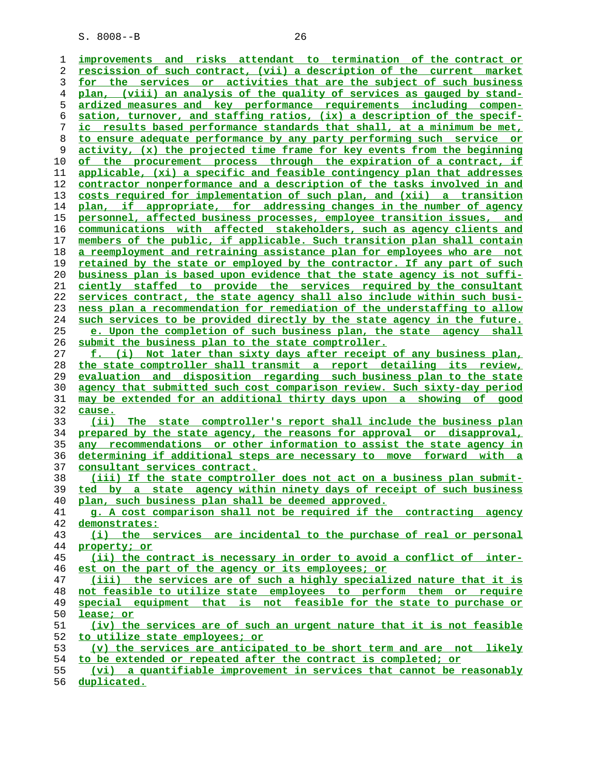**improvements and risks attendant to termination of the contract or rescission of such contract, (vii) a description of the current market for the services or activities that are the subject of such business plan, (viii) an analysis of the quality of services as gauged by stand- ardized measures and key performance requirements including compen- sation, turnover, and staffing ratios, (ix) a description of the specif- ic results based performance standards that shall, at a minimum be met, to ensure adequate performance by any party performing such service or activity, (x) the projected time frame for key events from the beginning of the procurement process through the expiration of a contract, if applicable, (xi) a specific and feasible contingency plan that addresses contractor nonperformance and a description of the tasks involved in and costs required for implementation of such plan, and (xii) a transition plan, if appropriate, for addressing changes in the number of agency personnel, affected business processes, employee transition issues, and communications with affected stakeholders, such as agency clients and members of the public, if applicable. Such transition plan shall contain a reemployment and retraining assistance plan for employees who are not retained by the state or employed by the contractor. If any part of such business plan is based upon evidence that the state agency is not suffi- ciently staffed to provide the services required by the consultant services contract, the state agency shall also include within such busi- ness plan a recommendation for remediation of the understaffing to allow such services to be provided directly by the state agency in the future. e. Upon the completion of such business plan, the state agency shall submit the business plan to the state comptroller. f. (i) Not later than sixty days after receipt of any business plan, the state comptroller shall transmit a report detailing its review, evaluation and disposition regarding such business plan to the state agency that submitted such cost comparison review. Such sixty-day period may be extended for an additional thirty days upon a showing of good cause. (ii) The state comptroller's report shall include the business plan prepared by the state agency, the reasons for approval or disapproval, any recommendations or other information to assist the state agency in determining if additional steps are necessary to move forward with a consultant services contract. (iii) If the state comptroller does not act on a business plan submit- ted by a state agency within ninety days of receipt of such business plan, such business plan shall be deemed approved. g. A cost comparison shall not be required if the contracting agency demonstrates: (i) the services are incidental to the purchase of real or personal property; or (ii) the contract is necessary in order to avoid a conflict of inter- est on the part of the agency or its employees; or (iii) the services are of such a highly specialized nature that it is not feasible to utilize state employees to perform them or require special equipment that is not feasible for the state to purchase or lease; or (iv) the services are of such an urgent nature that it is not feasible to utilize state employees; or (v) the services are anticipated to be short term and are not likely to be extended or repeated after the contract is completed; or (vi) a quantifiable improvement in services that cannot be reasonably**

**duplicated.**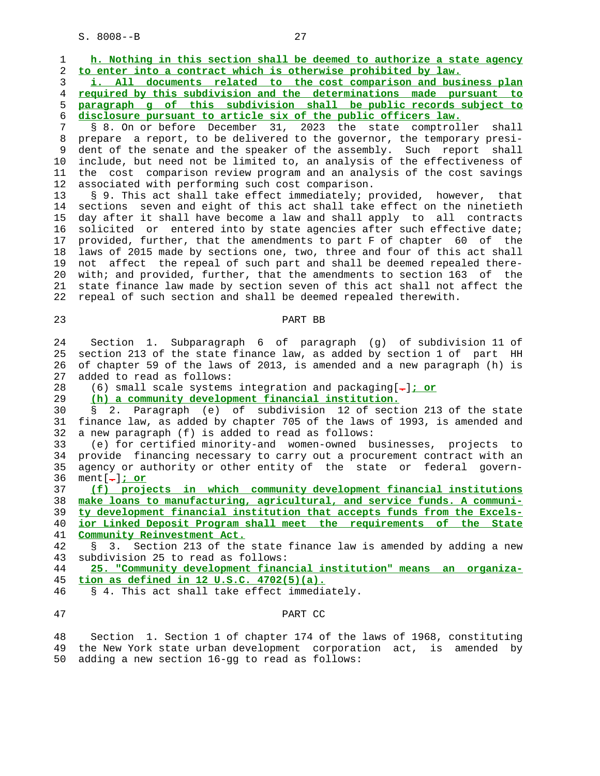1 **h. Nothing in this section shall be deemed to authorize a state agency** 2 **to enter into a contract which is otherwise prohibited by law.**

**i. All documents related to the cost comparison and business plan required by this subdivision and the determinations made pursuant to paragraph g of this subdivision shall be public records subject to disclosure pursuant to article six of the public officers law.**

 7 § 8. On or before December 31, 2023 the state comptroller shall 8 prepare a report, to be delivered to the governor, the temporary presi- 9 dent of the senate and the speaker of the assembly. Such report shall<br>10 include, but need not be limited to, an analysis of the effectiveness of include, but need not be limited to, an analysis of the effectiveness of 11 the cost comparison review program and an analysis of the cost savings 12 associated with performing such cost comparison.

 13 § 9. This act shall take effect immediately; provided, however, that 14 sections seven and eight of this act shall take effect on the ninetieth 15 day after it shall have become a law and shall apply to all contracts 16 solicited or entered into by state agencies after such effective date; 17 provided, further, that the amendments to part F of chapter 60 of the 18 laws of 2015 made by sections one, two, three and four of this act shall 19 not affect the repeal of such part and shall be deemed repealed there- 20 with; and provided, further, that the amendments to section 163 of the 21 state finance law made by section seven of this act shall not affect the 22 repeal of such section and shall be deemed repealed therewith.

23 PART BB

 24 Section 1. Subparagraph 6 of paragraph (g) of subdivision 11 of 25 section 213 of the state finance law, as added by section 1 of part HH 26 of chapter 59 of the laws of 2013, is amended and a new paragraph (h) is 27 added to read as follows:

28 (6) small scale systems integration and packaging[**.**]**; or**

29 **(h) a community development financial institution.**

 30 § 2. Paragraph (e) of subdivision 12 of section 213 of the state 31 finance law, as added by chapter 705 of the laws of 1993, is amended and 32 a new paragraph (f) is added to read as follows:

 33 (e) for certified minority-and women-owned businesses, projects to 34 provide financing necessary to carry out a procurement contract with an 35 agency or authority or other entity of the state or federal govern- 36 ment[**.**]**; or**

**(f) projects in which community development financial institutions make loans to manufacturing, agricultural, and service funds. A communi- ty development financial institution that accepts funds from the Excels- ior Linked Deposit Program shall meet the requirements of the State Community Reinvestment Act.**

 42 § 3. Section 213 of the state finance law is amended by adding a new 43 subdivision 25 to read as follows:

 44 **25. "Community development financial institution" means an organiza-** 45 **tion as defined in 12 U.S.C. 4702(5)(a).**

46 § 4. This act shall take effect immediately.

#### 47 PART CC

 48 Section 1. Section 1 of chapter 174 of the laws of 1968, constituting 49 the New York state urban development corporation act, is amended by 50 adding a new section 16-gg to read as follows: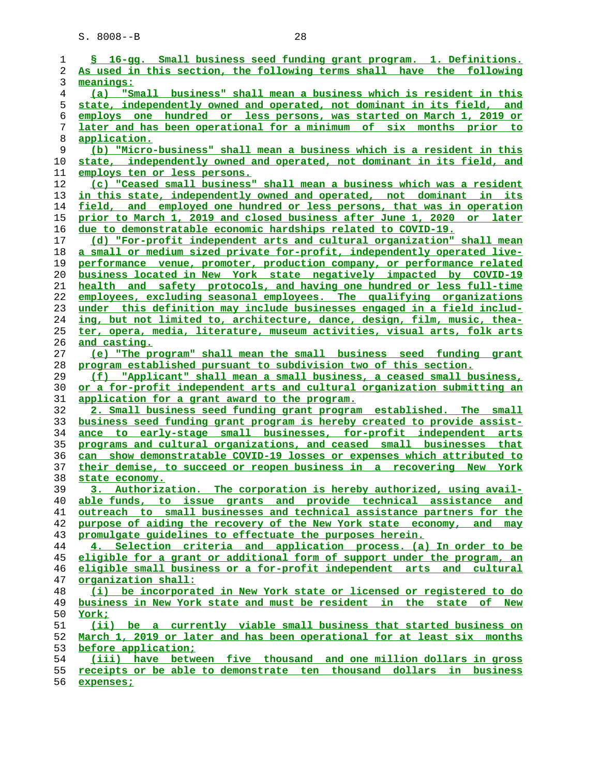| 1              | § 16-gq. Small business seed funding grant program. 1. Definitions.           |
|----------------|-------------------------------------------------------------------------------|
| 2              | As used in this section, the following terms shall have the following         |
| 3              | meanings:                                                                     |
| $\overline{4}$ | "Small business" shall mean a business which is resident in this<br>(a)       |
| 5              | state, independently owned and operated, not dominant in its field, and       |
| 6              | employs one hundred or less persons, was started on March 1, 2019 or          |
| 7              | later and has been operational for a minimum of six months prior to           |
| 8              | application.                                                                  |
| 9              | (b) "Micro-business" shall mean a business which is a resident in this        |
| 10             | state, independently owned and operated, not dominant in its field, and       |
| 11             | employs ten or less persons.                                                  |
| 12             | (c) "Ceased small business" shall mean a business which was a resident        |
|                |                                                                               |
| 13             | <u>in this state, independently owned and operated, not dominant in its</u>   |
| 14             | field, and employed one hundred or less persons, that was in operation        |
| 15             | <u>prior to March 1, 2019 and closed business after June 1, 2020 or later</u> |
| 16             | due to demonstratable economic hardships related to COVID-19.                 |
| 17             | (d) "For-profit independent arts and cultural organization" shall mean        |
| 18             | a small or medium sized private for-profit, independently operated live-      |
| 19             | performance venue, promoter, production company, or performance related       |
| 20             | business located in New York state negatively impacted by COVID-19            |
| 21             | health and safety protocols, and having one hundred or less full-time         |
| 22             | employees, excluding seasonal employees. The qualifying organizations         |
| 23             | under this definition may include businesses engaged in a field includ-       |
| 24             | ing, but not limited to, architecture, dance, design, film, music, thea-      |
| 25             | ter, opera, media, literature, museum activities, visual arts, folk arts      |
| 26             | <u>and casting.</u>                                                           |
| 27             | (e) "The program" shall mean the small business seed funding grant            |
| 28             | program established pursuant to subdivision two of this section.              |
| 29             | (f) "Applicant" shall mean a small business, a ceased small business,         |
| 30             | or a for-profit independent arts and cultural organization submitting an      |
| 31             | application for a grant award to the program.                                 |
| 32             | 2. Small business seed funding grant program established. The small           |
| 33             | business seed funding grant program is hereby created to provide assist-      |
| 34             | ance to early-stage small businesses, for-profit independent arts             |
| 35             | programs and cultural organizations, and ceased small businesses that         |
| 36             | can show demonstratable COVID-19 losses or expenses which attributed to       |
| 37             | their demise, to succeed or reopen business in a recovering New York          |
| 38             | state economy.                                                                |
| 39             | 3. Authorization. The corporation is hereby authorized, using avail-          |
| 40             | able funds, to issue grants and provide technical assistance and              |
| 41             | outreach to small businesses and technical assistance partners for the        |
| 42             | purpose of aiding the recovery of the New York state economy, and may         |
| 43             | promulgate quidelines to effectuate the purposes herein.                      |
| 44             | 4. Selection criteria and application process. (a) In order to be             |
|                |                                                                               |
| 45             | eligible for a grant or additional form of support under the program, an      |
| 46             | eligible small business or a for-profit independent arts and cultural         |
| 47             | organization shall:                                                           |
| 48             | (i) be incorporated in New York state or licensed or registered to do         |
| 49             | business in New York state and must be resident in the state of New           |
| 50             | <u>York;</u>                                                                  |
| 51             | (ii) be a currently viable small business that started business on            |
| 52             | March 1, 2019 or later and has been operational for at least six months       |
| 53             | before application;                                                           |
| 54             | (iii) have between five thousand and one million dollars in gross             |
| 55             | receipts or be able to demonstrate ten thousand dollars in business           |
| 56             | expenses;                                                                     |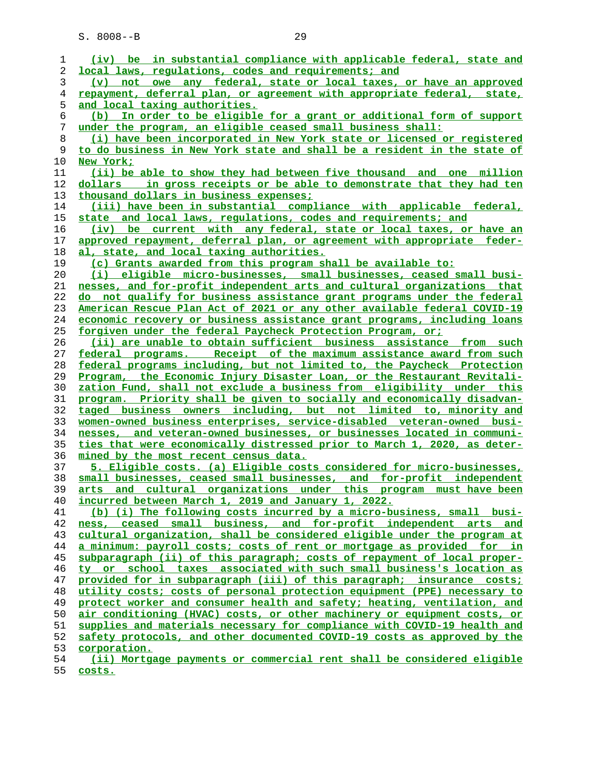| 1  | (iv) be in substantial compliance with applicable federal, state and             |
|----|----------------------------------------------------------------------------------|
| 2  | local laws, requlations, codes and requirements; and                             |
| 3  | not owe any federal, state or local taxes, or have an approved<br>$(\mathbf{v})$ |
| 4  | repayment, deferral plan, or agreement with appropriate federal, state,          |
| 5  | <u>and local taxing authorities.</u>                                             |
| 6  | (b) In order to be eligible for a grant or additional form of support            |
| 7  | under the program, an eligible ceased small business shall:                      |
| 8  | (i) have been incorporated in New York state or licensed or registered           |
| 9  | to do business in New York state and shall be a resident in the state of         |
| 10 | New York;                                                                        |
| 11 | (ii) be able to show they had between five thousand and one million              |
| 12 | dollars in gross receipts or be able to demonstrate that they had ten            |
| 13 | thousand dollars in business expenses;                                           |
| 14 | (iii) have been in substantial compliance with applicable federal,               |
| 15 | state and local laws, regulations, codes and requirements; and                   |
| 16 | (iv) be current with any federal, state or local taxes, or have an               |
| 17 | approved repayment, deferral plan, or agreement with appropriate feder-          |
| 18 | al, state, and local taxing authorities.                                         |
| 19 | (c) Grants awarded from this program shall be available to:                      |
| 20 | (i) eligible micro-businesses, small businesses, ceased small busi-              |
| 21 | nesses, and for-profit independent arts and cultural organizations that          |
| 22 | do not qualify for business assistance grant programs under the federal          |
| 23 | American Rescue Plan Act of 2021 or any other available federal COVID-19         |
| 24 | economic recovery or business assistance grant programs, including loans         |
| 25 | forgiven under the federal Paycheck Protection Program, or:                      |
| 26 | (ii) are unable to obtain sufficient business assistance from such               |
| 27 | federal programs. Receipt of the maximum assistance award from such              |
| 28 | federal programs including, but not limited to, the Paycheck Protection          |
| 29 | Program, the Economic Injury Disaster Loan, or the Restaurant Revitali-          |
| 30 | zation Fund, shall not exclude a business from eligibility under this            |
| 31 | program. Priority shall be given to socially and economically disadvan-          |
| 32 | taged business owners including, but not limited to, minority and                |
| 33 | women-owned business enterprises, service-disabled veteran-owned busi-           |
| 34 | nesses, and veteran-owned businesses, or businesses located in communi-          |
| 35 | ties that were economically distressed prior to March 1, 2020, as deter-         |
| 36 | mined by the most recent census data.                                            |
| 37 | 5. Eligible costs. (a) Eligible costs considered for micro-businesses,           |
| 38 | small businesses, ceased small businesses, and for-profit independent            |
| 39 | arts and cultural organizations under this program must have been                |
| 40 | incurred between March 1, 2019 and January 1, 2022.                              |
| 41 | (b) (i) The following costs incurred by a micro-business, small busi-            |
| 42 | ness, ceased small business, and for-profit independent arts and                 |
| 43 | cultural organization, shall be considered eligible under the program at         |
| 44 | a minimum: payroll costs; costs of rent or mortgage as provided for in           |
| 45 | subparagraph (ii) of this paragraph; costs of repayment of local proper-         |
| 46 | ty or school taxes associated with such small business's location as             |
| 47 | provided for in subparagraph (iii) of this paragraph; insurance costs;           |
| 48 | utility costs; costs of personal protection equipment (PPE) necessary to         |
| 49 | protect worker and consumer health and safety; heating, ventilation, and         |
| 50 | air conditioning (HVAC) costs, or other machinery or equipment costs, or         |
| 51 | supplies and materials necessary for compliance with COVID-19 health and         |
| 52 | safety protocols, and other documented COVID-19 costs as approved by the         |
| 53 | corporation.                                                                     |
| 54 | (ii) Mortgage payments or commercial rent shall be considered eligible           |
|    |                                                                                  |

**costs.**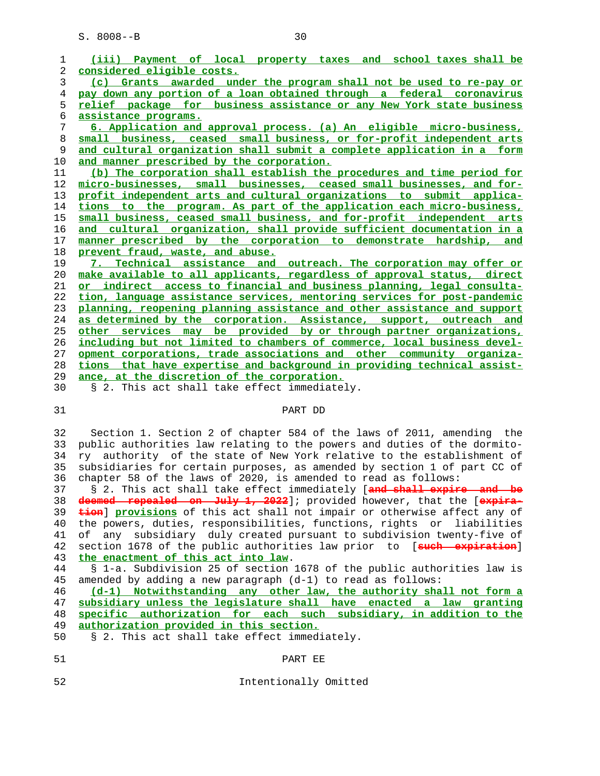| 1          | (iii) Payment of local property taxes and school taxes shall be                  |
|------------|----------------------------------------------------------------------------------|
| 2          | considered eligible costs.                                                       |
| 3          | (c) Grants awarded under the program shall not be used to re-pay or              |
| 4          | pay down any portion of a loan obtained through a federal coronavirus            |
| 5          | relief package for business assistance or any New York state business            |
| $\epsilon$ | assistance programs.                                                             |
| 7          | 6. Application and approval process. (a) An eligible micro-business,             |
| 8          | small business, ceased small business, or for-profit independent arts            |
| 9          | and cultural organization shall submit a complete application in a form          |
| 10         | and manner prescribed by the corporation.                                        |
| 11         | (b) The corporation shall establish the procedures and time period for           |
| 12         | micro-businesses, small businesses, ceased small businesses, and for-            |
| 13         | profit independent arts and cultural organizations to submit applica-            |
| 14         | tions to the program. As part of the application each micro-business,            |
| 15         | small business, ceased small business, and for-profit independent arts           |
| 16         | and cultural organization, shall provide sufficient documentation in a           |
| 17         | manner prescribed by the corporation to demonstrate hardship, and                |
| 18         | prevent fraud, waste, and abuse.                                                 |
| 19         | 7. Technical assistance and outreach. The corporation may offer or               |
| 20         | make available to all applicants, regardless of approval status, direct          |
| 21         | or indirect access to financial and business planning, legal consulta-           |
| 22         | tion, language assistance services, mentoring services for post-pandemic         |
| 23         | planning, reopening planning assistance and other assistance and support         |
| 24         | as determined by the corporation. Assistance, support, outreach and              |
| 25         | other services may be provided by or through partner organizations,              |
| 26         | including but not limited to chambers of commerce, local business devel-         |
| 27         | opment corporations, trade associations and other community organiza-            |
| 28         | tions that have expertise and background in providing technical assist-          |
| 29         | ance, at the discretion of the corporation.                                      |
| 30         | § 2. This act shall take effect immediately.                                     |
| 31         | PART DD                                                                          |
|            |                                                                                  |
| 32         | Section 1. Section 2 of chapter 584 of the laws of 2011, amending the            |
| 33         | public authorities law relating to the powers and duties of the dormito-         |
| 34         | ry authority of the state of New York relative to the establishment of           |
| 35         | subsidiaries for certain purposes, as amended by section 1 of part CC of         |
| 36         | chapter 58 of the laws of 2020, is amended to read as follows:                   |
| 37         | § 2. This act shall take effect immediately [and shall expire and be             |
| 38         | deemed repealed on July 1, 2022]; provided however, that the [expira-            |
| 39         | <b>tion</b> ] provisions of this act shall not impair or otherwise affect any of |
| 40         | the powers, duties, responsibilities, functions, rights or liabilities           |
| 41         | subsidiary duly created pursuant to subdivision twenty-five of<br>of<br>any      |
| 42         | section 1678 of the public authorities law prior to [such expiration]            |

**the enactment of this act into law**.

 44 § 1-a. Subdivision 25 of section 1678 of the public authorities law is 45 amended by adding a new paragraph (d-1) to read as follows:

**(d-1) Notwithstanding any other law, the authority shall not form a subsidiary unless the legislature shall have enacted a law granting specific authorization for each such subsidiary, in addition to the authorization provided in this section.**

50 § 2. This act shall take effect immediately.

- 51 PART EE
- 

52 Intentionally Omitted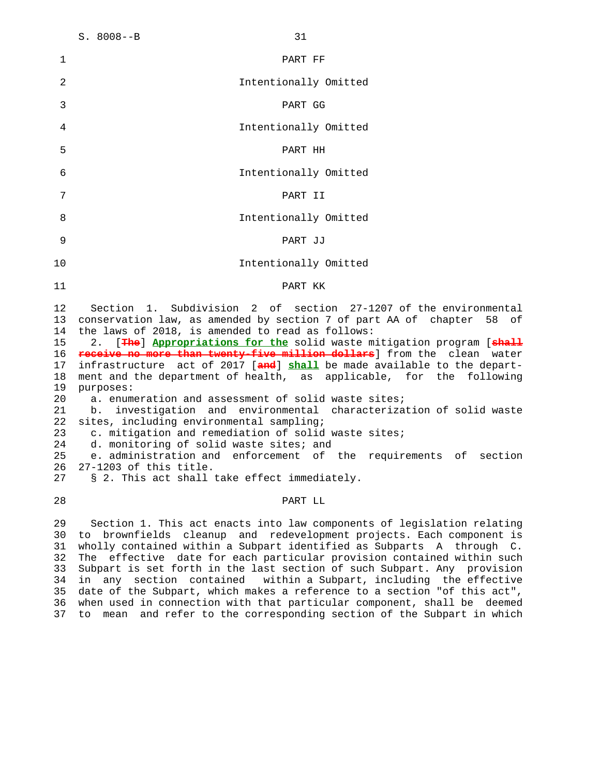| 1                                                                                            | PART FF                                                                                                                                                                                                                                                                                                                                                                                                                                                                                                                                                                                                                                                                                                                                                                                                                                                                                                                                        |
|----------------------------------------------------------------------------------------------|------------------------------------------------------------------------------------------------------------------------------------------------------------------------------------------------------------------------------------------------------------------------------------------------------------------------------------------------------------------------------------------------------------------------------------------------------------------------------------------------------------------------------------------------------------------------------------------------------------------------------------------------------------------------------------------------------------------------------------------------------------------------------------------------------------------------------------------------------------------------------------------------------------------------------------------------|
| 2                                                                                            | Intentionally Omitted                                                                                                                                                                                                                                                                                                                                                                                                                                                                                                                                                                                                                                                                                                                                                                                                                                                                                                                          |
| $\mathfrak{Z}$                                                                               | PART GG                                                                                                                                                                                                                                                                                                                                                                                                                                                                                                                                                                                                                                                                                                                                                                                                                                                                                                                                        |
| 4                                                                                            | Intentionally Omitted                                                                                                                                                                                                                                                                                                                                                                                                                                                                                                                                                                                                                                                                                                                                                                                                                                                                                                                          |
| 5                                                                                            | PART HH                                                                                                                                                                                                                                                                                                                                                                                                                                                                                                                                                                                                                                                                                                                                                                                                                                                                                                                                        |
| 6                                                                                            | Intentionally Omitted                                                                                                                                                                                                                                                                                                                                                                                                                                                                                                                                                                                                                                                                                                                                                                                                                                                                                                                          |
| 7                                                                                            | PART II                                                                                                                                                                                                                                                                                                                                                                                                                                                                                                                                                                                                                                                                                                                                                                                                                                                                                                                                        |
| 8                                                                                            | Intentionally Omitted                                                                                                                                                                                                                                                                                                                                                                                                                                                                                                                                                                                                                                                                                                                                                                                                                                                                                                                          |
| 9                                                                                            | PART JJ                                                                                                                                                                                                                                                                                                                                                                                                                                                                                                                                                                                                                                                                                                                                                                                                                                                                                                                                        |
| 10                                                                                           | Intentionally Omitted                                                                                                                                                                                                                                                                                                                                                                                                                                                                                                                                                                                                                                                                                                                                                                                                                                                                                                                          |
| 11                                                                                           | PART KK                                                                                                                                                                                                                                                                                                                                                                                                                                                                                                                                                                                                                                                                                                                                                                                                                                                                                                                                        |
| 12<br>13<br>14<br>15<br>16<br>17<br>18<br>19<br>20<br>21<br>22<br>23<br>24<br>25<br>26<br>27 | Subdivision 2 of section 27-1207 of the environmental<br>Section 1.<br>conservation law, as amended by section 7 of part AA of chapter 58<br>οf<br>the laws of 2018, is amended to read as follows:<br>2. [The] Appropriations for the solid waste mitigation program [chall<br>receive no more than twenty-five million dollars] from the clean water<br>infrastructure act of 2017 [and] shall be made available to the depart-<br>ment and the department of health, as applicable, for the following<br>purposes:<br>a. enumeration and assessment of solid waste sites;<br>b. investigation and environmental characterization of solid waste<br>sites, including environmental sampling;<br>c. mitigation and remediation of solid waste sites;<br>d. monitoring of solid waste sites; and<br>e. administration and enforcement of the requirements of section<br>27-1203 of this title.<br>§ 2. This act shall take effect immediately. |
| 28                                                                                           | PART LL                                                                                                                                                                                                                                                                                                                                                                                                                                                                                                                                                                                                                                                                                                                                                                                                                                                                                                                                        |
| 29                                                                                           | Section 1. This act enacts into law components of legislation relating                                                                                                                                                                                                                                                                                                                                                                                                                                                                                                                                                                                                                                                                                                                                                                                                                                                                         |

 30 to brownfields cleanup and redevelopment projects. Each component is 31 wholly contained within a Subpart identified as Subparts A through C. 32 The effective date for each particular provision contained within such 33 Subpart is set forth in the last section of such Subpart. Any provision 34 in any section contained within a Subpart, including the effective 35 date of the Subpart, which makes a reference to a section "of this act", 36 when used in connection with that particular component, shall be deemed 37 to mean and refer to the corresponding section of the Subpart in which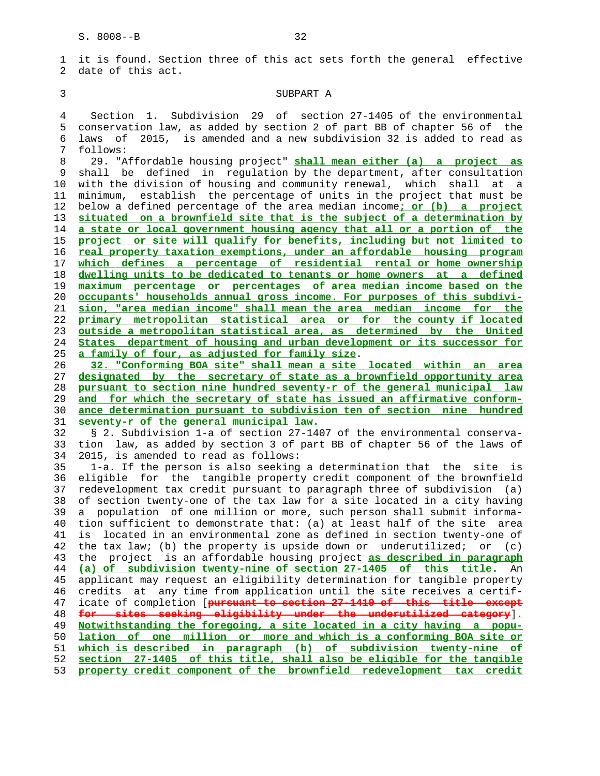1 it is found. Section three of this act sets forth the general effective 2 date of this act.

#### 3 SUBPART A

 4 Section 1. Subdivision 29 of section 27-1405 of the environmental 5 conservation law, as added by section 2 of part BB of chapter 56 of the 6 laws of 2015, is amended and a new subdivision 32 is added to read as 7 follows:

 8 29. "Affordable housing project" **shall mean either (a) a project as** 9 shall be defined in regulation by the department, after consultation 10 with the division of housing and community renewal, which shall at a 11 minimum, establish the percentage of units in the project that must be 12 below a defined percentage of the area median income**; or (b) a project situated on a brownfield site that is the subject of a determination by a state or local government housing agency that all or a portion of the project or site will qualify for benefits, including but not limited to real property taxation exemptions, under an affordable housing program which defines a percentage of residential rental or home ownership dwelling units to be dedicated to tenants or home owners at a defined maximum percentage or percentages of area median income based on the occupants' households annual gross income. For purposes of this subdivi- sion, "area median income" shall mean the area median income for the primary metropolitan statistical area or for the county if located outside a metropolitan statistical area, as determined by the United States department of housing and urban development or its successor for a family of four, as adjusted for family size**.

**32. "Conforming BOA site" shall mean a site located within an area designated by the secretary of state as a brownfield opportunity area pursuant to section nine hundred seventy-r of the general municipal law and for which the secretary of state has issued an affirmative conform- ance determination pursuant to subdivision ten of section nine hundred seventy-r of the general municipal law.**

 32 § 2. Subdivision 1-a of section 27-1407 of the environmental conserva- 33 tion law, as added by section 3 of part BB of chapter 56 of the laws of 34 2015, is amended to read as follows:

 35 1-a. If the person is also seeking a determination that the site is 36 eligible for the tangible property credit component of the brownfield 37 redevelopment tax credit pursuant to paragraph three of subdivision (a) 38 of section twenty-one of the tax law for a site located in a city having 39 a population of one million or more, such person shall submit informa- 40 tion sufficient to demonstrate that: (a) at least half of the site area 41 is located in an environmental zone as defined in section twenty-one of 42 the tax law; (b) the property is upside down or underutilized; or (c) 43 the project is an affordable housing project **as described in paragraph** 44 **(a) of subdivision twenty-nine of section 27-1405 of this title**. An 45 applicant may request an eligibility determination for tangible property 46 credits at any time from application until the site receives a certif- 47 icate of completion [**pursuant to section 27-1419 of this title except** 48 **for sites seeking eligibility under the underutilized category**]**.** 49 **Notwithstanding the foregoing, a site located in a city having a popu-** 50 **lation of one million or more and which is a conforming BOA site or** 51 **which is described in paragraph (b) of subdivision twenty-nine of** 52 **section 27-1405 of this title, shall also be eligible for the tangible** 53 **property credit component of the brownfield redevelopment tax credit**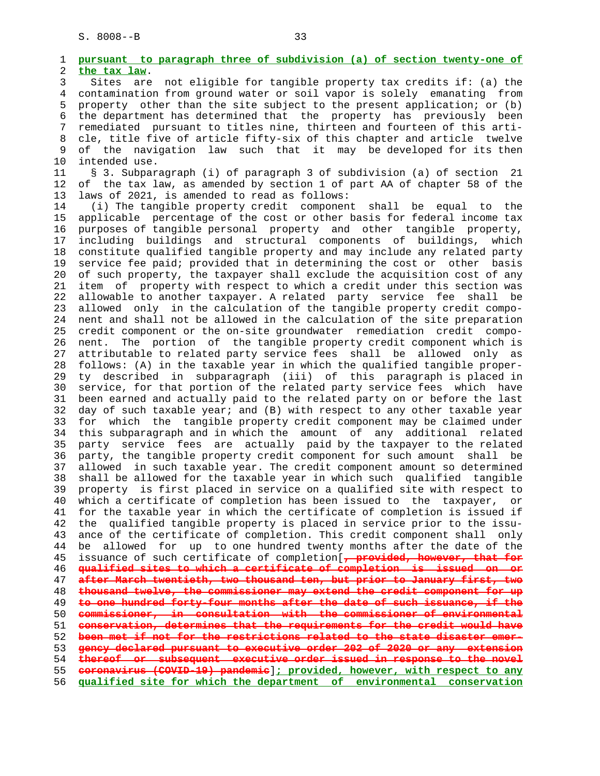1 **pursuant to paragraph three of subdivision (a) of section twenty-one of** 2 **the tax law**. 3 Sites are not eligible for tangible property tax credits if: (a) the 4 contamination from ground water or soil vapor is solely emanating from 5 property other than the site subject to the present application; or (b) 6 the department has determined that the property has previously been 7 remediated pursuant to titles nine, thirteen and fourteen of this arti- 8 cle, title five of article fifty-six of this chapter and article twelve 9 of the navigation law such that it may be developed for its then 10 intended use. 11 § 3. Subparagraph (i) of paragraph 3 of subdivision (a) of section 21 12 of the tax law, as amended by section 1 of part AA of chapter 58 of the 13 laws of 2021, is amended to read as follows: 14 (i) The tangible property credit component shall be equal to the 15 applicable percentage of the cost or other basis for federal income tax 16 purposes of tangible personal property and other tangible property, 17 including buildings and structural components of buildings, which 18 constitute qualified tangible property and may include any related party 19 service fee paid; provided that in determining the cost or other basis 20 of such property, the taxpayer shall exclude the acquisition cost of any 21 item of property with respect to which a credit under this section was 22 allowable to another taxpayer. A related party service fee shall be 23 allowed only in the calculation of the tangible property credit compo- 24 nent and shall not be allowed in the calculation of the site preparation 25 credit component or the on-site groundwater remediation credit compo- 26 nent. The portion of the tangible property credit component which is 27 attributable to related party service fees shall be allowed only as 28 follows: (A) in the taxable year in which the qualified tangible proper- 29 ty described in subparagraph (iii) of this paragraph is placed in 30 service, for that portion of the related party service fees which have 31 been earned and actually paid to the related party on or before the last 32 day of such taxable year; and (B) with respect to any other taxable year 33 for which the tangible property credit component may be claimed under 34 this subparagraph and in which the amount of any additional related 35 party service fees are actually paid by the taxpayer to the related 36 party, the tangible property credit component for such amount shall be 37 allowed in such taxable year. The credit component amount so determined 38 shall be allowed for the taxable year in which such qualified tangible 39 property is first placed in service on a qualified site with respect to 40 which a certificate of completion has been issued to the taxpayer, or 41 for the taxable year in which the certificate of completion is issued if 42 the qualified tangible property is placed in service prior to the issu- 43 ance of the certificate of completion. This credit component shall only 44 be allowed for up to one hundred twenty months after the date of the 45 issuance of such certificate of completion[**, provided, however, that for** 46 **qualified sites to which a certificate of completion is issued on or** 47 **after March twentieth, two thousand ten, but prior to January first, two** 48 **thousand twelve, the commissioner may extend the credit component for up** 49 **to one hundred forty-four months after the date of such issuance, if the** 50 **commissioner, in consultation with the commissioner of environmental** 51 **conservation, determines that the requirements for the credit would have** 52 **been met if not for the restrictions related to the state disaster emer-** 53 **gency declared pursuant to executive order 202 of 2020 or any extension** 54 **thereof or subsequent executive order issued in response to the novel** 55 **coronavirus (COVID-19) pandemic**]**; provided, however, with respect to any** 56 **qualified site for which the department of environmental conservation**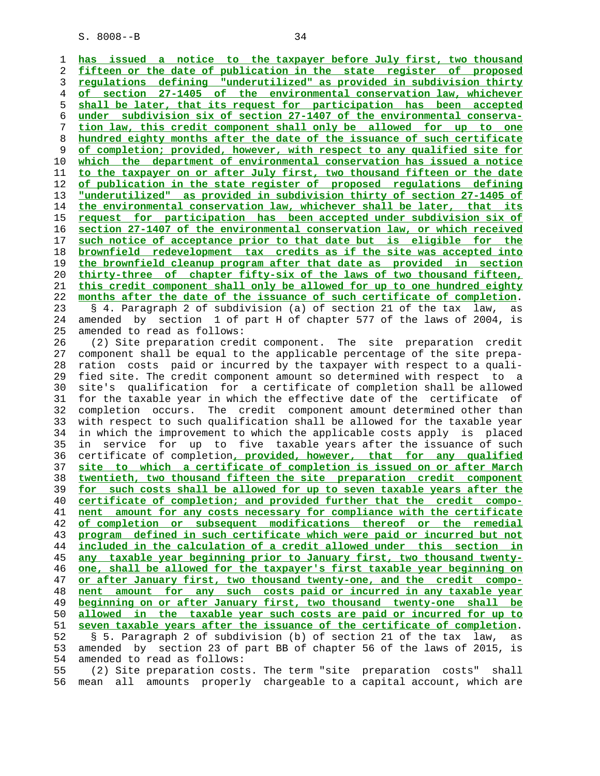**has issued a notice to the taxpayer before July first, two thousand fifteen or the date of publication in the state register of proposed regulations defining "underutilized" as provided in subdivision thirty of section 27-1405 of the environmental conservation law, whichever shall be later, that its request for participation has been accepted under subdivision six of section 27-1407 of the environmental conserva- tion law, this credit component shall only be allowed for up to one hundred eighty months after the date of the issuance of such certificate of completion; provided, however, with respect to any qualified site for which the department of environmental conservation has issued a notice to the taxpayer on or after July first, two thousand fifteen or the date of publication in the state register of proposed regulations defining "underutilized" as provided in subdivision thirty of section 27-1405 of the environmental conservation law, whichever shall be later, that its request for participation has been accepted under subdivision six of section 27-1407 of the environmental conservation law, or which received such notice of acceptance prior to that date but is eligible for the brownfield redevelopment tax credits as if the site was accepted into the brownfield cleanup program after that date as provided in section thirty-three of chapter fifty-six of the laws of two thousand fifteen, this credit component shall only be allowed for up to one hundred eighty months after the date of the issuance of such certificate of completion**. 23 § 4. Paragraph 2 of subdivision (a) of section 21 of the tax law, as 24 amended by section 1 of part H of chapter 577 of the laws of 2004, is 25 amended to read as follows: 26 (2) Site preparation credit component. The site preparation credit 27 component shall be equal to the applicable percentage of the site prepa- 28 ration costs paid or incurred by the taxpayer with respect to a quali- 29 fied site. The credit component amount so determined with respect to a 30 site's qualification for a certificate of completion shall be allowed 31 for the taxable year in which the effective date of the certificate of 32 completion occurs. The credit component amount determined other than 33 with respect to such qualification shall be allowed for the taxable year 34 in which the improvement to which the applicable costs apply is placed 35 in service for up to five taxable years after the issuance of such 36 certificate of completion**, provided, however, that for any qualified site to which a certificate of completion is issued on or after March twentieth, two thousand fifteen the site preparation credit component for such costs shall be allowed for up to seven taxable years after the certificate of completion; and provided further that the credit compo- nent amount for any costs necessary for compliance with the certificate of completion or subsequent modifications thereof or the remedial program defined in such certificate which were paid or incurred but not included in the calculation of a credit allowed under this section in any taxable year beginning prior to January first, two thousand twenty- one, shall be allowed for the taxpayer's first taxable year beginning on or after January first, two thousand twenty-one, and the credit compo- nent amount for any such costs paid or incurred in any taxable year beginning on or after January first, two thousand twenty-one shall be allowed in the taxable year such costs are paid or incurred for up to seven taxable years after the issuance of the certificate of completion**. 52 § 5. Paragraph 2 of subdivision (b) of section 21 of the tax law, as 53 amended by section 23 of part BB of chapter 56 of the laws of 2015, is 54 amended to read as follows: 55 (2) Site preparation costs. The term "site preparation costs" shall

56 mean all amounts properly chargeable to a capital account, which are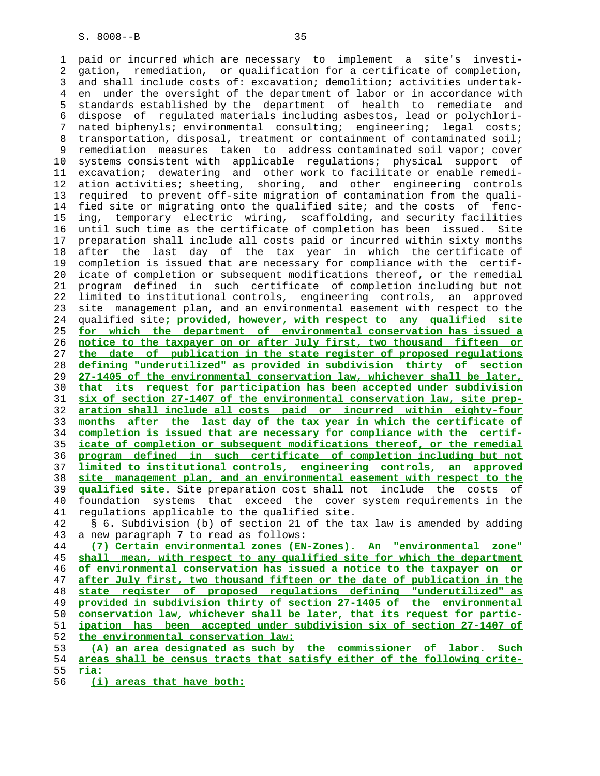1 paid or incurred which are necessary to implement a site's investi- 2 gation, remediation, or qualification for a certificate of completion, 3 and shall include costs of: excavation; demolition; activities undertak- 4 en under the oversight of the department of labor or in accordance with 5 standards established by the department of health to remediate and 6 dispose of regulated materials including asbestos, lead or polychlori- 7 nated biphenyls; environmental consulting; engineering; legal costs; 8 transportation, disposal, treatment or containment of contaminated soil; 9 remediation measures taken to address contaminated soil vapor; cover 10 systems consistent with applicable regulations; physical support of 11 excavation; dewatering and other work to facilitate or enable remedi- 12 ation activities; sheeting, shoring, and other engineering controls 13 required to prevent off-site migration of contamination from the quali- 14 fied site or migrating onto the qualified site; and the costs of fenc- 15 ing, temporary electric wiring, scaffolding, and security facilities 16 until such time as the certificate of completion has been issued. Site 17 preparation shall include all costs paid or incurred within sixty months 18 after the last day of the tax year in which the certificate of 19 completion is issued that are necessary for compliance with the certif- 20 icate of completion or subsequent modifications thereof, or the remedial 21 program defined in such certificate of completion including but not 22 limited to institutional controls, engineering controls, an approved 23 site management plan, and an environmental easement with respect to the 24 qualified site**; provided, however, with respect to any qualified site** 25 **for which the department of environmental conservation has issued a** 26 **notice to the taxpayer on or after July first, two thousand fifteen or** 27 **the date of publication in the state register of proposed regulations** 28 **defining "underutilized" as provided in subdivision thirty of section** 29 **27-1405 of the environmental conservation law, whichever shall be later,** 30 **that its request for participation has been accepted under subdivision** 31 **six of section 27-1407 of the environmental conservation law, site prep-** 32 **aration shall include all costs paid or incurred within eighty-four** 33 **months after the last day of the tax year in which the certificate of** 34 **completion is issued that are necessary for compliance with the certif-** 35 **icate of completion or subsequent modifications thereof, or the remedial** 36 **program defined in such certificate of completion including but not** 37 **limited to institutional controls, engineering controls, an approved** 38 **site management plan, and an environmental easement with respect to the** 39 **qualified site**. Site preparation cost shall not include the costs of 40 foundation systems that exceed the cover system requirements in the 41 regulations applicable to the qualified site. 42 § 6. Subdivision (b) of section 21 of the tax law is amended by adding 43 a new paragraph 7 to read as follows: 44 **(7) Certain environmental zones (EN-Zones). An "environmental zone"** 45 **shall mean, with respect to any qualified site for which the department** 46 **of environmental conservation has issued a notice to the taxpayer on or** 47 **after July first, two thousand fifteen or the date of publication in the** 48 **state register of proposed regulations defining "underutilized" as** 49 **provided in subdivision thirty of section 27-1405 of the environmental** 50 **conservation law, whichever shall be later, that its request for partic-** 51 **ipation has been accepted under subdivision six of section 27-1407 of** 52 **the environmental conservation law:** 53 **(A) an area designated as such by the commissioner of labor. Such** 54 **areas shall be census tracts that satisfy either of the following crite-** 55 **ria:**

56 **(i) areas that have both:**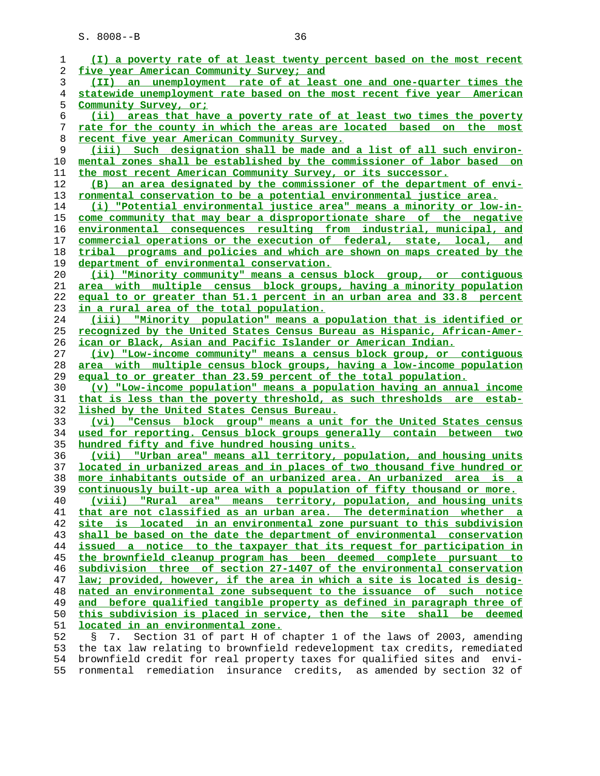| 1  | (I) a poverty rate of at least twenty percent based on the most recent          |
|----|---------------------------------------------------------------------------------|
| 2  | five year American Community Survey; and                                        |
| 3  | (II) an unemployment rate of at least one and one-quarter times the             |
| 4  | statewide unemployment rate based on the most recent five year American         |
| 5  | Community Survey, or:                                                           |
| 6  | (ii) areas that have a poverty rate of at least two times the poverty           |
| 7  | <u>rate for the county in which the areas are located based on the most</u>     |
| 8  | <u>recent five year American Community Survey.</u>                              |
| 9  | (iii) Such designation shall be made and a list of all such environ-            |
| 10 | mental zones shall be established by the commissioner of labor based on         |
| 11 | the most recent American Community Survey, or its successor.                    |
| 12 | an area designated by the commissioner of the department of envi-<br>(B)        |
| 13 | ronmental conservation to be a potential environmental justice area.            |
| 14 | (i) "Potential environmental justice area" means a minority or low-in-          |
| 15 | come community that may bear a disproportionate share of the negative           |
| 16 | environmental consequences resulting from industrial, municipal, and            |
| 17 | commercial operations or the execution of federal, state, local, and            |
| 18 | tribal programs and policies and which are shown on maps created by the         |
| 19 | department of environmental conservation.                                       |
| 20 | (ii) "Minority community" means a census block group, or contiguous             |
| 21 | area with multiple census block groups, having a minority population            |
| 22 | equal to or greater than 51.1 percent in an urban area and 33.8 percent         |
| 23 | in a rural area of the total population.                                        |
| 24 | (iii) "Minority population" means a population that is identified or            |
| 25 | <u>recognized by the United States Census Bureau as Hispanic, African-Amer-</u> |
| 26 | <u>ican or Black, Asian and Pacific Islander or American Indian.</u>            |
| 27 | (iv) "Low-income community" means a census block group, or contiguous           |
| 28 | area with multiple census block groups, having a low-income population          |
| 29 | equal to or greater than 23.59 percent of the total population.                 |
| 30 | (v) "Low-income population" means a population having an annual income          |
| 31 | that is less than the poverty threshold, as such thresholds are estab-          |
| 32 | lished by the United States Census Bureau.                                      |
| 33 | "Census block group" means a unit for the United States census<br>(vi)          |
| 34 | used for reporting. Census block groups generally contain between two           |
| 35 | hundred fifty and five hundred housing units.                                   |
| 36 | (vii) "Urban area" means all territory, population, and housing units           |
| 37 | <u>located in urbanized areas and in places of two thousand five hundred or</u> |
| 38 | more inhabitants outside of an urbanized area. An urbanized area is a           |
| 39 | continuously built-up area with a population of fifty thousand or more.         |
| 40 | (viii)<br>"Rural area" means territory, population, and housing units           |
| 41 | that are not classified as an urban area. The determination whether a           |
| 42 | site is located in an environmental zone pursuant to this subdivision           |
| 43 | shall be based on the date the department of environmental conservation         |
| 44 | issued a notice to the taxpayer that its request for participation in           |
| 45 | the brownfield cleanup program has been deemed complete pursuant to             |
| 46 | subdivision three of section 27-1407 of the environmental conservation          |
| 47 | law; provided, however, if the area in which a site is located is desig-        |
| 48 | nated an environmental zone subsequent to the issuance of such notice           |
| 49 | and before qualified tangible property as defined in paragraph three of         |
| 50 | this subdivision is placed in service, then the site shall be deemed            |
| 51 | located in an environmental zone.                                               |
| 52 | Section 31 of part H of chapter 1 of the laws of 2003, amending<br>Š.<br>7.     |
| 53 | the tax law relating to brownfield redevelopment tax credits, remediated        |
| 54 | brownfield credit for real property taxes for qualified sites and envi-         |

55 ronmental remediation insurance credits, as amended by section 32 of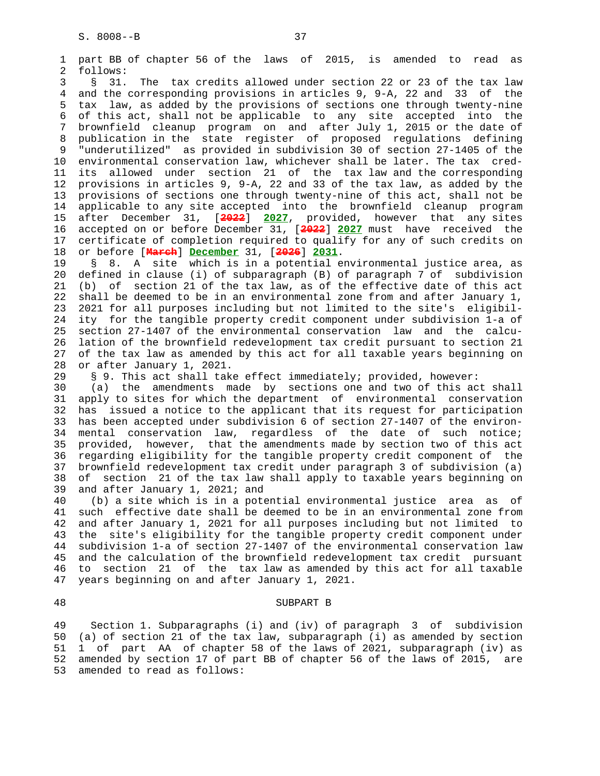1 part BB of chapter 56 of the laws of 2015, is amended to read as 2 follows: 3 § 31. The tax credits allowed under section 22 or 23 of the tax law 4 and the corresponding provisions in articles 9, 9-A, 22 and 33 of the 5 tax law, as added by the provisions of sections one through twenty-nine 6 of this act, shall not be applicable to any site accepted into the 7 brownfield cleanup program on and after July 1, 2015 or the date of 8 publication in the state register of proposed regulations defining 9 "underutilized" as provided in subdivision 30 of section 27-1405 of the<br>10 environmental conservation law, whichever shall be later. The tax credenvironmental conservation law, whichever shall be later. The tax cred- 11 its allowed under section 21 of the tax law and the corresponding 12 provisions in articles 9, 9-A, 22 and 33 of the tax law, as added by the 13 provisions of sections one through twenty-nine of this act, shall not be 14 applicable to any site accepted into the brownfield cleanup program 15 after December 31, [**2022**] **2027**, provided, however that any sites 16 accepted on or before December 31, [**2022**] **2027** must have received the 17 certificate of completion required to qualify for any of such credits on 18 or before [**March**] **December** 31, [**2026**] **2031**. 19 § 8. A site which is in a potential environmental justice area, as 20 defined in clause (i) of subparagraph (B) of paragraph 7 of subdivision 21 (b) of section 21 of the tax law, as of the effective date of this act 22 shall be deemed to be in an environmental zone from and after January 1, 23 2021 for all purposes including but not limited to the site's eligibil- 24 ity for the tangible property credit component under subdivision 1-a of 25 section 27-1407 of the environmental conservation law and the calcu- 26 lation of the brownfield redevelopment tax credit pursuant to section 21 27 of the tax law as amended by this act for all taxable years beginning on 28 or after January 1, 2021. 29 § 9. This act shall take effect immediately; provided, however: 30 (a) the amendments made by sections one and two of this act shall 31 apply to sites for which the department of environmental conservation 32 has issued a notice to the applicant that its request for participation 33 has been accepted under subdivision 6 of section 27-1407 of the environ- 34 mental conservation law, regardless of the date of such notice;

 35 provided, however, that the amendments made by section two of this act 36 regarding eligibility for the tangible property credit component of the 37 brownfield redevelopment tax credit under paragraph 3 of subdivision (a) 38 of section 21 of the tax law shall apply to taxable years beginning on 39 and after January 1, 2021; and

 40 (b) a site which is in a potential environmental justice area as of 41 such effective date shall be deemed to be in an environmental zone from 42 and after January 1, 2021 for all purposes including but not limited to 43 the site's eligibility for the tangible property credit component under 44 subdivision 1-a of section 27-1407 of the environmental conservation law 45 and the calculation of the brownfield redevelopment tax credit pursuant 46 to section 21 of the tax law as amended by this act for all taxable 47 years beginning on and after January 1, 2021.

### 48 SUBPART B

 49 Section 1. Subparagraphs (i) and (iv) of paragraph 3 of subdivision 50 (a) of section 21 of the tax law, subparagraph (i) as amended by section 51 1 of part AA of chapter 58 of the laws of 2021, subparagraph (iv) as 52 amended by section 17 of part BB of chapter 56 of the laws of 2015, are 53 amended to read as follows: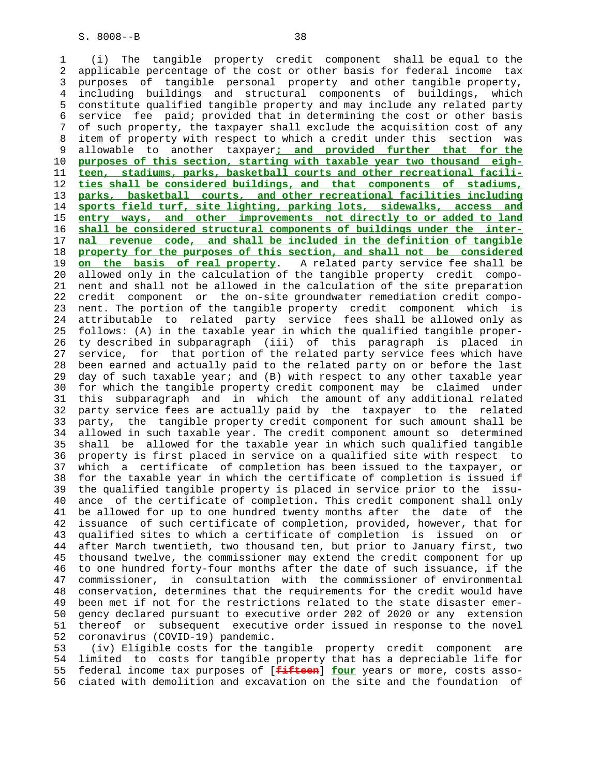1 (i) The tangible property credit component shall be equal to the 2 applicable percentage of the cost or other basis for federal income tax 3 purposes of tangible personal property and other tangible property, 4 including buildings and structural components of buildings, which 5 constitute qualified tangible property and may include any related party 6 service fee paid; provided that in determining the cost or other basis 7 of such property, the taxpayer shall exclude the acquisition cost of any 8 item of property with respect to which a credit under this section was 9 allowable to another taxpayer**; and provided further that for the** purposes of this section, starting with taxable year two thousand eigh- 11 **teen, stadiums, parks, basketball courts and other recreational facili-** 12 **ties shall be considered buildings, and that components of stadiums,** 13 **parks, basketball courts, and other recreational facilities including** 14 **sports field turf, site lighting, parking lots, sidewalks, access and** 15 **entry ways, and other improvements not directly to or added to land** 16 **shall be considered structural components of buildings under the inter-** 17 **nal revenue code, and shall be included in the definition of tangible** 18 **property for the purposes of this section, and shall not be considered** 19 **on the basis of real property**. A related party service fee shall be 20 allowed only in the calculation of the tangible property credit compo- 21 nent and shall not be allowed in the calculation of the site preparation 22 credit component or the on-site groundwater remediation credit compo- 23 nent. The portion of the tangible property credit component which is 24 attributable to related party service fees shall be allowed only as 25 follows: (A) in the taxable year in which the qualified tangible proper- 26 ty described in subparagraph (iii) of this paragraph is placed in 27 service, for that portion of the related party service fees which have 28 been earned and actually paid to the related party on or before the last 29 day of such taxable year; and (B) with respect to any other taxable year 30 for which the tangible property credit component may be claimed under 31 this subparagraph and in which the amount of any additional related 32 party service fees are actually paid by the taxpayer to the related 33 party, the tangible property credit component for such amount shall be 34 allowed in such taxable year. The credit component amount so determined 35 shall be allowed for the taxable year in which such qualified tangible 36 property is first placed in service on a qualified site with respect to 37 which a certificate of completion has been issued to the taxpayer, or 38 for the taxable year in which the certificate of completion is issued if 39 the qualified tangible property is placed in service prior to the issu- 40 ance of the certificate of completion. This credit component shall only 41 be allowed for up to one hundred twenty months after the date of the 42 issuance of such certificate of completion, provided, however, that for 43 qualified sites to which a certificate of completion is issued on or 44 after March twentieth, two thousand ten, but prior to January first, two 45 thousand twelve, the commissioner may extend the credit component for up 46 to one hundred forty-four months after the date of such issuance, if the 47 commissioner, in consultation with the commissioner of environmental 48 conservation, determines that the requirements for the credit would have 49 been met if not for the restrictions related to the state disaster emer- 50 gency declared pursuant to executive order 202 of 2020 or any extension 51 thereof or subsequent executive order issued in response to the novel 52 coronavirus (COVID-19) pandemic.

 53 (iv) Eligible costs for the tangible property credit component are 54 limited to costs for tangible property that has a depreciable life for 55 federal income tax purposes of [**fifteen**] **four** years or more, costs asso- 56 ciated with demolition and excavation on the site and the foundation of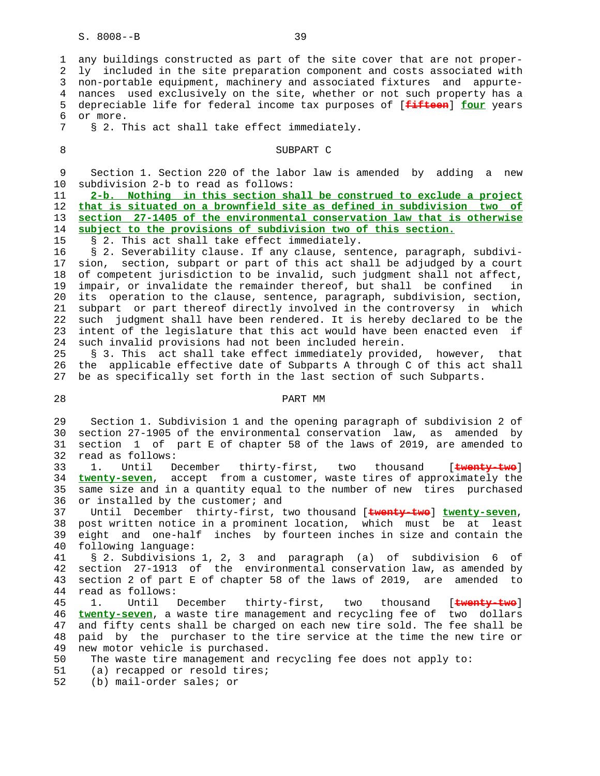1 any buildings constructed as part of the site cover that are not proper- 2 ly included in the site preparation component and costs associated with 3 non-portable equipment, machinery and associated fixtures and appurte- 4 nances used exclusively on the site, whether or not such property has a 5 depreciable life for federal income tax purposes of [**fifteen**] **four** years 6 or more. 7 § 2. This act shall take effect immediately. 8 SUBPART C 9 Section 1. Section 220 of the labor law is amended by adding a new 10 subdivision 2-b to read as follows: 11 **2-b. Nothing in this section shall be construed to exclude a project** 12 **that is situated on a brownfield site as defined in subdivision two of** 13 **section 27-1405 of the environmental conservation law that is otherwise** 14 **subject to the provisions of subdivision two of this section.** 15 § 2. This act shall take effect immediately. 16 § 2. Severability clause. If any clause, sentence, paragraph, subdivi- 17 sion, section, subpart or part of this act shall be adjudged by a court 18 of competent jurisdiction to be invalid, such judgment shall not affect, 19 impair, or invalidate the remainder thereof, but shall be confined in 20 its operation to the clause, sentence, paragraph, subdivision, section, 21 subpart or part thereof directly involved in the controversy in which 22 such judgment shall have been rendered. It is hereby declared to be the 23 intent of the legislature that this act would have been enacted even if 24 such invalid provisions had not been included herein. 25 § 3. This act shall take effect immediately provided, however, that 26 the applicable effective date of Subparts A through C of this act shall 27 be as specifically set forth in the last section of such Subparts. 28 PART MM 29 Section 1. Subdivision 1 and the opening paragraph of subdivision 2 of 30 section 27-1905 of the environmental conservation law, as amended by 31 section 1 of part E of chapter 58 of the laws of 2019, are amended to 32 read as follows: 33 1. Until December thirty-first, two thousand [**twenty-two**] 34 **twenty-seven**, accept from a customer, waste tires of approximately the 35 same size and in a quantity equal to the number of new tires purchased 36 or installed by the customer; and 37 Until December thirty-first, two thousand [**twenty-two**] **twenty-seven**, 38 post written notice in a prominent location, which must be at least 39 eight and one-half inches by fourteen inches in size and contain the 40 following language: 41 § 2. Subdivisions 1, 2, 3 and paragraph (a) of subdivision 6 of

 42 section 27-1913 of the environmental conservation law, as amended by 43 section 2 of part E of chapter 58 of the laws of 2019, are amended to 44 read as follows:

 45 1. Until December thirty-first, two thousand [**twenty-two**] 46 **twenty-seven**, a waste tire management and recycling fee of two dollars 47 and fifty cents shall be charged on each new tire sold. The fee shall be 48 paid by the purchaser to the tire service at the time the new tire or 49 new motor vehicle is purchased.

- 50 The waste tire management and recycling fee does not apply to:
- 51 (a) recapped or resold tires;
- 52 (b) mail-order sales; or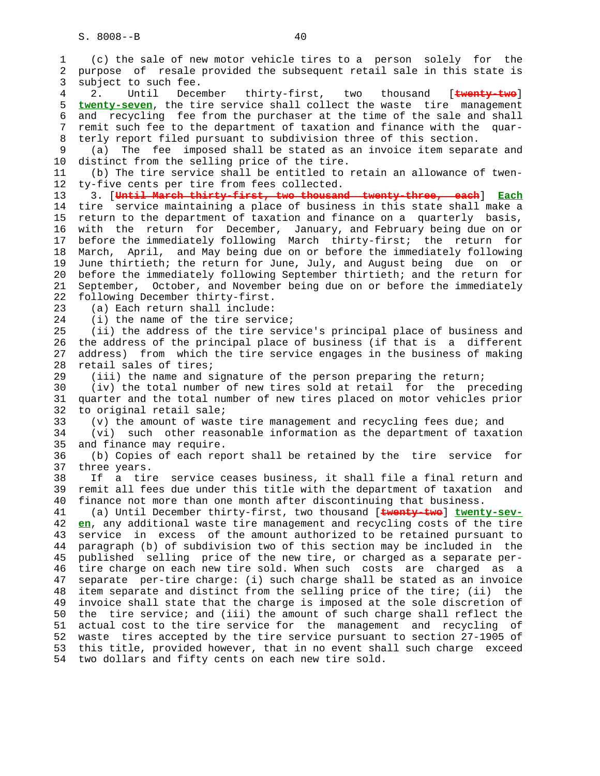1 (c) the sale of new motor vehicle tires to a person solely for the 2 purpose of resale provided the subsequent retail sale in this state is 3 subject to such fee. 4 2. Until December thirty-first, two thousand [**twenty-two**] 5 **twenty-seven**, the tire service shall collect the waste tire management 6 and recycling fee from the purchaser at the time of the sale and shall 7 remit such fee to the department of taxation and finance with the quar- 8 terly report filed pursuant to subdivision three of this section. 9 (a) The fee imposed shall be stated as an invoice item separate and 10 distinct from the selling price of the tire. 11 (b) The tire service shall be entitled to retain an allowance of twen- 12 ty-five cents per tire from fees collected. 13 3. [**Until March thirty-first, two thousand twenty-three, each**] **Each** 14 tire service maintaining a place of business in this state shall make a 15 return to the department of taxation and finance on a quarterly basis, 16 with the return for December, January, and February being due on or 17 before the immediately following March thirty-first; the return for 18 March, April, and May being due on or before the immediately following 19 June thirtieth; the return for June, July, and August being due on or 20 before the immediately following September thirtieth; and the return for 21 September, October, and November being due on or before the immediately 22 following December thirty-first. 23 (a) Each return shall include: 24 (i) the name of the tire service; 25 (ii) the address of the tire service's principal place of business and 26 the address of the principal place of business (if that is a different 27 address) from which the tire service engages in the business of making 28 retail sales of tires; 29 (iii) the name and signature of the person preparing the return; 30 (iv) the total number of new tires sold at retail for the preceding 31 quarter and the total number of new tires placed on motor vehicles prior 32 to original retail sale; 33 (v) the amount of waste tire management and recycling fees due; and 34 (vi) such other reasonable information as the department of taxation 35 and finance may require. 36 (b) Copies of each report shall be retained by the tire service for 37 three years. 38 If a tire service ceases business, it shall file a final return and 39 remit all fees due under this title with the department of taxation and 40 finance not more than one month after discontinuing that business. 41 (a) Until December thirty-first, two thousand [**twenty-two**] **twenty-sev-** 42 **en**, any additional waste tire management and recycling costs of the tire 43 service in excess of the amount authorized to be retained pursuant to 44 paragraph (b) of subdivision two of this section may be included in the 45 published selling price of the new tire, or charged as a separate per- 46 tire charge on each new tire sold. When such costs are charged as a 47 separate per-tire charge: (i) such charge shall be stated as an invoice 48 item separate and distinct from the selling price of the tire; (ii) the 49 invoice shall state that the charge is imposed at the sole discretion of 50 the tire service; and (iii) the amount of such charge shall reflect the 51 actual cost to the tire service for the management and recycling of 52 waste tires accepted by the tire service pursuant to section 27-1905 of 53 this title, provided however, that in no event shall such charge exceed 54 two dollars and fifty cents on each new tire sold.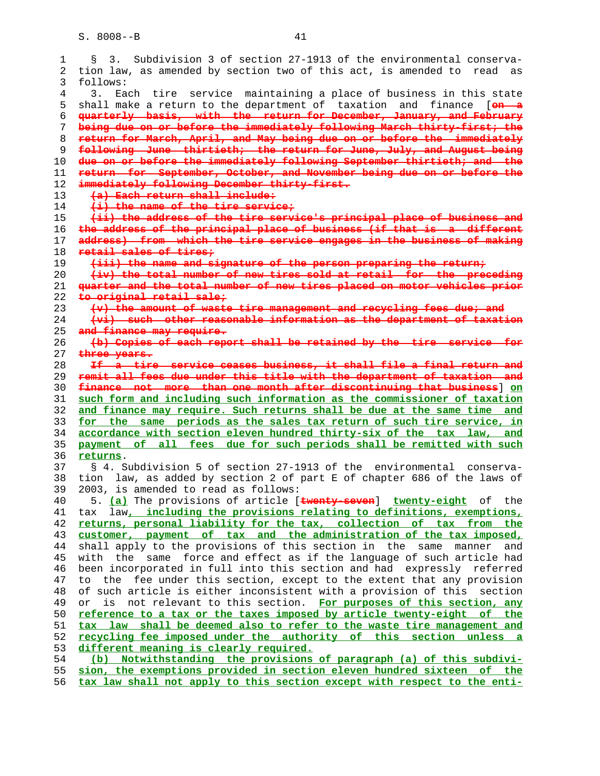| $\mathbf 1$ | Subdivision 3 of section 27-1913 of the environmental conserva-<br>$\S$ 3.    |
|-------------|-------------------------------------------------------------------------------|
| 2           | tion law, as amended by section two of this act, is amended to read as        |
|             |                                                                               |
| 3           | follows:                                                                      |
| 4           | Each tire service maintaining a place of business in this state<br>3.         |
| 5           | shall make a return to the department of taxation and finance [on a           |
| 6           | quarterly basis, with the return for December, January, and February          |
|             |                                                                               |
| 7           | being due on or before the immediately following March thirty-first, the      |
| 8           | return for March, April, and May being due on or before the immediately       |
| 9           | following June thirtieth, the return for June, July, and August being         |
| 10          | due on or before the immediately following September thirtieth, and the       |
| 11          | return for September, October, and November being due on or before the        |
| 12          | immediately following December thirty-first.                                  |
|             | (a) Each return shall include:                                                |
| 13          |                                                                               |
| 14          | $(i)$ the name of the tire service;                                           |
| 15          | (ii) the address of the tire service's principal place of business and        |
| 16          | the address of the principal place of business (if that is a different        |
| 17          | address) from which the tire service engages in the business of making        |
| 18          | retail sales of tires,                                                        |
|             | (iii) the name and signature of the person preparing the return,              |
| 19          |                                                                               |
| 20          | (iv) the total number of new tires sold at retail for the preseding           |
| 21          | quarter and the total number of new tires placed on motor vehicles prior      |
| 22          | to original retail sale;                                                      |
| 23          | (v) the amount of waste tire management and recycling fees due, and           |
| 24          | (vi) such other reasonable information as the department of taxation          |
| 25          | and finance may require.                                                      |
|             |                                                                               |
| 26          | (b) Copies of each report shall be retained by the tire service for           |
| 27          | three years.                                                                  |
| 28          | If a tire service ceases business, it shall file a final return and           |
|             |                                                                               |
| 29          | remit all fees due under this title with the department of taxation and       |
|             |                                                                               |
| 30          | finance not more than one month after discontinuing that business 3 on        |
| 31          | such form and including such information as the commissioner of taxation      |
| 32          | and finance may require. Such returns shall be due at the same time and       |
| 33          | for the same periods as the sales tax return of such tire service, in         |
| 34          | accordance with section eleven hundred thirty-six of the tax law, and         |
| 35          | payment of all fees due for such periods shall be remitted with such          |
| 36          | returns.                                                                      |
|             |                                                                               |
| 37          | § 4. Subdivision 5 of section 27-1913 of the environmental<br>conserva-       |
| 38          | tion law, as added by section 2 of part E of chapter 686 of the laws of       |
| 39          | 2003, is amended to read as follows:                                          |
| 40          | 5. (a) The provisions of article [twenty-seven] twenty-eight of the           |
| 41          | tax law, including the provisions relating to definitions, exemptions,        |
| 42          | returns, personal liability for the tax, collection of tax from the           |
|             |                                                                               |
| 43          | customer, payment of tax and the administration of the tax imposed,           |
| 44          | shall apply to the provisions of this section in the same manner<br>and       |
| 45          | with the same force and effect as if the language of such article had         |
| 46          | been incorporated in full into this section and had expressly referred        |
| 47          | fee under this section, except to the extent that any provision<br>the<br>to. |
| 48          | of such article is either inconsistent with a provision of this section       |
| 49          | not relevant to this section. For purposes of this section, any<br>or<br>is   |
|             |                                                                               |
| 50          | reference to a tax or the taxes imposed by article twenty-eight of the        |
| 51          | tax law shall be deemed also to refer to the waste tire management and        |
| 52          | recycling fee imposed under the authority of this section unless a            |
| 53          | different meaning is clearly required.                                        |
| 54          | (b) Notwithstanding the provisions of paragraph (a) of this subdivi-          |
| 55          | sion, the exemptions provided in section eleven hundred sixteen of the        |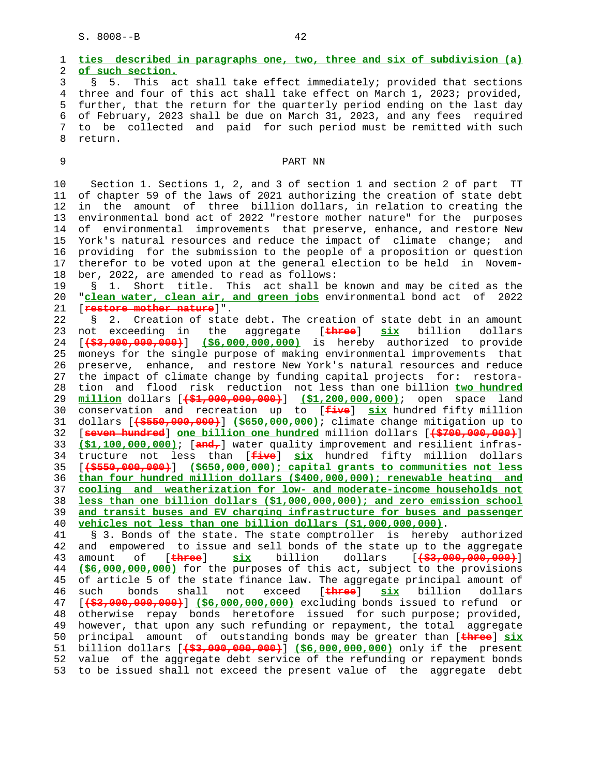1 **ties described in paragraphs one, two, three and six of subdivision (a)** 2 **of such section.** 3 § 5. This act shall take effect immediately; provided that sections 4 three and four of this act shall take effect on March 1, 2023; provided, 5 further, that the return for the quarterly period ending on the last day

 6 of February, 2023 shall be due on March 31, 2023, and any fees required 7 to be collected and paid for such period must be remitted with such 8 return.

# 9 PART NN

 10 Section 1. Sections 1, 2, and 3 of section 1 and section 2 of part TT 11 of chapter 59 of the laws of 2021 authorizing the creation of state debt 12 in the amount of three billion dollars, in relation to creating the 13 environmental bond act of 2022 "restore mother nature" for the purposes 14 of environmental improvements that preserve, enhance, and restore New 15 York's natural resources and reduce the impact of climate change; and 16 providing for the submission to the people of a proposition or question 17 therefor to be voted upon at the general election to be held in Novem- 18 ber, 2022, are amended to read as follows:

 19 § 1. Short title. This act shall be known and may be cited as the 20 "**clean water, clean air, and green jobs** environmental bond act of 2022 21 [**restore mother nature**]".

 22 § 2. Creation of state debt. The creation of state debt in an amount 23 not exceeding in the aggregate [**three**] **six** billion dollars 24 [**(\$3,000,000,000)**] **(\$6,000,000,000)** is hereby authorized to provide 25 moneys for the single purpose of making environmental improvements that 26 preserve, enhance, and restore New York's natural resources and reduce 27 the impact of climate change by funding capital projects for: restora- 28 tion and flood risk reduction not less than one billion **two hundred** 29 **million** dollars [**(\$1,000,000,000)**] **(\$1,200,000,000)**; open space land 30 conservation and recreation up to [**five**] **six** hundred fifty million 31 dollars [**(\$550,000,000)**] **(\$650,000,000)**; climate change mitigation up to 32 [**seven hundred**] **one billion one hundred** million dollars [**(\$700,000,000)**] 33 **(\$1,100,000,000)**; [**and,**] water quality improvement and resilient infras- 34 tructure not less than [**five**] **six** hundred fifty million dollars 35 [**(\$550,000,000)**] **(\$650,000,000); capital grants to communities not less** 36 **than four hundred million dollars (\$400,000,000); renewable heating and** 37 **cooling and weatherization for low- and moderate-income households not** 38 **less than one billion dollars (\$1,000,000,000); and zero emission school** 39 **and transit buses and EV charging infrastructure for buses and passenger** 40 **vehicles not less than one billion dollars (\$1,000,000,000)**.

 41 § 3. Bonds of the state. The state comptroller is hereby authorized 42 and empowered to issue and sell bonds of the state up to the aggregate 43 amount of [**three**] **six** billion dollars [**(\$3,000,000,000)**] 44 **(\$6,000,000,000)** for the purposes of this act, subject to the provisions 45 of article 5 of the state finance law. The aggregate principal amount of 46 such bonds shall not exceed [**three**] **six** billion dollars 47 [**(\$3,000,000,000)**] **(\$6,000,000,000)** excluding bonds issued to refund or 48 otherwise repay bonds heretofore issued for such purpose; provided, 49 however, that upon any such refunding or repayment, the total aggregate 50 principal amount of outstanding bonds may be greater than [**three**] **six** 51 billion dollars [**(\$3,000,000,000)**] **(\$6,000,000,000)** only if the present 52 value of the aggregate debt service of the refunding or repayment bonds 53 to be issued shall not exceed the present value of the aggregate debt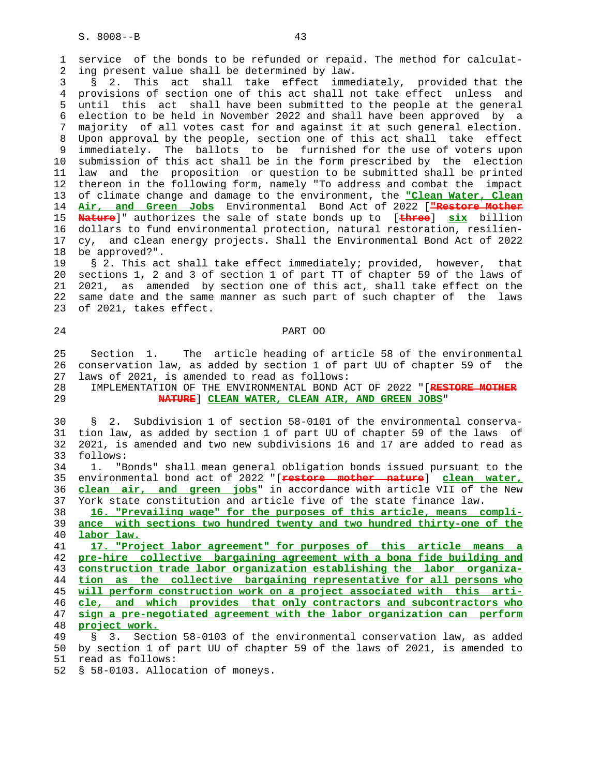1 service of the bonds to be refunded or repaid. The method for calculat- 2 ing present value shall be determined by law.

 3 § 2. This act shall take effect immediately, provided that the 4 provisions of section one of this act shall not take effect unless and 5 until this act shall have been submitted to the people at the general 6 election to be held in November 2022 and shall have been approved by a 7 majority of all votes cast for and against it at such general election. 8 Upon approval by the people, section one of this act shall take effect 9 immediately. The ballots to be furnished for the use of voters upon<br>10 submission of this act shall be in the form prescribed by the election submission of this act shall be in the form prescribed by the election 11 law and the proposition or question to be submitted shall be printed 12 thereon in the following form, namely "To address and combat the impact 13 of climate change and damage to the environment, the **"Clean Water, Clean** 14 **Air, and Green Jobs** Environmental Bond Act of 2022 [**"Restore Mother** 15 **Nature**]" authorizes the sale of state bonds up to [**three**] **six** billion 16 dollars to fund environmental protection, natural restoration, resilien- 17 cy, and clean energy projects. Shall the Environmental Bond Act of 2022 18 be approved?".

 19 § 2. This act shall take effect immediately; provided, however, that 20 sections 1, 2 and 3 of section 1 of part TT of chapter 59 of the laws of 21 2021, as amended by section one of this act, shall take effect on the 22 same date and the same manner as such part of such chapter of the laws 23 of 2021, takes effect.

24 PART OO

 25 Section 1. The article heading of article 58 of the environmental 26 conservation law, as added by section 1 of part UU of chapter 59 of the 27 laws of 2021, is amended to read as follows:

 28 IMPLEMENTATION OF THE ENVIRONMENTAL BOND ACT OF 2022 "[**RESTORE MOTHER** 29 **NATURE**] **CLEAN WATER, CLEAN AIR, AND GREEN JOBS**"

 30 § 2. Subdivision 1 of section 58-0101 of the environmental conserva- 31 tion law, as added by section 1 of part UU of chapter 59 of the laws of 32 2021, is amended and two new subdivisions 16 and 17 are added to read as 33 follows:

 34 1. "Bonds" shall mean general obligation bonds issued pursuant to the 35 environmental bond act of 2022 "[**restore mother nature**] **clean water,** 36 **clean air, and green jobs**" in accordance with article VII of the New 37 York state constitution and article five of the state finance law.

 38 **16. "Prevailing wage" for the purposes of this article, means compli-** 39 **ance with sections two hundred twenty and two hundred thirty-one of the** 40 **labor law.**

**17. "Project labor agreement" for purposes of this article means a pre-hire collective bargaining agreement with a bona fide building and construction trade labor organization establishing the labor organiza- tion as the collective bargaining representative for all persons who will perform construction work on a project associated with this arti- cle, and which provides that only contractors and subcontractors who sign a pre-negotiated agreement with the labor organization can perform project work.**

 49 § 3. Section 58-0103 of the environmental conservation law, as added 50 by section 1 of part UU of chapter 59 of the laws of 2021, is amended to 51 read as follows:

52 § 58-0103. Allocation of moneys.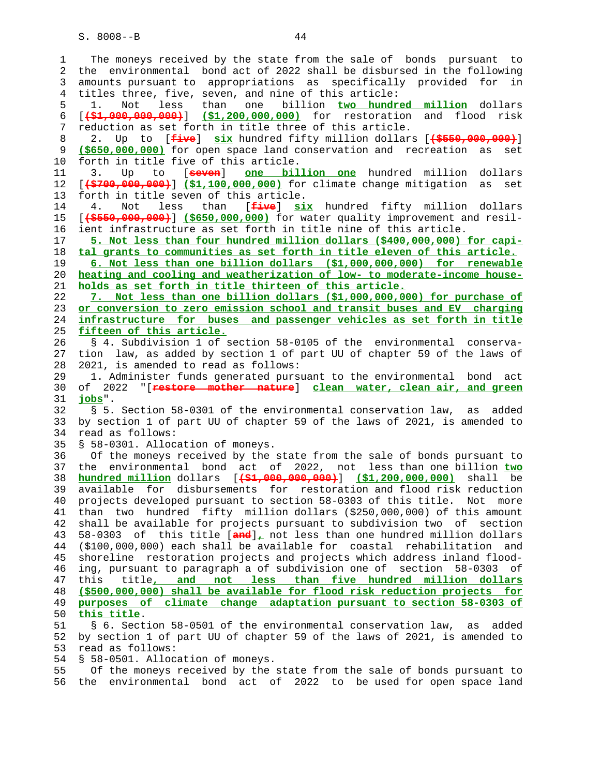1 The moneys received by the state from the sale of bonds pursuant to 2 the environmental bond act of 2022 shall be disbursed in the following 3 amounts pursuant to appropriations as specifically provided for in 4 titles three, five, seven, and nine of this article: 5 1. Not less than one billion **two hundred million** dollars 6 [**(\$1,000,000,000)**] **(\$1,200,000,000)** for restoration and flood risk 7 reduction as set forth in title three of this article. 8 2. Up to [**five**] **six** hundred fifty million dollars [**(\$550,000,000)**] 9 **(\$650,000,000)** for open space land conservation and recreation as set 10 forth in title five of this article. 11 3. Up to [**seven**] **one billion one** hundred million dollars 12 [**(\$700,000,000)**] **(\$1,100,000,000)** for climate change mitigation as set 13 forth in title seven of this article. 14 4. Not less than [**five**] **six** hundred fifty million dollars 15 [**(\$550,000,000)**] **(\$650,000,000)** for water quality improvement and resil- 16 ient infrastructure as set forth in title nine of this article. 17 **5. Not less than four hundred million dollars (\$400,000,000) for capi-** 18 **tal grants to communities as set forth in title eleven of this article.** 19 **6. Not less than one billion dollars (\$1,000,000,000) for renewable** 20 **heating and cooling and weatherization of low- to moderate-income house-** 21 **holds as set forth in title thirteen of this article.** 22 **7. Not less than one billion dollars (\$1,000,000,000) for purchase of** 23 **or conversion to zero emission school and transit buses and EV charging** 24 **infrastructure for buses and passenger vehicles as set forth in title** 25 **fifteen of this article.** 26 § 4. Subdivision 1 of section 58-0105 of the environmental conserva- 27 tion law, as added by section 1 of part UU of chapter 59 of the laws of 28 2021, is amended to read as follows: 29 1. Administer funds generated pursuant to the environmental bond act 30 of 2022 "[**restore mother nature**] **clean water, clean air, and green** 31 **jobs**". 32 § 5. Section 58-0301 of the environmental conservation law, as added 33 by section 1 of part UU of chapter 59 of the laws of 2021, is amended to 34 read as follows: 35 § 58-0301. Allocation of moneys. 36 Of the moneys received by the state from the sale of bonds pursuant to 37 the environmental bond act of 2022, not less than one billion **two** 38 **hundred million** dollars [**(\$1,000,000,000)**] **(\$1,200,000,000)** shall be 39 available for disbursements for restoration and flood risk reduction 40 projects developed pursuant to section 58-0303 of this title. Not more 41 than two hundred fifty million dollars (\$250,000,000) of this amount 42 shall be available for projects pursuant to subdivision two of section 43 58-0303 of this title [**and**]**,** not less than one hundred million dollars 44 (\$100,000,000) each shall be available for coastal rehabilitation and 45 shoreline restoration projects and projects which address inland flood- 46 ing, pursuant to paragraph a of subdivision one of section 58-0303 of 47 this title**, and not less than five hundred million dollars** 48 **(\$500,000,000) shall be available for flood risk reduction projects for** 49 **purposes of climate change adaptation pursuant to section 58-0303 of** 50 **this title**. 51 § 6. Section 58-0501 of the environmental conservation law, as added 52 by section 1 of part UU of chapter 59 of the laws of 2021, is amended to 53 read as follows: 54 § 58-0501. Allocation of moneys. 55 Of the moneys received by the state from the sale of bonds pursuant to 56 the environmental bond act of 2022 to be used for open space land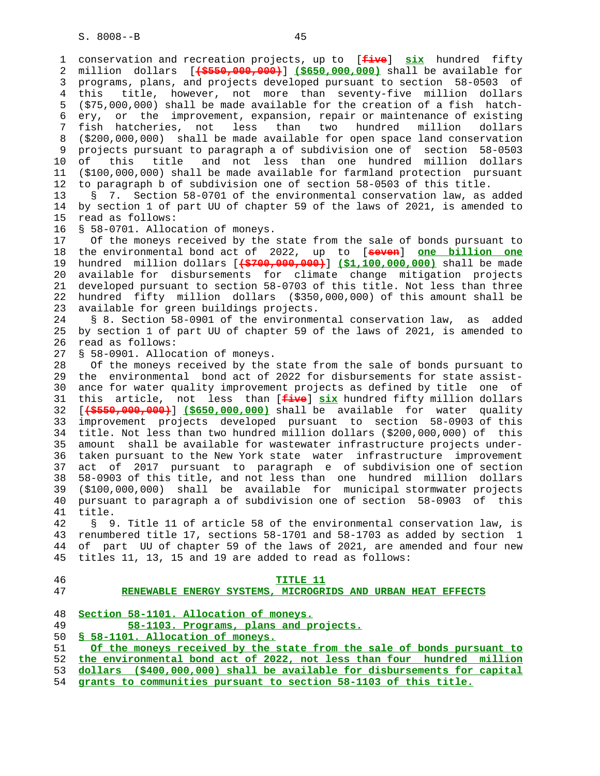1 conservation and recreation projects, up to [**five**] **six** hundred fifty 2 million dollars [**(\$550,000,000)**] **(\$650,000,000)** shall be available for 3 programs, plans, and projects developed pursuant to section 58-0503 of 4 this title, however, not more than seventy-five million dollars 5 (\$75,000,000) shall be made available for the creation of a fish hatch- 6 ery, or the improvement, expansion, repair or maintenance of existing 7 fish hatcheries, not less than two hundred million dollars 8 (\$200,000,000) shall be made available for open space land conservation 9 projects pursuant to paragraph a of subdivision one of section 58-0503<br>10 of this title and not less than one hundred million dollars this title and not less than one hundred million dollars 11 (\$100,000,000) shall be made available for farmland protection pursuant 12 to paragraph b of subdivision one of section 58-0503 of this title.

 13 § 7. Section 58-0701 of the environmental conservation law, as added 14 by section 1 of part UU of chapter 59 of the laws of 2021, is amended to 15 read as follows:

16 § 58-0701. Allocation of moneys.

 17 Of the moneys received by the state from the sale of bonds pursuant to 18 the environmental bond act of 2022, up to [**seven**] **one billion one** 19 hundred million dollars [**(\$700,000,000)**] **(\$1,100,000,000)** shall be made 20 available for disbursements for climate change mitigation projects 21 developed pursuant to section 58-0703 of this title. Not less than three 22 hundred fifty million dollars (\$350,000,000) of this amount shall be 23 available for green buildings projects.

 24 § 8. Section 58-0901 of the environmental conservation law, as added 25 by section 1 of part UU of chapter 59 of the laws of 2021, is amended to 26 read as follows:

27 § 58-0901. Allocation of moneys.

 28 Of the moneys received by the state from the sale of bonds pursuant to 29 the environmental bond act of 2022 for disbursements for state assist- 30 ance for water quality improvement projects as defined by title one of 31 this article, not less than [**five**] **six** hundred fifty million dollars 32 [**(\$550,000,000)**] **(\$650,000,000)** shall be available for water quality 33 improvement projects developed pursuant to section 58-0903 of this 34 title. Not less than two hundred million dollars (\$200,000,000) of this 35 amount shall be available for wastewater infrastructure projects under- 36 taken pursuant to the New York state water infrastructure improvement 37 act of 2017 pursuant to paragraph e of subdivision one of section 38 58-0903 of this title, and not less than one hundred million dollars 39 (\$100,000,000) shall be available for municipal stormwater projects 40 pursuant to paragraph a of subdivision one of section 58-0903 of this 41 title.

 42 § 9. Title 11 of article 58 of the environmental conservation law, is 43 renumbered title 17, sections 58-1701 and 58-1703 as added by section 1 44 of part UU of chapter 59 of the laws of 2021, are amended and four new 45 titles 11, 13, 15 and 19 are added to read as follows:

| 47<br>RENEWABLE ENERGY SYSTEMS, MICROGRIDS AND URBAN HEAT EFFECTS<br>48<br>Section 58-1101. Allocation of moneys.<br>49<br>58-1103. Programs, plans and projects.<br>50<br>\$58-1101. Allocation of moneys.<br>51<br>52<br>53<br>grants to communities pursuant to section 58-1103 of this title.<br>54 | 46 | TITLE 11                                                                 |
|---------------------------------------------------------------------------------------------------------------------------------------------------------------------------------------------------------------------------------------------------------------------------------------------------------|----|--------------------------------------------------------------------------|
|                                                                                                                                                                                                                                                                                                         |    |                                                                          |
|                                                                                                                                                                                                                                                                                                         |    |                                                                          |
|                                                                                                                                                                                                                                                                                                         |    |                                                                          |
|                                                                                                                                                                                                                                                                                                         |    |                                                                          |
|                                                                                                                                                                                                                                                                                                         |    |                                                                          |
|                                                                                                                                                                                                                                                                                                         |    | Of the moneys received by the state from the sale of bonds pursuant to   |
|                                                                                                                                                                                                                                                                                                         |    | the environmental bond act of 2022, not less than four hundred million   |
|                                                                                                                                                                                                                                                                                                         |    | dollars (\$400,000,000) shall be available for disbursements for capital |
|                                                                                                                                                                                                                                                                                                         |    |                                                                          |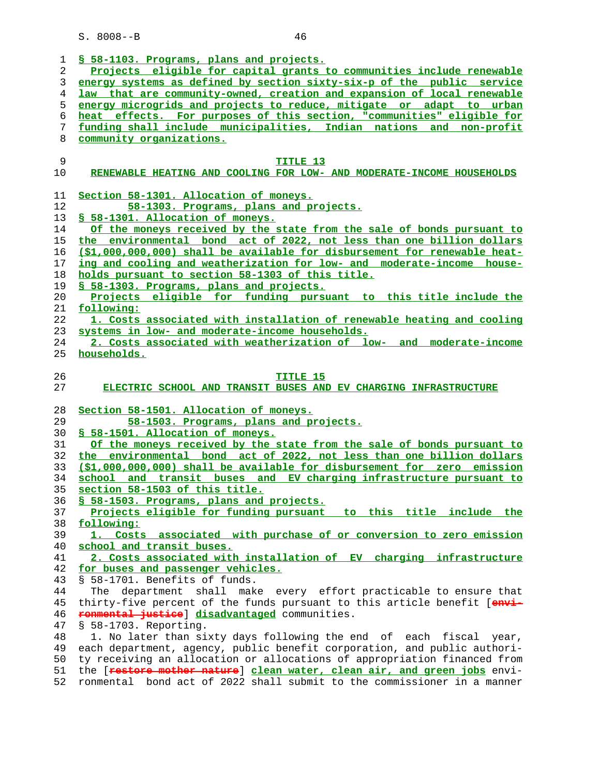|          | § 58-1103. Programs, plans and projects.                                                                                                            |
|----------|-----------------------------------------------------------------------------------------------------------------------------------------------------|
| 2        | Projects eligible for capital grants to communities include renewable                                                                               |
| 3        | energy systems as defined by section sixty-six-p of the public service                                                                              |
| 4        | law that are community-owned, creation and expansion of local renewable                                                                             |
| 5        | energy microgrids and projects to reduce, mitigate or adapt to urban                                                                                |
|          |                                                                                                                                                     |
| 6        | heat effects. For purposes of this section, "communities" eligible for                                                                              |
| 7        | funding shall include municipalities, Indian nations and non-profit                                                                                 |
| 8        | community organizations.                                                                                                                            |
|          |                                                                                                                                                     |
| 9        | TITLE 13                                                                                                                                            |
| 10       | RENEWABLE HEATING AND COOLING FOR LOW- AND MODERATE-INCOME HOUSEHOLDS                                                                               |
|          |                                                                                                                                                     |
| 11       | Section 58-1301. Allocation of moneys.                                                                                                              |
| 12       | 58-1303. Programs, plans and projects.                                                                                                              |
| 13       | § 58-1301. Allocation of moneys.                                                                                                                    |
| 14       | Of the moneys received by the state from the sale of bonds pursuant to                                                                              |
| 15       | the environmental bond act of 2022, not less than one billion dollars                                                                               |
|          |                                                                                                                                                     |
| 16       | (\$1,000,000,000) shall be available for disbursement for renewable heat-                                                                           |
| 17       | ing and cooling and weatherization for low- and moderate-income house-                                                                              |
| 18       | holds pursuant to section 58-1303 of this title.                                                                                                    |
| 19       | § 58-1303. Programs, plans and projects.                                                                                                            |
| 20       | Projects eligible for funding pursuant to this title include the                                                                                    |
| 21       | following:                                                                                                                                          |
| 22       | 1. Costs associated with installation of renewable heating and cooling                                                                              |
| 23       | systems in low- and moderate-income households.                                                                                                     |
| 24       | 2. Costs associated with weatherization of low- and moderate-income                                                                                 |
| 25       | households.                                                                                                                                         |
|          |                                                                                                                                                     |
| 26       | TITLE 15                                                                                                                                            |
| 27       | ELECTRIC SCHOOL AND TRANSIT BUSES AND EV CHARGING INFRASTRUCTURE                                                                                    |
|          |                                                                                                                                                     |
| 28       | Section 58-1501. Allocation of moneys.                                                                                                              |
| 29       | 58-1503. Programs, plans and projects.                                                                                                              |
| 30       |                                                                                                                                                     |
|          |                                                                                                                                                     |
|          | § 58-1501. Allocation of moneys.                                                                                                                    |
| 31       | Of the moneys received by the state from the sale of bonds pursuant to                                                                              |
| 32       | the environmental bond act of 2022, not less than one billion dollars                                                                               |
| 33       | (\$1,000,000,000) shall be available for disbursement for zero emission                                                                             |
| 34       | school and transit buses and EV charging infrastructure pursuant to                                                                                 |
| 35       | section 58-1503 of this title.                                                                                                                      |
| 36       | § 58-1503. Programs, plans and projects.                                                                                                            |
| 37       | Projects eligible for funding pursuant to this title include the                                                                                    |
| 38       | following:                                                                                                                                          |
| 39       | 1. Costs associated with purchase of or conversion to zero emission                                                                                 |
| 40       | school and transit buses.                                                                                                                           |
| 41       | 2. Costs associated with installation of EV charging infrastructure                                                                                 |
| 42       | for buses and passenger vehicles.                                                                                                                   |
| 43       | § 58-1701. Benefits of funds.                                                                                                                       |
|          |                                                                                                                                                     |
| 44       | department shall make every effort practicable to ensure that<br>The                                                                                |
| 45       | thirty-five percent of the funds pursuant to this article benefit [envi-                                                                            |
| 46       | ronmental justice] disadvantaged communities.                                                                                                       |
| 47       | § 58-1703. Reporting.                                                                                                                               |
| 48       | 1. No later than sixty days following the end of each fiscal year,                                                                                  |
| 49       | each department, agency, public benefit corporation, and public authori-                                                                            |
| 50       | ty receiving an allocation or allocations of appropriation financed from                                                                            |
| 51<br>52 | the [restore mother nature] clean water, clean air, and green jobs envi-<br>ronmental bond act of 2022 shall submit to the commissioner in a manner |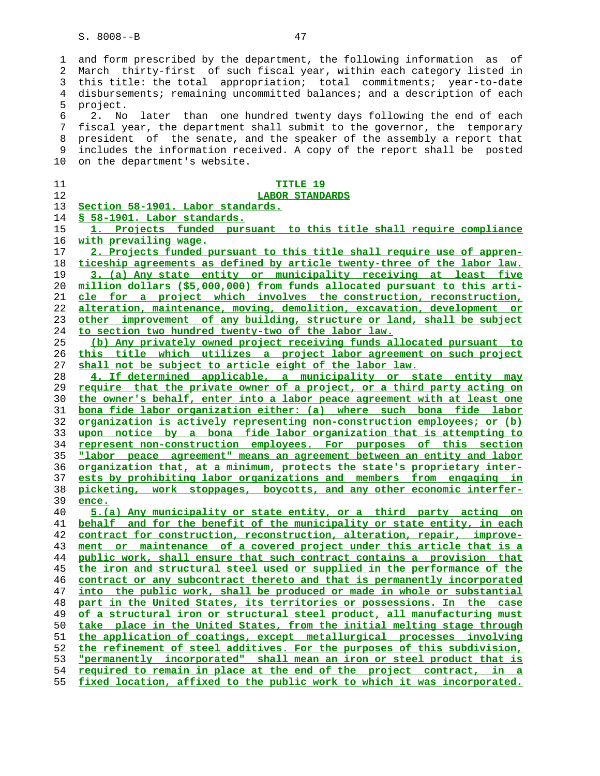1 and form prescribed by the department, the following information as of 2 March thirty-first of such fiscal year, within each category listed in 3 this title: the total appropriation; total commitments; year-to-date 4 disbursements; remaining uncommitted balances; and a description of each 5 project. 6 2. No later than one hundred twenty days following the end of each 7 fiscal year, the department shall submit to the governor, the temporary 8 president of the senate, and the speaker of the assembly a report that 9 includes the information received. A copy of the report shall be posted 10 on the department's website. **TITLE 19 LABOR STANDARDS Section 58-1901. Labor standards. § 58-1901. Labor standards. 1. Projects funded pursuant to this title shall require compliance with prevailing wage. 2. Projects funded pursuant to this title shall require use of appren- ticeship agreements as defined by article twenty-three of the labor law. 3. (a) Any state entity or municipality receiving at least five million dollars (\$5,000,000) from funds allocated pursuant to this arti- cle for a project which involves the construction, reconstruction, alteration, maintenance, moving, demolition, excavation, development or other improvement of any building, structure or land, shall be subject to section two hundred twenty-two of the labor law. (b) Any privately owned project receiving funds allocated pursuant to this title which utilizes a project labor agreement on such project shall not be subject to article eight of the labor law. 4. If determined applicable, a municipality or state entity may require that the private owner of a project, or a third party acting on the owner's behalf, enter into a labor peace agreement with at least one bona fide labor organization either: (a) where such bona fide labor organization is actively representing non-construction employees; or (b) upon notice by a bona fide labor organization that is attempting to represent non-construction employees. For purposes of this section "labor peace agreement" means an agreement between an entity and labor organization that, at a minimum, protects the state's proprietary inter- ests by prohibiting labor organizations and members from engaging in picketing, work stoppages, boycotts, and any other economic interfer- ence. 5.(a) Any municipality or state entity, or a third party acting on behalf and for the benefit of the municipality or state entity, in each contract for construction, reconstruction, alteration, repair, improve- ment or maintenance of a covered project under this article that is a public work, shall ensure that such contract contains a provision that the iron and structural steel used or supplied in the performance of the contract or any subcontract thereto and that is permanently incorporated into the public work, shall be produced or made in whole or substantial part in the United States, its territories or possessions. In the case of a structural iron or structural steel product, all manufacturing must take place in the United States, from the initial melting stage through the application of coatings, except metallurgical processes involving the refinement of steel additives. For the purposes of this subdivision, "permanently incorporated" shall mean an iron or steel product that is required to remain in place at the end of the project contract, in a**

**fixed location, affixed to the public work to which it was incorporated.**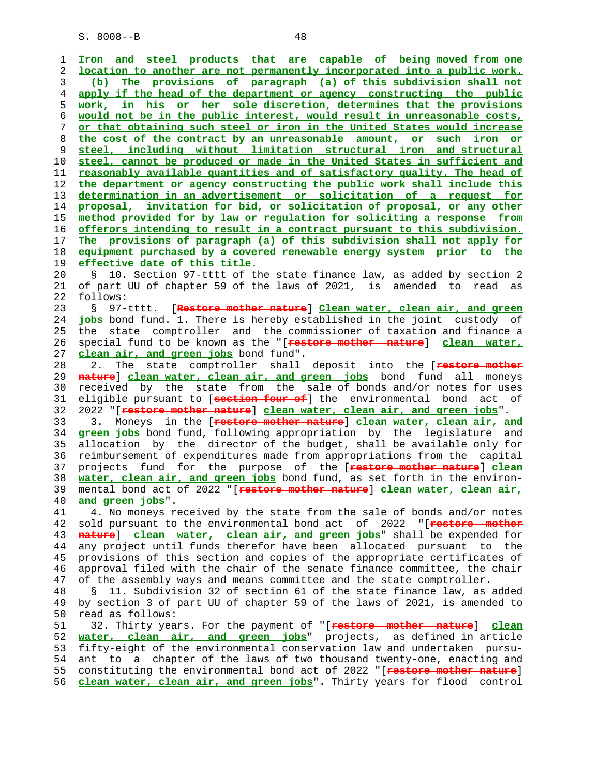1 **Iron and steel products that are capable of being moved from one** 2 **location to another are not permanently incorporated into a public work.** 3 **(b) The provisions of paragraph (a) of this subdivision shall not** 4 **apply if the head of the department or agency constructing the public** 5 **work, in his or her sole discretion, determines that the provisions** 6 **would not be in the public interest, would result in unreasonable costs,** 7 **or that obtaining such steel or iron in the United States would increase** 8 **the cost of the contract by an unreasonable amount, or such iron or** 9 **steel, including without limitation structural iron and structural** 10 **steel, cannot be produced or made in the United States in sufficient and** 11 **reasonably available quantities and of satisfactory quality. The head of** 12 **the department or agency constructing the public work shall include this** 13 **determination in an advertisement or solicitation of a request for** 14 **proposal, invitation for bid, or solicitation of proposal, or any other** 15 **method provided for by law or regulation for soliciting a response from** 16 **offerors intending to result in a contract pursuant to this subdivision.** 17 **The provisions of paragraph (a) of this subdivision shall not apply for** 18 **equipment purchased by a covered renewable energy system prior to the** 19 **effective date of this title.** 20 § 10. Section 97-tttt of the state finance law, as added by section 2 21 of part UU of chapter 59 of the laws of 2021, is amended to read as 22 follows: 23 § 97-tttt. [**Restore mother nature**] **Clean water, clean air, and green** 24 **jobs** bond fund. 1. There is hereby established in the joint custody of 25 the state comptroller and the commissioner of taxation and finance a 26 special fund to be known as the "[**restore mother nature**] **clean water,** 27 **clean air, and green jobs** bond fund". 28 2. The state comptroller shall deposit into the [**restore mother** 29 **nature**] **clean water, clean air, and green jobs** bond fund all moneys 30 received by the state from the sale of bonds and/or notes for uses 31 eligible pursuant to [**section four of**] the environmental bond act of 32 2022 "[**restore mother nature**] **clean water, clean air, and green jobs**". 33 3. Moneys in the [**restore mother nature**] **clean water, clean air, and** 34 **green jobs** bond fund, following appropriation by the legislature and 35 allocation by the director of the budget, shall be available only for 36 reimbursement of expenditures made from appropriations from the capital 37 projects fund for the purpose of the [**restore mother nature**] **clean** 38 **water, clean air, and green jobs** bond fund, as set forth in the environ- 39 mental bond act of 2022 "[**restore mother nature**] **clean water, clean air,** 40 **and green jobs**". 41 4. No moneys received by the state from the sale of bonds and/or notes 42 sold pursuant to the environmental bond act of 2022 "[**restore mother** 43 **nature**] **clean water, clean air, and green jobs**" shall be expended for 44 any project until funds therefor have been allocated pursuant to the 45 provisions of this section and copies of the appropriate certificates of 46 approval filed with the chair of the senate finance committee, the chair 47 of the assembly ways and means committee and the state comptroller. 48 § 11. Subdivision 32 of section 61 of the state finance law, as added 49 by section 3 of part UU of chapter 59 of the laws of 2021, is amended to read as follows: 51 32. Thirty years. For the payment of "[**restore mother nature**] **clean** 52 **water, clean air, and green jobs**" projects, as defined in article 53 fifty-eight of the environmental conservation law and undertaken pursu- 54 ant to a chapter of the laws of two thousand twenty-one, enacting and 55 constituting the environmental bond act of 2022 "[**restore mother nature**] 56 **clean water, clean air, and green jobs**". Thirty years for flood control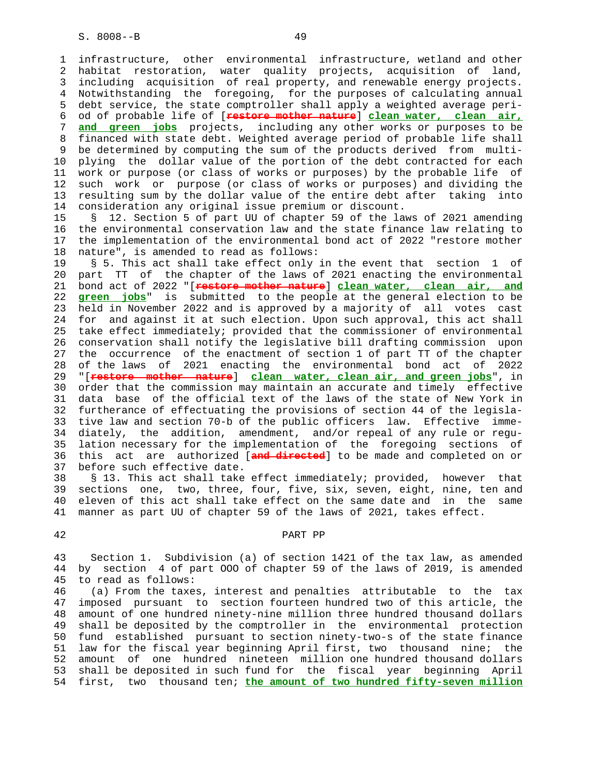1 infrastructure, other environmental infrastructure, wetland and other 2 habitat restoration, water quality projects, acquisition of land, 3 including acquisition of real property, and renewable energy projects. 4 Notwithstanding the foregoing, for the purposes of calculating annual 5 debt service, the state comptroller shall apply a weighted average peri- 6 od of probable life of [**restore mother nature**] **clean water, clean air,** 7 **and green jobs** projects, including any other works or purposes to be 8 financed with state debt. Weighted average period of probable life shall 9 be determined by computing the sum of the products derived from multi- 10 plying the dollar value of the portion of the debt contracted for each 11 work or purpose (or class of works or purposes) by the probable life of 12 such work or purpose (or class of works or purposes) and dividing the 13 resulting sum by the dollar value of the entire debt after taking into 14 consideration any original issue premium or discount.

 15 § 12. Section 5 of part UU of chapter 59 of the laws of 2021 amending 16 the environmental conservation law and the state finance law relating to 17 the implementation of the environmental bond act of 2022 "restore mother 18 nature", is amended to read as follows:

 19 § 5. This act shall take effect only in the event that section 1 of 20 part TT of the chapter of the laws of 2021 enacting the environmental 21 bond act of 2022 "[**restore mother nature**] **clean water, clean air, and** 22 **green jobs**" is submitted to the people at the general election to be 23 held in November 2022 and is approved by a majority of all votes cast 24 for and against it at such election. Upon such approval, this act shall 25 take effect immediately; provided that the commissioner of environmental 26 conservation shall notify the legislative bill drafting commission upon 27 the occurrence of the enactment of section 1 of part TT of the chapter 28 of the laws of 2021 enacting the environmental bond act of 2022 29 "[**restore mother nature**] **clean water, clean air, and green jobs**", in 30 order that the commission may maintain an accurate and timely effective 31 data base of the official text of the laws of the state of New York in 32 furtherance of effectuating the provisions of section 44 of the legisla- 33 tive law and section 70-b of the public officers law. Effective imme- 34 diately, the addition, amendment, and/or repeal of any rule or regu- 35 lation necessary for the implementation of the foregoing sections of 36 this act are authorized [**and directed**] to be made and completed on or 37 before such effective date.

 38 § 13. This act shall take effect immediately; provided, however that 39 sections one, two, three, four, five, six, seven, eight, nine, ten and 40 eleven of this act shall take effect on the same date and in the same 41 manner as part UU of chapter 59 of the laws of 2021, takes effect.

### 42 PART PP

 43 Section 1. Subdivision (a) of section 1421 of the tax law, as amended 44 by section 4 of part OOO of chapter 59 of the laws of 2019, is amended 45 to read as follows:

 46 (a) From the taxes, interest and penalties attributable to the tax 47 imposed pursuant to section fourteen hundred two of this article, the 48 amount of one hundred ninety-nine million three hundred thousand dollars 49 shall be deposited by the comptroller in the environmental protection 50 fund established pursuant to section ninety-two-s of the state finance 51 law for the fiscal year beginning April first, two thousand nine; the 52 amount of one hundred nineteen million one hundred thousand dollars 53 shall be deposited in such fund for the fiscal year beginning April 54 first, two thousand ten; **the amount of two hundred fifty-seven million**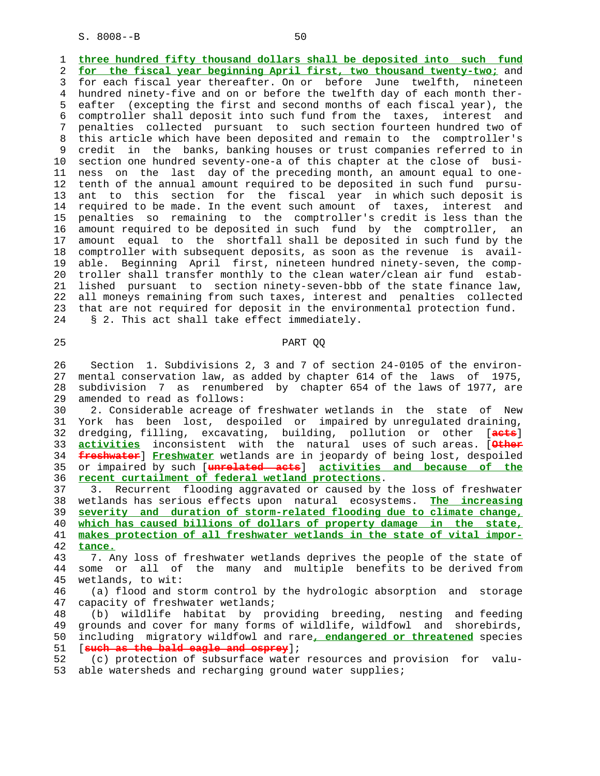1 **three hundred fifty thousand dollars shall be deposited into such fund** 2 **for the fiscal year beginning April first, two thousand twenty-two;** and 3 for each fiscal year thereafter. On or before June twelfth, nineteen 4 hundred ninety-five and on or before the twelfth day of each month ther- 5 eafter (excepting the first and second months of each fiscal year), the 6 comptroller shall deposit into such fund from the taxes, interest and 7 penalties collected pursuant to such section fourteen hundred two of 8 this article which have been deposited and remain to the comptroller's 9 credit in the banks, banking houses or trust companies referred to in 10 section one hundred seventy-one-a of this chapter at the close of busi- 11 ness on the last day of the preceding month, an amount equal to one- 12 tenth of the annual amount required to be deposited in such fund pursu- 13 ant to this section for the fiscal year in which such deposit is 14 required to be made. In the event such amount of taxes, interest and 15 penalties so remaining to the comptroller's credit is less than the 16 amount required to be deposited in such fund by the comptroller, an 17 amount equal to the shortfall shall be deposited in such fund by the 18 comptroller with subsequent deposits, as soon as the revenue is avail- 19 able. Beginning April first, nineteen hundred ninety-seven, the comp- 20 troller shall transfer monthly to the clean water/clean air fund estab- 21 lished pursuant to section ninety-seven-bbb of the state finance law, 22 all moneys remaining from such taxes, interest and penalties collected 23 that are not required for deposit in the environmental protection fund. 24 § 2. This act shall take effect immediately.

## 25 PART QQ

 26 Section 1. Subdivisions 2, 3 and 7 of section 24-0105 of the environ- 27 mental conservation law, as added by chapter 614 of the laws of 1975, 28 subdivision 7 as renumbered by chapter 654 of the laws of 1977, are 29 amended to read as follows:

 30 2. Considerable acreage of freshwater wetlands in the state of New 31 York has been lost, despoiled or impaired by unregulated draining, 32 dredging, filling, excavating, building, pollution or other [**acts**] 33 **activities** inconsistent with the natural uses of such areas. [**Other** 34 **freshwater**] **Freshwater** wetlands are in jeopardy of being lost, despoiled 35 or impaired by such [**unrelated acts**] **activities and because of the** 36 **recent curtailment of federal wetland protections**.

 37 3. Recurrent flooding aggravated or caused by the loss of freshwater 38 wetlands has serious effects upon natural ecosystems. **The increasing** 39 **severity and duration of storm-related flooding due to climate change,** 40 **which has caused billions of dollars of property damage in the state,** 41 **makes protection of all freshwater wetlands in the state of vital impor-** 42 **tance.**

 43 7. Any loss of freshwater wetlands deprives the people of the state of 44 some or all of the many and multiple benefits to be derived from 45 wetlands, to wit:

 46 (a) flood and storm control by the hydrologic absorption and storage 47 capacity of freshwater wetlands;

 48 (b) wildlife habitat by providing breeding, nesting and feeding 49 grounds and cover for many forms of wildlife, wildfowl and shorebirds, 50 including migratory wildfowl and rare**, endangered or threatened** species 51 [**such as the bald eagle and osprey**];

 52 (c) protection of subsurface water resources and provision for valu- 53 able watersheds and recharging ground water supplies;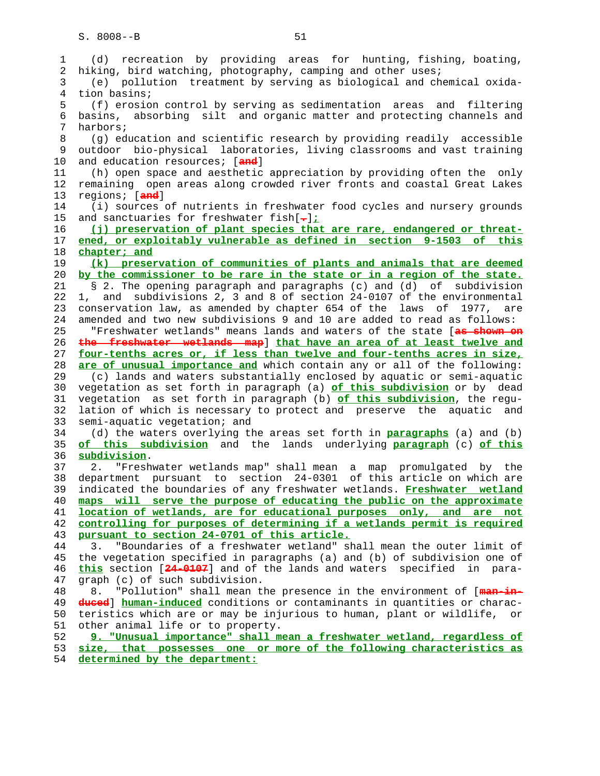| recreation by providing areas for hunting, fishing, boating,<br>(d)                                   |
|-------------------------------------------------------------------------------------------------------|
| hiking, bird watching, photography, camping and other uses;                                           |
| (e) pollution treatment by serving as biological and chemical oxida-                                  |
| tion basins;                                                                                          |
| (f) erosion control by serving as sedimentation areas and filtering                                   |
|                                                                                                       |
| basins, absorbing silt and organic matter and protecting channels and                                 |
| harbors;                                                                                              |
| (g) education and scientific research by providing readily accessible                                 |
| outdoor bio-physical laboratories, living classrooms and vast training                                |
| and education resources; [and]                                                                        |
| (h) open space and aesthetic appreciation by providing often the only                                 |
| remaining open areas along crowded river fronts and coastal Great Lakes                               |
| regions; [and]                                                                                        |
|                                                                                                       |
| (i) sources of nutrients in freshwater food cycles and nursery grounds                                |
| and sanctuaries for freshwater fish[-];                                                               |
| (j) preservation of plant species that are rare, endangered or threat-                                |
| ened, or exploitably vulnerable as defined in section 9-1503 of this                                  |
| chapter; and                                                                                          |
| (k) preservation of communities of plants and animals that are deemed                                 |
| by the commissioner to be rare in the state or in a region of the state.                              |
| § 2. The opening paragraph and paragraphs (c) and (d) of subdivision                                  |
|                                                                                                       |
| 1, and subdivisions 2, 3 and 8 of section 24-0107 of the environmental                                |
| conservation law, as amended by chapter 654 of the laws of 1977, are                                  |
| amended and two new subdivisions 9 and 10 are added to read as follows:                               |
| "Freshwater wetlands" means lands and waters of the state [as shown on                                |
| the freshwater wetlands map] that have an area of at least twelve and                                 |
| four-tenths acres or, if less than twelve and four-tenths acres in size,                              |
| are of unusual importance and which contain any or all of the following:                              |
| (c) lands and waters substantially enclosed by aquatic or semi-aquatic                                |
|                                                                                                       |
| vegetation as set forth in paragraph (a) of this subdivision or by dead                               |
| vegetation as set forth in paragraph (b) of this subdivision, the regu-                               |
| lation of which is necessary to protect and preserve the aquatic and                                  |
|                                                                                                       |
| semi-aquatic vegetation; and                                                                          |
| (d) the waters overlying the areas set forth in <b>paragraphs</b> (a) and (b)                         |
|                                                                                                       |
| of this subdivision and the lands underlying paragraph (c) of this                                    |
| subdivision.                                                                                          |
| "Freshwater wetlands map" shall mean a map promulgated by the<br>2.                                   |
| department pursuant to section 24-0301 of this article on which are                                   |
| indicated the boundaries of any freshwater wetlands. Freshwater wetland                               |
| maps will serve the purpose of educating the public on the approximate                                |
| location of wetlands, are for educational purposes only, and are not                                  |
| controlling for purposes of determining if a wetlands permit is required                              |
| pursuant to section 24-0701 of this article.                                                          |
| "Boundaries of a freshwater wetland" shall mean the outer limit of<br>3.                              |
| the vegetation specified in paragraphs (a) and (b) of subdivision one of                              |
| this section [24-0107] and of the lands and waters specified in para-                                 |
|                                                                                                       |
| graph (c) of such subdivision.                                                                        |
| 8.<br>"Pollution" shall mean the presence in the environment of [man-in-                              |
| duced] human-induced conditions or contaminants in quantities or charac-                              |
| teristics which are or may be injurious to human, plant or wildlife,<br>or                            |
| other animal life or to property.                                                                     |
| 9. "Unusual importance" shall mean a freshwater wetland, regardless of                                |
| size, that possesses one or more of the following characteristics as<br>determined by the department: |
|                                                                                                       |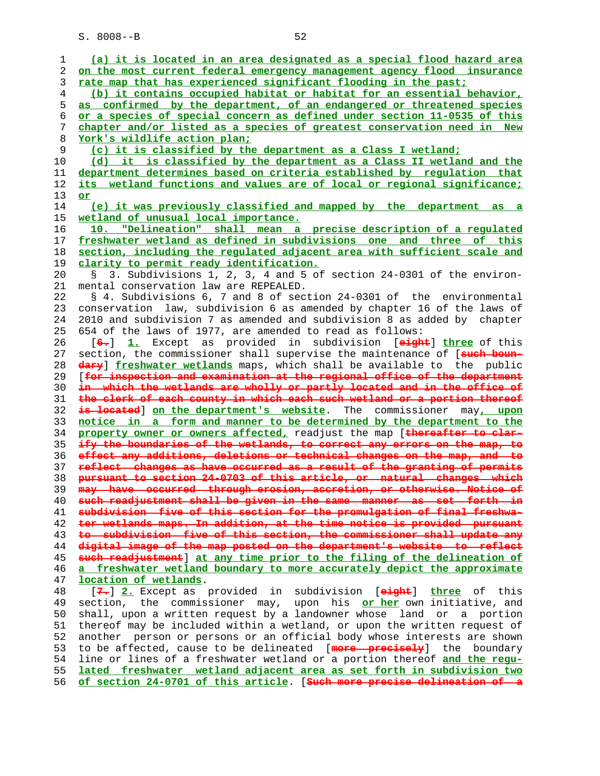| 1              | (a) it is located in an area designated as a special flood hazard area   |
|----------------|--------------------------------------------------------------------------|
| 2              | on the most current federal emergency management agency flood insurance  |
| 3              | rate map that has experienced significant flooding in the past;          |
| $\overline{4}$ | (b) it contains occupied habitat or habitat for an essential behavior,   |
| 5              | as confirmed by the department, of an endangered or threatened species   |
| 6              | or a species of special concern as defined under section 11-0535 of this |
| 7              | chapter and/or listed as a species of greatest conservation need in New  |
| 8              | York's wildlife action plan;                                             |
|                |                                                                          |
| 9              | (c) it is classified by the department as a Class I wetland;             |
| 10             | (d) it is classified by the department as a Class II wetland and the     |
| 11             | department determines based on criteria established by regulation that   |
| 12             | its wetland functions and values are of local or regional significance;  |
| 13             | or                                                                       |
| 14             | (e) it was previously classified and mapped by the department as a       |
| 15             | wetland of unusual local importance.                                     |
| 16             | 10. "Delineation" shall mean a precise description of a regulated        |
| 17             | freshwater wetland as defined in subdivisions one and three of this      |
| 18             | section, including the regulated adjacent area with sufficient scale and |
| 19             | clarity to permit ready identification.                                  |
| 20             | 3. Subdivisions 1, 2, 3, 4 and 5 of section 24-0301 of the environ-      |
| 21             | mental conservation law are REPEALED.                                    |
| 22             | § 4. Subdivisions 6, 7 and 8 of section 24-0301 of the environmental     |
|                |                                                                          |
| 23             | conservation law, subdivision 6 as amended by chapter 16 of the laws of  |
| 24             | 2010 and subdivision 7 as amended and subdivision 8 as added by chapter  |
| 25             | 654 of the laws of 1977, are amended to read as follows:                 |
| 26             | [6.] 1. Except as provided in subdivision [eight] three of this          |
| 27             | section, the commissioner shall supervise the maintenance of [such boun- |
| 28             | dary] freshwater wetlands maps, which shall be available to the public   |
| 29             | [for inspection and examination at the regional office of the department |
| 30             | in which the wetlands are wholly or partly located and in the office of  |
| 31             | the clerk of each county in which each such wetland or a portion thereof |
| 32             | is located] on the department's website. The commissioner may, upon      |
| 33             | notice in a form and manner to be determined by the department to the    |
| 34             | property owner or owners affected, readjust the map [thereafter to clar- |
| 35             | ify the boundaries of the wetlands, to correct any errors on the map, to |
| 36             | effect any additions, deletions or technical changes on the map, and to  |
| 37             | reflect changes as have occurred as a result of the granting of permits  |
| 38             | pursuant to section 24-0703 of this article, or natural changes which    |
| 39             | may have occurred through erosion, accretion, or otherwise. Notice of    |
| 40             | such readjustment shall be given in the same manner as set forth in      |
| 41             | subdivision five of this section for the promulgation of final freshwa-  |
| 42             | ter wetlands maps. In addition, at the time notice is provided pursuant  |
|                | to subdivision five of this section, the commissioner shall update any   |
| 43             | digital image of the map posted on the department's website to reflect   |
| 44             |                                                                          |
| 45             | such readjustment] at any time prior to the filing of the delineation of |
| 46             | a freshwater wetland boundary to more accurately depict the approximate  |
| 47             | location of wetlands.                                                    |
| 48             | [7.] 2. Except as provided in subdivision [eight] three of this          |
| 49             | section, the commissioner may, upon his or her own initiative, and       |
| 50             | shall, upon a written request by a landowner whose land or a portion     |
| 51             | thereof may be included within a wetland, or upon the written request of |
| 52             | another person or persons or an official body whose interests are shown  |
| 53             | to be affected, cause to be delineated [more precisely] the boundary     |
| 54             | line or lines of a freshwater wetland or a portion thereof and the regu- |
| 55             | lated freshwater wetland adjacent area as set forth in subdivision two   |
|                |                                                                          |

**of section 24-0701 of this article**. [**Such more precise delineation of a**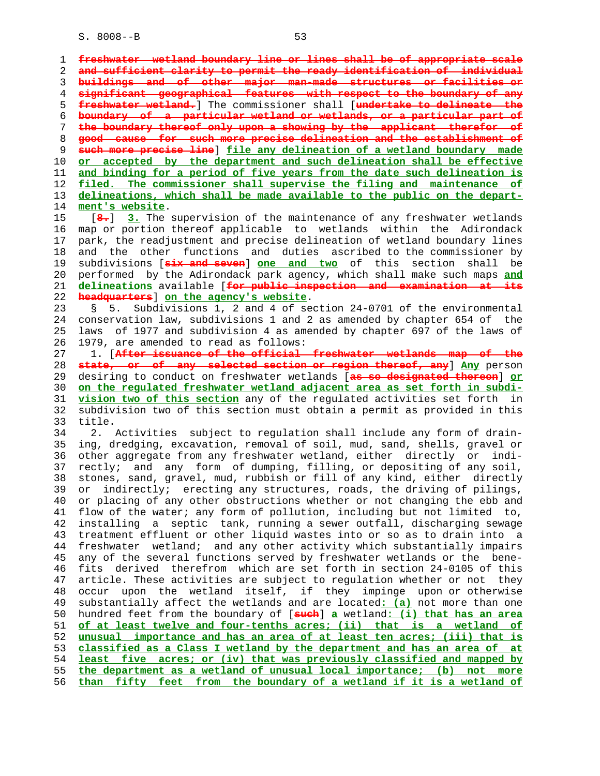1 **freshwater wetland boundary line or lines shall be of appropriate scale** 2 **and sufficient clarity to permit the ready identification of individual** 3 **buildings and of other major man-made structures or facilities or** 4 **significant geographical features with respect to the boundary of any** 5 **freshwater wetland.**] The commissioner shall [**undertake to delineate the** 6 **boundary of a particular wetland or wetlands, or a particular part of** 7 **the boundary thereof only upon a showing by the applicant therefor of** 8 **good cause for such more precise delineation and the establishment of** 9 **such more precise line**] **file any delineation of a wetland boundary made** 10 **or accepted by the department and such delineation shall be effective** 11 **and binding for a period of five years from the date such delineation is** 12 **filed. The commissioner shall supervise the filing and maintenance of** 13 **delineations, which shall be made available to the public on the depart-** 14 **ment's website**. 15 [**8.**] **3.** The supervision of the maintenance of any freshwater wetlands 16 map or portion thereof applicable to wetlands within the Adirondack 17 park, the readjustment and precise delineation of wetland boundary lines 18 and the other functions and duties ascribed to the commissioner by 19 subdivisions [**six and seven**] **one and two** of this section shall be 20 performed by the Adirondack park agency, which shall make such maps **and** 21 **delineations** available [**for public inspection and examination at its** 22 **headquarters**] **on the agency's website**. 23 § 5. Subdivisions 1, 2 and 4 of section 24-0701 of the environmental 24 conservation law, subdivisions 1 and 2 as amended by chapter 654 of the 25 laws of 1977 and subdivision 4 as amended by chapter 697 of the laws of 26 1979, are amended to read as follows: 27 1. [**After issuance of the official freshwater wetlands map of the** 28 **state, or of any selected section or region thereof, any**] **Any** person 29 desiring to conduct on freshwater wetlands [**as so designated thereon**] **or** 30 **on the regulated freshwater wetland adjacent area as set forth in subdi-** 31 **vision two of this section** any of the regulated activities set forth in 32 subdivision two of this section must obtain a permit as provided in this 33 title. 34 2. Activities subject to regulation shall include any form of drain- 35 ing, dredging, excavation, removal of soil, mud, sand, shells, gravel or 36 other aggregate from any freshwater wetland, either directly or indi- 37 rectly; and any form of dumping, filling, or depositing of any soil, 38 stones, sand, gravel, mud, rubbish or fill of any kind, either directly 39 or indirectly; erecting any structures, roads, the driving of pilings, 40 or placing of any other obstructions whether or not changing the ebb and 41 flow of the water; any form of pollution, including but not limited to, 42 installing a septic tank, running a sewer outfall, discharging sewage 43 treatment effluent or other liquid wastes into or so as to drain into a 44 freshwater wetland; and any other activity which substantially impairs 45 any of the several functions served by freshwater wetlands or the bene- 46 fits derived therefrom which are set forth in section 24-0105 of this 47 article. These activities are subject to regulation whether or not they 48 occur upon the wetland itself, if they impinge upon or otherwise 49 substantially affect the wetlands and are located**: (a)** not more than one 50 hundred feet from the boundary of [**such**] **a** wetland**: (i) that has an area** 51 **of at least twelve and four-tenths acres; (ii) that is a wetland of** 52 **unusual importance and has an area of at least ten acres; (iii) that is** 53 **classified as a Class I wetland by the department and has an area of at** 54 **least five acres; or (iv) that was previously classified and mapped by** 55 **the department as a wetland of unusual local importance; (b) not more** 56 **than fifty feet from the boundary of a wetland if it is a wetland of**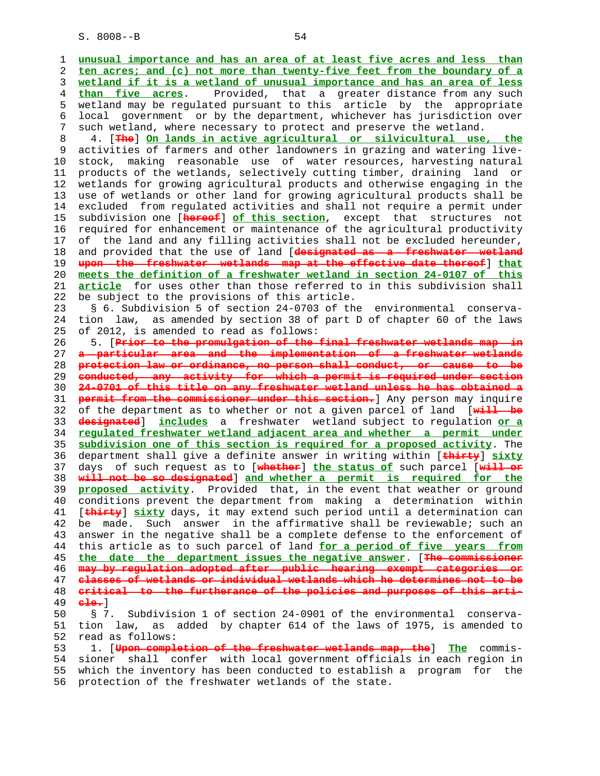1 **unusual importance and has an area of at least five acres and less than** 2 **ten acres; and (c) not more than twenty-five feet from the boundary of a** 3 **wetland if it is a wetland of unusual importance and has an area of less** 4 **than five acres**. Provided, that a greater distance from any such 5 wetland may be regulated pursuant to this article by the appropriate 6 local government or by the department, whichever has jurisdiction over 7 such wetland, where necessary to protect and preserve the wetland. 8 4. [**The**] **On lands in active agricultural or silvicultural use, the** 9 activities of farmers and other landowners in grazing and watering live- 10 stock, making reasonable use of water resources, harvesting natural 11 products of the wetlands, selectively cutting timber, draining land or 12 wetlands for growing agricultural products and otherwise engaging in the 13 use of wetlands or other land for growing agricultural products shall be 14 excluded from regulated activities and shall not require a permit under 15 subdivision one [**hereof**] **of this section**, except that structures not 16 required for enhancement or maintenance of the agricultural productivity 17 of the land and any filling activities shall not be excluded hereunder, 18 and provided that the use of land [**designated as a freshwater wetland** 19 **upon the freshwater wetlands map at the effective date thereof**] **that** 20 **meets the definition of a freshwater wetland in section 24-0107 of this** 21 **article** for uses other than those referred to in this subdivision shall 22 be subject to the provisions of this article. 23 § 6. Subdivision 5 of section 24-0703 of the environmental conserva- 24 tion law, as amended by section 38 of part D of chapter 60 of the laws 25 of 2012, is amended to read as follows: 26 5. [**Prior to the promulgation of the final freshwater wetlands map in** 27 **a particular area and the implementation of a freshwater wetlands** 28 **protection law or ordinance, no person shall conduct, or cause to be** 29 **conducted, any activity for which a permit is required under section** 30 **24-0701 of this title on any freshwater wetland unless he has obtained a** 31 **permit from the commissioner under this section.**] Any person may inquire 32 of the department as to whether or not a given parcel of land [**will be** 33 **designated**] **includes** a freshwater wetland subject to regulation **or a** 34 **regulated freshwater wetland adjacent area and whether a permit under** 35 **subdivision one of this section is required for a proposed activity**. The 36 department shall give a definite answer in writing within [**thirty**] **sixty** 37 days of such request as to [**whether**] **the status of** such parcel [**will or** 38 **will not be so designated**] **and whether a permit is required for the** 39 **proposed activity**. Provided that, in the event that weather or ground 40 conditions prevent the department from making a determination within 41 [**thirty**] **sixty** days, it may extend such period until a determination can 42 be made. Such answer in the affirmative shall be reviewable; such an 43 answer in the negative shall be a complete defense to the enforcement of 44 this article as to such parcel of land **for a period of five years from** 45 **the date the department issues the negative answer**. [**The commissioner** 46 **may by regulation adopted after public hearing exempt categories or** 47 **classes of wetlands or individual wetlands which he determines not to be** 48 **critical to the furtherance of the policies and purposes of this arti-** 49 **cle.**] 50 § 7. Subdivision 1 of section 24-0901 of the environmental conserva- 51 tion law, as added by chapter 614 of the laws of 1975, is amended to 52 read as follows: 53 1. [**Upon completion of the freshwater wetlands map, the**] **The** commis- 54 sioner shall confer with local government officials in each region in 55 which the inventory has been conducted to establish a program for the 56 protection of the freshwater wetlands of the state.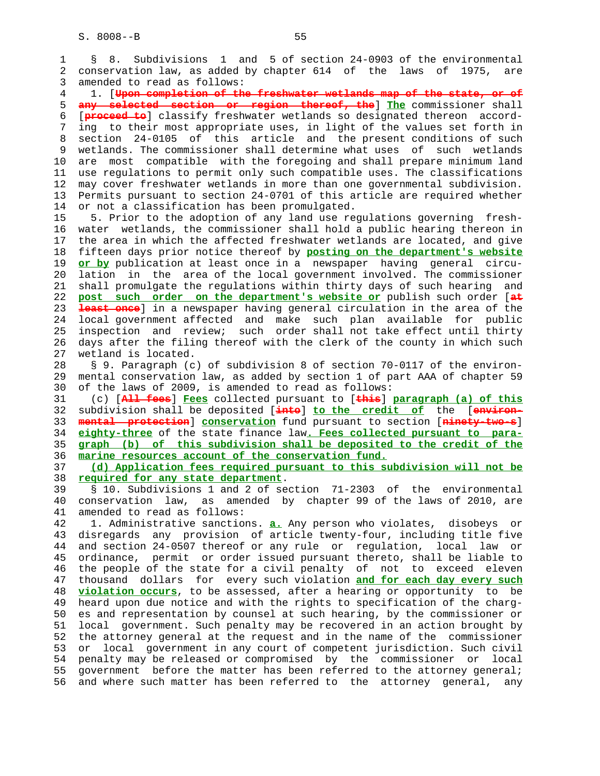1 § 8. Subdivisions 1 and 5 of section 24-0903 of the environmental 2 conservation law, as added by chapter 614 of the laws of 1975, are 3 amended to read as follows: 4 1. [**Upon completion of the freshwater wetlands map of the state, or of** 5 **any selected section or region thereof, the**] **The** commissioner shall 6 [**proceed to**] classify freshwater wetlands so designated thereon accord- 7 ing to their most appropriate uses, in light of the values set forth in 8 section 24-0105 of this article and the present conditions of such 9 wetlands. The commissioner shall determine what uses of such wetlands<br>10 are most compatible with the foregoing and shall prepare minimum land are most compatible with the foregoing and shall prepare minimum land 11 use regulations to permit only such compatible uses. The classifications 12 may cover freshwater wetlands in more than one governmental subdivision. 13 Permits pursuant to section 24-0701 of this article are required whether 14 or not a classification has been promulgated. 15 5. Prior to the adoption of any land use regulations governing fresh- 16 water wetlands, the commissioner shall hold a public hearing thereon in 17 the area in which the affected freshwater wetlands are located, and give 18 fifteen days prior notice thereof by **posting on the department's website** 19 **or by** publication at least once in a newspaper having general circu- 20 lation in the area of the local government involved. The commissioner 21 shall promulgate the regulations within thirty days of such hearing and 22 **post such order on the department's website or** publish such order [**at** 23 **least once**] in a newspaper having general circulation in the area of the 24 local government affected and make such plan available for public 25 inspection and review; such order shall not take effect until thirty 26 days after the filing thereof with the clerk of the county in which such 27 wetland is located. 28 § 9. Paragraph (c) of subdivision 8 of section 70-0117 of the environ- 29 mental conservation law, as added by section 1 of part AAA of chapter 59 30 of the laws of 2009, is amended to read as follows: 31 (c) [**All fees**] **Fees** collected pursuant to [**this**] **paragraph (a) of this** 32 subdivision shall be deposited [**into**] **to the credit of** the [**environ-** 33 **mental protection**] **conservation** fund pursuant to section [**ninety-two-s**] 34 **eighty-three** of the state finance law**. Fees collected pursuant to para-** 35 **graph (b) of this subdivision shall be deposited to the credit of the** 36 **marine resources account of the conservation fund.** 37 **(d) Application fees required pursuant to this subdivision will not be** 38 **required for any state department**. 39 § 10. Subdivisions 1 and 2 of section 71-2303 of the environmental 40 conservation law, as amended by chapter 99 of the laws of 2010, are 41 amended to read as follows: 42 1. Administrative sanctions. **a.** Any person who violates, disobeys or 43 disregards any provision of article twenty-four, including title five 44 and section 24-0507 thereof or any rule or regulation, local law or 45 ordinance, permit or order issued pursuant thereto, shall be liable to 46 the people of the state for a civil penalty of not to exceed eleven 47 thousand dollars for every such violation **and for each day every such** 48 **violation occurs**, to be assessed, after a hearing or opportunity to be 49 heard upon due notice and with the rights to specification of the charg- 50 es and representation by counsel at such hearing, by the commissioner or 51 local government. Such penalty may be recovered in an action brought by 52 the attorney general at the request and in the name of the commissioner 53 or local government in any court of competent jurisdiction. Such civil 54 penalty may be released or compromised by the commissioner or local 55 government before the matter has been referred to the attorney general; 56 and where such matter has been referred to the attorney general, any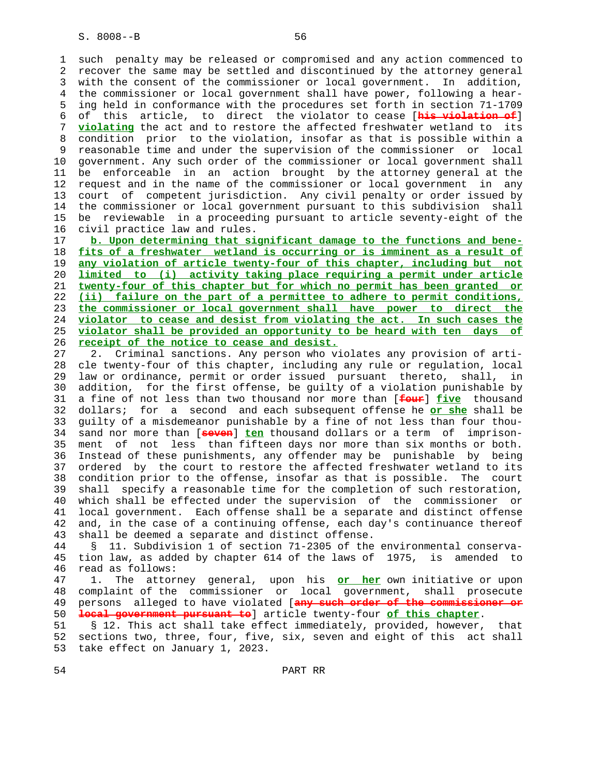1 such penalty may be released or compromised and any action commenced to 2 recover the same may be settled and discontinued by the attorney general 3 with the consent of the commissioner or local government. In addition, 4 the commissioner or local government shall have power, following a hear- 5 ing held in conformance with the procedures set forth in section 71-1709 6 of this article, to direct the violator to cease [**his violation of**] 7 **violating** the act and to restore the affected freshwater wetland to its 8 condition prior to the violation, insofar as that is possible within a 9 reasonable time and under the supervision of the commissioner or local 10 government. Any such order of the commissioner or local government shall 11 be enforceable in an action brought by the attorney general at the 12 request and in the name of the commissioner or local government in any 13 court of competent jurisdiction. Any civil penalty or order issued by 14 the commissioner or local government pursuant to this subdivision shall 15 be reviewable in a proceeding pursuant to article seventy-eight of the 16 civil practice law and rules.

**b. Upon determining that significant damage to the functions and bene- fits of a freshwater wetland is occurring or is imminent as a result of any violation of article twenty-four of this chapter, including but not limited to (i) activity taking place requiring a permit under article twenty-four of this chapter but for which no permit has been granted or (ii) failure on the part of a permittee to adhere to permit conditions, the commissioner or local government shall have power to direct the violator to cease and desist from violating the act. In such cases the violator shall be provided an opportunity to be heard with ten days of receipt of the notice to cease and desist.**

 27 2. Criminal sanctions. Any person who violates any provision of arti- 28 cle twenty-four of this chapter, including any rule or regulation, local 29 law or ordinance, permit or order issued pursuant thereto, shall, in 30 addition, for the first offense, be guilty of a violation punishable by 31 a fine of not less than two thousand nor more than [**four**] **five** thousand 32 dollars; for a second and each subsequent offense he **or she** shall be 33 guilty of a misdemeanor punishable by a fine of not less than four thou- 34 sand nor more than [**seven**] **ten** thousand dollars or a term of imprison- 35 ment of not less than fifteen days nor more than six months or both. 36 Instead of these punishments, any offender may be punishable by being 37 ordered by the court to restore the affected freshwater wetland to its 38 condition prior to the offense, insofar as that is possible. The court 39 shall specify a reasonable time for the completion of such restoration, 40 which shall be effected under the supervision of the commissioner or 41 local government. Each offense shall be a separate and distinct offense 42 and, in the case of a continuing offense, each day's continuance thereof 43 shall be deemed a separate and distinct offense.

 44 § 11. Subdivision 1 of section 71-2305 of the environmental conserva- 45 tion law, as added by chapter 614 of the laws of 1975, is amended to 46 read as follows:

 47 1. The attorney general, upon his **or her** own initiative or upon 48 complaint of the commissioner or local government, shall prosecute 49 persons alleged to have violated [**any such order of the commissioner or** 50 **local government pursuant to**] article twenty-four **of this chapter**.

 51 § 12. This act shall take effect immediately, provided, however, that 52 sections two, three, four, five, six, seven and eight of this act shall 53 take effect on January 1, 2023.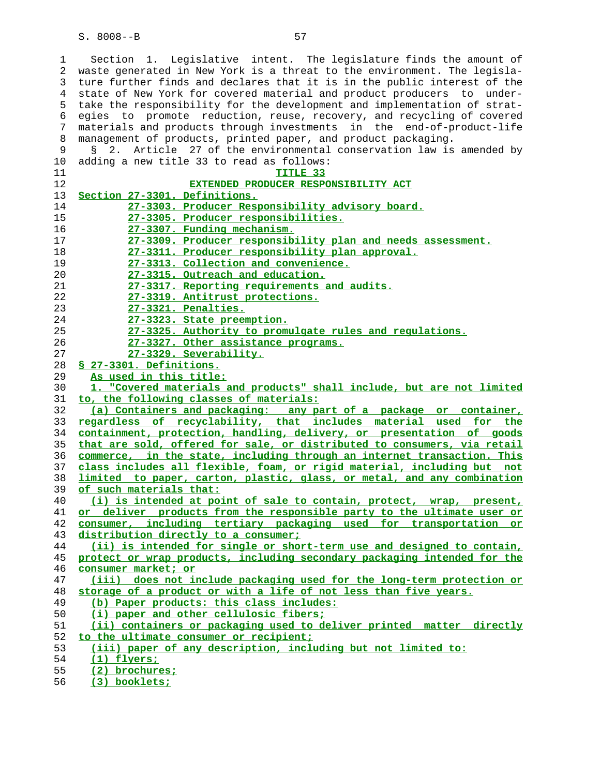1 Section 1. Legislative intent. The legislature finds the amount of 2 waste generated in New York is a threat to the environment. The legisla- 3 ture further finds and declares that it is in the public interest of the 4 state of New York for covered material and product producers to under- 5 take the responsibility for the development and implementation of strat- 6 egies to promote reduction, reuse, recovery, and recycling of covered 7 materials and products through investments in the end-of-product-life 8 management of products, printed paper, and product packaging.

| 9        | § 2. Article 27 of the environmental conservation law is amended by                                |
|----------|----------------------------------------------------------------------------------------------------|
| 10       | adding a new title 33 to read as follows:                                                          |
| 11       | TITLE 33                                                                                           |
| 12       | EXTENDED PRODUCER RESPONSIBILITY ACT                                                               |
| 13       | Section 27-3301. Definitions.                                                                      |
| 14       | 27-3303. Producer Responsibility advisory board.                                                   |
| 15       | 27-3305. Producer responsibilities.                                                                |
| 16       | 27-3307. Funding mechanism.                                                                        |
| 17       | 27-3309. Producer responsibility plan and needs assessment.                                        |
| 18       | 27-3311. Producer responsibility plan approval.                                                    |
| 19       | 27-3313. Collection and convenience.                                                               |
| 20       | 27-3315. Outreach and education.                                                                   |
| 21       | 27-3317. Reporting requirements and audits.                                                        |
| 22       | 27-3319. Antitrust protections.                                                                    |
| 23       | 27-3321. Penalties.                                                                                |
| 24       | 27-3323. State preemption.                                                                         |
| 25       | 27-3325. Authority to promulgate rules and regulations.                                            |
| 26       | 27-3327. Other assistance programs.                                                                |
| 27       | 27-3329. Severability.                                                                             |
| 28       | § 27-3301. Definitions.                                                                            |
| 29       | As used in this title:                                                                             |
| 30       | 1. "Covered materials and products" shall include, but are not limited                             |
| 31       | to, the following classes of materials:                                                            |
| 32       | (a) Containers and packaging: any part of a package or container,                                  |
| 33       | regardless of recyclability, that includes material used for the                                   |
| 34       | containment, protection, handling, delivery, or presentation of goods                              |
| 35       | that are sold, offered for sale, or distributed to consumers, via retail                           |
| 36       | commerce, in the state, including through an internet transaction. This                            |
| 37       | class includes all flexible, foam, or rigid material, including but not                            |
| 38<br>39 | limited to paper, carton, plastic, glass, or metal, and any combination<br>of such materials that: |
| 40       | (i) is intended at point of sale to contain, protect, wrap, present,                               |
| 41       | or deliver products from the responsible party to the ultimate user or                             |
| 42       | consumer, including tertiary packaging used for transportation or                                  |
| 43       | distribution directly to a consumer;                                                               |
| 44       | (ii) is intended for single or short-term use and designed to contain,                             |
| 45       | protect or wrap products, including secondary packaging intended for the                           |
| 46       | consumer market; or                                                                                |
| 47       | (iii) does not include packaging used for the long-term protection or                              |
| 48       | storage of a product or with a life of not less than five years.                                   |
| 49       | (b) Paper products: this class includes:                                                           |
| 50       | (i) paper and other cellulosic fibers;                                                             |
| 51       | (ii) containers or packaging used to deliver printed matter directly                               |
| 52       | to the ultimate consumer or recipient;                                                             |
| 53       | (iii) paper of any description, including but not limited to:                                      |
| 54       | $(1)$ flyers;                                                                                      |
| 55       | (2) brochures;                                                                                     |
|          |                                                                                                    |

**(3) booklets;**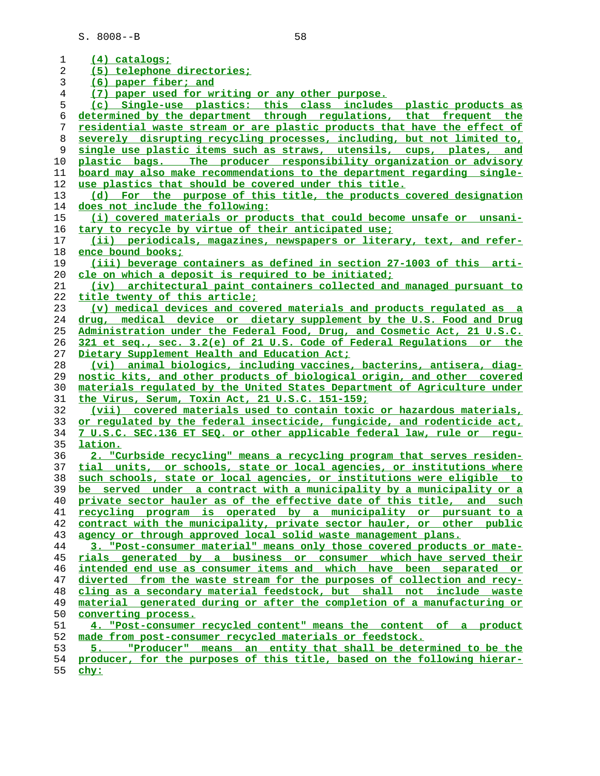| 1  | <u>(4) catalogs;</u>                                                     |
|----|--------------------------------------------------------------------------|
| 2  | (5) telephone directories;                                               |
| 3  | (6) paper fiber; and                                                     |
| 4  | (7) paper used for writing or any other purpose.                         |
| 5  | (c) Single-use plastics: this class includes plastic products as         |
| 6  | determined by the department through regulations, that frequent the      |
| 7  | residential waste stream or are plastic products that have the effect of |
| 8  | severely disrupting recycling processes, including, but not limited to,  |
| 9  | single use plastic items such as straws, utensils, cups, plates, and     |
| 10 | The producer responsibility organization or advisory<br>plastic bags.    |
| 11 | board may also make recommendations to the department regarding single-  |
| 12 | use plastics that should be covered under this title.                    |
| 13 | (d) For the purpose of this title, the products covered designation      |
| 14 | does not include the following:                                          |
| 15 | (i) covered materials or products that could become unsafe or unsani-    |
| 16 | tary to recycle by virtue of their anticipated use;                      |
| 17 | (ii) periodicals, magazines, newspapers or literary, text, and refer-    |
| 18 | ence bound books:                                                        |
| 19 | (iii) beverage containers as defined in section 27-1003 of this arti-    |
| 20 | cle on which a deposit is required to be initiated;                      |
| 21 | (iv) architectural paint containers collected and managed pursuant to    |
| 22 | title twenty of this article;                                            |
| 23 | (v) medical devices and covered materials and products requlated as a    |
| 24 | drug, medical device or dietary supplement by the U.S. Food and Drug     |
| 25 | Administration under the Federal Food, Drug, and Cosmetic Act, 21 U.S.C. |
| 26 | 321 et seq., sec. 3.2(e) of 21 U.S. Code of Federal Requlations or the   |
| 27 | Dietary Supplement Health and Education Act;                             |
| 28 | (vi) animal biologics, including vaccines, bacterins, antisera, diag-    |
| 29 | nostic kits, and other products of biological origin, and other covered  |
| 30 | materials regulated by the United States Department of Agriculture under |
| 31 | the Virus, Serum, Toxin Act, 21 U.S.C. 151-159;                          |
| 32 | (vii) covered materials used to contain toxic or hazardous materials,    |
| 33 | or regulated by the federal insecticide, fungicide, and rodenticide act, |
| 34 | 7 U.S.C. SEC.136 ET SEQ. or other applicable federal law, rule or regu-  |
| 35 | lation.                                                                  |
| 36 | 2. "Curbside recycling" means a recycling program that serves residen-   |
| 37 | tial units, or schools, state or local agencies, or institutions where   |
| 38 | such schools, state or local agencies, or institutions were eligible to  |
| 39 | be served under a contract with a municipality by a municipality or a    |
| 40 | private sector hauler as of the effective date of this title, and such   |
| 41 | recycling program is operated by a municipality or pursuant to a         |
| 42 | contract with the municipality, private sector hauler, or other public   |
| 43 | agency or through approved local solid waste management plans.           |
| 44 | 3. "Post-consumer material" means only those covered products or mate-   |
| 45 | rials generated by a business or consumer which have served their        |
| 46 | intended end use as consumer items and which have been separated or      |
| 47 | diverted from the waste stream for the purposes of collection and recy-  |
| 48 | cling as a secondary material feedstock, but shall not include waste     |
| 49 | material generated during or after the completion of a manufacturing or  |
| 50 | converting process.                                                      |
| 51 | 4. "Post-consumer recycled content" means the content of a product       |
| 52 | made from post-consumer recycled materials or feedstock.                 |
| 53 | "Producer" means an entity that shall be determined to be the            |
| 54 | producer, for the purposes of this title, based on the following hierar- |
| 55 | $chy$ :                                                                  |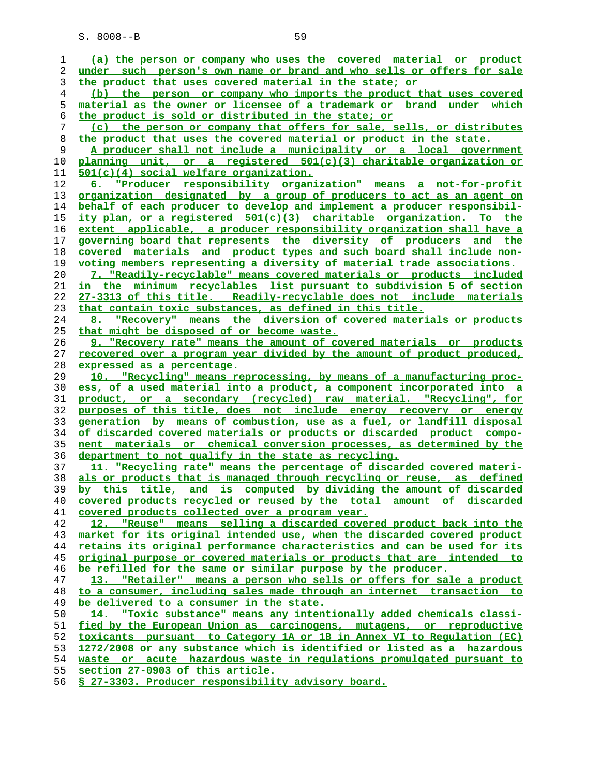| ı              | (a) the person or company who uses the covered material or product                                                                                  |
|----------------|-----------------------------------------------------------------------------------------------------------------------------------------------------|
| 2              | under such person's own name or brand and who sells or offers for sale                                                                              |
| 3              | the product that uses covered material in the state; or                                                                                             |
| $\overline{4}$ | (b) the person or company who imports the product that uses covered                                                                                 |
| 5              | material as the owner or licensee of a trademark or brand under which                                                                               |
| 6              | the product is sold or distributed in the state; or                                                                                                 |
| 7              | (c) the person or company that offers for sale, sells, or distributes                                                                               |
| 8              | the product that uses the covered material or product in the state.                                                                                 |
| 9              | A producer shall not include a municipality or a local government                                                                                   |
| 10             | planning unit, or a registered 501(c)(3) charitable organization or                                                                                 |
| 11             | 501(c)(4) social welfare organization.                                                                                                              |
| 12             | 6. "Producer responsibility organization" means a not-for-profit                                                                                    |
| 13             | organization designated by a group of producers to act as an agent on                                                                               |
| 14             | behalf of each producer to develop and implement a producer responsibil-                                                                            |
| 15             | ity plan, or a registered 501(c)(3) charitable organization. To the                                                                                 |
| 16             | extent applicable, a producer responsibility organization shall have a                                                                              |
| 17             | governing board that represents the diversity of producers and the                                                                                  |
| 18             | covered materials and product types and such board shall include non-                                                                               |
| 19             | voting members representing a diversity of material trade associations.                                                                             |
| 20             | 7. "Readily-recyclable" means covered materials or products included                                                                                |
| 21             | in the minimum recyclables list pursuant to subdivision 5 of section                                                                                |
| 22             | 27-3313 of this title. Readily-recyclable does not include materials                                                                                |
| 23             | that contain toxic substances, as defined in this title.                                                                                            |
| 24             | 8. "Recovery" means the diversion of covered materials or products                                                                                  |
| 25             | that might be disposed of or become waste.                                                                                                          |
| 26             | 9. "Recovery rate" means the amount of covered materials or products                                                                                |
| 27             |                                                                                                                                                     |
| 28             | recovered over a program year divided by the amount of product produced,                                                                            |
| 29             | expressed as a percentage.                                                                                                                          |
| 30             | "Recycling" means reprocessing, by means of a manufacturing proc-<br>10.<br>ess, of a used material into a product, a component incorporated into a |
|                |                                                                                                                                                     |
|                |                                                                                                                                                     |
| 31             | product, or a secondary (recycled) raw material. "Recycling", for                                                                                   |
| 32             | purposes of this title, does not include energy recovery or energy                                                                                  |
| 33             | generation by means of combustion, use as a fuel, or landfill disposal                                                                              |
| 34             | of discarded covered materials or products or discarded product compo-                                                                              |
| 35             | nent materials or chemical conversion processes, as determined by the                                                                               |
| 36             | department to not qualify in the state as recycling.                                                                                                |
| 37             | 11. "Recycling rate" means the percentage of discarded covered materi-                                                                              |
| 38             | als or products that is managed through recycling or reuse, as defined                                                                              |
| 39             | by this title, and is computed by dividing the amount of discarded                                                                                  |
| 40             | covered products recycled or reused by the total amount of discarded                                                                                |
| 41             | covered products collected over a program year.                                                                                                     |
| 42             | 12. "Reuse" means selling a discarded covered product back into the                                                                                 |
| 43             | market for its original intended use, when the discarded covered product                                                                            |
| 44             | retains its original performance characteristics and can be used for its                                                                            |
| 45             | original purpose or covered materials or products that are intended to                                                                              |
| 46             | be refilled for the same or similar purpose by the producer.                                                                                        |
| 47             | 13. "Retailer" means a person who sells or offers for sale a product                                                                                |
| 48             | to a consumer, including sales made through an internet transaction to                                                                              |
| 49             | be delivered to a consumer in the state.                                                                                                            |
| 50             | 14. "Toxic substance" means any intentionally added chemicals classi-                                                                               |
| 51             | fied by the European Union as carcinogens, mutagens, or reproductive                                                                                |
| 52             | toxicants pursuant to Category 1A or 1B in Annex VI to Regulation (EC)                                                                              |
| 53             | 1272/2008 or any substance which is identified or listed as a hazardous                                                                             |
| 54<br>55       | waste or acute hazardous waste in regulations promulgated pursuant to<br>section 27-0903 of this article.                                           |

**§ 27-3303. Producer responsibility advisory board.**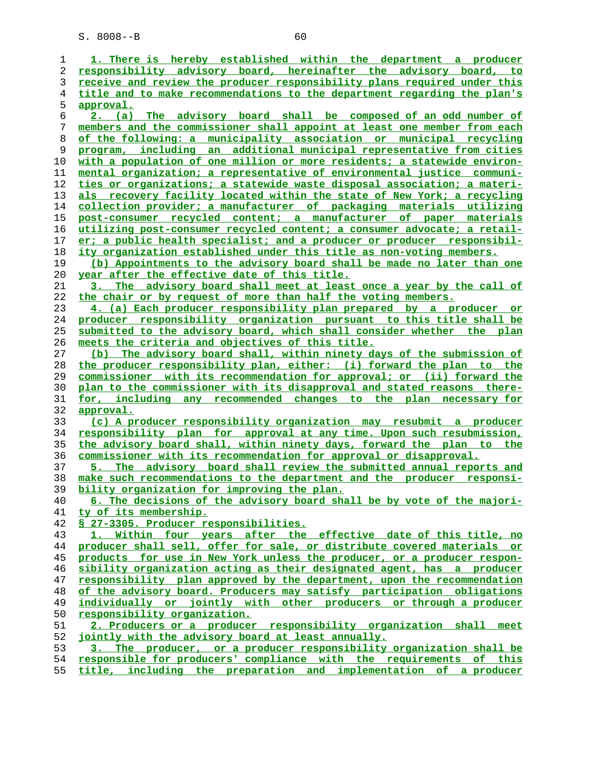| 1  | 1. There is hereby established within the department a producer          |
|----|--------------------------------------------------------------------------|
| 2  | responsibility advisory board, hereinafter the advisory board, to        |
| 3  | receive and review the producer responsibility plans required under this |
| 4  | title and to make recommendations to the department regarding the plan's |
| 5  | <u>approval.</u>                                                         |
| 6  | 2. (a) The advisory board shall be composed of an odd number of          |
| 7  | members and the commissioner shall appoint at least one member from each |
| 8  | of the following: a municipality association or municipal recycling      |
| 9  | program, including an additional municipal representative from cities    |
| 10 | with a population of one million or more residents; a statewide environ- |
| 11 | mental organization; a representative of environmental justice communi-  |
| 12 | ties or organizations; a statewide waste disposal association; a materi- |
| 13 | als recovery facility located within the state of New York; a recycling  |
| 14 | collection provider; a manufacturer of packaging materials utilizing     |
| 15 | post-consumer recycled content; a manufacturer of paper materials        |
| 16 | utilizing post-consumer recycled content; a consumer advocate; a retail- |
| 17 | er; a public health specialist; and a producer or producer responsibil-  |
| 18 | ity organization established under this title as non-voting members.     |
| 19 | (b) Appointments to the advisory board shall be made no later than one   |
| 20 | year after the effective date of this title.                             |
| 21 | 3. The advisory board shall meet at least once a year by the call of     |
| 22 | the chair or by request of more than half the voting members.            |
| 23 | 4. (a) Each producer responsibility plan prepared by a producer or       |
| 24 | producer responsibility organization pursuant to this title shall be     |
| 25 | submitted to the advisory board, which shall consider whether the plan   |
| 26 | meets the criteria and objectives of this title.                         |
| 27 | (b) The advisory board shall, within ninety days of the submission of    |
| 28 | the producer responsibility plan, either: (i) forward the plan to the    |
| 29 | commissioner with its recommendation for approval; or (ii) forward the   |
| 30 | plan to the commissioner with its disapproval and stated reasons there-  |
| 31 | for, including any recommended changes to the plan necessary for         |
| 32 | approval.                                                                |
| 33 | (c) A producer responsibility organization may resubmit a producer       |
| 34 | responsibility plan for approval at any time. Upon such resubmission,    |
| 35 | the advisory board shall, within ninety days, forward the plan to the    |
| 36 | commissioner with its recommendation for approval or disapproval.        |
| 37 | The advisory board shall review the submitted annual reports and<br>5.   |
| 38 | make such recommendations to the department and the producer responsi-   |
| 39 | bility organization for improving the plan.                              |
| 40 | 6. The decisions of the advisory board shall be by vote of the majori-   |
| 41 | <u>ty of its membership.</u>                                             |
| 42 | § 27-3305. Producer responsibilities.                                    |
| 43 | 1. Within four years after the effective date of this title, no          |
| 44 | producer shall sell, offer for sale, or distribute covered materials or  |
| 45 | products for use in New York unless the producer, or a producer respon-  |
| 46 | sibility organization acting as their designated agent, has a producer   |
| 47 | responsibility plan approved by the department, upon the recommendation  |
| 48 | of the advisory board. Producers may satisfy participation obligations   |
| 49 | individually or jointly with other producers or through a producer       |
| 50 | responsibility organization.                                             |
| 51 | 2. Producers or a producer responsibility organization shall meet        |
| 52 | jointly with the advisory board at least annually.                       |
| 53 | 3. The producer, or a producer responsibility organization shall be      |
| 54 | responsible for producers' compliance with the requirements of this      |
| 55 | title, including the preparation and implementation of a producer        |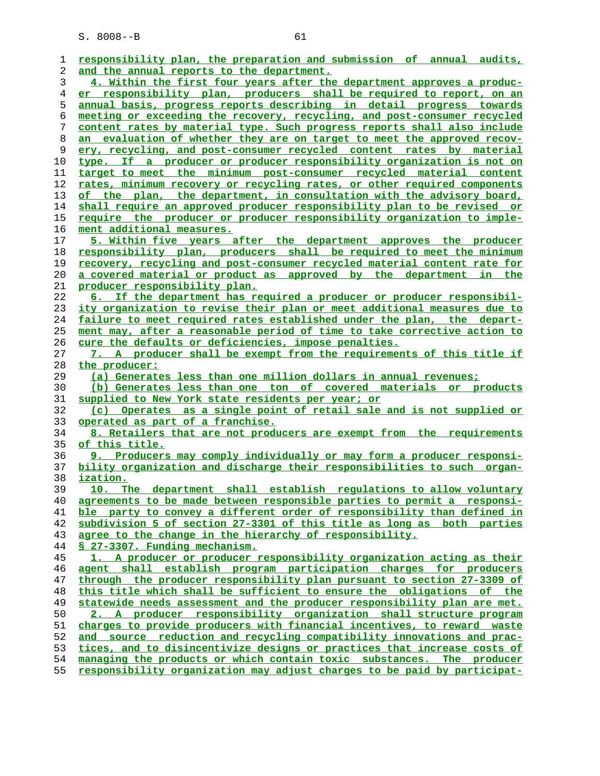| 1        | responsibility plan, the preparation and submission of annual audits,                                                                             |
|----------|---------------------------------------------------------------------------------------------------------------------------------------------------|
| 2        | and the annual reports to the department.                                                                                                         |
| 3        | 4. Within the first four years after the department approves a produc-                                                                            |
| 4        | er responsibility plan, producers shall be required to report, on an                                                                              |
| 5        | annual basis, progress reports describing in detail progress towards                                                                              |
| 6        | meeting or exceeding the recovery, recycling, and post-consumer recycled                                                                          |
| 7        | content rates by material type. Such progress reports shall also include                                                                          |
| 8        | an evaluation of whether they are on target to meet the approved recov-                                                                           |
| 9        | ery, recycling, and post-consumer recycled content rates by material                                                                              |
| 10       | type. If a producer or producer responsibility organization is not on                                                                             |
| 11       | target to meet the minimum post-consumer recycled material content                                                                                |
| 12       | rates, minimum recovery or recycling rates, or other required components                                                                          |
| 13       | of the plan, the department, in consultation with the advisory board,                                                                             |
| 14       | shall require an approved producer responsibility plan to be revised or                                                                           |
| 15       | <u>require the producer or producer responsibility organization to imple-</u>                                                                     |
| 16       | ment additional measures.                                                                                                                         |
| 17       | 5. Within five years after the department approves the producer                                                                                   |
| 18       | responsibility plan, producers shall be required to meet the minimum                                                                              |
| 19       | <u>recovery, recycling and post-consumer recycled material content rate for</u>                                                                   |
| 20       | a covered material or product as approved by the department in the                                                                                |
| 21       | producer responsibility plan.                                                                                                                     |
| 22       | 6. If the department has required a producer or producer responsibil-                                                                             |
| 23       | ity organization to revise their plan or meet additional measures due to                                                                          |
| 24       | failure to meet required rates established under the plan, the depart-                                                                            |
| 25       | ment may, after a reasonable period of time to take corrective action to                                                                          |
| 26       | cure the defaults or deficiencies, impose penalties.                                                                                              |
| 27       | 7. A producer shall be exempt from the requirements of this title if                                                                              |
| 28       | the producer:                                                                                                                                     |
| 29       | (a) Generates less than one million dollars in annual revenues;                                                                                   |
| 30       | (b) Generates less than one ton of covered materials or products                                                                                  |
| 31       | supplied to New York state residents per year; or                                                                                                 |
| 32       | (c) Operates as a single point of retail sale and is not supplied or                                                                              |
| 33       | operated as part of a franchise.                                                                                                                  |
| 34       | 8. Retailers that are not producers are exempt from the requirements                                                                              |
| 35       | of this title.                                                                                                                                    |
| 36       | 9. Producers may comply individually or may form a producer responsi-                                                                             |
| 37       | bility organization and discharge their responsibilities to such organ-                                                                           |
| 38       | <u>ization.</u>                                                                                                                                   |
| 39       |                                                                                                                                                   |
|          | The department shall establish regulations to allow voluntary<br>10.                                                                              |
| 40       | agreements to be made between responsible parties to permit a responsi-                                                                           |
| 41       | ble party to convey a different order of responsibility than defined in                                                                           |
| 42       | subdivision 5 of section 27-3301 of this title as long as both parties                                                                            |
| 43       | agree to the change in the hierarchy of responsibility.                                                                                           |
| 44       | § 27-3307. Funding mechanism.                                                                                                                     |
| 45       | 1. A producer or producer responsibility organization acting as their                                                                             |
| 46       | agent shall establish program participation charges for producers                                                                                 |
| 47       | through the producer responsibility plan pursuant to section 27-3309 of                                                                           |
| 48       | this title which shall be sufficient to ensure the obligations of the                                                                             |
| 49       | statewide needs assessment and the producer responsibility plan are met.                                                                          |
| 50       | 2. A producer responsibility organization shall structure program                                                                                 |
| 51       | charges to provide producers with financial incentives, to reward waste                                                                           |
| 52       | and source reduction and recycling compatibility innovations and prac-                                                                            |
| 53       | tices, and to disincentivize designs or practices that increase costs of                                                                          |
| 54<br>55 | managing the products or which contain toxic substances. The producer<br>responsibility organization may adjust charges to be paid by participat- |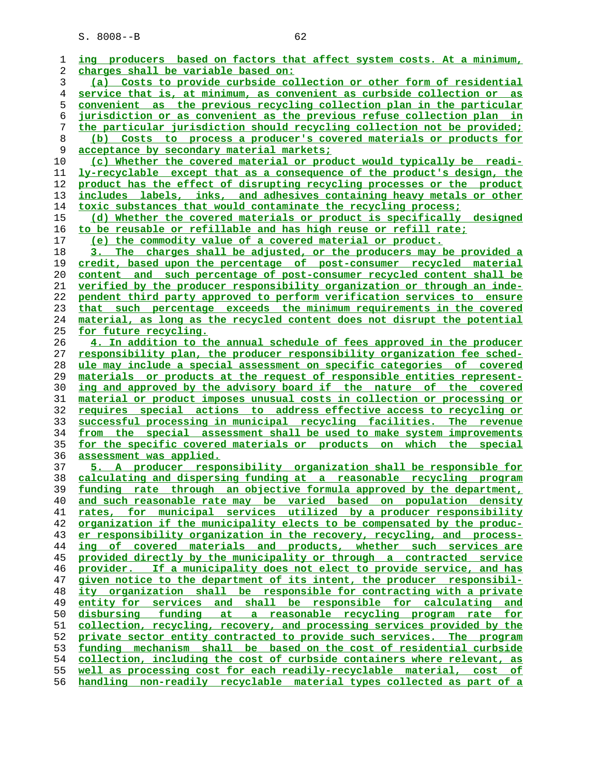| 1  | ing producers based on factors that affect system costs. At a minimum,        |
|----|-------------------------------------------------------------------------------|
| 2  | charges shall be variable based on:                                           |
| 3  | (a) Costs to provide curbside collection or other form of residential         |
| 4  | service that is, at minimum, as convenient as curbside collection or as       |
| 5  | convenient as the previous recycling collection plan in the particular        |
| 6  | jurisdiction or as convenient as the previous refuse collection plan in       |
| 7  | the particular jurisdiction should recycling collection not be provided;      |
| 8  | (b) Costs to process a producer's covered materials or products for           |
| 9  | acceptance by secondary material markets;                                     |
| 10 | (c) Whether the covered material or product would typically be readi-         |
| 11 | ly-recyclable except that as a consequence of the product's design, the       |
| 12 | product has the effect of disrupting recycling processes or the product       |
| 13 | includes labels, inks, and adhesives containing heavy metals or other         |
| 14 | toxic substances that would contaminate the recycling process;                |
| 15 | (d) Whether the covered materials or product is specifically designed         |
| 16 | to be reusable or refillable and has high reuse or refill rate;               |
|    | (e) the commodity value of a covered material or product.                     |
| 17 |                                                                               |
| 18 | 3. The charges shall be adjusted, or the producers may be provided a          |
| 19 | credit, based upon the percentage of post-consumer recycled material          |
| 20 | content and such percentage of post-consumer recycled content shall be        |
| 21 | verified by the producer responsibility organization or through an inde-      |
| 22 | pendent third party approved to perform verification services to ensure       |
| 23 | that such percentage exceeds the minimum requirements in the covered          |
| 24 | material, as long as the recycled content does not disrupt the potential      |
| 25 | <u>for future recycling.</u>                                                  |
| 26 | 4. In addition to the annual schedule of fees approved in the producer        |
| 27 | responsibility plan, the producer responsibility organization fee sched-      |
| 28 | ule may include a special assessment on specific categories of covered        |
| 29 | materials or products at the request of responsible entities represent-       |
| 30 | ing and approved by the advisory board if the nature of the covered           |
| 31 | material or product imposes unusual costs in collection or processing or      |
| 32 | requires special actions to address effective access to recycling or          |
| 33 | successful processing in municipal recycling facilities. The revenue          |
| 34 | from the special assessment shall be used to make system improvements         |
| 35 | for the specific covered materials or products on which the special           |
| 36 | assessment was applied.                                                       |
| 37 | 5. A producer responsibility organization shall be responsible for            |
| 38 | calculating and dispersing funding at a reasonable recycling program          |
| 39 | funding rate through an objective formula approved by the department,         |
| 40 | and such reasonable rate may be varied based on population density            |
| 41 | rates, for municipal services utilized by a producer responsibility           |
| 42 | organization if the municipality elects to be compensated by the produc-      |
|    | er responsibility organization in the recovery, recycling, and process-       |
| 43 |                                                                               |
| 44 | ing of covered materials and products, whether such services are              |
| 45 | provided directly by the municipality or through a contracted service         |
| 46 | provider. If a municipality does not elect to provide service, and has        |
| 47 | given notice to the department of its intent, the producer responsibil-       |
| 48 | ity organization shall be responsible for contracting with a private          |
| 49 | entity for services and shall be responsible for calculating<br>and           |
| 50 | funding<br>a reasonable recycling program rate for<br><u>disbursing</u><br>at |
| 51 | collection, recycling, recovery, and processing services provided by the      |
| 52 | private sector entity contracted to provide such services. The program        |
| 53 | funding mechanism shall be based on the cost of residential curbside          |
|    |                                                                               |
| 54 | collection, including the cost of curbside containers where relevant, as      |
| 55 | well as processing cost for each readily-recyclable material, cost of         |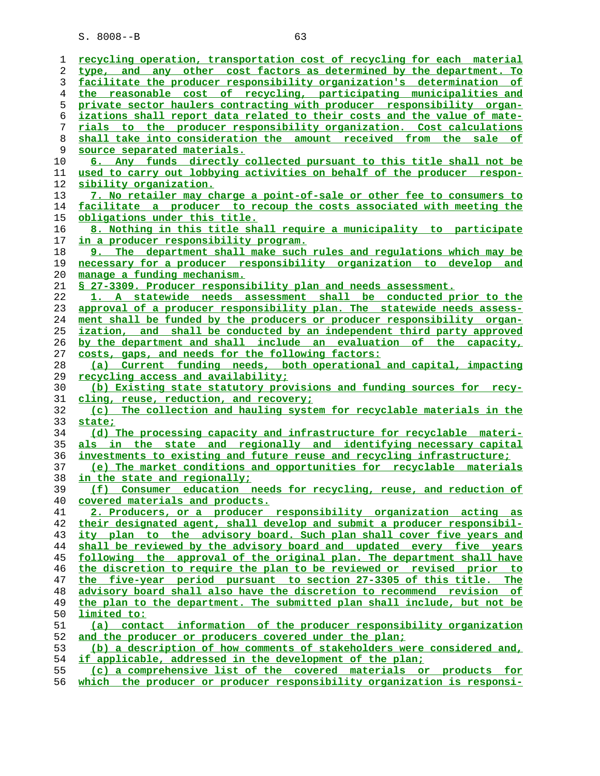| ı  | recycling operation, transportation cost of recycling for each material                   |
|----|-------------------------------------------------------------------------------------------|
| 2  | type, and any other cost factors as determined by the department. To                      |
| 3  | facilitate the producer responsibility organization's determination of                    |
| 4  | the reasonable cost of recycling, participating municipalities and                        |
| 5  | private sector haulers contracting with producer responsibility organ-                    |
| 6  | izations shall report data related to their costs and the value of mate-                  |
| 7  | rials to the producer responsibility organization. Cost calculations                      |
| 8  | shall take into consideration the amount received from the sale of                        |
| 9  | source separated materials.                                                               |
| 10 | 6. Any funds directly collected pursuant to this title shall not be                       |
| 11 | used to carry out lobbying activities on behalf of the producer respon-                   |
| 12 | <u>sibility organization.</u>                                                             |
| 13 | 7. No retailer may charge a point-of-sale or other fee to consumers to                    |
| 14 | facilitate a producer to recoup the costs associated with meeting the                     |
| 15 | <u>obligations under this title.</u>                                                      |
| 16 | 8. Nothing in this title shall require a municipality to participate                      |
| 17 | <u>in a producer responsibility program.</u>                                              |
| 18 | 9. The department shall make such rules and requlations which may be                      |
|    |                                                                                           |
| 19 | necessary for a producer responsibility organization to develop and                       |
| 20 | manage a funding mechanism.                                                               |
| 21 | \$ 27-3309. Producer responsibility plan and needs assessment.                            |
| 22 | 1. A statewide needs assessment shall be conducted prior to the                           |
| 23 | approval of a producer responsibility plan. The statewide needs assess-                   |
| 24 | ment shall be funded by the producers or producer responsibility organ-                   |
| 25 | ization, and shall be conducted by an independent third party approved                    |
| 26 | by the department and shall include an evaluation of the capacity,                        |
| 27 | costs, gaps, and needs for the following factors:                                         |
| 28 | (a) Current funding needs, both operational and capital, impacting                        |
| 29 | recycling access and availability;                                                        |
| 30 | (b) Existing state statutory provisions and funding sources for recy-                     |
| 31 | cling, reuse, reduction, and recovery;                                                    |
| 32 | (c) The collection and hauling system for recyclable materials in the                     |
| 33 | state;                                                                                    |
| 34 | (d) The processing capacity and infrastructure for recyclable materi-                     |
| 35 | als in the state and regionally and identifying necessary capital                         |
| 36 | investments to existing and future reuse and recycling infrastructure;                    |
| 37 | (e) The market conditions and opportunities for recyclable materials                      |
| 38 | in the state and regionally;                                                              |
| 39 | (f) Consumer education needs for recycling, reuse, and reduction of                       |
| 40 | covered materials and products.                                                           |
| 41 | 2. Producers, or a producer responsibility organization acting as                         |
| 42 | their designated agent, shall develop and submit a producer responsibil-                  |
| 43 | ity plan to the advisory board. Such plan shall cover five years and                      |
| 44 | shall be reviewed by the advisory board and updated every five years                      |
| 45 | following the approval of the original plan. The department shall have                    |
| 46 | the discretion to require the plan to be reviewed or revised prior to                     |
| 47 | the five-year period pursuant to section 27-3305 of this title. The                       |
| 48 | advisory board shall also have the discretion to recommend revision of                    |
| 49 | the plan to the department. The submitted plan shall include, but not be                  |
|    |                                                                                           |
| 50 | <u>limited to:</u><br>(a) contact information of the producer responsibility organization |
| 51 |                                                                                           |
| 52 | and the producer or producers covered under the plan;                                     |
| 53 | (b) a description of how comments of stakeholders were considered and,                    |
| 54 | if applicable, addressed in the development of the plan;                                  |
| 55 | (c) a comprehensive list of the covered materials or products for                         |

**which the producer or producer responsibility organization is responsi-**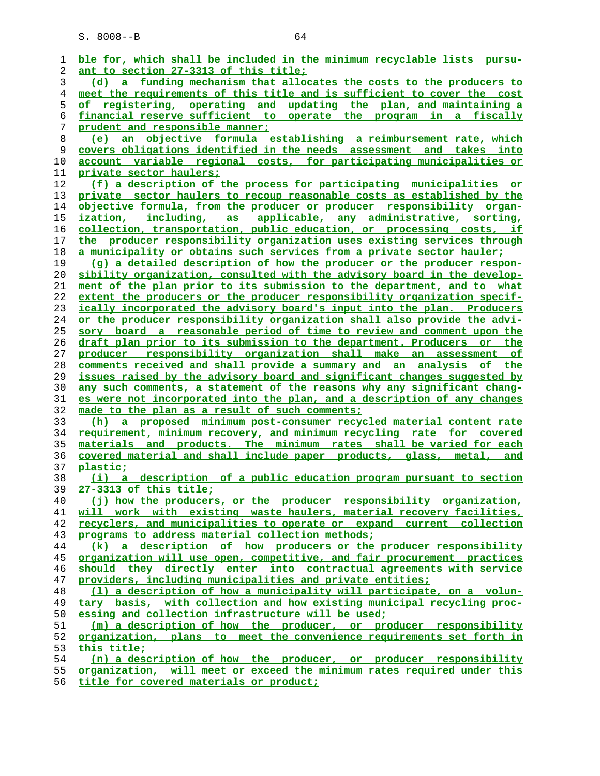**ble for, which shall be included in the minimum recyclable lists pursu- ant to section 27-3313 of this title; (d) a funding mechanism that allocates the costs to the producers to meet the requirements of this title and is sufficient to cover the cost of registering, operating and updating the plan, and maintaining a financial reserve sufficient to operate the program in a fiscally prudent and responsible manner; (e) an objective formula establishing a reimbursement rate, which covers obligations identified in the needs assessment and takes into account variable regional costs, for participating municipalities or private sector haulers; (f) a description of the process for participating municipalities or private sector haulers to recoup reasonable costs as established by the objective formula, from the producer or producer responsibility organ- ization, including, as applicable, any administrative, sorting, collection, transportation, public education, or processing costs, if the producer responsibility organization uses existing services through a municipality or obtains such services from a private sector hauler; (g) a detailed description of how the producer or the producer respon- sibility organization, consulted with the advisory board in the develop- ment of the plan prior to its submission to the department, and to what extent the producers or the producer responsibility organization specif- ically incorporated the advisory board's input into the plan. Producers or the producer responsibility organization shall also provide the advi- sory board a reasonable period of time to review and comment upon the draft plan prior to its submission to the department. Producers or the producer responsibility organization shall make an assessment of comments received and shall provide a summary and an analysis of the issues raised by the advisory board and significant changes suggested by any such comments, a statement of the reasons why any significant chang- es were not incorporated into the plan, and a description of any changes made to the plan as a result of such comments; (h) a proposed minimum post-consumer recycled material content rate requirement, minimum recovery, and minimum recycling rate for covered materials and products. The minimum rates shall be varied for each covered material and shall include paper products, glass, metal, and plastic; (i) a description of a public education program pursuant to section 27-3313 of this title; (j) how the producers, or the producer responsibility organization, will work with existing waste haulers, material recovery facilities, recyclers, and municipalities to operate or expand current collection programs to address material collection methods; (k) a description of how producers or the producer responsibility organization will use open, competitive, and fair procurement practices should they directly enter into contractual agreements with service providers, including municipalities and private entities; (l) a description of how a municipality will participate, on a volun- tary basis, with collection and how existing municipal recycling proc- essing and collection infrastructure will be used; (m) a description of how the producer, or producer responsibility organization, plans to meet the convenience requirements set forth in this title; (n) a description of how the producer, or producer responsibility organization, will meet or exceed the minimum rates required under this**

**title for covered materials or product;**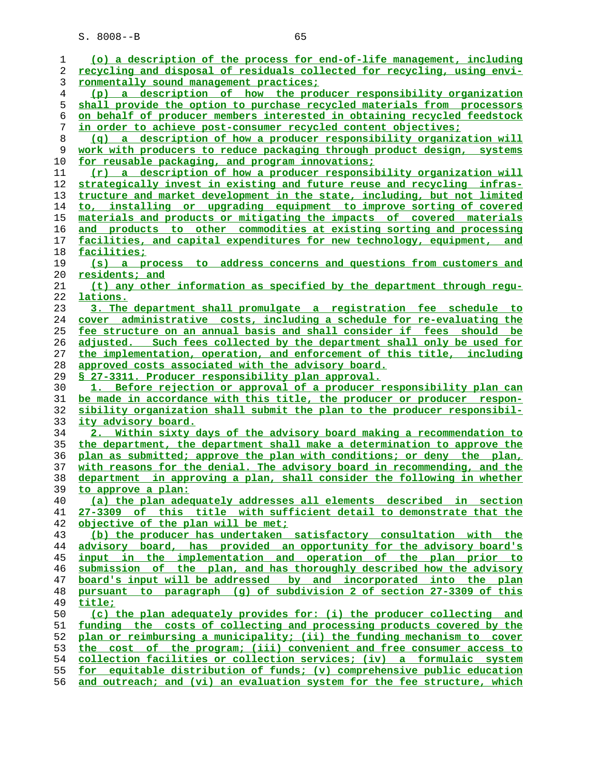| 1        | (o) a description of the process for end-of-life management, including                    |
|----------|-------------------------------------------------------------------------------------------|
| 2        | recycling and disposal of residuals collected for recycling, using envi-                  |
| 3        | ronmentally sound management practices;                                                   |
| 4        | (p) a description of how the producer responsibility organization                         |
| 5        | shall provide the option to purchase recycled materials from processors                   |
| 6        | on behalf of producer members interested in obtaining recycled feedstock                  |
| 7        | in order to achieve post-consumer recycled content objectives;                            |
| 8        | (q) a description of how a producer responsibility organization will                      |
| 9        | work with producers to reduce packaging through product design, systems                   |
| 10       | for reusable packaging, and program innovations;                                          |
| 11       | (r) a description of how a producer responsibility organization will                      |
| 12       | strategically invest in existing and future reuse and recycling infras-                   |
| 13       | tructure and market development in the state, including, but not limited                  |
| 14       | to, installing or upgrading equipment to improve sorting of covered                       |
| 15       | materials and products or mitigating the impacts of covered materials                     |
| 16       | and products to other commodities at existing sorting and processing                      |
| 17       | facilities, and capital expenditures for new technology, equipment, and                   |
| 18       | <u>facilities;</u>                                                                        |
| 19       | address concerns and questions from customers and<br>$(s)$ a process<br>to l              |
| 20       | residents; and                                                                            |
| 21       | (t) any other information as specified by the department through requ-                    |
| 22       | lations.                                                                                  |
| 23       | 3. The department shall promulgate a registration fee schedule to                         |
| 24       | cover administrative costs, including a schedule for re-evaluating the                    |
| 25       | fee structure on an annual basis and shall consider if fees should be                     |
| 26       | adjusted. Such fees collected by the department shall only be used for                    |
| 27       | the implementation, operation, and enforcement of this title, including                   |
| 28       | approved costs associated with the advisory board.                                        |
| 29       | S 27-3311. Producer responsibility plan approval.                                         |
| 30       | 1. Before rejection or approval of a producer responsibility plan can                     |
| 31       | be made in accordance with this title, the producer or producer respon-                   |
| 32       | sibility organization shall submit the plan to the producer responsibil-                  |
| 33       | ity advisory board.                                                                       |
| 34       | 2. Within sixty days of the advisory board making a recommendation to                     |
| 35       | the department, the department shall make a determination to approve the                  |
| 36       | plan as submitted; approve the plan with conditions; or deny the plan,                    |
| 37       | with reasons for the denial. The advisory board in recommending, and the                  |
| 38<br>39 | in approving a plan, shall consider the following in whether<br>department                |
| 40       | to approve a plan:<br>(a) the plan adequately addresses all elements described in section |
| 41       | 27-3309 of this title with sufficient detail to demonstrate that the                      |
| 42       | objective of the plan will be met;                                                        |
| 43       | (b) the producer has undertaken satisfactory consultation with the                        |
| 44       | advisory board, has provided an opportunity for the advisory board's                      |
| 45       | input in the implementation and operation of the plan prior to                            |
| 46       | submission of the plan, and has thoroughly described how the advisory                     |
| 47       | board's input will be addressed by and incorporated into the plan                         |
| 48       | pursuant to paragraph (q) of subdivision 2 of section 27-3309 of this                     |
| 49       | title;                                                                                    |
| 50       | (c) the plan adequately provides for: (i) the producer collecting and                     |
| 51       | funding the costs of collecting and processing products covered by the                    |
| 52       | plan or reimbursing a municipality; (ii) the funding mechanism to cover                   |
| 53       | the cost of the program; (iii) convenient and free consumer access to                     |
| 54       | collection facilities or collection services; (iv) a formulaic system                     |
|          |                                                                                           |
| 55       | for equitable distribution of funds; (v) comprehensive public education                   |

**and outreach; and (vi) an evaluation system for the fee structure, which**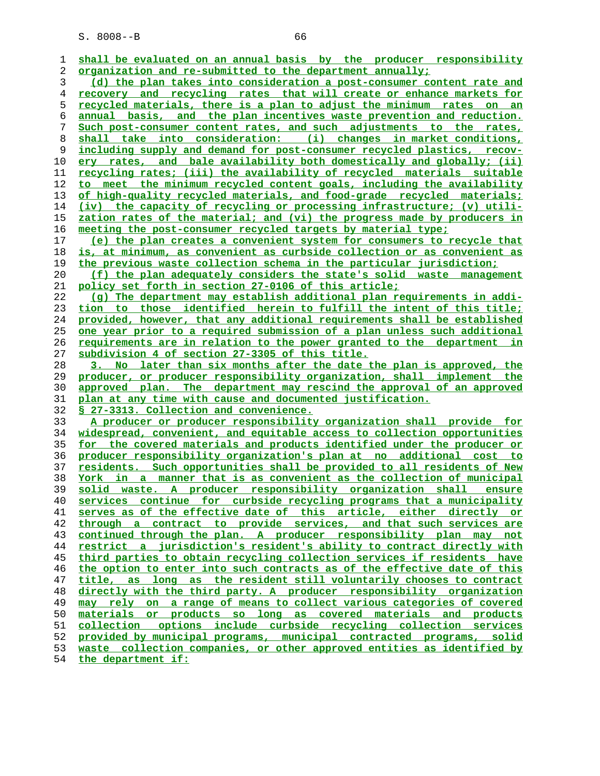| ı. | shall be evaluated on an annual basis by the producer responsibility            |
|----|---------------------------------------------------------------------------------|
| 2  | organization and re-submitted to the department annually;                       |
| 3  | (d) the plan takes into consideration a post-consumer content rate and          |
| 4  | recovery and recycling rates that will create or enhance markets for            |
| 5  | <u>recycled materials, there is a plan to adjust the minimum rates on an</u>    |
| 6  | annual basis, and the plan incentives waste prevention and reduction.           |
| 7  | Such post-consumer content rates, and such adjustments to the rates,            |
| 8  | shall take into consideration: (i) changes in market conditions,                |
| 9  | including supply and demand for post-consumer recycled plastics, recov-         |
| 10 | ery rates, and bale availability both domestically and globally; (ii)           |
| 11 | recycling rates; (iii) the availability of recycled materials suitable          |
| 12 | to meet the minimum recycled content goals, including the availability          |
| 13 | of high-quality recycled materials, and food-grade recycled materials;          |
| 14 | (iv) the capacity of recycling or processing infrastructure; (v) utili-         |
| 15 | zation rates of the material; and (vi) the progress made by producers in        |
| 16 | meeting the post-consumer recycled targets by material type;                    |
| 17 | (e) the plan creates a convenient system for consumers to recycle that          |
| 18 | <u>is, at minimum, as convenient as curbside collection or as convenient as</u> |
| 19 | the previous waste collection schema in the particular jurisdiction;            |
| 20 | (f) the plan adequately considers the state's solid waste management            |
| 21 | policy set forth in section 27-0106 of this article;                            |
| 22 | (q) The department may establish additional plan requirements in addi-          |
| 23 | tion to those identified herein to fulfill the intent of this title;            |
| 24 | provided, however, that any additional requirements shall be established        |
| 25 | one year prior to a required submission of a plan unless such additional        |
| 26 | <u>requirements are in relation to the power granted to the department in</u>   |
| 27 | subdivision 4 of section 27-3305 of this title.                                 |
| 28 | 3. No later than six months after the date the plan is approved, the            |
| 29 | producer, or producer responsibility organization, shall implement the          |
| 30 | approved plan. The department may rescind the approval of an approved           |
| 31 | plan at any time with cause and documented justification.                       |
| 32 | § 27-3313. Collection and convenience.                                          |
| 33 | A producer or producer responsibility organization shall provide for            |
| 34 | widespread, convenient, and equitable access to collection opportunities        |
| 35 | for the covered materials and products identified under the producer or         |
| 36 | producer responsibility organization's plan at no additional cost to            |
| 37 | residents. Such opportunities shall be provided to all residents of New         |
| 38 | York in a manner that is as convenient as the collection of municipal           |
| 39 | solid waste. A producer responsibility organization shall ensure                |
| 40 | services continue for curbside recycling programs that a municipality           |
| 41 | serves as of the effective date of this article, either directly or             |
| 42 | through a contract to provide services, and that such services are              |
| 43 | continued through the plan. A producer responsibility plan may not              |
| 44 | restrict a jurisdiction's resident's ability to contract directly with          |
| 45 | third parties to obtain recycling collection services if residents have         |
| 46 | the option to enter into such contracts as of the effective date of this        |
| 47 | title, as long as the resident still voluntarily chooses to contract            |
| 48 | directly with the third party. A producer responsibility organization           |
| 49 | may rely on a range of means to collect various categories of covered           |
| 50 | materials or products so long as covered materials and products                 |
| 51 | collection options include curbside recycling collection services               |
| 52 | provided by municipal programs, municipal contracted programs, solid            |
| 53 | waste collection companies, or other approved entities as identified by         |
|    |                                                                                 |

**the department if:**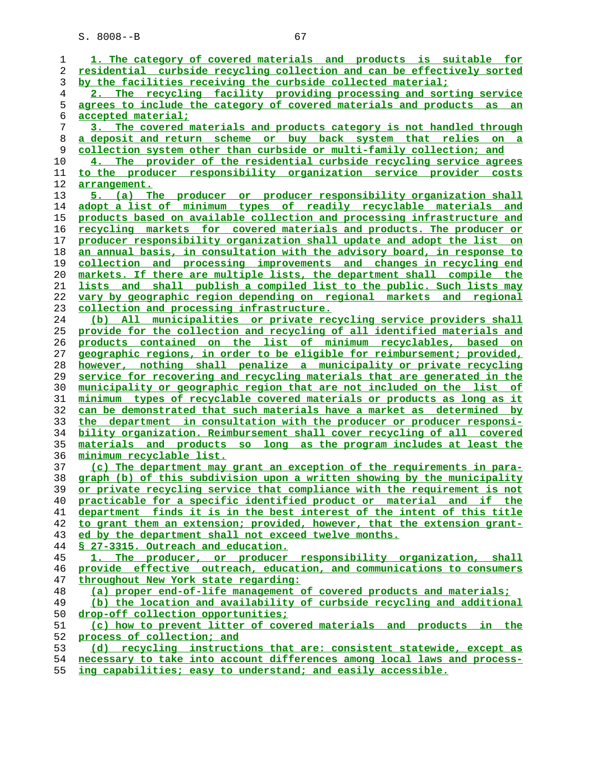**1. The category of covered materials and products is suitable for residential curbside recycling collection and can be effectively sorted by the facilities receiving the curbside collected material; 2. The recycling facility providing processing and sorting service agrees to include the category of covered materials and products as an accepted material; 3. The covered materials and products category is not handled through a deposit and return scheme or buy back system that relies on a collection system other than curbside or multi-family collection; and 4. The provider of the residential curbside recycling service agrees to the producer responsibility organization service provider costs arrangement. 5. (a) The producer or producer responsibility organization shall adopt a list of minimum types of readily recyclable materials and products based on available collection and processing infrastructure and recycling markets for covered materials and products. The producer or producer responsibility organization shall update and adopt the list on an annual basis, in consultation with the advisory board, in response to collection and processing improvements and changes in recycling end markets. If there are multiple lists, the department shall compile the lists and shall publish a compiled list to the public. Such lists may vary by geographic region depending on regional markets and regional collection and processing infrastructure. (b) All municipalities or private recycling service providers shall provide for the collection and recycling of all identified materials and products contained on the list of minimum recyclables, based on geographic regions, in order to be eligible for reimbursement; provided, however, nothing shall penalize a municipality or private recycling service for recovering and recycling materials that are generated in the municipality or geographic region that are not included on the list of minimum types of recyclable covered materials or products as long as it can be demonstrated that such materials have a market as determined by the department in consultation with the producer or producer responsi- bility organization. Reimbursement shall cover recycling of all covered materials and products so long as the program includes at least the minimum recyclable list. (c) The department may grant an exception of the requirements in para- graph (b) of this subdivision upon a written showing by the municipality or private recycling service that compliance with the requirement is not practicable for a specific identified product or material and if the department finds it is in the best interest of the intent of this title to grant them an extension; provided, however, that the extension grant- ed by the department shall not exceed twelve months. § 27-3315. Outreach and education. 1. The producer, or producer responsibility organization, shall provide effective outreach, education, and communications to consumers throughout New York state regarding: (a) proper end-of-life management of covered products and materials; (b) the location and availability of curbside recycling and additional drop-off collection opportunities; (c) how to prevent litter of covered materials and products in the process of collection; and (d) recycling instructions that are: consistent statewide, except as necessary to take into account differences among local laws and process- ing capabilities; easy to understand; and easily accessible.**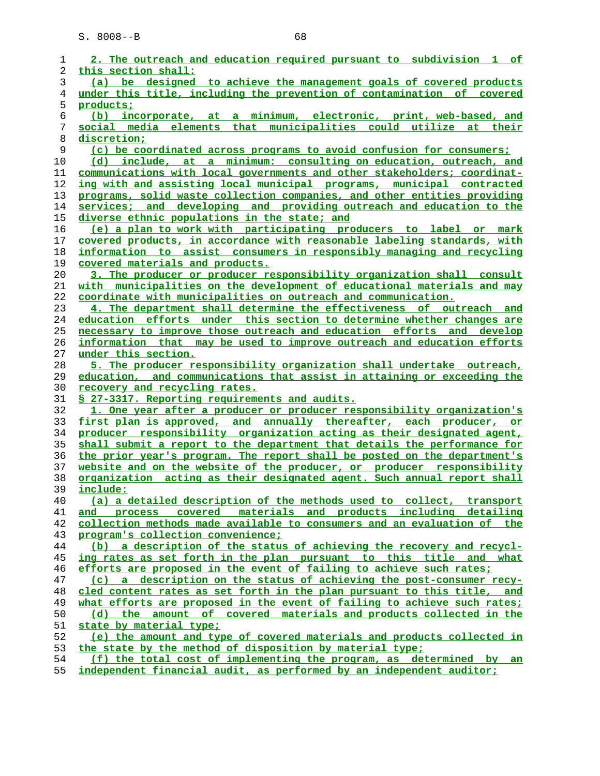| 1  | 2. The outreach and education required pursuant to subdivision 1 of             |
|----|---------------------------------------------------------------------------------|
| 2  | this section shall:                                                             |
| 3  | (a) be designed to achieve the management goals of covered products             |
| 4  | under this title, including the prevention of contamination of covered          |
| 5  | products;                                                                       |
| 6  | (b) incorporate, at a minimum, electronic, print, web-based, and                |
| 7  | elements that municipalities could utilize at their<br>social media             |
| 8  | discretion;                                                                     |
| 9  | (c) be coordinated across programs to avoid confusion for consumers;            |
| 10 | (d) include, at a minimum: consulting on education, outreach, and               |
| 11 | <u>communications with local governments and other stakeholders; coordinat-</u> |
| 12 | ing with and assisting local municipal programs, municipal contracted           |
| 13 | programs, solid waste collection companies, and other entities providing        |
| 14 | services; and developing and providing outreach and education to the            |
| 15 | diverse ethnic populations in the state; and                                    |
| 16 | (e) a plan to work with participating producers to label or mark                |
| 17 | covered products, in accordance with reasonable labeling standards, with        |
| 18 | information to assist consumers in responsibly managing and recycling           |
| 19 | covered materials and products.                                                 |
| 20 | 3. The producer or producer responsibility organization shall consult           |
| 21 | with municipalities on the development of educational materials and may         |
| 22 | coordinate with municipalities on outreach and communication.                   |
| 23 | 4. The department shall determine the effectiveness of outreach and             |
| 24 | education efforts under this section to determine whether changes are           |
| 25 | necessary to improve those outreach and education efforts and develop           |
| 26 | information that may be used to improve outreach and education efforts          |
| 27 | under this section.                                                             |
| 28 | 5. The producer responsibility organization shall undertake outreach,           |
| 29 | education, and communications that assist in attaining or exceeding the         |
| 30 | recovery and recycling rates.                                                   |
| 31 | § 27-3317. Reporting requirements and audits.                                   |
| 32 | 1. One year after a producer or producer responsibility organization's          |
| 33 | first plan is approved, and annually thereafter, each producer, or              |
| 34 | producer responsibility organization acting as their designated agent,          |
| 35 | shall submit a report to the department that details the performance for        |
| 36 | the prior year's program. The report shall be posted on the department's        |
| 37 | website and on the website of the producer, or producer responsibility          |
| 38 | organization acting as their designated agent. Such annual report shall         |
| 39 | include:                                                                        |
| 40 | (a) a detailed description of the methods used to collect, transport            |
| 41 | and process covered materials and products including detailing                  |
| 42 | collection methods made available to consumers and an evaluation of the         |
| 43 | program's collection convenience;                                               |
| 44 | (b) a description of the status of achieving the recovery and recycl-           |
| 45 | ing rates as set forth in the plan pursuant to this title and what              |
| 46 | efforts are proposed in the event of failing to achieve such rates;             |
| 47 | (c) a description on the status of achieving the post-consumer recy-            |
| 48 | cled content rates as set forth in the plan pursuant to this title, and         |
| 49 | what efforts are proposed in the event of failing to achieve such rates;        |
| 50 | (d) the amount of covered materials and products collected in the               |
| 51 | state by material type;                                                         |
| 52 | (e) the amount and type of covered materials and products collected in          |
| 53 | the state by the method of disposition by material type;                        |
| 54 | (f) the total cost of implementing the program, as determined by an             |
| 55 | independent financial audit, as performed by an independent auditor;            |
|    |                                                                                 |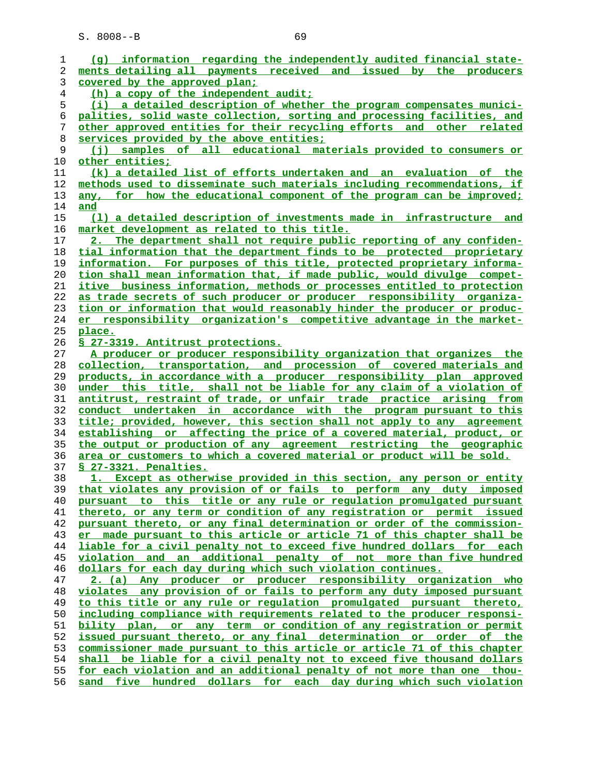**(g) information regarding the independently audited financial state- ments detailing all payments received and issued by the producers covered by the approved plan; (h) a copy of the independent audit; (i) a detailed description of whether the program compensates munici- palities, solid waste collection, sorting and processing facilities, and other approved entities for their recycling efforts and other related services provided by the above entities; (j) samples of all educational materials provided to consumers or other entities; (k) a detailed list of efforts undertaken and an evaluation of the methods used to disseminate such materials including recommendations, if any, for how the educational component of the program can be improved; and (l) a detailed description of investments made in infrastructure and market development as related to this title. 2. The department shall not require public reporting of any confiden- tial information that the department finds to be protected proprietary information. For purposes of this title, protected proprietary informa- tion shall mean information that, if made public, would divulge compet- itive business information, methods or processes entitled to protection as trade secrets of such producer or producer responsibility organiza- tion or information that would reasonably hinder the producer or produc- er responsibility organization's competitive advantage in the market- place. § 27-3319. Antitrust protections. A producer or producer responsibility organization that organizes the collection, transportation, and procession of covered materials and products, in accordance with a producer responsibility plan approved under this title, shall not be liable for any claim of a violation of antitrust, restraint of trade, or unfair trade practice arising from conduct undertaken in accordance with the program pursuant to this title; provided, however, this section shall not apply to any agreement establishing or affecting the price of a covered material, product, or the output or production of any agreement restricting the geographic area or customers to which a covered material or product will be sold. § 27-3321. Penalties. 1. Except as otherwise provided in this section, any person or entity that violates any provision of or fails to perform any duty imposed pursuant to this title or any rule or regulation promulgated pursuant thereto, or any term or condition of any registration or permit issued pursuant thereto, or any final determination or order of the commission- er made pursuant to this article or article 71 of this chapter shall be liable for a civil penalty not to exceed five hundred dollars for each violation and an additional penalty of not more than five hundred dollars for each day during which such violation continues. 2. (a) Any producer or producer responsibility organization who violates any provision of or fails to perform any duty imposed pursuant to this title or any rule or regulation promulgated pursuant thereto, including compliance with requirements related to the producer responsi- bility plan, or any term or condition of any registration or permit issued pursuant thereto, or any final determination or order of the commissioner made pursuant to this article or article 71 of this chapter shall be liable for a civil penalty not to exceed five thousand dollars for each violation and an additional penalty of not more than one thou- sand five hundred dollars for each day during which such violation**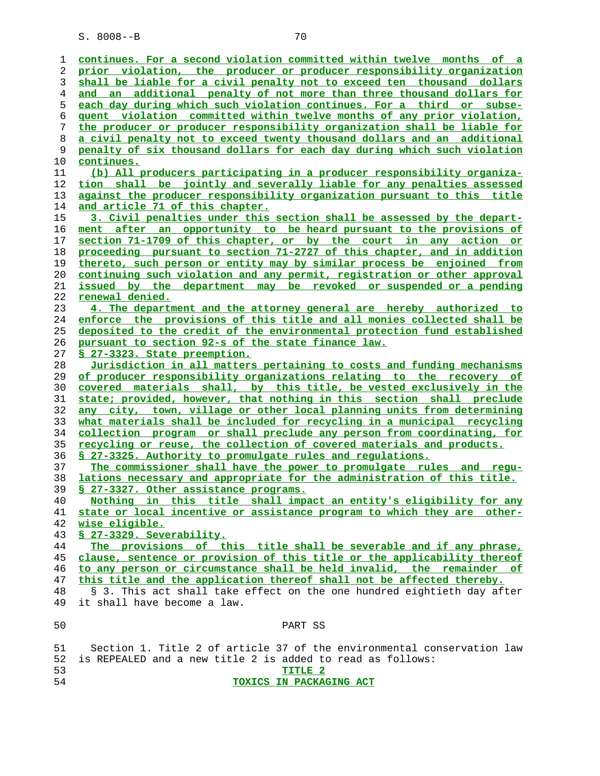| ı  | continues. For a second violation committed within twelve months of a    |
|----|--------------------------------------------------------------------------|
| 2  | prior violation, the producer or producer responsibility organization    |
| 3  | shall be liable for a civil penalty not to exceed ten thousand dollars   |
| 4  | and an additional penalty of not more than three thousand dollars for    |
| 5  | each day during which such violation continues. For a third or subse-    |
|    | quent violation committed within twelve months of any prior violation,   |
| 6  |                                                                          |
| 7  | the producer or producer responsibility organization shall be liable for |
| 8  | a civil penalty not to exceed twenty thousand dollars and an additional  |
| 9  | penalty of six thousand dollars for each day during which such violation |
| 10 | continues.                                                               |
| 11 | (b) All producers participating in a producer responsibility organiza-   |
| 12 | tion shall be jointly and severally liable for any penalties assessed    |
| 13 | against the producer responsibility organization pursuant to this title  |
| 14 | and article 71 of this chapter.                                          |
| 15 | 3. Civil penalties under this section shall be assessed by the depart-   |
| 16 | ment after an opportunity to be heard pursuant to the provisions of      |
| 17 | section 71-1709 of this chapter, or by the court in any action or        |
| 18 | proceeding pursuant to section 71-2727 of this chapter, and in addition  |
| 19 | thereto, such person or entity may by similar process be enjoined from   |
| 20 | continuing such violation and any permit, registration or other approval |
| 21 | issued by the department may be revoked or suspended or a pending        |
| 22 | <u>renewal denied.</u>                                                   |
| 23 | 4. The department and the attorney general are hereby authorized to      |
| 24 | enforce the provisions of this title and all monies collected shall be   |
| 25 | deposited to the credit of the environmental protection fund established |
| 26 | pursuant to section 92-s of the state finance law.                       |
| 27 | § 27-3323. State preemption.                                             |
| 28 | Jurisdiction in all matters pertaining to costs and funding mechanisms   |
| 29 | of producer responsibility organizations relating to the recovery of     |
| 30 | covered materials shall, by this title, be vested exclusively in the     |
| 31 | state; provided, however, that nothing in this section shall preclude    |
| 32 | any city, town, village or other local planning units from determining   |
| 33 | what materials shall be included for recycling in a municipal recycling  |
| 34 | collection program or shall preclude any person from coordinating, for   |
| 35 | recycling or reuse, the collection of covered materials and products.    |
| 36 | S 27-3325. Authority to promulgate rules and regulations.                |
| 37 | The commissioner shall have the power to promulgate rules and requ-      |
| 38 | lations necessary and appropriate for the administration of this title.  |
| 39 | § 27-3327. Other assistance programs.                                    |
| 40 | Nothing in this title shall impact an entity's eligibility for any       |
| 41 | state or local incentive or assistance program to which they are other-  |
| 42 | wise eligible.                                                           |
| 43 | § 27-3329. Severability.                                                 |
| 44 | The provisions of this title shall be severable and if any phrase,       |
| 45 | clause, sentence or provision of this title or the applicability thereof |
| 46 | to any person or circumstance shall be held invalid, the remainder of    |
| 47 | this title and the application thereof shall not be affected thereby.    |
| 48 | § 3. This act shall take effect on the one hundred eightieth day after   |
| 49 | it shall have become a law.                                              |
|    |                                                                          |
| 50 | PART SS                                                                  |
| 51 | Section 1. Title 2 of article 37 of the environmental conservation law   |
| 52 | is REPEALED and a new title 2 is added to read as follows:               |
| 53 | TITLE <sub>2</sub>                                                       |
| 54 | TOXICS IN PACKAGING ACT                                                  |
|    |                                                                          |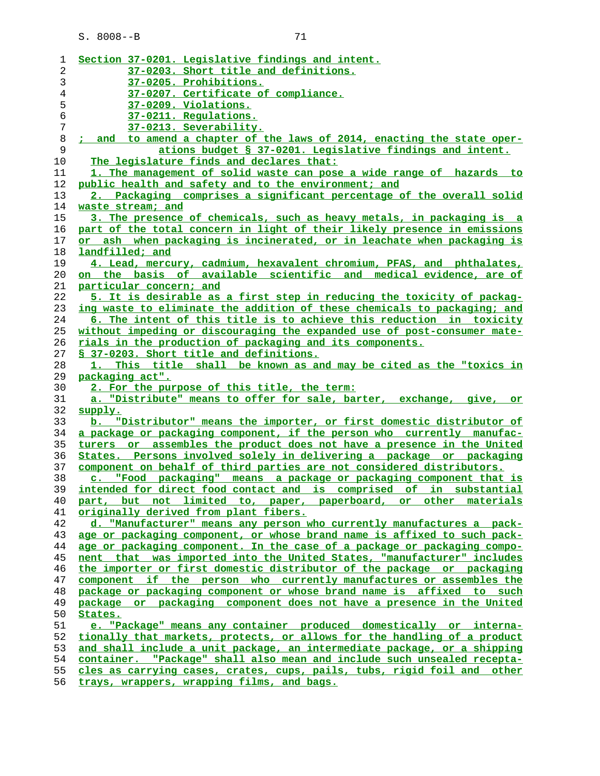| × |  |
|---|--|
|   |  |
|   |  |

| 1  | Section 37-0201. Legislative findings and intent.                        |
|----|--------------------------------------------------------------------------|
| 2  | 37-0203. Short title and definitions.                                    |
| 3  | 37-0205. Prohibitions.                                                   |
| 4  | 37-0207. Certificate of compliance.                                      |
| 5  | <u>37-0209. Violations.</u>                                              |
| 6  | 37-0211. Regulations.                                                    |
| 7  | 37-0213. Severability.                                                   |
| 8  | ; and to amend a chapter of the laws of 2014, enacting the state oper-   |
| 9  | ations budget § 37-0201. Legislative findings and intent.                |
| 10 | The legislature finds and declares that:                                 |
| 11 | 1. The management of solid waste can pose a wide range of hazards to     |
| 12 | public health and safety and to the environment; and                     |
| 13 | 2. Packaging comprises a significant percentage of the overall solid     |
| 14 | waste stream; and                                                        |
| 15 | 3. The presence of chemicals, such as heavy metals, in packaging is a    |
| 16 | part of the total concern in light of their likely presence in emissions |
| 17 | or ash when packaging is incinerated, or in leachate when packaging is   |
| 18 | landfilled; and                                                          |
| 19 | 4. Lead, mercury, cadmium, hexavalent chromium, PFAS, and phthalates,    |
| 20 | on the basis of available scientific and medical evidence, are of        |
| 21 | particular concern; and                                                  |
| 22 | 5. It is desirable as a first step in reducing the toxicity of packag-   |
| 23 | ing waste to eliminate the addition of these chemicals to packaging; and |
| 24 | 6. The intent of this title is to achieve this reduction in toxicity     |
| 25 | without impeding or discouraging the expanded use of post-consumer mate- |
| 26 | <u>rials in the production of packaging and its components.</u>          |
| 27 | § 37-0203. Short title and definitions.                                  |
| 28 | 1. This title shall be known as and may be cited as the "toxics in       |
| 29 | packaging act".                                                          |
| 30 | 2. For the purpose of this title, the term:                              |
| 31 | a. "Distribute" means to offer for sale, barter, exchange, give, or      |
| 32 | supply.                                                                  |
| 33 | b. "Distributor" means the importer, or first domestic distributor of    |
| 34 | a package or packaging component, if the person who currently manufac-   |
| 35 | turers or assembles the product does not have a presence in the United   |
| 36 | States. Persons involved solely in delivering a package or packaging     |
| 37 | component on behalf of third parties are not considered distributors.    |
| 38 | c. "Food packaging" means a package or packaging component that is       |
| 39 | intended for direct food contact and is comprised of in substantial      |
| 40 | part, but not limited to, paper, paperboard, or other materials          |
| 41 | originally derived from plant fibers.                                    |
| 42 | d. "Manufacturer" means any person who currently manufactures a pack-    |
| 43 | age or packaging component, or whose brand name is affixed to such pack- |
| 44 | age or packaging component. In the case of a package or packaging compo- |
| 45 | nent that was imported into the United States, "manufacturer" includes   |
| 46 | the importer or first domestic distributor of the package or packaging   |
| 47 | component if the person who currently manufactures or assembles the      |
| 48 | package or packaging component or whose brand name is affixed to such    |
| 49 | package or packaging component does not have a presence in the United    |
| 50 | States.                                                                  |
| 51 | e. "Package" means any container produced domestically or interna-       |
| 52 | tionally that markets, protects, or allows for the handling of a product |
| 53 | and shall include a unit package, an intermediate package, or a shipping |
| 54 | container. "Package" shall also mean and include such unsealed recepta-  |
| 55 | cles as carrying cases, crates, cups, pails, tubs, rigid foil and other  |

**trays, wrappers, wrapping films, and bags.**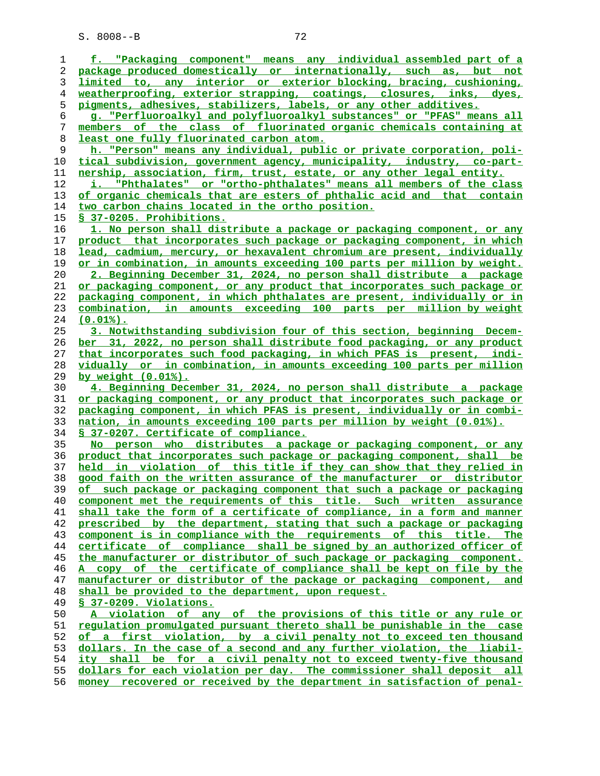**f. "Packaging component" means any individual assembled part of a package produced domestically or internationally, such as, but not limited to, any interior or exterior blocking, bracing, cushioning, weatherproofing, exterior strapping, coatings, closures, inks, dyes, pigments, adhesives, stabilizers, labels, or any other additives. g. "Perfluoroalkyl and polyfluoroalkyl substances" or "PFAS" means all members of the class of fluorinated organic chemicals containing at least one fully fluorinated carbon atom. h. "Person" means any individual, public or private corporation, poli- tical subdivision, government agency, municipality, industry, co-part- nership, association, firm, trust, estate, or any other legal entity. i. "Phthalates" or "ortho-phthalates" means all members of the class of organic chemicals that are esters of phthalic acid and that contain two carbon chains located in the ortho position. § 37-0205. Prohibitions. 1. No person shall distribute a package or packaging component, or any product that incorporates such package or packaging component, in which lead, cadmium, mercury, or hexavalent chromium are present, individually or in combination, in amounts exceeding 100 parts per million by weight. 2. Beginning December 31, 2024, no person shall distribute a package or packaging component, or any product that incorporates such package or packaging component, in which phthalates are present, individually or in combination, in amounts exceeding 100 parts per million by weight (0.01%). 3. Notwithstanding subdivision four of this section, beginning Decem- ber 31, 2022, no person shall distribute food packaging, or any product that incorporates such food packaging, in which PFAS is present, indi- vidually or in combination, in amounts exceeding 100 parts per million by weight (0.01%). 4. Beginning December 31, 2024, no person shall distribute a package or packaging component, or any product that incorporates such package or packaging component, in which PFAS is present, individually or in combi- nation, in amounts exceeding 100 parts per million by weight (0.01%). § 37-0207. Certificate of compliance. No person who distributes a package or packaging component, or any product that incorporates such package or packaging component, shall be held in violation of this title if they can show that they relied in good faith on the written assurance of the manufacturer or distributor of such package or packaging component that such a package or packaging component met the requirements of this title. Such written assurance shall take the form of a certificate of compliance, in a form and manner prescribed by the department, stating that such a package or packaging component is in compliance with the requirements of this title. The certificate of compliance shall be signed by an authorized officer of the manufacturer or distributor of such package or packaging component. A copy of the certificate of compliance shall be kept on file by the manufacturer or distributor of the package or packaging component, and shall be provided to the department, upon request. § 37-0209. Violations. A violation of any of the provisions of this title or any rule or regulation promulgated pursuant thereto shall be punishable in the case of a first violation, by a civil penalty not to exceed ten thousand dollars. In the case of a second and any further violation, the liabil- ity shall be for a civil penalty not to exceed twenty-five thousand dollars for each violation per day. The commissioner shall deposit all**

**money recovered or received by the department in satisfaction of penal-**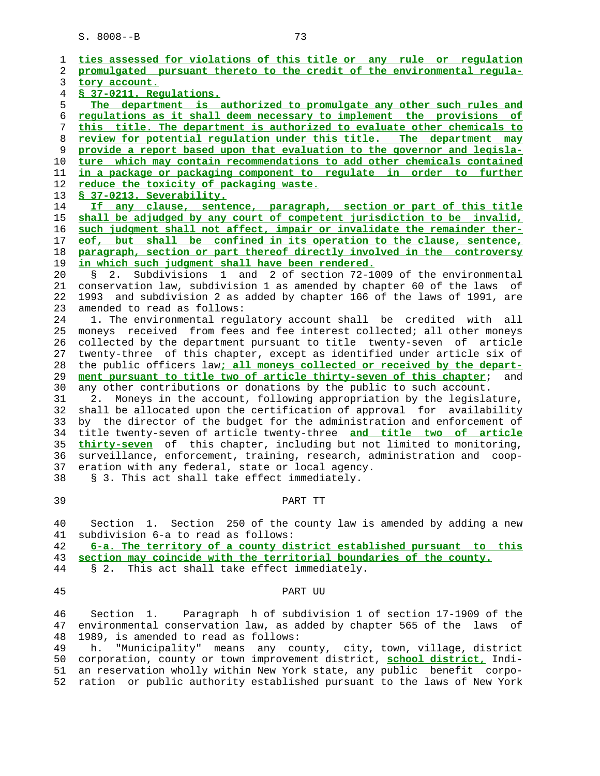|   | ties assessed for violations of this title or any rule or requlation       |
|---|----------------------------------------------------------------------------|
| 2 | promulgated pursuant thereto to the credit of the environmental regula-    |
| 3 | tory account.                                                              |
| 4 | § 37-0211. Regulations.                                                    |
|   | The department is authorized to promulgate any other such rules and        |
|   | requlations as it shall deem necessary to implement the provisions of      |
|   | this title. The department is authorized to evaluate other chemicals to    |
|   | review for potential requlation under this title. The department may       |
|   | provide a report based upon that evaluation to the governor and legisla-   |
|   | ture which may contain recommendations to add other chemicals contained    |
|   | in a package or packaging component to regulate in order to further        |
|   | reduce the toxicity of packaging waste.                                    |
|   | § 37-0213. Severability.                                                   |
|   | If any clause, sentence, paragraph, section or part of this title          |
|   | shall be adjudged by any court of competent jurisdiction to be invalid,    |
|   | such judgment shall not affect, impair or invalidate the remainder ther-   |
|   |                                                                            |
|   | eof, but shall be confined in its operation to the clause, sentence,       |
|   | paragraph, section or part thereof directly involved in the controversy    |
|   | in which such judgment shall have been rendered.                           |
|   | Subdivisions 1 and 2 of section 72-1009 of the environmental<br>2.<br>Š.   |
|   | conservation law, subdivision 1 as amended by chapter 60 of the laws of    |
|   | and subdivision 2 as added by chapter 166 of the laws of 1991, are<br>1993 |
|   | amended to read as follows:                                                |
|   | 1. The environmental regulatory account shall be credited with all         |
|   | received from fees and fee interest collected; all other moneys<br>moneys  |
|   | collected by the department pursuant to title twenty-seven of article      |
|   | twenty-three of this chapter, except as identified under article six of    |
|   | the public officers law; all moneys collected or received by the depart-   |
|   | ment pursuant to title two of article thirty-seven of this chapter;<br>and |
|   | any other contributions or donations by the public to such account.        |
|   | Moneys in the account, following appropriation by the legislature,<br>2.   |
|   | shall be allocated upon the certification of approval for availability     |
|   | by the director of the budget for the administration and enforcement of    |
|   | title twenty-seven of article twenty-three and title two of article        |
|   | thirty-seven of this chapter, including but not limited to monitoring,     |
|   | surveillance, enforcement, training, research, administration and coop-    |
|   | eration with any federal, state or local agency.                           |
|   | § 3. This act shall take effect immediately.                               |
|   |                                                                            |
|   | PART TT                                                                    |
|   |                                                                            |
|   | 1. Section 250 of the county law is amended by adding a new<br>Section     |
|   | subdivision 6-a to read as follows:                                        |
|   | 6-a. The territory of a county district established pursuant to this       |
|   | section may coincide with the territorial boundaries of the county.        |
|   | § 2. This act shall take effect immediately.                               |
|   |                                                                            |
|   | PART UU                                                                    |
|   |                                                                            |
|   |                                                                            |

 46 Section 1. Paragraph h of subdivision 1 of section 17-1909 of the 47 environmental conservation law, as added by chapter 565 of the laws of 48 1989, is amended to read as follows:<br>49 h. "Municipality" means any com

h. "Municipality" means any county, city, town, village, district 50 corporation, county or town improvement district, **school district,** Indi- 51 an reservation wholly within New York state, any public benefit corpo- 52 ration or public authority established pursuant to the laws of New York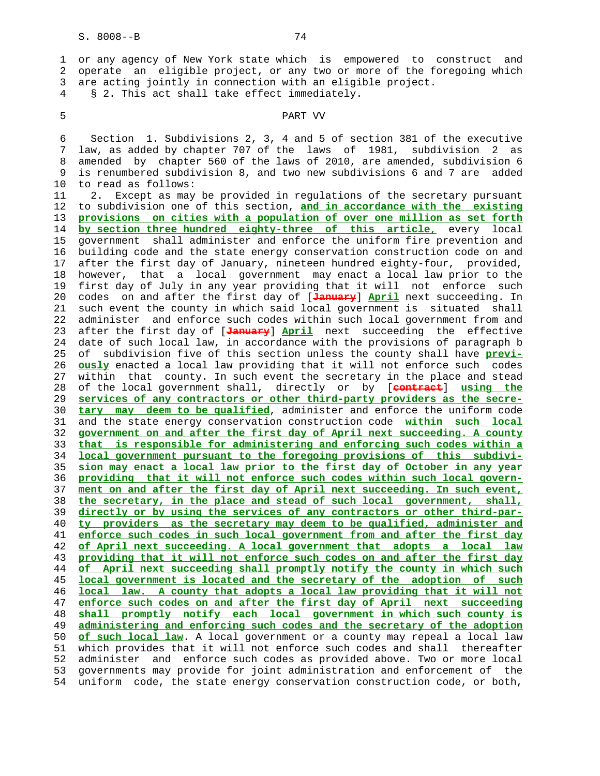1 or any agency of New York state which is empowered to construct and 2 operate an eligible project, or any two or more of the foregoing which 3 are acting jointly in connection with an eligible project.

4 § 2. This act shall take effect immediately.

## 5 PART VV

 6 Section 1. Subdivisions 2, 3, 4 and 5 of section 381 of the executive 7 law, as added by chapter 707 of the laws of 1981, subdivision 2 as 8 amended by chapter 560 of the laws of 2010, are amended, subdivision 6 9 is renumbered subdivision 8, and two new subdivisions 6 and 7 are added 10 to read as follows:

 11 2. Except as may be provided in regulations of the secretary pursuant 12 to subdivision one of this section, **and in accordance with the existing** 13 **provisions on cities with a population of over one million as set forth** 14 **by section three hundred eighty-three of this article,** every local 15 government shall administer and enforce the uniform fire prevention and 16 building code and the state energy conservation construction code on and 17 after the first day of January, nineteen hundred eighty-four, provided, 18 however, that a local government may enact a local law prior to the 19 first day of July in any year providing that it will not enforce such 20 codes on and after the first day of [**January**] **April** next succeeding. In 21 such event the county in which said local government is situated shall 22 administer and enforce such codes within such local government from and 23 after the first day of [**January**] **April** next succeeding the effective 24 date of such local law, in accordance with the provisions of paragraph b 25 of subdivision five of this section unless the county shall have **previ-** 26 **ously** enacted a local law providing that it will not enforce such codes 27 within that county. In such event the secretary in the place and stead 28 of the local government shall, directly or by [**contract**] **using the** 29 **services of any contractors or other third-party providers as the secre-** 30 **tary may deem to be qualified**, administer and enforce the uniform code 31 and the state energy conservation construction code **within such local** 32 **government on and after the first day of April next succeeding. A county** 33 **that is responsible for administering and enforcing such codes within a** 34 **local government pursuant to the foregoing provisions of this subdivi-** 35 **sion may enact a local law prior to the first day of October in any year** 36 **providing that it will not enforce such codes within such local govern-** 37 **ment on and after the first day of April next succeeding. In such event,** 38 **the secretary, in the place and stead of such local government, shall,** 39 **directly or by using the services of any contractors or other third-par-** 40 **ty providers as the secretary may deem to be qualified, administer and** 41 **enforce such codes in such local government from and after the first day** 42 **of April next succeeding. A local government that adopts a local law** 43 **providing that it will not enforce such codes on and after the first day** 44 **of April next succeeding shall promptly notify the county in which such** 45 **local government is located and the secretary of the adoption of such** 46 **local law. A county that adopts a local law providing that it will not** 47 **enforce such codes on and after the first day of April next succeeding** 48 **shall promptly notify each local government in which such county is** 49 **administering and enforcing such codes and the secretary of the adoption** 50 **of such local law**. A local government or a county may repeal a local law 51 which provides that it will not enforce such codes and shall thereafter 52 administer and enforce such codes as provided above. Two or more local 53 governments may provide for joint administration and enforcement of the 54 uniform code, the state energy conservation construction code, or both,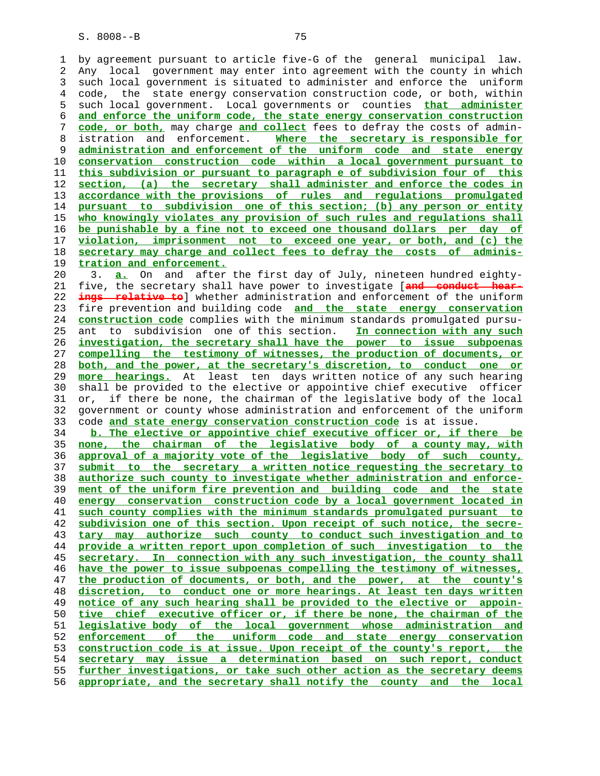1 by agreement pursuant to article five-G of the general municipal law. 2 Any local government may enter into agreement with the county in which 3 such local government is situated to administer and enforce the uniform 4 code, the state energy conservation construction code, or both, within 5 such local government. Local governments or counties **that administer and enforce the uniform code, the state energy conservation construction code, or both,** may charge **and collect** fees to defray the costs of admin- 8 istration and enforcement. **Where the secretary is responsible for administration and enforcement of the uniform code and state energy conservation construction code within a local government pursuant to this subdivision or pursuant to paragraph e of subdivision four of this section, (a) the secretary shall administer and enforce the codes in accordance with the provisions of rules and regulations promulgated pursuant to subdivision one of this section; (b) any person or entity who knowingly violates any provision of such rules and regulations shall be punishable by a fine not to exceed one thousand dollars per day of violation, imprisonment not to exceed one year, or both, and (c) the secretary may charge and collect fees to defray the costs of adminis- tration and enforcement.** 20 3. **a.** On and after the first day of July, nineteen hundred eighty- 21 five, the secretary shall have power to investigate [**and conduct hear- ings relative to**] whether administration and enforcement of the uniform 23 fire prevention and building code **and the state energy conservation construction code** complies with the minimum standards promulgated pursu- 25 ant to subdivision one of this section. **In connection with any such investigation, the secretary shall have the power to issue subpoenas compelling the testimony of witnesses, the production of documents, or both, and the power, at the secretary's discretion, to conduct one or more hearings.** At least ten days written notice of any such hearing 30 shall be provided to the elective or appointive chief executive officer 31 or, if there be none, the chairman of the legislative body of the local 32 government or county whose administration and enforcement of the uniform 33 code **and state energy conservation construction code** is at issue. **b. The elective or appointive chief executive officer or, if there be none, the chairman of the legislative body of a county may, with approval of a majority vote of the legislative body of such county, submit to the secretary a written notice requesting the secretary to authorize such county to investigate whether administration and enforce- ment of the uniform fire prevention and building code and the state energy conservation construction code by a local government located in such county complies with the minimum standards promulgated pursuant to subdivision one of this section. Upon receipt of such notice, the secre- tary may authorize such county to conduct such investigation and to provide a written report upon completion of such investigation to the secretary. In connection with any such investigation, the county shall have the power to issue subpoenas compelling the testimony of witnesses, the production of documents, or both, and the power, at the county's discretion, to conduct one or more hearings. At least ten days written notice of any such hearing shall be provided to the elective or appoin- tive chief executive officer or, if there be none, the chairman of the legislative body of the local government whose administration and enforcement of the uniform code and state energy conservation construction code is at issue. Upon receipt of the county's report, the secretary may issue a determination based on such report, conduct further investigations, or take such other action as the secretary deems**

**appropriate, and the secretary shall notify the county and the local**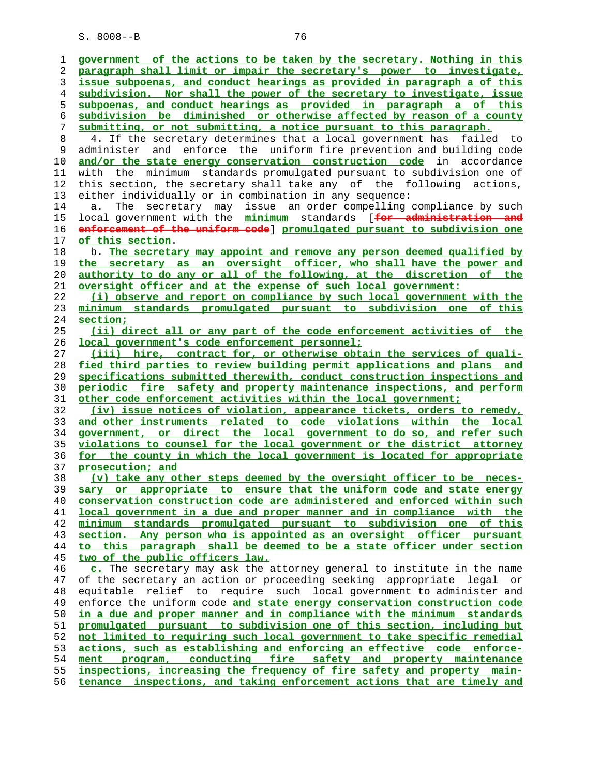**government of the actions to be taken by the secretary. Nothing in this paragraph shall limit or impair the secretary's power to investigate, issue subpoenas, and conduct hearings as provided in paragraph a of this subdivision. Nor shall the power of the secretary to investigate, issue subpoenas, and conduct hearings as provided in paragraph a of this subdivision be diminished or otherwise affected by reason of a county submitting, or not submitting, a notice pursuant to this paragraph.** 8 4. If the secretary determines that a local government has failed to 9 administer and enforce the uniform fire prevention and building code **and/or the state energy conservation construction code** in accordance 11 with the minimum standards promulgated pursuant to subdivision one of 12 this section, the secretary shall take any of the following actions, 13 either individually or in combination in any sequence: 14 a. The secretary may issue an order compelling compliance by such 15 local government with the **minimum** standards [**for administration and enforcement of the uniform code**] **promulgated pursuant to subdivision one of this section**. 18 b. **The secretary may appoint and remove any person deemed qualified by the secretary as an oversight officer, who shall have the power and authority to do any or all of the following, at the discretion of the oversight officer and at the expense of such local government: (i) observe and report on compliance by such local government with the minimum standards promulgated pursuant to subdivision one of this section; (ii) direct all or any part of the code enforcement activities of the local government's code enforcement personnel; (iii) hire, contract for, or otherwise obtain the services of quali- fied third parties to review building permit applications and plans and specifications submitted therewith, conduct construction inspections and periodic fire safety and property maintenance inspections, and perform other code enforcement activities within the local government; (iv) issue notices of violation, appearance tickets, orders to remedy, and other instruments related to code violations within the local government, or direct the local government to do so, and refer such violations to counsel for the local government or the district attorney for the county in which the local government is located for appropriate prosecution; and (v) take any other steps deemed by the oversight officer to be neces- sary or appropriate to ensure that the uniform code and state energy conservation construction code are administered and enforced within such local government in a due and proper manner and in compliance with the minimum standards promulgated pursuant to subdivision one of this section. Any person who is appointed as an oversight officer pursuant to this paragraph shall be deemed to be a state officer under section two of the public officers law. c.** The secretary may ask the attorney general to institute in the name 47 of the secretary an action or proceeding seeking appropriate legal or 48 equitable relief to require such local government to administer and 49 enforce the uniform code **and state energy conservation construction code in a due and proper manner and in compliance with the minimum standards promulgated pursuant to subdivision one of this section, including but not limited to requiring such local government to take specific remedial actions, such as establishing and enforcing an effective code enforce- ment program, conducting fire safety and property maintenance inspections, increasing the frequency of fire safety and property main- tenance inspections, and taking enforcement actions that are timely and**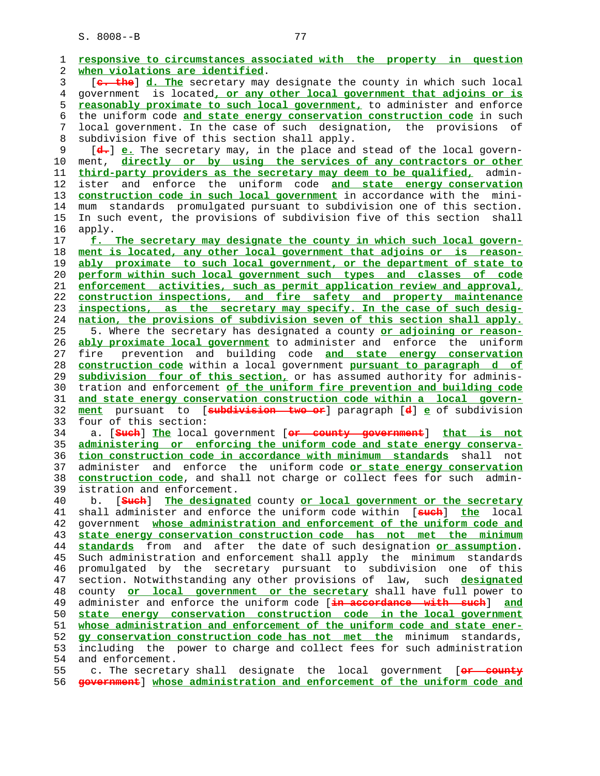1 **responsive to circumstances associated with the property in question** 2 **when violations are identified**. 3 [**c. the**] **d. The** secretary may designate the county in which such local 4 government is located**, or any other local government that adjoins or is** 5 **reasonably proximate to such local government,** to administer and enforce 6 the uniform code **and state energy conservation construction code** in such 7 local government. In the case of such designation, the provisions of 8 subdivision five of this section shall apply. 9 [**d.**] **e.** The secretary may, in the place and stead of the local govern- 10 ment, **directly or by using the services of any contractors or other** 11 **third-party providers as the secretary may deem to be qualified,** admin- 12 ister and enforce the uniform code **and state energy conservation** 13 **construction code in such local government** in accordance with the mini- 14 mum standards promulgated pursuant to subdivision one of this section. 15 In such event, the provisions of subdivision five of this section shall 16 apply. 17 **f. The secretary may designate the county in which such local govern-** 18 **ment is located, any other local government that adjoins or is reason-** 19 **ably proximate to such local government, or the department of state to** 20 **perform within such local government such types and classes of code** 21 **enforcement activities, such as permit application review and approval,** 22 **construction inspections, and fire safety and property maintenance** 23 **inspections, as the secretary may specify. In the case of such desig-** 24 **nation, the provisions of subdivision seven of this section shall apply.** 25 5. Where the secretary has designated a county **or adjoining or reason-** 26 **ably proximate local government** to administer and enforce the uniform 27 fire prevention and building code **and state energy conservation** 28 **construction code** within a local government **pursuant to paragraph d of** 29 **subdivision four of this section,** or has assumed authority for adminis- 30 tration and enforcement **of the uniform fire prevention and building code** 31 **and state energy conservation construction code within a local govern-** 32 **ment** pursuant to [**subdivision two or**] paragraph [**d**] **e** of subdivision 33 four of this section: 34 a. [**Such**] **The** local government [**or county government**] **that is not** 35 **administering or enforcing the uniform code and state energy conserva-** 36 **tion construction code in accordance with minimum standards** shall not 37 administer and enforce the uniform code **or state energy conservation** 38 **construction code**, and shall not charge or collect fees for such admin- 39 istration and enforcement. 40 b. [**Such**] **The designated** county **or local government or the secretary** 41 shall administer and enforce the uniform code within [**such**] **the** local 42 government **whose administration and enforcement of the uniform code and** 43 **state energy conservation construction code has not met the minimum** 44 **standards** from and after the date of such designation **or assumption**. 45 Such administration and enforcement shall apply the minimum standards 46 promulgated by the secretary pursuant to subdivision one of this 47 section. Notwithstanding any other provisions of law, such **designated** 48 county **or local government or the secretary** shall have full power to 49 administer and enforce the uniform code [**in accordance with such**] **and** state energy conservation construction code in the local government 51 **whose administration and enforcement of the uniform code and state ener-** 52 **gy conservation construction code has not met the** minimum standards, 53 including the power to charge and collect fees for such administration 54 and enforcement. 55 c. The secretary shall designate the local government [**or county** 56 **government**] **whose administration and enforcement of the uniform code and**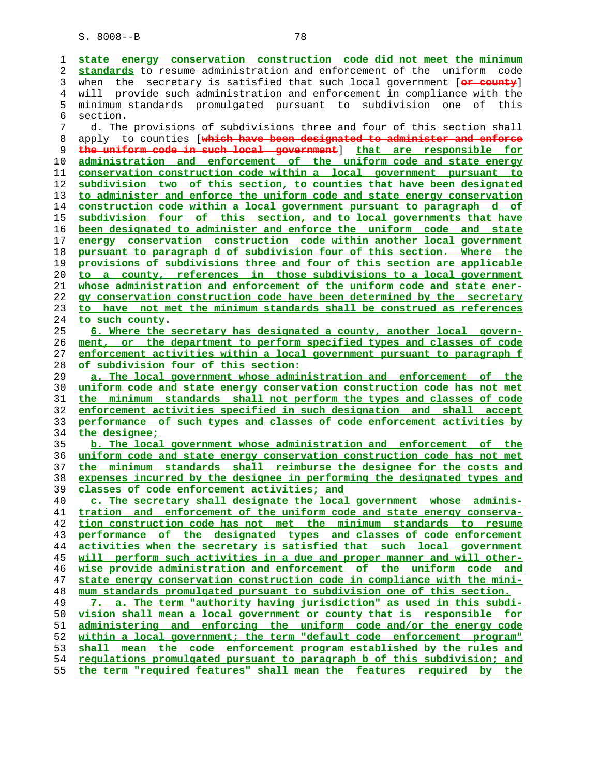**state energy conservation construction code did not meet the minimum standards** to resume administration and enforcement of the uniform code 3 when the secretary is satisfied that such local government [**or county**] 4 will provide such administration and enforcement in compliance with the 5 minimum standards promulgated pursuant to subdivision one of this 6 section. 7 d. The provisions of subdivisions three and four of this section shall 8 apply to counties [**which have been designated to administer and enforce the uniform code in such local government**] **that are responsible for administration and enforcement of the uniform code and state energy conservation construction code within a local government pursuant to subdivision two of this section, to counties that have been designated to administer and enforce the uniform code and state energy conservation construction code within a local government pursuant to paragraph d of subdivision four of this section, and to local governments that have been designated to administer and enforce the uniform code and state energy conservation construction code within another local government pursuant to paragraph d of subdivision four of this section. Where the provisions of subdivisions three and four of this section are applicable to a county, references in those subdivisions to a local government whose administration and enforcement of the uniform code and state ener- gy conservation construction code have been determined by the secretary to have not met the minimum standards shall be construed as references to such county**. **6. Where the secretary has designated a county, another local govern- ment, or the department to perform specified types and classes of code enforcement activities within a local government pursuant to paragraph f of subdivision four of this section: a. The local government whose administration and enforcement of the uniform code and state energy conservation construction code has not met the minimum standards shall not perform the types and classes of code enforcement activities specified in such designation and shall accept performance of such types and classes of code enforcement activities by the designee; b. The local government whose administration and enforcement of the uniform code and state energy conservation construction code has not met the minimum standards shall reimburse the designee for the costs and expenses incurred by the designee in performing the designated types and classes of code enforcement activities; and c. The secretary shall designate the local government whose adminis- tration and enforcement of the uniform code and state energy conserva- tion construction code has not met the minimum standards to resume performance of the designated types and classes of code enforcement activities when the secretary is satisfied that such local government will perform such activities in a due and proper manner and will other- wise provide administration and enforcement of the uniform code and state energy conservation construction code in compliance with the mini- mum standards promulgated pursuant to subdivision one of this section. 7. a. The term "authority having jurisdiction" as used in this subdi- vision shall mean a local government or county that is responsible for administering and enforcing the uniform code and/or the energy code within a local government; the term "default code enforcement program" shall mean the code enforcement program established by the rules and regulations promulgated pursuant to paragraph b of this subdivision; and the term "required features" shall mean the features required by the**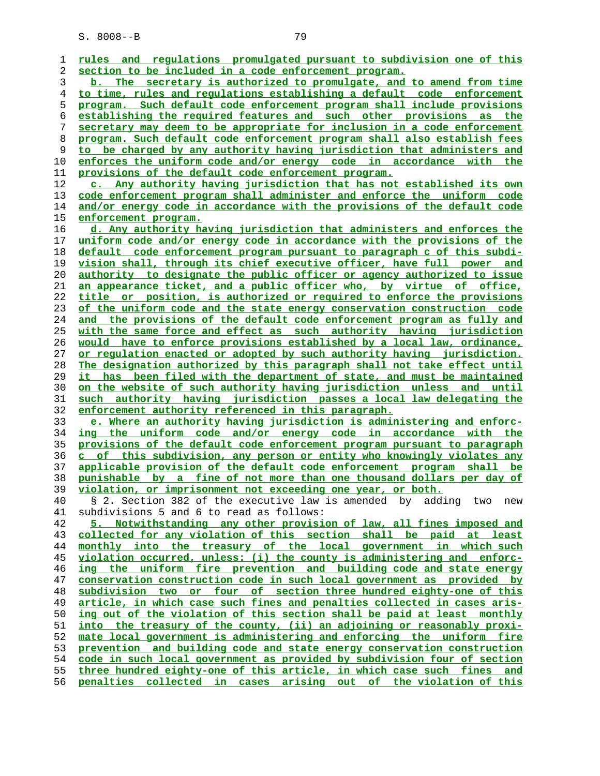**rules and regulations promulgated pursuant to subdivision one of this section to be included in a code enforcement program. b. The secretary is authorized to promulgate, and to amend from time to time, rules and regulations establishing a default code enforcement program. Such default code enforcement program shall include provisions establishing the required features and such other provisions as the secretary may deem to be appropriate for inclusion in a code enforcement program. Such default code enforcement program shall also establish fees to be charged by any authority having jurisdiction that administers and enforces the uniform code and/or energy code in accordance with the provisions of the default code enforcement program. c. Any authority having jurisdiction that has not established its own code enforcement program shall administer and enforce the uniform code and/or energy code in accordance with the provisions of the default code enforcement program. d. Any authority having jurisdiction that administers and enforces the uniform code and/or energy code in accordance with the provisions of the default code enforcement program pursuant to paragraph c of this subdi- vision shall, through its chief executive officer, have full power and authority to designate the public officer or agency authorized to issue an appearance ticket, and a public officer who, by virtue of office, title or position, is authorized or required to enforce the provisions of the uniform code and the state energy conservation construction code and the provisions of the default code enforcement program as fully and with the same force and effect as such authority having jurisdiction would have to enforce provisions established by a local law, ordinance, or regulation enacted or adopted by such authority having jurisdiction. The designation authorized by this paragraph shall not take effect until it has been filed with the department of state, and must be maintained on the website of such authority having jurisdiction unless and until such authority having jurisdiction passes a local law delegating the enforcement authority referenced in this paragraph. e. Where an authority having jurisdiction is administering and enforc- ing the uniform code and/or energy code in accordance with the provisions of the default code enforcement program pursuant to paragraph c of this subdivision, any person or entity who knowingly violates any applicable provision of the default code enforcement program shall be punishable by a fine of not more than one thousand dollars per day of violation, or imprisonment not exceeding one year, or both.** 40 § 2. Section 382 of the executive law is amended by adding two new 41 subdivisions 5 and 6 to read as follows: **5. Notwithstanding any other provision of law, all fines imposed and collected for any violation of this section shall be paid at least monthly into the treasury of the local government in which such violation occurred, unless: (i) the county is administering and enforc- ing the uniform fire prevention and building code and state energy conservation construction code in such local government as provided by subdivision two or four of section three hundred eighty-one of this article, in which case such fines and penalties collected in cases aris- ing out of the violation of this section shall be paid at least monthly into the treasury of the county, (ii) an adjoining or reasonably proxi- mate local government is administering and enforcing the uniform fire prevention and building code and state energy conservation construction code in such local government as provided by subdivision four of section three hundred eighty-one of this article, in which case such fines and penalties collected in cases arising out of the violation of this**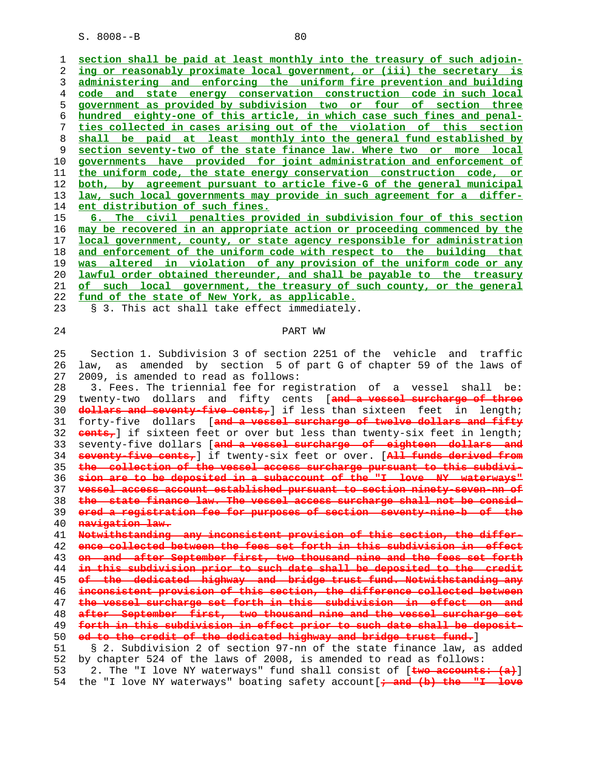**section shall be paid at least monthly into the treasury of such adjoin- ing or reasonably proximate local government, or (iii) the secretary is administering and enforcing the uniform fire prevention and building code and state energy conservation construction code in such local government as provided by subdivision two or four of section three hundred eighty-one of this article, in which case such fines and penal- ties collected in cases arising out of the violation of this section shall be paid at least monthly into the general fund established by section seventy-two of the state finance law. Where two or more local governments have provided for joint administration and enforcement of the uniform code, the state energy conservation construction code, or both, by agreement pursuant to article five-G of the general municipal law, such local governments may provide in such agreement for a differ- ent distribution of such fines.**

**6. The civil penalties provided in subdivision four of this section may be recovered in an appropriate action or proceeding commenced by the local government, county, or state agency responsible for administration and enforcement of the uniform code with respect to the building that was altered in violation of any provision of the uniform code or any lawful order obtained thereunder, and shall be payable to the treasury of such local government, the treasury of such county, or the general fund of the state of New York, as applicable.**

23 § 3. This act shall take effect immediately.

## **PART** WW

 25 Section 1. Subdivision 3 of section 2251 of the vehicle and traffic 26 law, as amended by section 5 of part G of chapter 59 of the laws of 27 2009, is amended to read as follows:

 28 3. Fees. The triennial fee for registration of a vessel shall be: 29 twenty-two dollars and fifty cents [**and a vessel surcharge of three dollars and seventy-five cents,**] if less than sixteen feet in length; 31 forty-five dollars [**and a vessel surcharge of twelve dollars and fifty cents,**] if sixteen feet or over but less than twenty-six feet in length; 33 seventy-five dollars [**and a vessel surcharge of eighteen dollars and seventy-five cents,**] if twenty-six feet or over. [**All funds derived from the collection of the vessel access surcharge pursuant to this subdivi- sion are to be deposited in a subaccount of the "I love NY waterways" vessel access account established pursuant to section ninety-seven-nn of the state finance law. The vessel access surcharge shall not be consid- ered a registration fee for purposes of section seventy-nine-b of the navigation law. Notwithstanding any inconsistent provision of this section, the differ-**

**ence collected between the fees set forth in this subdivision in effect on and after September first, two thousand nine and the fees set forth in this subdivision prior to such date shall be deposited to the credit of the dedicated highway and bridge trust fund. Notwithstanding any inconsistent provision of this section, the difference collected between**

**the vessel surcharge set forth in this subdivision in effect on and**

**after September first, two thousand nine and the vessel surcharge set forth in this subdivision in effect prior to such date shall be deposit- ed to the credit of the dedicated highway and bridge trust fund.**]

 51 § 2. Subdivision 2 of section 97-nn of the state finance law, as added 52 by chapter 524 of the laws of 2008, is amended to read as follows: 53 2. The "I love NY waterways" fund shall consist of [**two accounts: (a)**]

54 the "I love NY waterways" boating safety account[**; and (b) the "I love**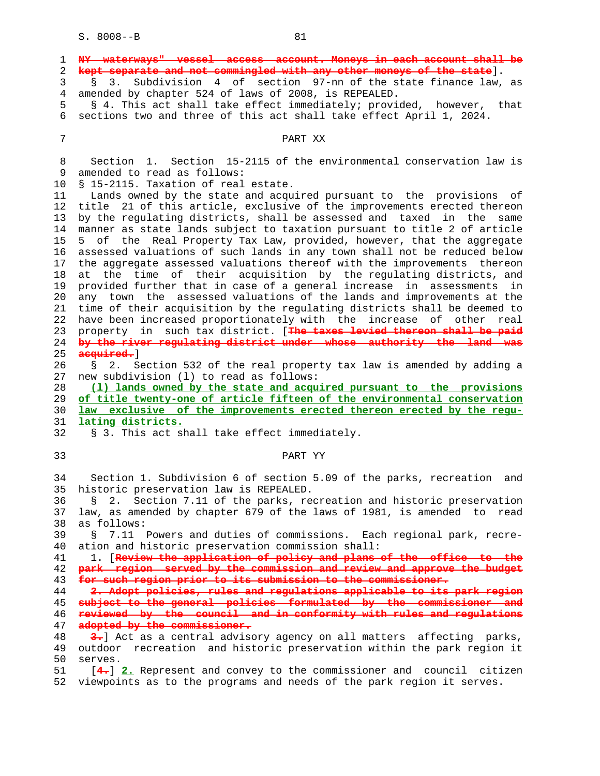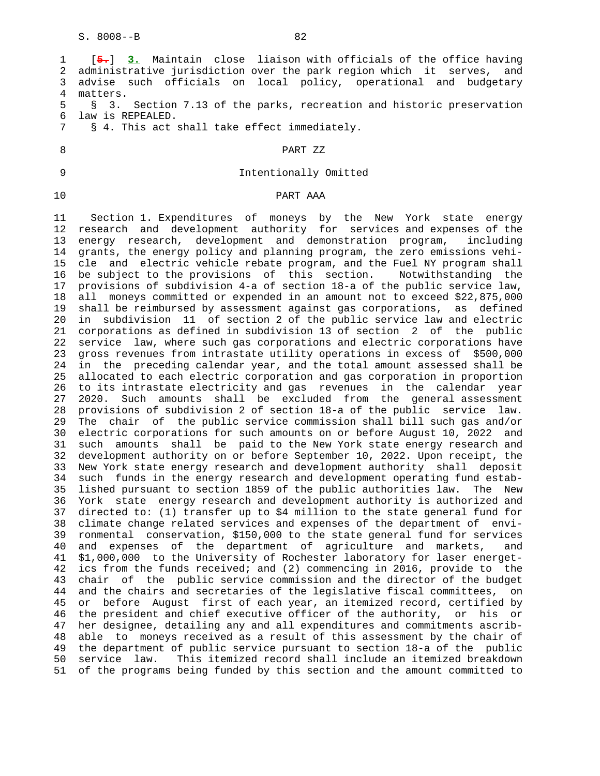1 [**5.**] **3.** Maintain close liaison with officials of the office having 2 administrative jurisdiction over the park region which it serves, and 3 advise such officials on local policy, operational and budgetary 4 matters.<br>5 § 3. 5 § 3. Section 7.13 of the parks, recreation and historic preservation 6 law is REPEALED. 7 § 4. This act shall take effect immediately. 8 PART ZZ 9 Intentionally Omitted 10 PART AAA 11 Section 1. Expenditures of moneys by the New York state energy 12 research and development authority for services and expenses of the 13 energy research, development and demonstration program, including 14 grants, the energy policy and planning program, the zero emissions vehi- 15 cle and electric vehicle rebate program, and the Fuel NY program shall 16 be subject to the provisions of this section. Notwithstanding the 17 provisions of subdivision 4-a of section 18-a of the public service law, 18 all moneys committed or expended in an amount not to exceed \$22,875,000 19 shall be reimbursed by assessment against gas corporations, as defined 20 in subdivision 11 of section 2 of the public service law and electric 21 corporations as defined in subdivision 13 of section 2 of the public 22 service law, where such gas corporations and electric corporations have 23 gross revenues from intrastate utility operations in excess of \$500,000 24 in the preceding calendar year, and the total amount assessed shall be 25 allocated to each electric corporation and gas corporation in proportion 26 to its intrastate electricity and gas revenues in the calendar year 27 2020. Such amounts shall be excluded from the general assessment 28 provisions of subdivision 2 of section 18-a of the public service law. 29 The chair of the public service commission shall bill such gas and/or 30 electric corporations for such amounts on or before August 10, 2022 and 31 such amounts shall be paid to the New York state energy research and 32 development authority on or before September 10, 2022. Upon receipt, the 33 New York state energy research and development authority shall deposit 34 such funds in the energy research and development operating fund estab- 35 lished pursuant to section 1859 of the public authorities law. The New 36 York state energy research and development authority is authorized and 37 directed to: (1) transfer up to \$4 million to the state general fund for 38 climate change related services and expenses of the department of envi- 39 ronmental conservation, \$150,000 to the state general fund for services 40 and expenses of the department of agriculture and markets, and 41 \$1,000,000 to the University of Rochester laboratory for laser energet- 42 ics from the funds received; and (2) commencing in 2016, provide to the 43 chair of the public service commission and the director of the budget 44 and the chairs and secretaries of the legislative fiscal committees, on 45 or before August first of each year, an itemized record, certified by 46 the president and chief executive officer of the authority, or his or 47 her designee, detailing any and all expenditures and commitments ascrib- 48 able to moneys received as a result of this assessment by the chair of 49 the department of public service pursuant to section 18-a of the public 50 service law. This itemized record shall include an itemized breakdown 51 of the programs being funded by this section and the amount committed to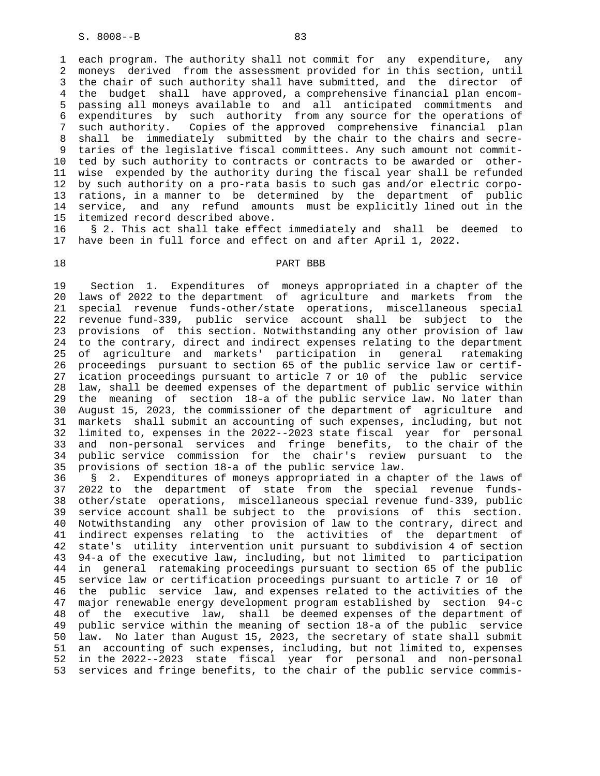1 each program. The authority shall not commit for any expenditure, any 2 moneys derived from the assessment provided for in this section, until 3 the chair of such authority shall have submitted, and the director of 4 the budget shall have approved, a comprehensive financial plan encom- 5 passing all moneys available to and all anticipated commitments and 6 expenditures by such authority from any source for the operations of 7 such authority. Copies of the approved comprehensive financial plan 8 shall be immediately submitted by the chair to the chairs and secre- 9 taries of the legislative fiscal committees. Any such amount not commit- 10 ted by such authority to contracts or contracts to be awarded or other- 11 wise expended by the authority during the fiscal year shall be refunded 12 by such authority on a pro-rata basis to such gas and/or electric corpo- 13 rations, in a manner to be determined by the department of public 14 service, and any refund amounts must be explicitly lined out in the 15 itemized record described above.

 16 § 2. This act shall take effect immediately and shall be deemed to 17 have been in full force and effect on and after April 1, 2022.

## 18 PART BBB

 19 Section 1. Expenditures of moneys appropriated in a chapter of the 20 laws of 2022 to the department of agriculture and markets from the 21 special revenue funds-other/state operations, miscellaneous special 22 revenue fund-339, public service account shall be subject to the 23 provisions of this section. Notwithstanding any other provision of law 24 to the contrary, direct and indirect expenses relating to the department 25 of agriculture and markets' participation in general ratemaking 26 proceedings pursuant to section 65 of the public service law or certif- 27 ication proceedings pursuant to article 7 or 10 of the public service 28 law, shall be deemed expenses of the department of public service within 29 the meaning of section 18-a of the public service law. No later than 30 August 15, 2023, the commissioner of the department of agriculture and 31 markets shall submit an accounting of such expenses, including, but not 32 limited to, expenses in the 2022--2023 state fiscal year for personal 33 and non-personal services and fringe benefits, to the chair of the 34 public service commission for the chair's review pursuant to the 35 provisions of section 18-a of the public service law.

 36 § 2. Expenditures of moneys appropriated in a chapter of the laws of 37 2022 to the department of state from the special revenue funds- 38 other/state operations, miscellaneous special revenue fund-339, public 39 service account shall be subject to the provisions of this section. 40 Notwithstanding any other provision of law to the contrary, direct and 41 indirect expenses relating to the activities of the department of 42 state's utility intervention unit pursuant to subdivision 4 of section 43 94-a of the executive law, including, but not limited to participation 44 in general ratemaking proceedings pursuant to section 65 of the public 45 service law or certification proceedings pursuant to article 7 or 10 of 46 the public service law, and expenses related to the activities of the 47 major renewable energy development program established by section 94-c 48 of the executive law, shall be deemed expenses of the department of 49 public service within the meaning of section 18-a of the public service 50 law. No later than August 15, 2023, the secretary of state shall submit 51 an accounting of such expenses, including, but not limited to, expenses 52 in the 2022--2023 state fiscal year for personal and non-personal 53 services and fringe benefits, to the chair of the public service commis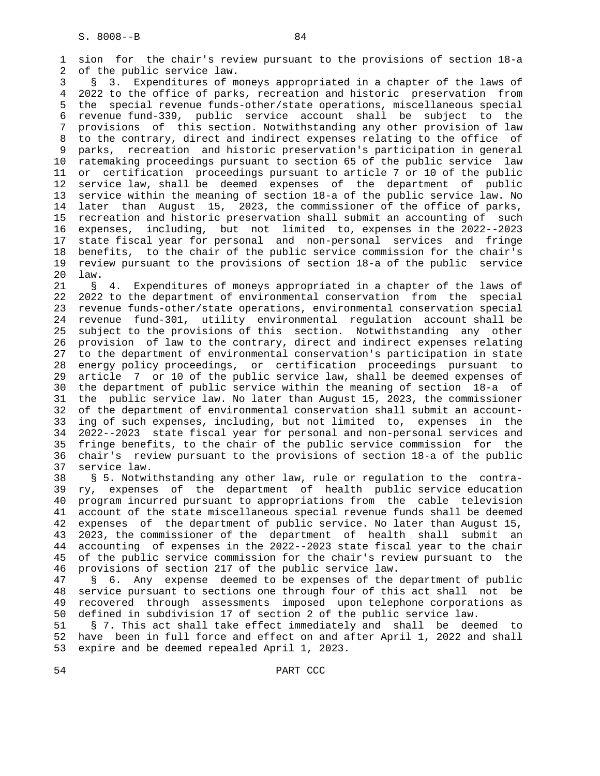1 sion for the chair's review pursuant to the provisions of section 18-a 2 of the public service law.

 3 § 3. Expenditures of moneys appropriated in a chapter of the laws of 4 2022 to the office of parks, recreation and historic preservation from 5 the special revenue funds-other/state operations, miscellaneous special 6 revenue fund-339, public service account shall be subject to the 7 provisions of this section. Notwithstanding any other provision of law 8 to the contrary, direct and indirect expenses relating to the office of 9 parks, recreation and historic preservation's participation in general 10 ratemaking proceedings pursuant to section 65 of the public service law 11 or certification proceedings pursuant to article 7 or 10 of the public 12 service law, shall be deemed expenses of the department of public 13 service within the meaning of section 18-a of the public service law. No 14 later than August 15, 2023, the commissioner of the office of parks, 15 recreation and historic preservation shall submit an accounting of such 16 expenses, including, but not limited to, expenses in the 2022--2023 17 state fiscal year for personal and non-personal services and fringe 18 benefits, to the chair of the public service commission for the chair's 19 review pursuant to the provisions of section 18-a of the public service 20 law.

 21 § 4. Expenditures of moneys appropriated in a chapter of the laws of 22 2022 to the department of environmental conservation from the special 23 revenue funds-other/state operations, environmental conservation special 24 revenue fund-301, utility environmental regulation account shall be 25 subject to the provisions of this section. Notwithstanding any other 26 provision of law to the contrary, direct and indirect expenses relating 27 to the department of environmental conservation's participation in state 28 energy policy proceedings, or certification proceedings pursuant to 29 article 7 or 10 of the public service law, shall be deemed expenses of 30 the department of public service within the meaning of section 18-a of 31 the public service law. No later than August 15, 2023, the commissioner 32 of the department of environmental conservation shall submit an account- 33 ing of such expenses, including, but not limited to, expenses in the 34 2022--2023 state fiscal year for personal and non-personal services and 35 fringe benefits, to the chair of the public service commission for the 36 chair's review pursuant to the provisions of section 18-a of the public 37 service law.

 38 § 5. Notwithstanding any other law, rule or regulation to the contra- 39 ry, expenses of the department of health public service education 40 program incurred pursuant to appropriations from the cable television 41 account of the state miscellaneous special revenue funds shall be deemed 42 expenses of the department of public service. No later than August 15, 43 2023, the commissioner of the department of health shall submit an 44 accounting of expenses in the 2022--2023 state fiscal year to the chair 45 of the public service commission for the chair's review pursuant to the 46 provisions of section 217 of the public service law.

 47 § 6. Any expense deemed to be expenses of the department of public 48 service pursuant to sections one through four of this act shall not be 49 recovered through assessments imposed upon telephone corporations as 50 defined in subdivision 17 of section 2 of the public service law.

 51 § 7. This act shall take effect immediately and shall be deemed to 52 have been in full force and effect on and after April 1, 2022 and shall 53 expire and be deemed repealed April 1, 2023.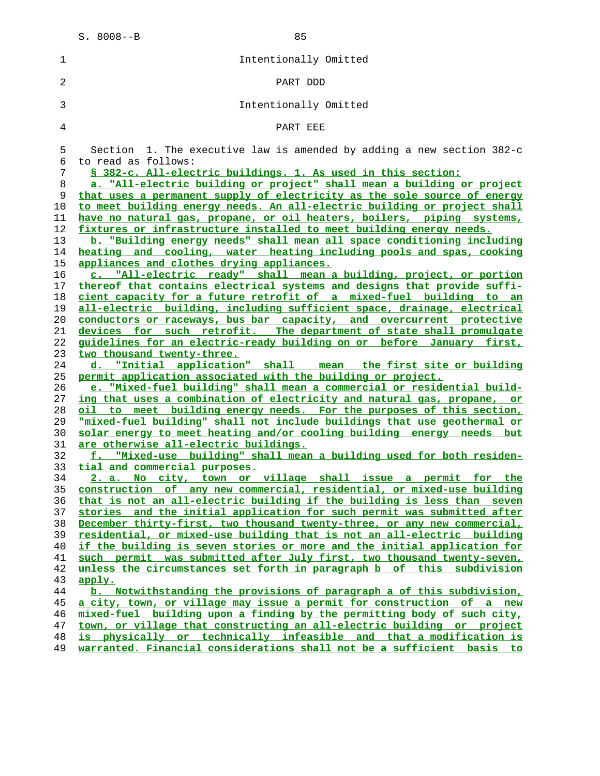| ٠   |     |
|-----|-----|
|     |     |
| e e | . . |
|     |     |

| $\mathbf 1$    | Intentionally Omitted                                                    |
|----------------|--------------------------------------------------------------------------|
| 2              | PART DDD                                                                 |
| 3              | Intentionally Omitted                                                    |
| $\overline{4}$ | PART EEE                                                                 |
| 5              | Section 1. The executive law is amended by adding a new section $382-c$  |
| 6              | to read as follows:                                                      |
| 7              | § 382-c. All-electric buildings. 1. As used in this section:             |
| 8              | a. "All-electric building or project" shall mean a building or project   |
| 9              | that uses a permanent supply of electricity as the sole source of energy |
| 10             | to meet building energy needs. An all-electric building or project shall |
| 11             | have no natural gas, propane, or oil heaters, boilers, piping systems,   |
| 12             | fixtures or infrastructure installed to meet building energy needs.      |
| 13             | b. "Building energy needs" shall mean all space conditioning including   |
|                | heating and cooling, water heating including pools and spas, cooking     |
| 14             |                                                                          |
| 15             | appliances and clothes drying appliances.                                |
| 16             | c. "All-electric ready" shall mean a building, project, or portion       |
| 17             | thereof that contains electrical systems and designs that provide suffi- |
| 18             | cient capacity for a future retrofit of a mixed-fuel building to an      |
| 19             | all-electric building, including sufficient space, drainage, electrical  |
| 20             | conductors or raceways, bus bar capacity, and overcurrent protective     |
| 21             | devices for such retrofit. The department of state shall promulgate      |
| 22             | quidelines for an electric-ready building on or before January first,    |
| 23             | two thousand twenty-three.                                               |
| 24             | d. "Initial application" shall mean the first site or building           |
| 25             | permit application associated with the building or project.              |
| 26             | e. "Mixed-fuel building" shall mean a commercial or residential build-   |
| 27             | ing that uses a combination of electricity and natural gas, propane, or  |
| 28             | oil to meet building energy needs. For the purposes of this section,     |
| 29             | "mixed-fuel building" shall not include buildings that use geothermal or |
| 30             | solar energy to meet heating and/or cooling building energy needs but    |
| 31             | <u>are otherwise all-electric buildings.</u>                             |
| 32             | f. "Mixed-use building" shall mean a building used for both residen-     |
| 33             | tial and commercial purposes.                                            |
| 34             | 2. a. No city, town or village shall issue a permit for the              |
| 35             | construction of any new commercial, residential, or mixed-use building   |
| 36             | that is not an all-electric building if the building is less than seven  |
| 37             | stories and the initial application for such permit was submitted after  |
| 38             | December thirty-first, two thousand twenty-three, or any new commercial, |
| 39             | residential, or mixed-use building that is not an all-electric building  |
| 40             | if the building is seven stories or more and the initial application for |
| 41             | such permit was submitted after July first, two thousand twenty-seven,   |
| 42             | unless the circumstances set forth in paragraph b of this subdivision    |
| 43             | apply.                                                                   |
| 44             | b. Notwithstanding the provisions of paragraph a of this subdivision,    |
| 45             | a city, town, or village may issue a permit for construction of a new    |
| 46             | mixed-fuel building upon a finding by the permitting body of such city,  |
| 47             | town, or village that constructing an all-electric building or project   |
| 48             | is physically or technically infeasible and that a modification is       |

**warranted. Financial considerations shall not be a sufficient basis to**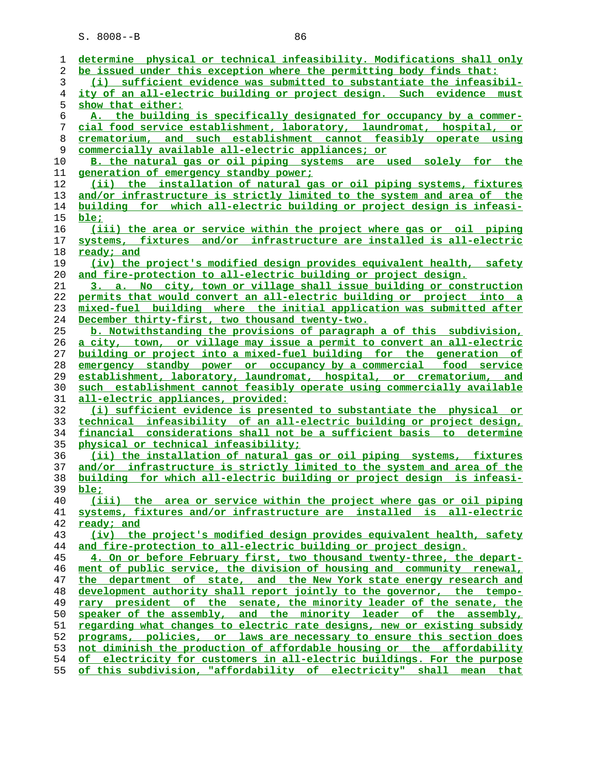| 1              | determine physical or technical infeasibility. Modifications shall only      |
|----------------|------------------------------------------------------------------------------|
| 2              | be issued under this exception where the permitting body finds that:         |
|                |                                                                              |
| 3              | (i) sufficient evidence was submitted to substantiate the infeasibil-        |
| $\overline{4}$ | ity of an all-electric building or project design. Such evidence must        |
| 5              | show that either:                                                            |
| 6              | A. the building is specifically designated for occupancy by a commer-        |
| 7              | cial food service establishment, laboratory, laundromat, hospital, or        |
| 8              | crematorium, and such establishment cannot feasibly operate using            |
| 9              | commercially available all-electric appliances; or                           |
| 10             | B. the natural gas or oil piping systems are used solely for the             |
| 11             | generation of emergency standby power;                                       |
| 12             | (ii) the installation of natural gas or oil piping systems, fixtures         |
| 13             | and/or infrastructure is strictly limited to the system and area of the      |
| 14             | building for which all-electric building or project design is infeasi-       |
| 15             | ble:                                                                         |
| 16             | (iii) the area or service within the project where gas or oil piping         |
| 17             | systems, fixtures and/or infrastructure are installed is all-electric        |
| 18             | ready; and                                                                   |
| 19             | (iv) the project's modified design provides equivalent health, safety        |
|                |                                                                              |
| 20             | and fire-protection to all-electric building or project design.              |
| 21             | 3. a. No city, town or village shall issue building or construction          |
| 22             | permits that would convert an all-electric building or project into a        |
| 23             | mixed-fuel building where the initial application was submitted after        |
| 24             | December thirty-first, two thousand twenty-two.                              |
| 25             | b. Notwithstanding the provisions of paragraph a of this subdivision,        |
| 26             | a city, town, or village may issue a permit to convert an all-electric       |
| 27             | building or project into a mixed-fuel building for the generation of         |
| 28             | emergency standby power or occupancy by a commercial food service            |
| 29             | establishment, laboratory, laundromat, hospital, or crematorium, and         |
| 30             | such establishment cannot feasibly operate using commercially available      |
| 31             | all-electric appliances, provided:                                           |
| 32             | (i) sufficient evidence is presented to substantiate the physical or         |
| 33             | technical infeasibility of an all-electric building or project design,       |
| 34             | financial considerations shall not be a sufficient basis to determine        |
| 35             | physical or technical infeasibility;                                         |
| 36             | (ii) the installation of natural gas or oil piping systems, fixtures         |
| 37             | and/or infrastructure is strictly limited to the system and area of the      |
| 38             | building for which all-electric building or project design is infeasi-       |
| 39             | ble:                                                                         |
| 40             | (iii) the area or service within the project where gas or oil piping         |
| 41             | systems, fixtures and/or infrastructure are installed is all-electric        |
| 42             | ready; and                                                                   |
| 43             | (iv) the project's modified design provides equivalent health, safety        |
| 44             | and fire-protection to all-electric building or project design.              |
| 45             | 4. On or before February first, two thousand twenty-three, the depart-       |
| 46             | ment of public service, the division of housing and community renewal,       |
| 47             | the department of state, and the New York state energy research and          |
| 48             | development authority shall report jointly to the governor, the tempo-       |
| 49             | rary president of the senate, the minority leader of the senate, the         |
| 50             | speaker of the assembly, and the minority leader of the assembly,            |
| 51             | regarding what changes to electric rate designs, new or existing subsidy     |
| 52             | programs, policies, or laws are necessary to ensure this section does        |
| 53             | not diminish the production of affordable housing or the affordability       |
| 54             | of electricity for customers in all-electric buildings. For the purpose      |
| 55             | of this subdivision, "affordability of electricity"<br>shall<br>that<br>mean |
|                |                                                                              |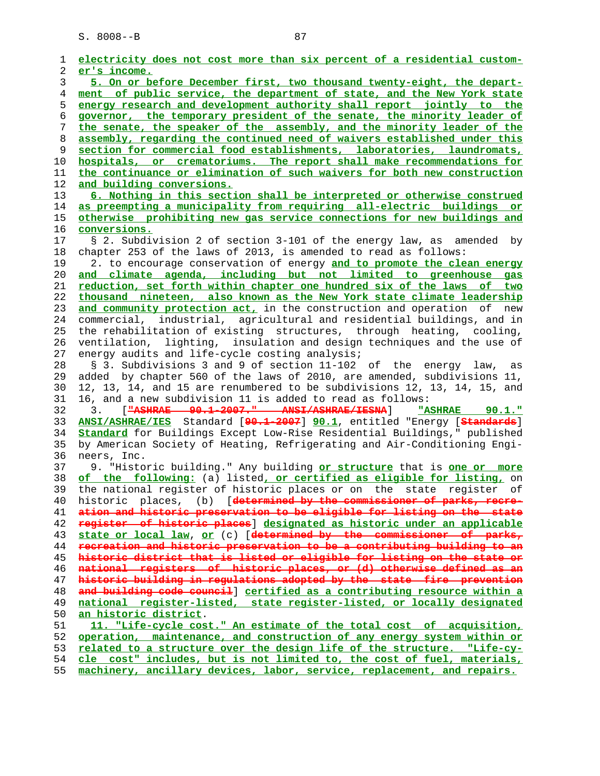**electricity does not cost more than six percent of a residential custom- er's income. 5. On or before December first, two thousand twenty-eight, the depart- ment of public service, the department of state, and the New York state energy research and development authority shall report jointly to the governor, the temporary president of the senate, the minority leader of the senate, the speaker of the assembly, and the minority leader of the assembly, regarding the continued need of waivers established under this section for commercial food establishments, laboratories, laundromats, hospitals, or crematoriums. The report shall make recommendations for the continuance or elimination of such waivers for both new construction and building conversions. 6. Nothing in this section shall be interpreted or otherwise construed as preempting a municipality from requiring all-electric buildings or otherwise prohibiting new gas service connections for new buildings and conversions.** 17 § 2. Subdivision 2 of section 3-101 of the energy law, as amended by 18 chapter 253 of the laws of 2013, is amended to read as follows: 19 2. to encourage conservation of energy **and to promote the clean energy and climate agenda, including but not limited to greenhouse gas reduction, set forth within chapter one hundred six of the laws of two thousand nineteen, also known as the New York state climate leadership and community protection act,** in the construction and operation of new 24 commercial, industrial, agricultural and residential buildings, and in 25 the rehabilitation of existing structures, through heating, cooling, 26 ventilation, lighting, insulation and design techniques and the use of 27 energy audits and life-cycle costing analysis; 28 § 3. Subdivisions 3 and 9 of section 11-102 of the energy law, as 29 added by chapter 560 of the laws of 2010, are amended, subdivisions 11, 30 12, 13, 14, and 15 are renumbered to be subdivisions 12, 13, 14, 15, and 31 16, and a new subdivision 11 is added to read as follows: 32 3. [**"ASHRAE 90.1-2007." ANSI/ASHRAE/IESNA**] **"ASHRAE 90.1." ANSI/ASHRAE/IES** Standard [**90.1-2007**] **90.1**, entitled "Energy [**Standards**] **Standard** for Buildings Except Low-Rise Residential Buildings," published 35 by American Society of Heating, Refrigerating and Air-Conditioning Engi- 36 neers, Inc. 37 9. "Historic building." Any building **or structure** that is **one or more of the following:** (a) listed**, or certified as eligible for listing,** on 39 the national register of historic places or on the state register of 40 historic places, (b) [**determined by the commissioner of parks, recre- ation and historic preservation to be eligible for listing on the state register of historic places**] **designated as historic under an applicable state or local law**, **or** (c) [**determined by the commissioner of parks, recreation and historic preservation to be a contributing building to an historic district that is listed or eligible for listing on the state or national registers of historic places, or (d) otherwise defined as an historic building in regulations adopted by the state fire prevention and building code council**] **certified as a contributing resource within a national register-listed, state register-listed, or locally designated an historic district**. **11. "Life-cycle cost." An estimate of the total cost of acquisition, operation, maintenance, and construction of any energy system within or related to a structure over the design life of the structure. "Life-cy- cle cost" includes, but is not limited to, the cost of fuel, materials, machinery, ancillary devices, labor, service, replacement, and repairs.**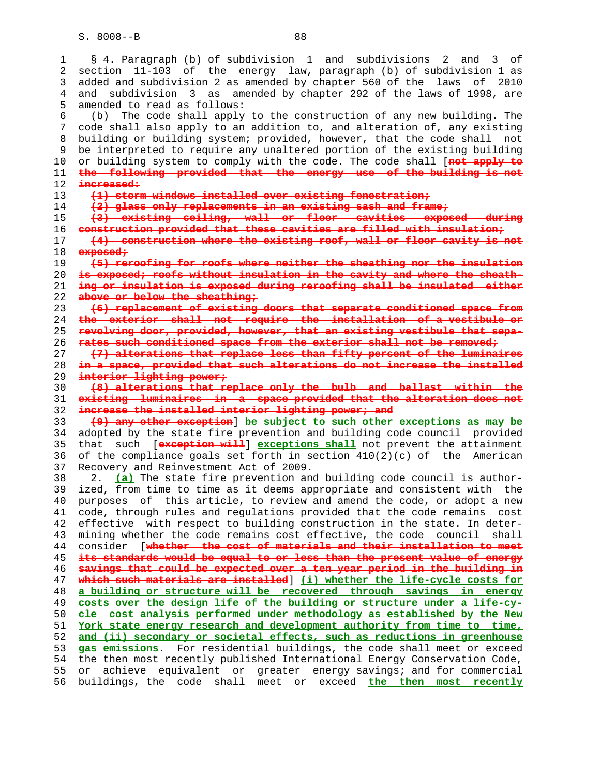1 § 4. Paragraph (b) of subdivision 1 and subdivisions 2 and 3 of 2 section 11-103 of the energy law, paragraph (b) of subdivision 1 as 3 added and subdivision 2 as amended by chapter 560 of the laws of 2010 4 and subdivision 3 as amended by chapter 292 of the laws of 1998, are 5 amended to read as follows: 6 (b) The code shall apply to the construction of any new building. The 7 code shall also apply to an addition to, and alteration of, any existing 8 building or building system; provided, however, that the code shall not 9 be interpreted to require any unaltered portion of the existing building<br>10 or building system to comply with the code. The code shall [not apply to 10 or building system to comply with the code. The code shall [**not apply to** 11 **the following provided that the energy use of the building is not** 12 **increased:** 13 **(1) storm windows installed over existing fenestration;** 14 **(2) glass only replacements in an existing sash and frame;** 15 **(3) existing ceiling, wall or floor cavities exposed during** 16 **construction provided that these cavities are filled with insulation;** 17 **(4) construction where the existing roof, wall or floor cavity is not** 18 **exposed;** 19 **(5) reroofing for roofs where neither the sheathing nor the insulation** 20 **is exposed; roofs without insulation in the cavity and where the sheath-** 21 **ing or insulation is exposed during reroofing shall be insulated either** 22 **above or below the sheathing;** 23 **(6) replacement of existing doors that separate conditioned space from** 24 **the exterior shall not require the installation of a vestibule or** 25 **revolving door, provided, however, that an existing vestibule that sepa-** 26 **rates such conditioned space from the exterior shall not be removed;** 27 **(7) alterations that replace less than fifty percent of the luminaires** 28 **in a space, provided that such alterations do not increase the installed** 29 **interior lighting power;** 30 **(8) alterations that replace only the bulb and ballast within the** 31 **existing luminaires in a space provided that the alteration does not** 32 **increase the installed interior lighting power; and** 33 **(9) any other exception**] **be subject to such other exceptions as may be** 34 adopted by the state fire prevention and building code council provided 35 that such [**exception will**] **exceptions shall** not prevent the attainment 36 of the compliance goals set forth in section 410(2)(c) of the American 37 Recovery and Reinvestment Act of 2009. 38 2. **(a)** The state fire prevention and building code council is author- 39 ized, from time to time as it deems appropriate and consistent with the 40 purposes of this article, to review and amend the code, or adopt a new 41 code, through rules and regulations provided that the code remains cost 42 effective with respect to building construction in the state. In deter- 43 mining whether the code remains cost effective, the code council shall 44 consider [**whether the cost of materials and their installation to meet** 45 **its standards would be equal to or less than the present value of energy** 46 **savings that could be expected over a ten year period in the building in** 47 **which such materials are installed**] **(i) whether the life-cycle costs for** 48 **a building or structure will be recovered through savings in energy** 49 **costs over the design life of the building or structure under a life-cy-** 50 **cle cost analysis performed under methodology as established by the New** 51 **York state energy research and development authority from time to time,** 52 **and (ii) secondary or societal effects, such as reductions in greenhouse** 53 **gas emissions**. For residential buildings, the code shall meet or exceed 54 the then most recently published International Energy Conservation Code, 55 or achieve equivalent or greater energy savings; and for commercial 56 buildings, the code shall meet or exceed **the then most recently**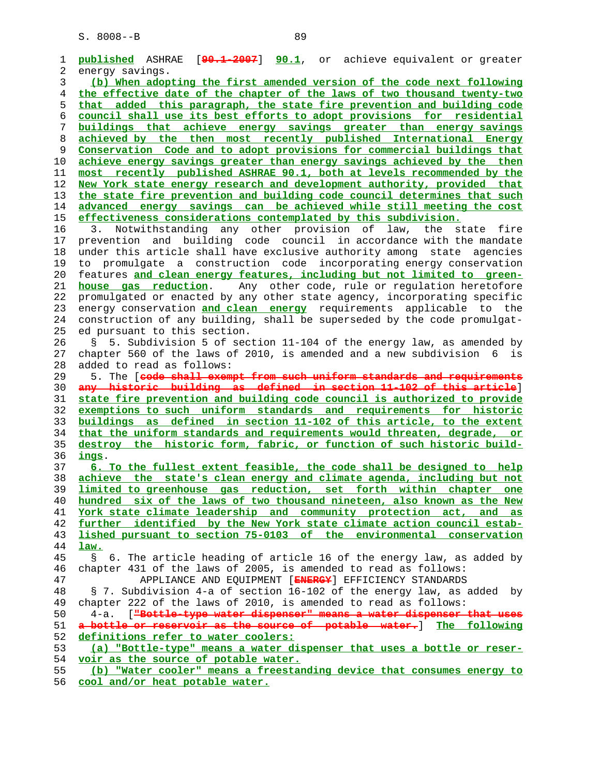| 1              | [90.1-2007] 90.1, or achieve equivalent or greater<br>published ASHRAE                                                                      |
|----------------|---------------------------------------------------------------------------------------------------------------------------------------------|
| 2              | energy savings.                                                                                                                             |
| 3              | (b) When adopting the first amended version of the code next following                                                                      |
| $\overline{4}$ | the effective date of the chapter of the laws of two thousand twenty-two                                                                    |
| 5              | that added this paragraph, the state fire prevention and building code                                                                      |
| 6              | council shall use its best efforts to adopt provisions for residential                                                                      |
| 7              | buildings that achieve energy savings greater than energy-savings                                                                           |
| 8              | achieved by the then most recently published International Energy                                                                           |
|                |                                                                                                                                             |
| 9              | Conservation Code and to adopt provisions for commercial buildings that                                                                     |
| 10             | achieve energy savings greater than energy savings achieved by the then                                                                     |
| 11             | most recently published ASHRAE 90.1, both at levels recommended by the                                                                      |
| 12             | New York state energy research and development authority, provided that                                                                     |
| 13             | the state fire prevention and building code council determines that such                                                                    |
| 14             | advanced energy savings can be achieved while still meeting the cost                                                                        |
| 15             | effectiveness considerations contemplated by this subdivision.                                                                              |
| 16             | Notwithstanding any other provision of law,<br>the state fire<br>3.                                                                         |
| 17             | prevention and building code council in accordance with the mandate                                                                         |
| 18             | under this article shall have exclusive authority among state agencies                                                                      |
|                |                                                                                                                                             |
| 19             | to promulgate a construction code incorporating energy conservation                                                                         |
| 20             | features and clean energy features, including but not limited to green-                                                                     |
| 21             | Any other code, rule or regulation heretofore<br>house gas reduction.                                                                       |
| 22             | promulgated or enacted by any other state agency, incorporating specific                                                                    |
| 23             | energy conservation and clean energy requirements applicable to the                                                                         |
| 24             | construction of any building, shall be superseded by the code promulgat-                                                                    |
| 25             | ed pursuant to this section.                                                                                                                |
| 26             | 5. Subdivision 5 of section 11-104 of the energy law, as amended by<br>S.                                                                   |
| 27             | chapter 560 of the laws of 2010, is amended and a new subdivision 6 is                                                                      |
| 28             | added to read as follows:                                                                                                                   |
| 29             | 5. The [code shall exempt from such uniform standards and requirements                                                                      |
|                |                                                                                                                                             |
|                |                                                                                                                                             |
| 30             | any historic building as defined in section 11-102 of this article]                                                                         |
| 31             | state fire prevention and building code council is authorized to provide                                                                    |
| 32             | exemptions to such uniform standards and requirements for historic                                                                          |
| 33             | buildings as defined in section 11-102 of this article, to the extent                                                                       |
| 34             | that the uniform standards and requirements would threaten, degrade, or                                                                     |
| 35             | destroy the historic form, fabric, or function of such historic build-                                                                      |
| 36             | <u>ings</u> .                                                                                                                               |
| 37             | 6. To the fullest extent feasible, the code shall be designed to help                                                                       |
|                |                                                                                                                                             |
| 38<br>39       | achieve the state's clean energy and climate agenda, including but not<br>limited to greenhouse gas reduction, set forth within chapter one |
|                |                                                                                                                                             |
| 40             | hundred six of the laws of two thousand nineteen, also known as the New                                                                     |
| 41             | York state climate leadership and community protection act, and as                                                                          |
| 42             | further identified by the New York state climate action council estab-                                                                      |
| 43             | lished pursuant to section 75-0103 of the environmental conservation                                                                        |
| 44             | law.                                                                                                                                        |
| 45             | 6. The article heading of article 16 of the energy law, as added by<br>$\mathbb{S}$                                                         |
| 46             | chapter 431 of the laws of 2005, is amended to read as follows:                                                                             |
| 47             | APPLIANCE AND EQUIPMENT [ENERGY] EFFICIENCY STANDARDS                                                                                       |
| 48             | § 7. Subdivision 4-a of section 16-102 of the energy law, as added by                                                                       |
|                |                                                                                                                                             |
| 49             | chapter 222 of the laws of 2010, is amended to read as follows:                                                                             |
| 50             | ["Bottle-type water dispenser" means a water dispenser that uses<br>4-a.                                                                    |
| 51             | a bottle or reservoir as the source of potable water. I The following                                                                       |
| 52             | definitions refer to water coolers:                                                                                                         |
| 53             | (a) "Bottle-type" means a water dispenser that uses a bottle or reser-                                                                      |
| 54<br>55       | voir as the source of potable water.<br>(b) "Water cooler" means a freestanding device that consumes energy to                              |

**cool and/or heat potable water.**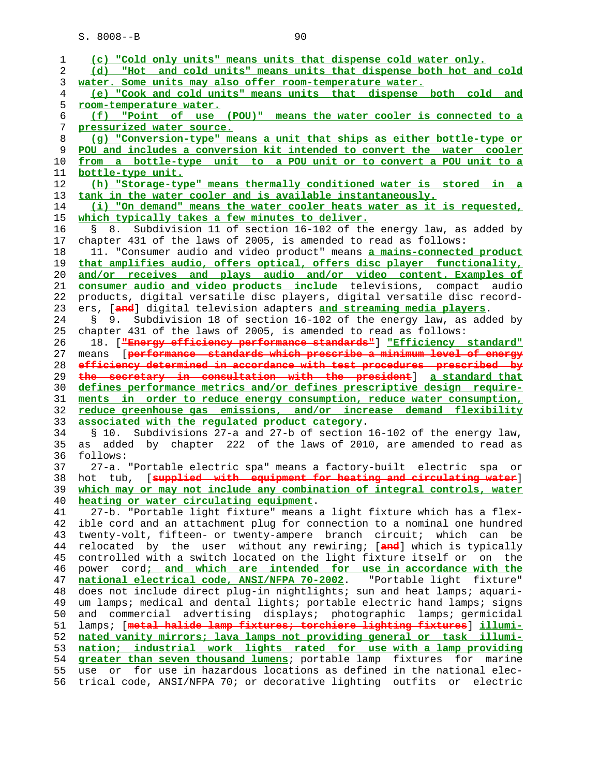| 1              | (c) "Cold only units" means units that dispense cold water only.                                                                                            |
|----------------|-------------------------------------------------------------------------------------------------------------------------------------------------------------|
| 2              | (d) "Hot and cold units" means units that dispense both hot and cold                                                                                        |
| 3              | water. Some units may also offer room-temperature water.                                                                                                    |
| $\overline{4}$ | (e) "Cook and cold units" means units that dispense both cold and                                                                                           |
| 5              | room-temperature water.                                                                                                                                     |
| 6              | "Point of use (POU)" means the water cooler is connected to a<br>(f)                                                                                        |
| 7              | pressurized water source.                                                                                                                                   |
| 8              | (g) "Conversion-type" means a unit that ships as either bottle-type or                                                                                      |
| 9              | POU and includes a conversion kit intended to convert the water cooler                                                                                      |
| 10             | from a bottle-type unit to a POU unit or to convert a POU unit to a                                                                                         |
| 11             | bottle-type unit.                                                                                                                                           |
| 12             | (h) "Storage-type" means thermally conditioned water is stored in a                                                                                         |
| 13             | tank in the water cooler and is available instantaneously.                                                                                                  |
| 14             | (i) "On demand" means the water cooler heats water as it is requested,                                                                                      |
| 15             | which typically takes a few minutes to deliver.                                                                                                             |
| 16             | Subdivision 11 of section 16-102 of the energy law, as added by<br>8.<br>g                                                                                  |
| 17             | chapter 431 of the laws of 2005, is amended to read as follows:                                                                                             |
| 18             | 11. "Consumer audio and video product" means a mains-connected product                                                                                      |
| 19             | that amplifies audio, offers optical, offers disc player functionality,                                                                                     |
| 20             | and/or receives and plays audio and/or video content. Examples of                                                                                           |
| 21             | consumer audio and video products include televisions, compact audio                                                                                        |
| 22             | products, digital versatile disc players, digital versatile disc record-                                                                                    |
| 23             | ers, [and] digital television adapters and streaming media players.                                                                                         |
| 24             | Subdivision 18 of section 16-102 of the energy law, as added by<br>S.<br>9.                                                                                 |
|                |                                                                                                                                                             |
| 25             | chapter 431 of the laws of 2005, is amended to read as follows:                                                                                             |
| 26             | 18. [ <del>"Energy efficiency performance standards"</del> ] "Efficiency standard"                                                                          |
| 27             | means [performance standards which prescribe a minimum level of energy<br>efficiency determined in accordance with test procedures prescribed by            |
|                |                                                                                                                                                             |
| 28             |                                                                                                                                                             |
| 29             | the secretary in consultation with the president] a standard that                                                                                           |
| 30             | defines performance metrics and/or defines prescriptive design require-                                                                                     |
| 31             | ments in order to reduce energy consumption, reduce water consumption,                                                                                      |
| 32             | reduce greenhouse gas emissions, and/or increase demand flexibility                                                                                         |
| 33             | associated with the requlated product category.                                                                                                             |
| 34             | Subdivisions 27-a and 27-b of section 16-102 of the energy law,<br>§ 10.                                                                                    |
| 35             | added by chapter 222 of the laws of 2010, are amended to read as<br>as                                                                                      |
| 36             | follows:                                                                                                                                                    |
| 37             | 27-a. "Portable electric spa" means a factory-built electric<br>spa<br>or                                                                                   |
| 38             | [supplied with equipment for heating and circulating water]<br>hot tub,                                                                                     |
| 39             | which may or may not include any combination of integral controls, water                                                                                    |
| 40             | heating or water circulating equipment.                                                                                                                     |
| 41             | 27-b. "Portable light fixture" means a light fixture which has a flex-                                                                                      |
| 42             | ible cord and an attachment plug for connection to a nominal one hundred                                                                                    |
| 43             | twenty-volt, fifteen- or twenty-ampere branch circuit;<br>which can be                                                                                      |
| 44             | relocated by the user without any rewiring; [and] which is typically                                                                                        |
| 45             | controlled with a switch located on the light fixture itself or on the                                                                                      |
| 46             | power cord; and which are intended for use in accordance with the                                                                                           |
| 47             |                                                                                                                                                             |
| 48             | national electrical code, ANSI/NFPA 70-2002. "Portable light fixture"<br>does not include direct plug-in nightlights; sun and heat lamps; aquari-           |
| 49             |                                                                                                                                                             |
|                | um lamps; medical and dental lights; portable electric hand lamps; signs                                                                                    |
| 50             | and commercial advertising displays; photographic lamps; germicidal                                                                                         |
| 51             | lamps; [metal halide lamp fixtures; torchiere lighting fixtures] illumi-                                                                                    |
| 52             | nated vanity mirrors; lava lamps not providing general or task illumi-                                                                                      |
| 53             | nation; industrial work lights rated for use with a lamp providing                                                                                          |
| 54             | greater than seven thousand lumens; portable lamp fixtures<br>for<br>marine                                                                                 |
| 55<br>56       | for use in hazardous locations as defined in the national elec-<br>or<br>use<br>trical code, ANSI/NFPA 70; or decorative lighting outfits<br>electric<br>or |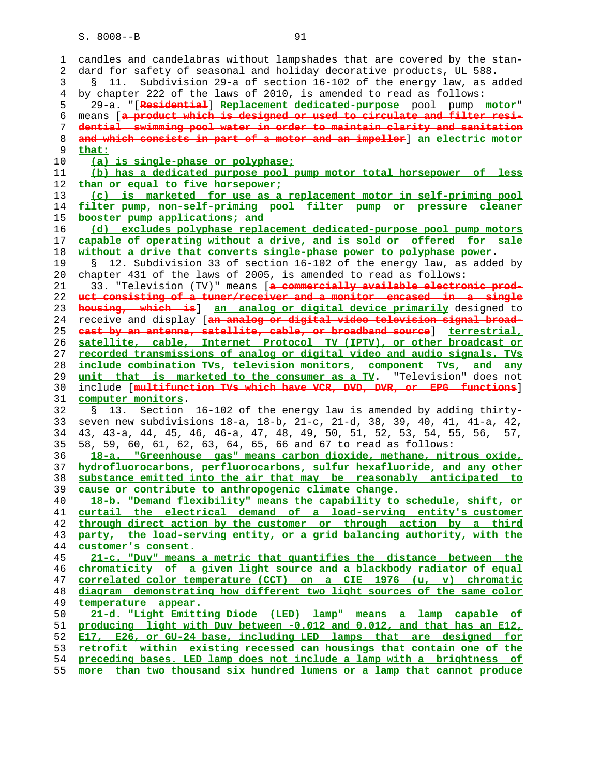1 candles and candelabras without lampshades that are covered by the stan- 2 dard for safety of seasonal and holiday decorative products, UL 588. 3 § 11. Subdivision 29-a of section 16-102 of the energy law, as added 4 by chapter 222 of the laws of 2010, is amended to read as follows: 5 29-a. "[**Residential**] **Replacement dedicated-purpose** pool pump **motor**" 6 means [**a product which is designed or used to circulate and filter resi- dential swimming pool water in order to maintain clarity and sanitation and which consists in part of a motor and an impeller**] **an electric motor that: (a) is single-phase or polyphase; (b) has a dedicated purpose pool pump motor total horsepower of less than or equal to five horsepower; (c) is marketed for use as a replacement motor in self-priming pool filter pump, non-self-priming pool filter pump or pressure cleaner booster pump applications; and (d) excludes polyphase replacement dedicated-purpose pool pump motors capable of operating without a drive, and is sold or offered for sale without a drive that converts single-phase power to polyphase power**. 19 § 12. Subdivision 33 of section 16-102 of the energy law, as added by 20 chapter 431 of the laws of 2005, is amended to read as follows: 21 33. "Television (TV)" means [**a commercially available electronic prod- uct consisting of a tuner/receiver and a monitor encased in a single housing, which is**] **an analog or digital device primarily** designed to 24 receive and display [**an analog or digital video television signal broad- cast by an antenna, satellite, cable, or broadband source**] **terrestrial, satellite, cable, Internet Protocol TV (IPTV), or other broadcast or recorded transmissions of analog or digital video and audio signals. TVs include combination TVs, television monitors, component TVs, and any unit that is marketed to the consumer as a TV**. "Television" does not 30 include [**multifunction TVs which have VCR, DVD, DVR, or EPG functions**] **computer monitors**. 32 § 13. Section 16-102 of the energy law is amended by adding thirty- 33 seven new subdivisions 18-a, 18-b, 21-c, 21-d, 38, 39, 40, 41, 41-a, 42, 34 43, 43-a, 44, 45, 46, 46-a, 47, 48, 49, 50, 51, 52, 53, 54, 55, 56, 57, 35 58, 59, 60, 61, 62, 63, 64, 65, 66 and 67 to read as follows: **18-a. "Greenhouse gas" means carbon dioxide, methane, nitrous oxide, hydrofluorocarbons, perfluorocarbons, sulfur hexafluoride, and any other substance emitted into the air that may be reasonably anticipated to cause or contribute to anthropogenic climate change. 18-b. "Demand flexibility" means the capability to schedule, shift, or curtail the electrical demand of a load-serving entity's customer through direct action by the customer or through action by a third party, the load-serving entity, or a grid balancing authority, with the customer's consent. 21-c. "Duv" means a metric that quantifies the distance between the chromaticity of a given light source and a blackbody radiator of equal correlated color temperature (CCT) on a CIE 1976 (u, v) chromatic diagram demonstrating how different two light sources of the same color temperature appear. 21-d. "Light Emitting Diode (LED) lamp" means a lamp capable of producing light with Duv between -0.012 and 0.012, and that has an E12, E17, E26, or GU-24 base, including LED lamps that are designed for retrofit within existing recessed can housings that contain one of the preceding bases. LED lamp does not include a lamp with a brightness of more than two thousand six hundred lumens or a lamp that cannot produce**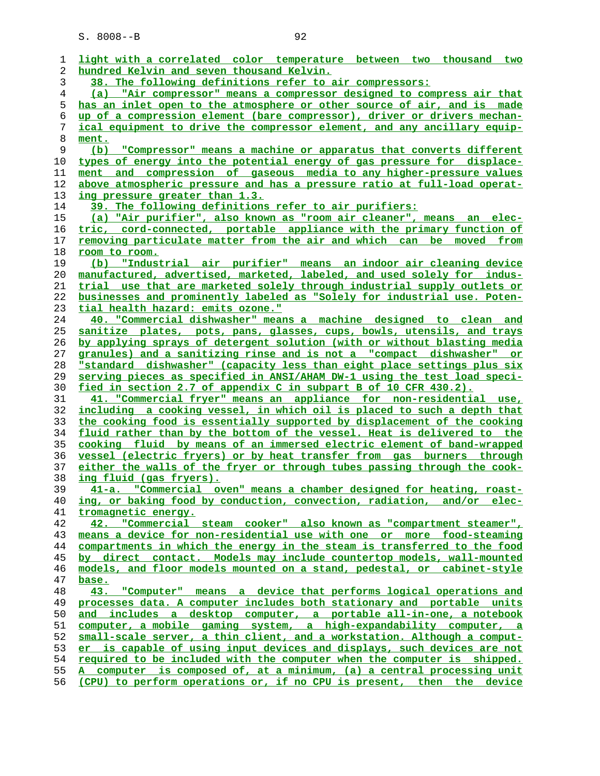| ı  | light with a correlated color temperature between two thousand two       |
|----|--------------------------------------------------------------------------|
| 2  | hundred Kelvin and seven thousand Kelvin.                                |
| 3  | 38. The following definitions refer to air compressors:                  |
| 4  | (a)<br>"Air compressor" means a compressor designed to compress air that |
| 5  | has an inlet open to the atmosphere or other source of air, and is made  |
| 6  | up of a compression element (bare compressor), driver or drivers mechan- |
| 7  | ical equipment to drive the compressor element, and any ancillary equip- |
| 8  |                                                                          |
|    | ment.                                                                    |
| 9  | (b) "Compressor" means a machine or apparatus that converts different    |
| 10 | types of energy into the potential energy of gas pressure for displace-  |
| 11 | ment and compression of gaseous media to any higher-pressure values      |
| 12 | above atmospheric pressure and has a pressure ratio at full-load operat- |
| 13 | ing pressure greater than 1.3.                                           |
| 14 | 39. The following definitions refer to air purifiers:                    |
| 15 | (a) "Air purifier", also known as "room air cleaner", means an elec-     |
| 16 | tric, cord-connected, portable appliance with the primary function of    |
| 17 | removing particulate matter from the air and which can be moved from     |
| 18 | room to room.                                                            |
| 19 | "Industrial air purifier" means an indoor air cleaning device<br>(b)     |
| 20 | manufactured, advertised, marketed, labeled, and used solely for indus-  |
| 21 | trial use that are marketed solely through industrial supply outlets or  |
| 22 | businesses and prominently labeled as "Solely for industrial use. Poten- |
| 23 | tial health hazard: emits ozone."                                        |
| 24 | 40. "Commercial dishwasher" means a machine designed to clean and        |
| 25 | sanitize plates, pots, pans, glasses, cups, bowls, utensils, and trays   |
|    |                                                                          |
| 26 | by applying sprays of detergent solution (with or without blasting media |
| 27 | granules) and a sanitizing rinse and is not a "compact dishwasher" or    |
| 28 | "standard dishwasher" (capacity less than eight place settings plus six  |
| 29 | serving pieces as specified in ANSI/AHAM DW-1 using the test load speci- |
| 30 | fied in section 2.7 of appendix C in subpart B of 10 CFR 430.2).         |
| 31 | 41. "Commercial fryer" means an appliance for non-residential use,       |
| 32 | including a cooking vessel, in which oil is placed to such a depth that  |
| 33 | the cooking food is essentially supported by displacement of the cooking |
| 34 | fluid rather than by the bottom of the vessel. Heat is delivered to the  |
| 35 | cooking fluid by means of an immersed electric element of band-wrapped   |
| 36 | vessel (electric fryers) or by heat transfer from gas burners through    |
| 37 | either the walls of the fryer or through tubes passing through the cook- |
| 38 | ing fluid (gas fryers).                                                  |
| 39 | 41-a. "Commercial oven" means a chamber designed for heating, roast-     |
| 40 | ing, or baking food by conduction, convection, radiation, and/or elec-   |
| 41 | tromagnetic energy.                                                      |
| 42 | 42. "Commercial steam cooker" also known as "compartment steamer",       |
| 43 | means a device for non-residential use with one or more food-steaming    |
| 44 | compartments in which the energy in the steam is transferred to the food |
| 45 | by direct contact. Models may include countertop models, wall-mounted    |
| 46 | models, and floor models mounted on a stand, pedestal, or cabinet-style  |
|    |                                                                          |
| 47 | base.                                                                    |
| 48 | 43. "Computer" means a device that performs logical operations and       |
| 49 | processes data. A computer includes both stationary and portable units   |
| 50 | and includes a desktop computer, a portable all-in-one, a notebook       |
| 51 | computer, a mobile gaming system, a high-expandability computer, a       |
| 52 | small-scale server, a thin client, and a workstation. Although a comput- |
| 53 | er is capable of using input devices and displays, such devices are not  |
| 54 | required to be included with the computer when the computer is shipped.  |
| 55 | A computer is composed of, at a minimum, (a) a central processing unit   |
| 56 | (CPU) to perform operations or, if no CPU is present, then the device    |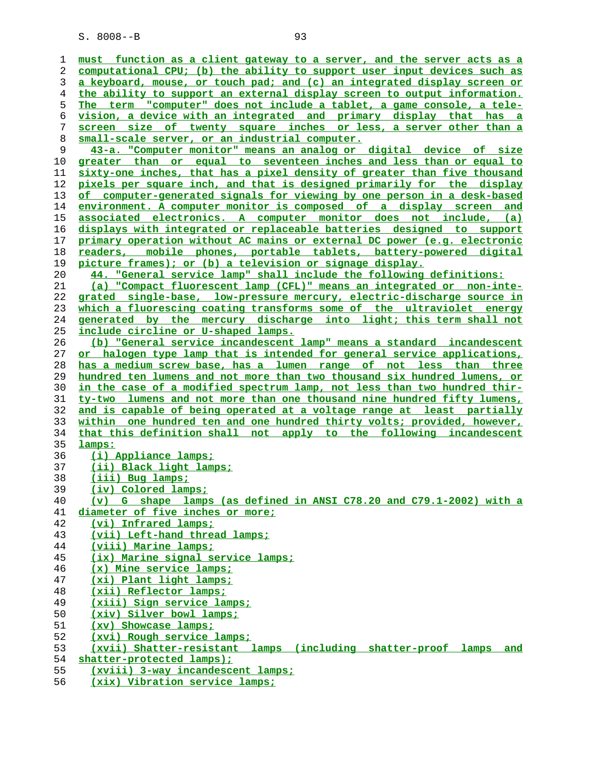**must function as a client gateway to a server, and the server acts as a computational CPU; (b) the ability to support user input devices such as a keyboard, mouse, or touch pad; and (c) an integrated display screen or the ability to support an external display screen to output information. The term "computer" does not include a tablet, a game console, a tele- vision, a device with an integrated and primary display that has a screen size of twenty square inches or less, a server other than a small-scale server, or an industrial computer. 43-a. "Computer monitor" means an analog or digital device of size greater than or equal to seventeen inches and less than or equal to sixty-one inches, that has a pixel density of greater than five thousand pixels per square inch, and that is designed primarily for the display of computer-generated signals for viewing by one person in a desk-based environment. A computer monitor is composed of a display screen and associated electronics. A computer monitor does not include, (a) displays with integrated or replaceable batteries designed to support primary operation without AC mains or external DC power (e.g. electronic readers, mobile phones, portable tablets, battery-powered digital picture frames); or (b) a television or signage display. 44. "General service lamp" shall include the following definitions: (a) "Compact fluorescent lamp (CFL)" means an integrated or non-inte- grated single-base, low-pressure mercury, electric-discharge source in which a fluorescing coating transforms some of the ultraviolet energy generated by the mercury discharge into light; this term shall not include circline or U-shaped lamps. (b) "General service incandescent lamp" means a standard incandescent or halogen type lamp that is intended for general service applications, has a medium screw base, has a lumen range of not less than three hundred ten lumens and not more than two thousand six hundred lumens, or in the case of a modified spectrum lamp, not less than two hundred thir- ty-two lumens and not more than one thousand nine hundred fifty lumens, and is capable of being operated at a voltage range at least partially within one hundred ten and one hundred thirty volts; provided, however, that this definition shall not apply to the following incandescent lamps: (i) Appliance lamps; (ii) Black light lamps; (iii) Bug lamps; (iv) Colored lamps; (v) G shape lamps (as defined in ANSI C78.20 and C79.1-2002) with a diameter of five inches or more; (vi) Infrared lamps; (vii) Left-hand thread lamps; (viii) Marine lamps; (ix) Marine signal service lamps; (x) Mine service lamps; (xi) Plant light lamps; (xii) Reflector lamps; (xiii) Sign service lamps; (xiv) Silver bowl lamps; (xv) Showcase lamps; (xvi) Rough service lamps; (xvii) Shatter-resistant lamps (including shatter-proof lamps and shatter-protected lamps); (xviii) 3-way incandescent lamps;**

**(xix) Vibration service lamps;**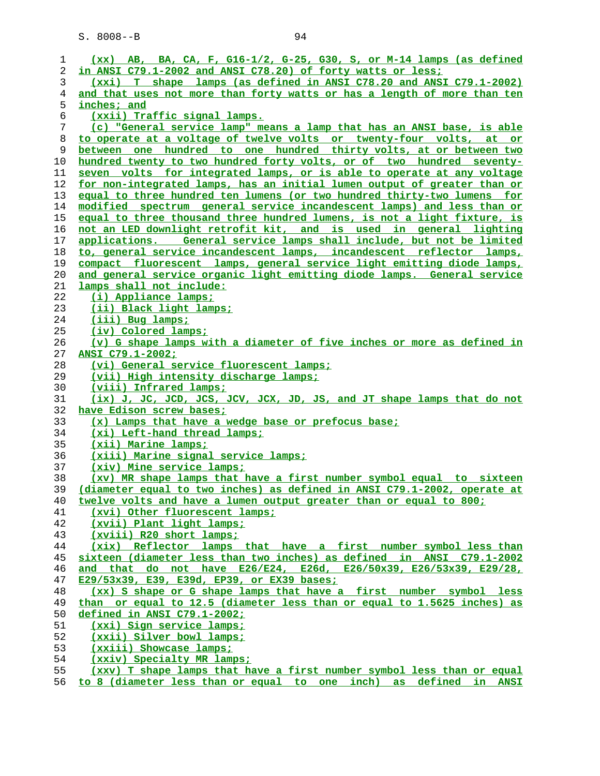| 1      | $(xx)$ AB, BA, CA, F, G16-1/2, G-25, G30, S, or M-14 lamps (as defined                                                                    |
|--------|-------------------------------------------------------------------------------------------------------------------------------------------|
|        |                                                                                                                                           |
| 2      | in ANSI C79.1-2002 and ANSI C78.20) of forty watts or less;                                                                               |
| 3<br>4 | (xxi) T shape lamps (as defined in ANSI C78.20 and ANSI C79.1-2002)                                                                       |
| 5      | and that uses not more than forty watts or has a length of more than ten<br>inches; and                                                   |
|        |                                                                                                                                           |
| 6      | (xxii) Traffic signal lamps.<br>(c) "General service lamp" means a lamp that has an ANSI base, is able                                    |
| 7      |                                                                                                                                           |
| 8<br>9 | to operate at a voltage of twelve volts or twenty-four volts, at or<br>between one hundred to one hundred thirty volts, at or between two |
| 10     | hundred twenty to two hundred forty volts, or of two hundred seventy-                                                                     |
| 11     | seven volts for integrated lamps, or is able to operate at any voltage                                                                    |
| 12     | for non-integrated lamps, has an initial lumen output of greater than or                                                                  |
| 13     | equal to three hundred ten lumens (or two hundred thirty-two lumens for                                                                   |
| 14     | modified spectrum general service incandescent lamps) and less than or                                                                    |
| 15     | equal to three thousand three hundred lumens, is not a light fixture, is                                                                  |
| 16     | not an LED downlight retrofit kit, and is used in general lighting                                                                        |
| 17     | applications. General service lamps shall include, but not be limited                                                                     |
| 18     | to, general service incandescent lamps, incandescent reflector lamps,                                                                     |
| 19     | compact fluorescent lamps, general service light emitting diode lamps,                                                                    |
| 20     | and general service organic light emitting diode lamps. General service                                                                   |
| 21     | lamps shall not include:                                                                                                                  |
| 22     | (i) Appliance lamps;                                                                                                                      |
| 23     | (ii) Black light lamps;                                                                                                                   |
| 24     | (iii) Bug lamps;                                                                                                                          |
| 25     | (iv) Colored lamps;                                                                                                                       |
| 26     | (v) G shape lamps with a diameter of five inches or more as defined in                                                                    |
| 27     | ANSI C79.1-2002;                                                                                                                          |
| 28     | (vi) General service fluorescent lamps;                                                                                                   |
| 29     | (vii) High intensity discharge lamps;                                                                                                     |
| 30     | (viii) Infrared lamps;                                                                                                                    |
| 31     | (ix) J, JC, JCD, JCS, JCV, JCX, JD, JS, and JT shape lamps that do not                                                                    |
| 32     | have Edison screw bases;                                                                                                                  |
| 33     | (x) Lamps that have a wedge base or prefocus base;                                                                                        |
| 34     | (xi) Left-hand thread lamps;                                                                                                              |
| 35     | (xii) Marine lamps;                                                                                                                       |
| 36     | (xiii) Marine signal service lamps;                                                                                                       |
| 37     | (xiv) Mine service lamps;                                                                                                                 |
| 38     | (xv) MR shape lamps that have a first number symbol equal to sixteen                                                                      |
| 39     | (diameter equal to two inches) as defined in ANSI C79.1-2002, operate at                                                                  |
| 40     | twelve volts and have a lumen output greater than or equal to 800;                                                                        |
| 41     | (xvi) Other fluorescent lamps;                                                                                                            |
| 42     | (xvii) Plant light lamps;                                                                                                                 |
| 43     | (xviii) R20 short lamps;                                                                                                                  |
| 44     | (xix) Reflector lamps that have a first number symbol less than                                                                           |
| 45     | sixteen (diameter less than two inches) as defined in ANSI C79.1-2002                                                                     |
| 46     | and that do not have E26/E24, E26d, E26/50x39, E26/53x39, E29/28,                                                                         |
| 47     | E29/53x39, E39, E39d, EP39, or EX39 bases;                                                                                                |
| 48     | (xx) S shape or G shape lamps that have a first number symbol less                                                                        |
| 49     | than or equal to 12.5 (diameter less than or equal to 1.5625 inches) as                                                                   |
| 50     | defined in ANSI C79.1-2002;                                                                                                               |
| 51     | (xxi) Sign service lamps;                                                                                                                 |
| 52     | (xxii) Silver bowl lamps;                                                                                                                 |
| 53     | (xxiii) Showcase lamps;                                                                                                                   |
| 54     | (xxiv) Specialty MR lamps;                                                                                                                |
| 55     | (xxv) T shape lamps that have a first number symbol less than or equal                                                                    |

**to 8 (diameter less than or equal to one inch) as defined in ANSI**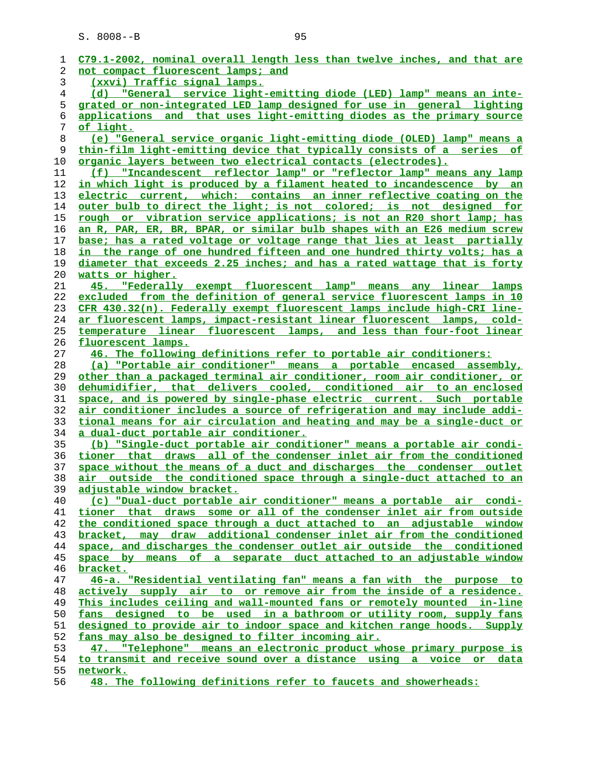| 1          | C79.1-2002, nominal overall length less than twelve inches, and that are        |
|------------|---------------------------------------------------------------------------------|
| 2          | not compact fluorescent lamps; and                                              |
| 3          | (xxvi) Traffic signal lamps.                                                    |
| 4          | (d) "General service light-emitting diode (LED) lamp" means an inte-            |
| 5          | grated or non-integrated LED lamp designed for use in general lighting          |
| 6          | applications and that uses light-emitting diodes as the primary source          |
| 7          | <u>of light.</u>                                                                |
| 8          | (e) "General service organic light-emitting diode (OLED) lamp" means a          |
|            |                                                                                 |
| 9          | thin-film light-emitting device that typically consists of a series of          |
| 10         | organic layers between two electrical contacts (electrodes).                    |
| 11         | (f) "Incandescent reflector lamp" or "reflector lamp" means any lamp            |
| 12         | in which light is produced by a filament heated to incandescence by an          |
| 13         | electric current, which: contains an inner reflective coating on the            |
| 14         | outer bulb to direct the light; is not colored; is not designed for             |
| 15         | rough or vibration service applications; is not an R20 short lamp; has          |
| 16         | <u>an R, PAR, ER, BR, BPAR, or similar bulb shapes with an E26 medium screw</u> |
| 17         | base; has a rated voltage or voltage range that lies at least partially         |
| 18         | <u>in the range of one hundred fifteen and one hundred thirty volts; has a</u>  |
| 19         | diameter that exceeds 2.25 inches; and has a rated wattage that is forty        |
|            |                                                                                 |
| 20         | watts or higher.                                                                |
| 21         | 45. "Federally exempt fluorescent lamp" means any linear lamps                  |
| 22         | excluded from the definition of general service fluorescent lamps in 10         |
| 23         | <u>CFR 430.32(n). Federally exempt fluorescent lamps include high-CRI line-</u> |
| 24         | ar fluorescent lamps, impact-resistant linear fluorescent lamps, cold-          |
| 25         | temperature linear fluorescent lamps, and less than four-foot linear            |
| 26         | fluorescent lamps.                                                              |
| 27         | 46. The following definitions refer to portable air conditioners:               |
| 28         | (a) "Portable air conditioner" means a portable encased assembly,               |
| 29         | other than a packaged terminal air conditioner, room air conditioner, or        |
| 30         | dehumidifier, that delivers cooled, conditioned air to an enclosed              |
| 31         | space, and is powered by single-phase electric current. Such portable           |
| 32         | <u>air conditioner includes a source of refrigeration and may include addi-</u> |
| 33         | tional means for air circulation and heating and may be a single-duct or        |
| 34         | a dual-duct portable air conditioner.                                           |
| 35         | (b) "Single-duct portable air conditioner" means a portable air condi-          |
| 36         | tioner that draws all of the condenser inlet air from the conditioned           |
| 37         | space without the means of a duct and discharges the condenser outlet           |
|            | air outside the conditioned space through a single-duct attached to an          |
| 38<br>39   | adjustable window bracket.                                                      |
| 40         | (c) "Dual-duct portable air conditioner" means a portable air condi-            |
|            |                                                                                 |
| 41         | tioner that draws some or all of the condenser inlet air from outside           |
| 42         | the conditioned space through a duct attached to an adjustable window           |
| 43         | bracket, may draw additional condenser inlet air from the conditioned           |
| 44         | space, and discharges the condenser outlet air outside the conditioned          |
| 45         | space by means of a separate duct attached to an adjustable window              |
| 46         | bracket.                                                                        |
| 47         | 46-a. "Residential ventilating fan" means a fan with the purpose to             |
| 48         | actively supply air to or remove air from the inside of a residence.            |
| 49         | This includes ceiling and wall-mounted fans or remotely mounted in-line         |
| 50         | fans designed to be used in a bathroom or utility room, supply fans             |
| 51         | designed to provide air to indoor space and kitchen range hoods. Supply         |
| 52         | fans may also be designed to filter incoming air.                               |
| 53         | 47. "Telephone" means an electronic product whose primary purpose is            |
| 54         | to transmit and receive sound over a distance using a voice or data             |
| 55         | network.                                                                        |
| $\epsilon$ | The fellowing definitions potential                                             |

**48. The following definitions refer to faucets and showerheads:**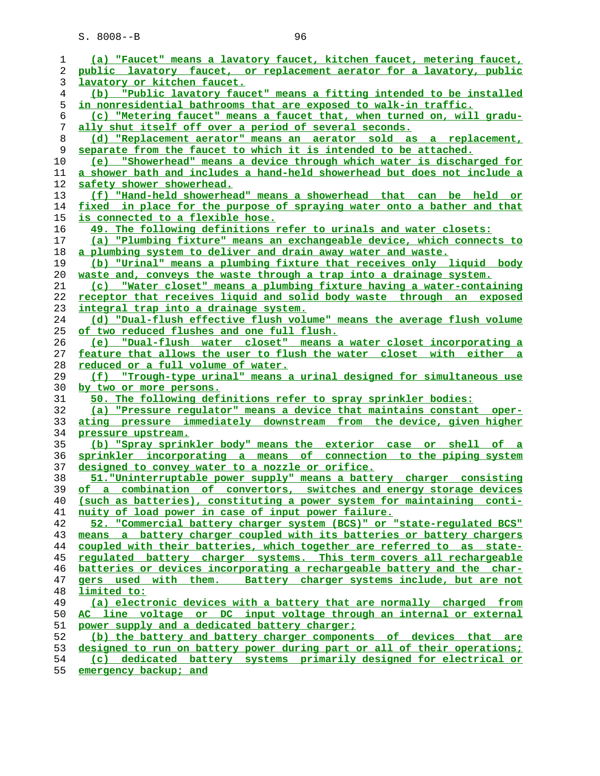| 1        | (a) "Faucet" means a lavatory faucet, kitchen faucet, metering faucet,                                                                         |
|----------|------------------------------------------------------------------------------------------------------------------------------------------------|
| 2        | public lavatory faucet, or replacement aerator for a lavatory, public                                                                          |
| 3        | lavatory or kitchen faucet.                                                                                                                    |
| 4        | (b) "Public lavatory faucet" means a fitting intended to be installed                                                                          |
| 5        | <u>in nonresidential bathrooms that are exposed to walk-in traffic.</u>                                                                        |
| 6        | (c) "Metering faucet" means a faucet that, when turned on, will gradu-                                                                         |
| 7        | ally shut itself off over a period of several seconds.                                                                                         |
| 8        | (d) "Replacement aerator" means an aerator sold as a replacement,                                                                              |
| 9        | separate from the faucet to which it is intended to be attached.                                                                               |
| 10       | (e) "Showerhead" means a device through which water is discharged for                                                                          |
| 11       | a shower bath and includes a hand-held showerhead but does not include a                                                                       |
| 12       | safety shower showerhead.                                                                                                                      |
| 13       | (f) "Hand-held showerhead" means a showerhead that can be held or                                                                              |
| 14       | fixed in place for the purpose of spraying water onto a bather and that                                                                        |
| 15       | is connected to a flexible hose.                                                                                                               |
| 16       | 49. The following definitions refer to urinals and water closets:                                                                              |
| 17<br>18 | (a) "Plumbing fixture" means an exchangeable device, which connects to                                                                         |
| 19       | a plumbing system to deliver and drain away water and waste.<br>(b) "Urinal" means a plumbing fixture that receives only liquid body           |
| 20       | waste and, conveys the waste through a trap into a drainage system.                                                                            |
| 21       | "Water closet" means a plumbing fixture having a water-containing<br>(c)                                                                       |
| 22       | receptor that receives liquid and solid body waste through an exposed                                                                          |
| 23       | <u>integral trap into a drainage system.</u>                                                                                                   |
| 24       | (d) "Dual-flush effective flush volume" means the average flush volume                                                                         |
| 25       | of two reduced flushes and one full flush.                                                                                                     |
| 26       | (e) "Dual-flush water closet" means a water closet incorporating a                                                                             |
| 27       | feature that allows the user to flush the water closet with either a                                                                           |
| 28       | reduced or a full volume of water.                                                                                                             |
| 29       | (f) "Trough-type urinal" means a urinal designed for simultaneous use                                                                          |
| 30       | by two or more persons.                                                                                                                        |
| 31       | 50. The following definitions refer to spray sprinkler bodies:                                                                                 |
| 32       | (a) "Pressure regulator" means a device that maintains constant oper-                                                                          |
| 33       | ating pressure immediately downstream from the device, given higher                                                                            |
| 34       | pressure upstream.                                                                                                                             |
| 35       | (b) "Spray sprinkler body" means the exterior case or shell of a                                                                               |
| 36       | sprinkler incorporating a means of connection to the piping system                                                                             |
| 37       | designed to convey water to a nozzle or orifice.                                                                                               |
| 38       | 51. "Uninterruptable power supply" means a battery charger consisting                                                                          |
| 39       | of a combination of convertors, switches and energy storage devices                                                                            |
| 40       | (such as batteries), constituting a power system for maintaining conti-                                                                        |
| 41       | nuity of load power in case of input power failure.                                                                                            |
| 42       | 52. "Commercial battery charger system (BCS)" or "state-regulated BCS"                                                                         |
| 43       | means a battery charger coupled with its batteries or battery chargers                                                                         |
| 44       | coupled with their batteries, which together are referred to as state-                                                                         |
| 45       | regulated battery charger systems. This term covers all rechargeable                                                                           |
| 46       | batteries or devices incorporating a rechargeable battery and the char-                                                                        |
| 47       | gers used with them. Battery charger systems include, but are not                                                                              |
| 48       | limited to:                                                                                                                                    |
| 49       | (a) electronic devices with a battery that are normally charged from                                                                           |
| 50       | AC line voltage or DC input voltage through an internal or external                                                                            |
| 51       | power supply and a dedicated battery charger;                                                                                                  |
| 52       | (b) the battery and battery charger components of devices that are                                                                             |
|          |                                                                                                                                                |
| 53<br>54 | designed to run on battery power during part or all of their operations;<br>(c) dedicated battery systems primarily designed for electrical or |

**emergency backup; and**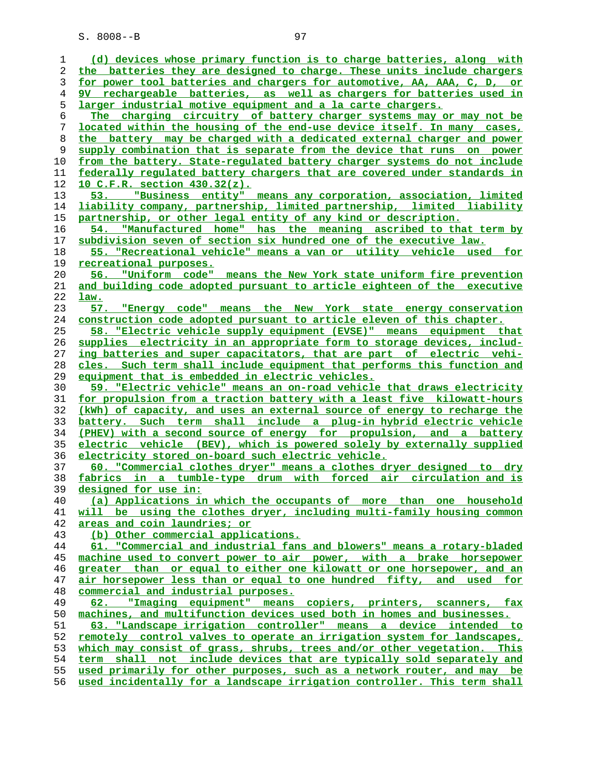| I  | ٠ |
|----|---|
| ۰. |   |

| 1  | (d) devices whose primary function is to charge batteries, along with    |
|----|--------------------------------------------------------------------------|
| 2  | the batteries they are designed to charge. These units include chargers  |
| 3  | for power tool batteries and chargers for automotive, AA, AAA, C, D, or  |
| 4  | 9V rechargeable batteries, as well as chargers for batteries used in     |
| 5  | larger industrial motive equipment and a la carte chargers.              |
| 6  | The charging circuitry of battery charger systems may or may not be      |
| 7  | located within the housing of the end-use device itself. In many cases,  |
| 8  | the battery may be charged with a dedicated external charger and power   |
| 9  | supply combination that is separate from the device that runs on power   |
| 10 | from the battery. State-regulated battery charger systems do not include |
| 11 | federally regulated battery chargers that are covered under standards in |
| 12 | <u>10 C.F.R. section 430.32(z).</u>                                      |
| 13 |                                                                          |
|    | "Business entity" means any corporation, association, limited            |
| 14 | liability company, partnership, limited partnership, limited liability   |
| 15 | partnership, or other legal entity of any kind or description.           |
| 16 | "Manufactured home" has the meaning ascribed to that term by<br>54.      |
| 17 | subdivision seven of section six hundred one of the executive law.       |
| 18 | 55. "Recreational vehicle" means a van or utility vehicle used for       |
| 19 | recreational purposes.                                                   |
| 20 | 56. "Uniform code" means the New York state uniform fire prevention      |
| 21 | and building code adopted pursuant to article eighteen of the executive  |
| 22 | law.                                                                     |
| 23 | "Energy code" means the New York state energy conservation<br>57.        |
| 24 | construction code adopted pursuant to article eleven of this chapter.    |
| 25 | 58. "Electric vehicle supply equipment (EVSE)" means equipment that      |
| 26 | supplies electricity in an appropriate form to storage devices, includ-  |
| 27 | ing batteries and super capacitators, that are part of electric vehi-    |
| 28 | cles. Such term shall include equipment that performs this function and  |
| 29 | equipment that is embedded in electric vehicles.                         |
| 30 | 59. "Electric vehicle" means an on-road vehicle that draws electricity   |
| 31 | for propulsion from a traction battery with a least five kilowatt-hours  |
| 32 | (kWh) of capacity, and uses an external source of energy to recharge the |
| 33 | battery. Such term shall include a plug-in hybrid electric vehicle       |
| 34 | (PHEV) with a second source of energy for propulsion, and a battery      |
|    |                                                                          |
| 35 | electric vehicle (BEV), which is powered solely by externally supplied   |
| 36 | electricity stored on-board such electric vehicle.                       |
| 37 | 60. "Commercial clothes dryer" means a clothes dryer designed to dry     |
| 38 | fabrics in a tumble-type drum with forced air circulation and is         |
| 39 | designed for use in:                                                     |
| 40 | (a) Applications in which the occupants of more than one household       |
| 41 | will be using the clothes dryer, including multi-family housing common   |
| 42 | areas and coin laundries; or                                             |
| 43 | (b) Other commercial applications.                                       |
| 44 | 61. "Commercial and industrial fans and blowers" means a rotary-bladed   |
| 45 | machine used to convert power to air power, with a brake horsepower      |
| 46 | greater than or equal to either one kilowatt or one horsepower, and an   |
| 47 | air horsepower less than or equal to one hundred fifty, and used for     |
| 48 | commercial and industrial purposes.                                      |
| 49 | "Imaging equipment" means copiers, printers, scanners, fax<br>62.        |
| 50 | machines, and multifunction devices used both in homes and businesses.   |
| 51 | 63. "Landscape irrigation controller" means a device intended to         |
| 52 | remotely control valves to operate an irrigation system for landscapes,  |
| 53 | which may consist of grass, shrubs, trees and/or other vegetation. This  |
| 54 | term shall not include devices that are typically sold separately and    |
| 55 | used primarily for other purposes, such as a network router, and may be  |
| 56 | used incidentally for a landscape irrigation controller. This term shall |
|    |                                                                          |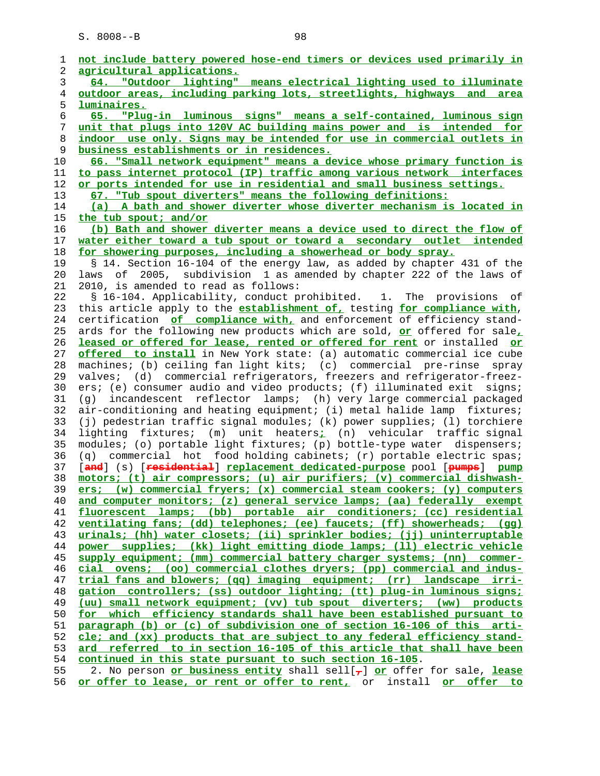**not include battery powered hose-end timers or devices used primarily in agricultural applications. 64. "Outdoor lighting" means electrical lighting used to illuminate outdoor areas, including parking lots, streetlights, highways and area luminaires. 65. "Plug-in luminous signs" means a self-contained, luminous sign unit that plugs into 120V AC building mains power and is intended for indoor use only. Signs may be intended for use in commercial outlets in business establishments or in residences. 66. "Small network equipment" means a device whose primary function is to pass internet protocol (IP) traffic among various network interfaces or ports intended for use in residential and small business settings. 67. "Tub spout diverters" means the following definitions: (a) A bath and shower diverter whose diverter mechanism is located in the tub spout; and/or (b) Bath and shower diverter means a device used to direct the flow of water either toward a tub spout or toward a secondary outlet intended for showering purposes, including a showerhead or body spray.** 19 § 14. Section 16-104 of the energy law, as added by chapter 431 of the 20 laws of 2005, subdivision 1 as amended by chapter 222 of the laws of 21 2010, is amended to read as follows: 22 § 16-104. Applicability, conduct prohibited. 1. The provisions of 23 this article apply to the **establishment of,** testing **for compliance with**, 24 certification **of compliance with,** and enforcement of efficiency stand- 25 ards for the following new products which are sold, **or** offered for sale**, leased or offered for lease, rented or offered for rent** or installed **or offered to install** in New York state: (a) automatic commercial ice cube 28 machines; (b) ceiling fan light kits; (c) commercial pre-rinse spray 29 valves; (d) commercial refrigerators, freezers and refrigerator-freez- 30 ers; (e) consumer audio and video products; (f) illuminated exit signs; 31 (g) incandescent reflector lamps; (h) very large commercial packaged 32 air-conditioning and heating equipment; (i) metal halide lamp fixtures; 33 (j) pedestrian traffic signal modules; (k) power supplies; (l) torchiere 34 lighting fixtures; (m) unit heaters**;** (n) vehicular traffic signal 35 modules; (o) portable light fixtures; (p) bottle-type water dispensers; 36 (q) commercial hot food holding cabinets; (r) portable electric spas; 37 [**and**] (s) [**residential**] **replacement dedicated-purpose** pool [**pumps**] **pump motors; (t) air compressors; (u) air purifiers; (v) commercial dishwash- ers; (w) commercial fryers; (x) commercial steam cookers; (y) computers and computer monitors; (z) general service lamps; (aa) federally exempt fluorescent lamps; (bb) portable air conditioners; (cc) residential ventilating fans; (dd) telephones; (ee) faucets; (ff) showerheads; (gg) urinals; (hh) water closets; (ii) sprinkler bodies; (jj) uninterruptable power supplies; (kk) light emitting diode lamps; (ll) electric vehicle supply equipment; (mm) commercial battery charger systems; (nn) commer- cial ovens; (oo) commercial clothes dryers; (pp) commercial and indus- trial fans and blowers; (qq) imaging equipment; (rr) landscape irri- gation controllers; (ss) outdoor lighting; (tt) plug-in luminous signs; (uu) small network equipment; (vv) tub spout diverters; (ww) products for which efficiency standards shall have been established pursuant to paragraph (b) or (c) of subdivision one of section 16-106 of this arti- cle; and (xx) products that are subject to any federal efficiency stand- ard referred to in section 16-105 of this article that shall have been continued in this state pursuant to such section 16-105**. 55 2. No person **or business entity** shall sell[**,**] **or** offer for sale, **lease or offer to lease, or rent or offer to rent,** or install **or offer to**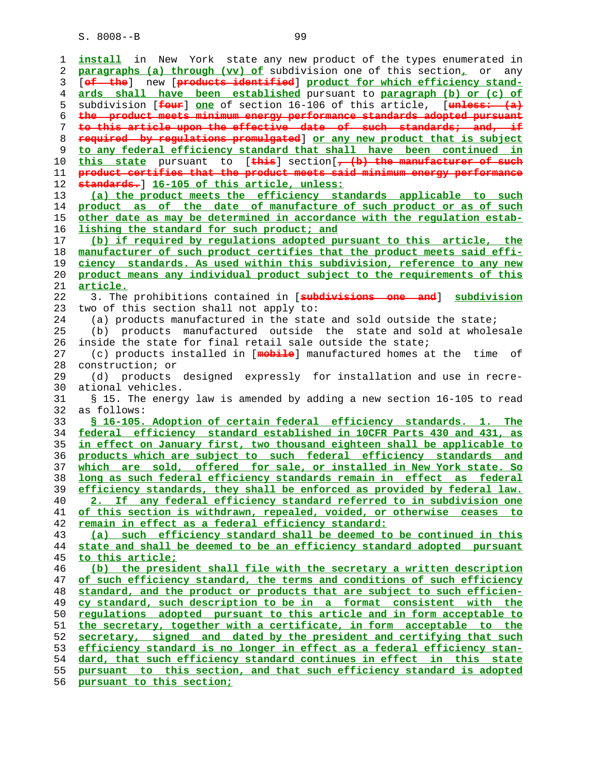**install** in New York state any new product of the types enumerated in **paragraphs (a) through (vv) of** subdivision one of this section**,** or any 3 [**of the**] new [**products identified**] **product for which efficiency stand- ards shall have been established** pursuant to **paragraph (b) or (c) of** 5 subdivision [**four**] **one** of section 16-106 of this article, [**unless: (a) the product meets minimum energy performance standards adopted pursuant to this article upon the effective date of such standards; and, if required by regulations promulgated**] **or any new product that is subject to any federal efficiency standard that shall have been continued in**<br>10 **this state** pursuant to [**this**] section[, (b) the manufacturer of such **this state** pursuant to [**this**] section[**, (b) the manufacturer of such product certifies that the product meets said minimum energy performance standards.**] **16-105 of this article, unless: (a) the product meets the efficiency standards applicable to such product as of the date of manufacture of such product or as of such other date as may be determined in accordance with the regulation estab- lishing the standard for such product; and (b) if required by regulations adopted pursuant to this article, the manufacturer of such product certifies that the product meets said effi- ciency standards. As used within this subdivision, reference to any new product means any individual product subject to the requirements of this article.** 22 3. The prohibitions contained in [**subdivisions one and**] **subdivision** 23 two of this section shall not apply to: 24 (a) products manufactured in the state and sold outside the state; 25 (b) products manufactured outside the state and sold at wholesale 26 inside the state for final retail sale outside the state; 27 (c) products installed in [**mobile**] manufactured homes at the time of 28 construction; or 29 (d) products designed expressly for installation and use in recre- 30 ational vehicles. 31 § 15. The energy law is amended by adding a new section 16-105 to read 32 as follows: **§ 16-105. Adoption of certain federal efficiency standards. 1. The federal efficiency standard established in 10CFR Parts 430 and 431, as in effect on January first, two thousand eighteen shall be applicable to products which are subject to such federal efficiency standards and which are sold, offered for sale, or installed in New York state. So long as such federal efficiency standards remain in effect as federal efficiency standards, they shall be enforced as provided by federal law. 2. If any federal efficiency standard referred to in subdivision one of this section is withdrawn, repealed, voided, or otherwise ceases to remain in effect as a federal efficiency standard: (a) such efficiency standard shall be deemed to be continued in this state and shall be deemed to be an efficiency standard adopted pursuant to this article; (b) the president shall file with the secretary a written description of such efficiency standard, the terms and conditions of such efficiency standard, and the product or products that are subject to such efficien- cy standard, such description to be in a format consistent with the regulations adopted pursuant to this article and in form acceptable to the secretary, together with a certificate, in form acceptable to the secretary, signed and dated by the president and certifying that such efficiency standard is no longer in effect as a federal efficiency stan- dard, that such efficiency standard continues in effect in this state pursuant to this section, and that such efficiency standard is adopted pursuant to this section;**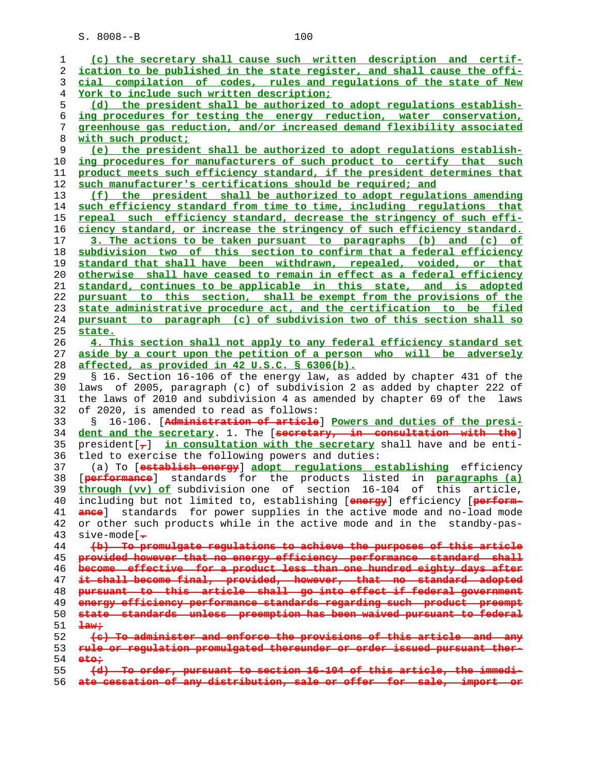**(c) the secretary shall cause such written description and certif- ication to be published in the state register, and shall cause the offi- cial compilation of codes, rules and regulations of the state of New York to include such written description; (d) the president shall be authorized to adopt regulations establish- ing procedures for testing the energy reduction, water conservation, greenhouse gas reduction, and/or increased demand flexibility associated with such product; (e) the president shall be authorized to adopt regulations establish- ing procedures for manufacturers of such product to certify that such product meets such efficiency standard, if the president determines that such manufacturer's certifications should be required; and (f) the president shall be authorized to adopt regulations amending such efficiency standard from time to time, including regulations that repeal such efficiency standard, decrease the stringency of such effi- ciency standard, or increase the stringency of such efficiency standard. 3. The actions to be taken pursuant to paragraphs (b) and (c) of subdivision two of this section to confirm that a federal efficiency standard that shall have been withdrawn, repealed, voided, or that otherwise shall have ceased to remain in effect as a federal efficiency standard, continues to be applicable in this state, and is adopted pursuant to this section, shall be exempt from the provisions of the state administrative procedure act, and the certification to be filed pursuant to paragraph (c) of subdivision two of this section shall so state. 4. This section shall not apply to any federal efficiency standard set aside by a court upon the petition of a person who will be adversely affected, as provided in 42 U.S.C. § 6306(b).** 29 § 16. Section 16-106 of the energy law, as added by chapter 431 of the 30 laws of 2005, paragraph (c) of subdivision 2 as added by chapter 222 of 31 the laws of 2010 and subdivision 4 as amended by chapter 69 of the laws 32 of 2020, is amended to read as follows: 33 § 16-106. [**Administration of article**] **Powers and duties of the presi- dent and the secretary**. 1. The [**secretary, in consultation with the**] 35 president[**,**] **in consultation with the secretary** shall have and be enti- 36 tled to exercise the following powers and duties: 37 (a) To [**establish energy**] **adopt regulations establishing** efficiency 38 [**performance**] standards for the products listed in **paragraphs (a) through (vv) of** subdivision one of section 16-104 of this article, 40 including but not limited to, establishing [**energy**] efficiency [**perform- ance**] standards for power supplies in the active mode and no-load mode 42 or other such products while in the active mode and in the standby-pas- 43 sive-mode[**. (b) To promulgate regulations to achieve the purposes of this article provided however that no energy efficiency performance standard shall become effective for a product less than one hundred eighty days after it shall become final, provided, however, that no standard adopted pursuant to this article shall go into effect if federal government energy efficiency performance standards regarding such product preempt state standards unless preemption has been waived pursuant to federal law; (c) To administer and enforce the provisions of this article and any rule or regulation promulgated thereunder or order issued pursuant ther- eto; (d) To order, pursuant to section 16-104 of this article, the immedi-**

**ate cessation of any distribution, sale or offer for sale, import or**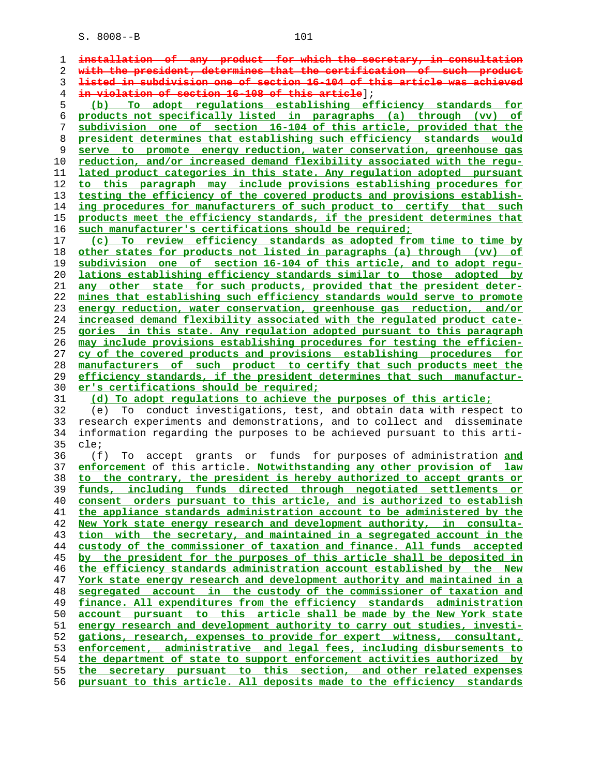| 1  | installation of any product for which the secretary, in consultation                |
|----|-------------------------------------------------------------------------------------|
| 2  | with the president, determines that the certification of such<br><del>product</del> |
| 3  | listed in subdivision one of section 16-104 of this article was achieved            |
| 4  | in violation of section 16-108 of this article];                                    |
| 5  | To adopt regulations establishing efficiency standards for<br>(b)                   |
| 6  | products not specifically listed in paragraphs (a) through (vv) of                  |
| 7  | subdivision one of section 16-104 of this article, provided that the                |
| 8  | president determines that establishing such efficiency standards would              |
| 9  | serve to promote energy reduction, water conservation, greenhouse gas               |
| 10 | reduction, and/or increased demand flexibility associated with the requ-            |
| 11 | lated product categories in this state. Any regulation adopted pursuant             |
| 12 | to this paragraph may include provisions establishing procedures for                |
| 13 | testing the efficiency of the covered products and provisions establish-            |
| 14 | ing procedures for manufacturers of such product to certify that such               |
| 15 | products meet the efficiency standards, if the president determines that            |
| 16 | such manufacturer's certifications should be required;                              |
| 17 | (c) To review efficiency standards as adopted from time to time by                  |
| 18 | other states for products not listed in paragraphs (a) through (vv) of              |
| 19 | subdivision one of section 16-104 of this article, and to adopt regu-               |
| 20 | lations establishing efficiency standards similar to those adopted by               |
| 21 | any other state for such products, provided that the president deter-               |
| 22 | mines that establishing such efficiency standards would serve to promote            |
| 23 | energy reduction, water conservation, greenhouse gas reduction, and/or              |
| 24 | increased demand flexibility associated with the regulated product cate-            |
| 25 | <u>gories in this state. Any regulation adopted pursuant to this paragraph</u>      |
| 26 | may include provisions establishing procedures for testing the efficien-            |
| 27 | cy of the covered products and provisions establishing procedures for               |
| 28 | manufacturers of such product to certify that such products meet the                |
| 29 | efficiency standards, if the president determines that such manufactur-             |
| 30 | er's certifications should be required;                                             |
| 31 | (d) To adopt regulations to achieve the purposes of this article;                   |
| 32 | To conduct investigations, test, and obtain data with respect to<br>(e)             |
| 33 | research experiments and demonstrations, and to collect and disseminate             |
| 34 | information regarding the purposes to be achieved pursuant to this arti-            |
| 35 | cle;                                                                                |
| 36 | (f)<br>accept grants or funds for purposes of administration and<br>To              |
| 37 | enforcement of this article. Notwithstanding any other provision of law             |
| 38 | to the contrary, the president is hereby authorized to accept grants or             |
| 39 | funds, including funds directed through negotiated settlements or                   |
| 40 | consent orders pursuant to this article, and is authorized to establish             |
| 41 | the appliance standards administration account to be administered by the            |
| 42 | New York state energy research and development authority, in consulta-              |
| 43 | tion with the secretary, and maintained in a segregated account in the              |
| 44 | custody of the commissioner of taxation and finance. All funds accepted             |
| 45 | by the president for the purposes of this article shall be deposited in             |
| 46 | the efficiency standards administration account established by the New              |
| 47 | York state energy research and development authority and maintained in a            |
| 48 | segregated account in the custody of the commissioner of taxation and               |
| 49 | finance. All expenditures from the efficiency standards administration              |
| 50 | account pursuant to this article shall be made by the New York state                |
| 51 | energy research and development authority to carry out studies, investi-            |
| 52 | gations, research, expenses to provide for expert witness, consultant,              |
| 53 | enforcement, administrative and legal fees, including disbursements to              |
| 54 | the department of state to support enforcement activities authorized by             |
| 55 | the secretary pursuant to this section, and other related expenses                  |

**pursuant to this article. All deposits made to the efficiency standards**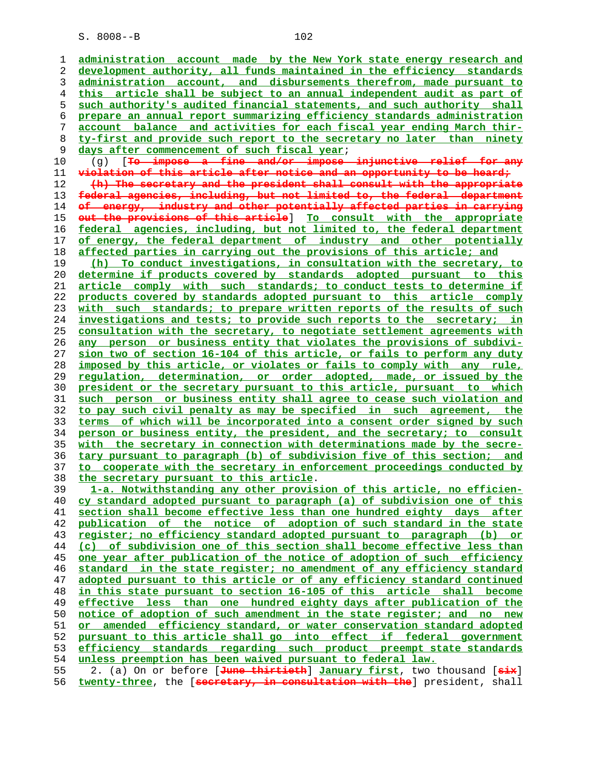**administration account made by the New York state energy research and development authority, all funds maintained in the efficiency standards administration account, and disbursements therefrom, made pursuant to this article shall be subject to an annual independent audit as part of such authority's audited financial statements, and such authority shall prepare an annual report summarizing efficiency standards administration account balance and activities for each fiscal year ending March thir- ty-first and provide such report to the secretary no later than ninety days after commencement of such fiscal year**;

 10 (g) [**To impose a fine and/or impose injunctive relief for any violation of this article after notice and an opportunity to be heard; (h) The secretary and the president shall consult with the appropriate federal agencies, including, but not limited to, the federal department of energy, industry and other potentially affected parties in carrying out the provisions of this article**] **To consult with the appropriate**

**federal agencies, including, but not limited to, the federal department of energy, the federal department of industry and other potentially affected parties in carrying out the provisions of this article; and**

**(h) To conduct investigations, in consultation with the secretary, to determine if products covered by standards adopted pursuant to this article comply with such standards; to conduct tests to determine if products covered by standards adopted pursuant to this article comply with such standards; to prepare written reports of the results of such investigations and tests; to provide such reports to the secretary; in consultation with the secretary, to negotiate settlement agreements with any person or business entity that violates the provisions of subdivi- sion two of section 16-104 of this article, or fails to perform any duty imposed by this article, or violates or fails to comply with any rule, regulation, determination, or order adopted, made, or issued by the president or the secretary pursuant to this article, pursuant to which such person or business entity shall agree to cease such violation and to pay such civil penalty as may be specified in such agreement, the terms of which will be incorporated into a consent order signed by such person or business entity, the president, and the secretary; to consult with the secretary in connection with determinations made by the secre- tary pursuant to paragraph (b) of subdivision five of this section; and to cooperate with the secretary in enforcement proceedings conducted by the secretary pursuant to this article**.

**1-a. Notwithstanding any other provision of this article, no efficien- cy standard adopted pursuant to paragraph (a) of subdivision one of this section shall become effective less than one hundred eighty days after publication of the notice of adoption of such standard in the state register; no efficiency standard adopted pursuant to paragraph (b) or (c) of subdivision one of this section shall become effective less than one year after publication of the notice of adoption of such efficiency standard in the state register; no amendment of any efficiency standard adopted pursuant to this article or of any efficiency standard continued in this state pursuant to section 16-105 of this article shall become effective less than one hundred eighty days after publication of the notice of adoption of such amendment in the state register; and no new or amended efficiency standard, or water conservation standard adopted pursuant to this article shall go into effect if federal government efficiency standards regarding such product preempt state standards unless preemption has been waived pursuant to federal law.** 55 2. (a) On or before [**June thirtieth**] **January first**, two thousand [**six**]

**twenty-three**, the [**secretary, in consultation with the**] president, shall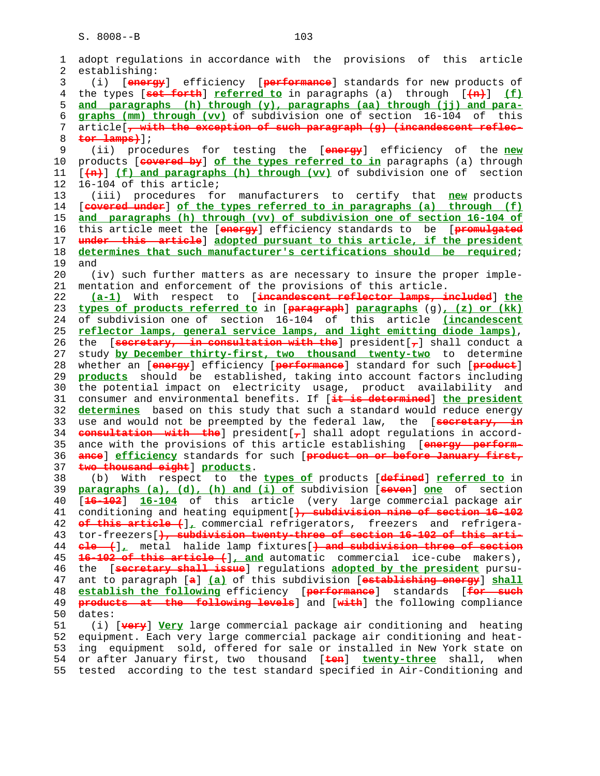```
 1 adopt regulations in accordance with the provisions of this article
 2 establishing:
 3 (i) [energy] efficiency [performance] standards for new products of
 4 the types [set forth] referred to in paragraphs (a) through [(n)] (f)
 5 and paragraphs (h) through (y), paragraphs (aa) through (jj) and para-
 6 graphs (mm) through (vv) of subdivision one of section 16-104 of this
7 article[, with the exception of such paragraph (g) (incandescent reflec-
8 tor lamps)];
9 (ii) procedures for testing the [energy] efficiency of the new
   10 products [covered by] of the types referred to in paragraphs (a) through
11 [(n)] (f) and paragraphs (h) through (vv) of subdivision one of section
12 16-104 of this article;
13 (iii) procedures for manufacturers to certify that new products
14 [covered under] of the types referred to in paragraphs (a) through (f)
15 and paragraphs (h) through (vv) of subdivision one of section 16-104 of
16 this article meet the [energy] efficiency standards to be [promulgated
17 under this article] adopted pursuant to this article, if the president
18 determines that such manufacturer's certifications should be required;
19 and
20 (iv) such further matters as are necessary to insure the proper imple-
21 mentation and enforcement of the provisions of this article.
22 (a-1) With respect to [incandescent reflector lamps, included] the
23 types of products referred to in [paragraph] paragraphs (g), (z) or (kk)
24 of subdivision one of section 16-104 of this article (incandescent
25 reflector lamps, general service lamps, and light emitting diode lamps),
26 the [secretary, in consultation with the] president[,] shall conduct a
27 study by December thirty-first, two thousand twenty-two to determine
28 whether an [energy] efficiency [performance] standard for such [product]
29 products should be established, taking into account factors including
30 the potential impact on electricity usage, product availability and
31 consumer and environmental benefits. If [it is determined] the president
32 determines based on this study that such a standard would reduce energy
33 use and would not be preempted by the federal law, the [secretary, in
34 consultation with the] president[,] shall adopt regulations in accord-
35 ance with the provisions of this article establishing [energy perform-
36 ance] efficiency standards for such [product on or before January first,
37 two thousand eight] products.
38 (b) With respect to the types of products [defined] referred to in
39 paragraphs (a), (d), (h) and (i) of subdivision [seven] one of section
40 [16-102] 16-104 of this article (very large commercial package air
41 conditioning and heating equipment[), subdivision nine of section 16-102
42 of this article (], commercial refrigerators, freezers and refrigera-
43 tor-freezers[), subdivision twenty-three of section 16-102 of this arti-
44 cle (], metal halide lamp fixtures[) and subdivision three of section
45 16-102 of this article (], and automatic commercial ice-cube makers),
46 the [secretary shall issue] regulations adopted by the president pursu-
47 ant to paragraph [a] (a) of this subdivision [establishing energy] shall
48 establish the following efficiency [performance] standards [for such
49 products at the following levels] and [with] the following compliance
  dates:
51 (i) [very] Very large commercial package air conditioning and heating
52 equipment. Each very large commercial package air conditioning and heat-
53 ing equipment sold, offered for sale or installed in New York state on
54 or after January first, two thousand [ten] twenty-three shall, when
55 tested according to the test standard specified in Air-Conditioning and
```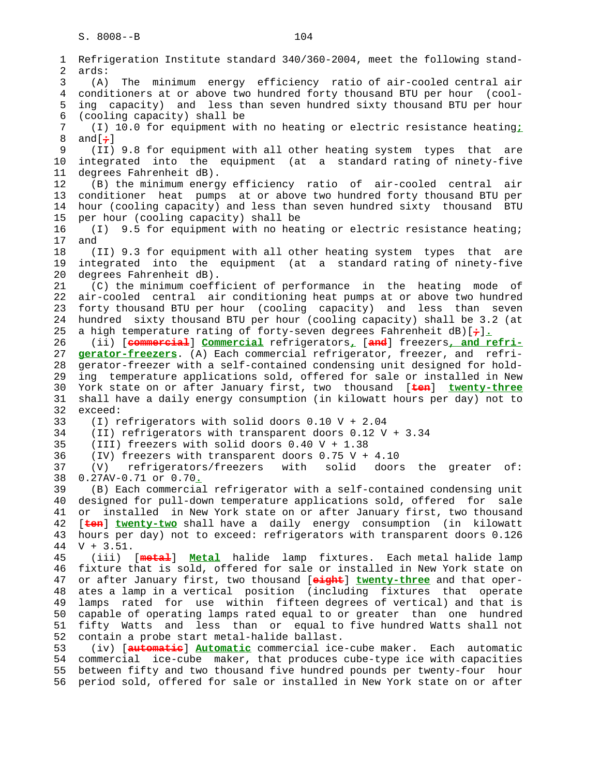1 Refrigeration Institute standard 340/360-2004, meet the following stand- 2 ards: 3 (A) The minimum energy efficiency ratio of air-cooled central air 4 conditioners at or above two hundred forty thousand BTU per hour (cool- 5 ing capacity) and less than seven hundred sixty thousand BTU per hour 6 (cooling capacity) shall be 7 (I) 10.0 for equipment with no heating or electric resistance heating**;** 8 and[**;**] 9 (II) 9.8 for equipment with all other heating system types that are 10 integrated into the equipment (at a standard rating of ninety-five 11 degrees Fahrenheit dB). 12 (B) the minimum energy efficiency ratio of air-cooled central air 13 conditioner heat pumps at or above two hundred forty thousand BTU per 14 hour (cooling capacity) and less than seven hundred sixty thousand BTU 15 per hour (cooling capacity) shall be 16 (I) 9.5 for equipment with no heating or electric resistance heating; 17 and 18 (II) 9.3 for equipment with all other heating system types that are 19 integrated into the equipment (at a standard rating of ninety-five 20 degrees Fahrenheit dB). 21 (C) the minimum coefficient of performance in the heating mode of 22 air-cooled central air conditioning heat pumps at or above two hundred 23 forty thousand BTU per hour (cooling capacity) and less than seven 24 hundred sixty thousand BTU per hour (cooling capacity) shall be 3.2 (at 25 a high temperature rating of forty-seven degrees Fahrenheit dB)[**;**]**.** 26 (ii) [**commercial**] **Commercial** refrigerators**,** [**and**] freezers**, and refri-** 27 **gerator-freezers**. (A) Each commercial refrigerator, freezer, and refri- 28 gerator-freezer with a self-contained condensing unit designed for hold- 29 ing temperature applications sold, offered for sale or installed in New 30 York state on or after January first, two thousand [**ten**] **twenty-three** 31 shall have a daily energy consumption (in kilowatt hours per day) not to 32 exceed: 33 (I) refrigerators with solid doors 0.10 V + 2.04 34 (II) refrigerators with transparent doors 0.12 V + 3.34 35 (III) freezers with solid doors 0.40 V + 1.38 36 (IV) freezers with transparent doors 0.75 V + 4.10 37 (V) refrigerators/freezers with solid doors the greater of: 38 0.27AV-0.71 or 0.70**.** 39 (B) Each commercial refrigerator with a self-contained condensing unit 40 designed for pull-down temperature applications sold, offered for sale 41 or installed in New York state on or after January first, two thousand 42 [**ten**] **twenty-two** shall have a daily energy consumption (in kilowatt 43 hours per day) not to exceed: refrigerators with transparent doors 0.126 44 V + 3.51. 45 (iii) [**metal**] **Metal** halide lamp fixtures. Each metal halide lamp 46 fixture that is sold, offered for sale or installed in New York state on 47 or after January first, two thousand [**eight**] **twenty-three** and that oper- 48 ates a lamp in a vertical position (including fixtures that operate 49 lamps rated for use within fifteen degrees of vertical) and that is 50 capable of operating lamps rated equal to or greater than one hundred 51 fifty Watts and less than or equal to five hundred Watts shall not 52 contain a probe start metal-halide ballast. 53 (iv) [**automatic**] **Automatic** commercial ice-cube maker. Each automatic

 54 commercial ice-cube maker, that produces cube-type ice with capacities 55 between fifty and two thousand five hundred pounds per twenty-four hour 56 period sold, offered for sale or installed in New York state on or after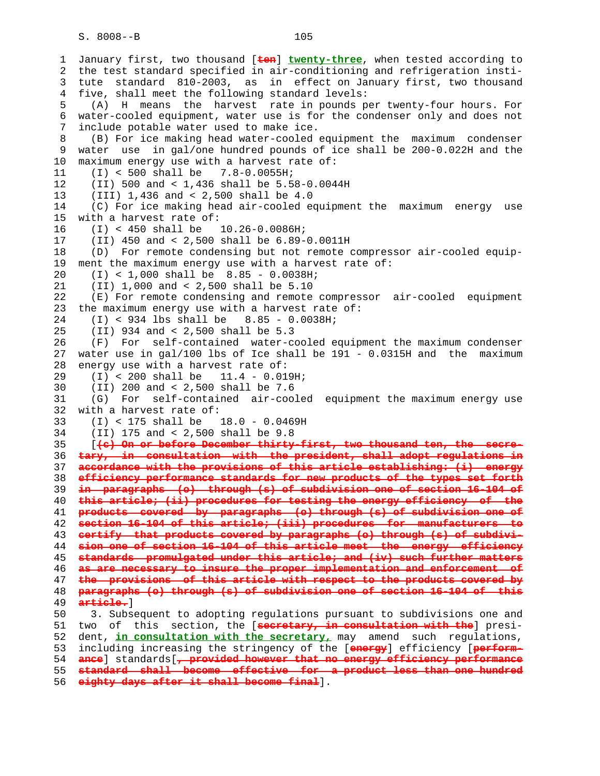1 January first, two thousand [**ten**] **twenty-three**, when tested according to 2 the test standard specified in air-conditioning and refrigeration insti- 3 tute standard 810-2003, as in effect on January first, two thousand 4 five, shall meet the following standard levels: 5 (A) H means the harvest rate in pounds per twenty-four hours. For 6 water-cooled equipment, water use is for the condenser only and does not 7 include potable water used to make ice. 8 (B) For ice making head water-cooled equipment the maximum condenser 9 water use in gal/one hundred pounds of ice shall be 200-0.022H and the 10 maximum energy use with a harvest rate of: 11 (I) < 500 shall be 7.8-0.0055H; 12 (II) 500 and < 1,436 shall be 5.58-0.0044H 13 (III) 1,436 and < 2,500 shall be 4.0 14 (C) For ice making head air-cooled equipment the maximum energy use 15 with a harvest rate of: 16 (I) < 450 shall be 10.26-0.0086H; 17 (II) 450 and < 2,500 shall be 6.89-0.0011H 18 (D) For remote condensing but not remote compressor air-cooled equip- 19 ment the maximum energy use with a harvest rate of: 20 (I) < 1,000 shall be 8.85 - 0.0038H; 21 (II) 1,000 and < 2,500 shall be 5.10 22 (E) For remote condensing and remote compressor air-cooled equipment 23 the maximum energy use with a harvest rate of: 24 (I) < 934 lbs shall be 8.85 - 0.0038H; 25 (II) 934 and < 2,500 shall be 5.3 26 (F) For self-contained water-cooled equipment the maximum condenser 27 water use in gal/100 lbs of Ice shall be 191 - 0.0315H and the maximum 28 energy use with a harvest rate of: 29 (I) < 200 shall be 11.4 - 0.019H; 30 (II) 200 and < 2,500 shall be 7.6 31 (G) For self-contained air-cooled equipment the maximum energy use 32 with a harvest rate of: 33 (I) < 175 shall be 18.0 - 0.0469H 34 (II) 175 and < 2,500 shall be 9.8 35 [**(c) On or before December thirty-first, two thousand ten, the secre-** 36 **tary, in consultation with the president, shall adopt regulations in** 37 **accordance with the provisions of this article establishing: (i) energy** 38 **efficiency performance standards for new products of the types set forth** 39 **in paragraphs (o) through (s) of subdivision one of section 16-104 of** 40 **this article; (ii) procedures for testing the energy efficiency of the** 41 **products covered by paragraphs (o) through (s) of subdivision one of** 42 **section 16-104 of this article; (iii) procedures for manufacturers to** 43 **certify that products covered by paragraphs (o) through (s) of subdivi-** 44 **sion one of section 16-104 of this article meet the energy efficiency** 45 **standards promulgated under this article; and (iv) such further matters** 46 **as are necessary to insure the proper implementation and enforcement of** 47 **the provisions of this article with respect to the products covered by** 48 **paragraphs (o) through (s) of subdivision one of section 16-104 of this** 49 **article.**] 50 3. Subsequent to adopting regulations pursuant to subdivisions one and 51 two of this section, the [**secretary, in consultation with the**] presi- 52 dent, **in consultation with the secretary,** may amend such regulations, 53 including increasing the stringency of the [**energy**] efficiency [**perform-** 54 **ance**] standards[**, provided however that no energy efficiency performance** 55 **standard shall become effective for a product less than one hundred**

56 **eighty days after it shall become final**].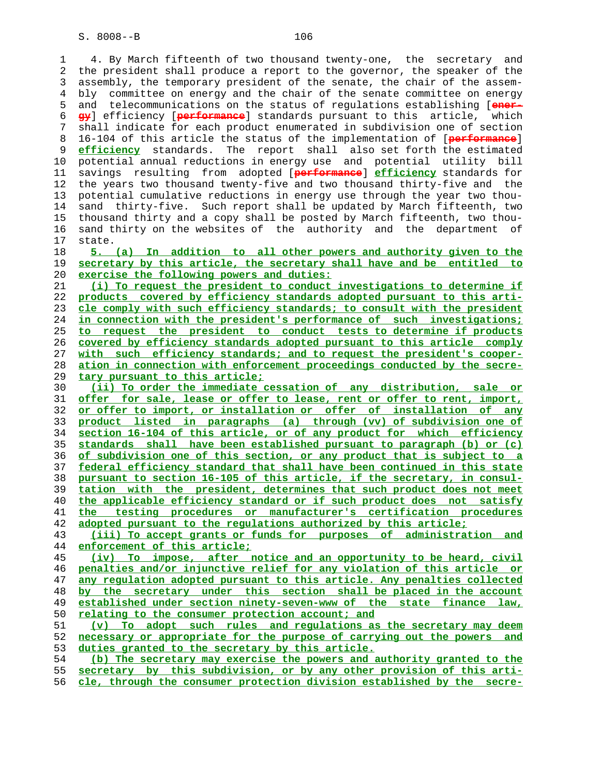1 4. By March fifteenth of two thousand twenty-one, the secretary and 2 the president shall produce a report to the governor, the speaker of the 3 assembly, the temporary president of the senate, the chair of the assem- 4 bly committee on energy and the chair of the senate committee on energy 5 and telecommunications on the status of regulations establishing [**ener- gy**] efficiency [**performance**] standards pursuant to this article, which 7 shall indicate for each product enumerated in subdivision one of section 8 16-104 of this article the status of the implementation of [**performance**] **efficiency** standards. The report shall also set forth the estimated 10 potential annual reductions in energy use and potential utility bill 11 savings resulting from adopted [**performance**] **efficiency** standards for 12 the years two thousand twenty-five and two thousand thirty-five and the 13 potential cumulative reductions in energy use through the year two thou- 14 sand thirty-five. Such report shall be updated by March fifteenth, two 15 thousand thirty and a copy shall be posted by March fifteenth, two thou- 16 sand thirty on the websites of the authority and the department of 17 state. **5. (a) In addition to all other powers and authority given to the secretary by this article, the secretary shall have and be entitled to exercise the following powers and duties: (i) To request the president to conduct investigations to determine if products covered by efficiency standards adopted pursuant to this arti- cle comply with such efficiency standards; to consult with the president in connection with the president's performance of such investigations; to request the president to conduct tests to determine if products covered by efficiency standards adopted pursuant to this article comply with such efficiency standards; and to request the president's cooper- ation in connection with enforcement proceedings conducted by the secre- tary pursuant to this article; (ii) To order the immediate cessation of any distribution, sale or offer for sale, lease or offer to lease, rent or offer to rent, import, or offer to import, or installation or offer of installation of any product listed in paragraphs (a) through (vv) of subdivision one of section 16-104 of this article, or of any product for which efficiency standards shall have been established pursuant to paragraph (b) or (c) of subdivision one of this section, or any product that is subject to a federal efficiency standard that shall have been continued in this state pursuant to section 16-105 of this article, if the secretary, in consul- tation with the president, determines that such product does not meet the applicable efficiency standard or if such product does not satisfy the testing procedures or manufacturer's certification procedures adopted pursuant to the regulations authorized by this article; (iii) To accept grants or funds for purposes of administration and enforcement of this article; (iv) To impose, after notice and an opportunity to be heard, civil penalties and/or injunctive relief for any violation of this article or any regulation adopted pursuant to this article. Any penalties collected by the secretary under this section shall be placed in the account established under section ninety-seven-www of the state finance law,**

**relating to the consumer protection account; and**

**(v) To adopt such rules and regulations as the secretary may deem necessary or appropriate for the purpose of carrying out the powers and duties granted to the secretary by this article.**

**(b) The secretary may exercise the powers and authority granted to the secretary by this subdivision, or by any other provision of this arti- cle, through the consumer protection division established by the secre-**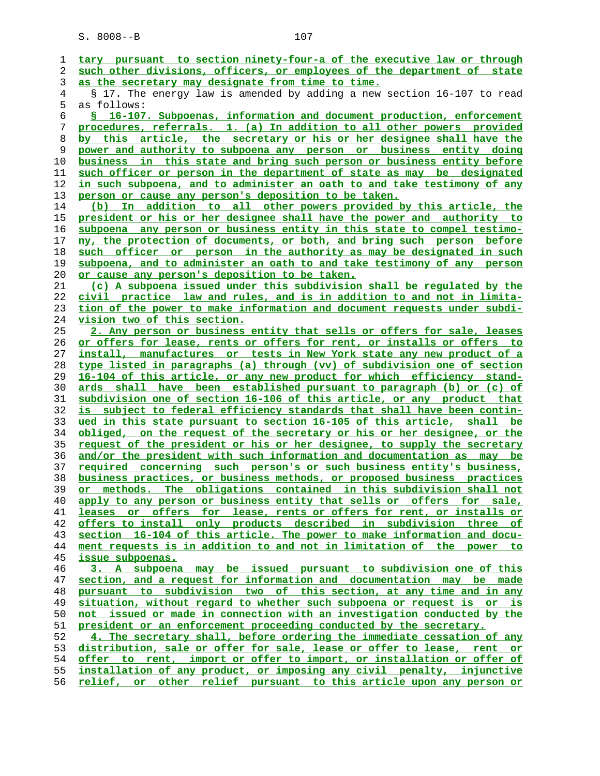**tary pursuant to section ninety-four-a of the executive law or through such other divisions, officers, or employees of the department of state as the secretary may designate from time to time.** 4 § 17. The energy law is amended by adding a new section 16-107 to read 5 as follows: **§ 16-107. Subpoenas, information and document production, enforcement procedures, referrals. 1. (a) In addition to all other powers provided by this article, the secretary or his or her designee shall have the power and authority to subpoena any person or business entity doing business in this state and bring such person or business entity before such officer or person in the department of state as may be designated in such subpoena, and to administer an oath to and take testimony of any person or cause any person's deposition to be taken. (b) In addition to all other powers provided by this article, the president or his or her designee shall have the power and authority to subpoena any person or business entity in this state to compel testimo- ny, the protection of documents, or both, and bring such person before such officer or person in the authority as may be designated in such subpoena, and to administer an oath to and take testimony of any person or cause any person's deposition to be taken. (c) A subpoena issued under this subdivision shall be regulated by the civil practice law and rules, and is in addition to and not in limita- tion of the power to make information and document requests under subdi- vision two of this section. 2. Any person or business entity that sells or offers for sale, leases or offers for lease, rents or offers for rent, or installs or offers to install, manufactures or tests in New York state any new product of a type listed in paragraphs (a) through (vv) of subdivision one of section 16-104 of this article, or any new product for which efficiency stand- ards shall have been established pursuant to paragraph (b) or (c) of subdivision one of section 16-106 of this article, or any product that is subject to federal efficiency standards that shall have been contin- ued in this state pursuant to section 16-105 of this article, shall be obliged, on the request of the secretary or his or her designee, or the request of the president or his or her designee, to supply the secretary and/or the president with such information and documentation as may be required concerning such person's or such business entity's business, business practices, or business methods, or proposed business practices or methods. The obligations contained in this subdivision shall not apply to any person or business entity that sells or offers for sale, leases or offers for lease, rents or offers for rent, or installs or offers to install only products described in subdivision three of section 16-104 of this article. The power to make information and docu- ment requests is in addition to and not in limitation of the power to issue subpoenas. 3. A subpoena may be issued pursuant to subdivision one of this section, and a request for information and documentation may be made pursuant to subdivision two of this section, at any time and in any situation, without regard to whether such subpoena or request is or is not issued or made in connection with an investigation conducted by the president or an enforcement proceeding conducted by the secretary. 4. The secretary shall, before ordering the immediate cessation of any distribution, sale or offer for sale, lease or offer to lease, rent or offer to rent, import or offer to import, or installation or offer of installation of any product, or imposing any civil penalty, injunctive relief, or other relief pursuant to this article upon any person or**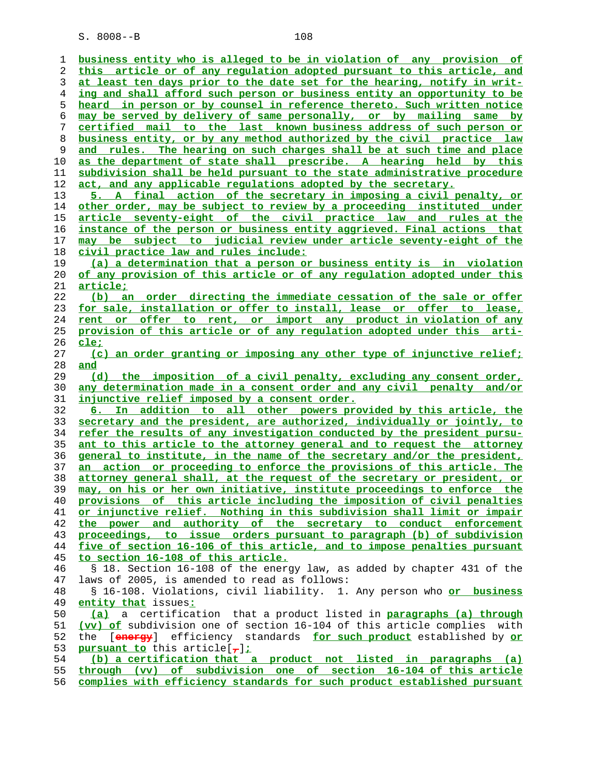**business entity who is alleged to be in violation of any provision of this article or of any regulation adopted pursuant to this article, and at least ten days prior to the date set for the hearing, notify in writ- ing and shall afford such person or business entity an opportunity to be heard in person or by counsel in reference thereto. Such written notice may be served by delivery of same personally, or by mailing same by certified mail to the last known business address of such person or business entity, or by any method authorized by the civil practice law and rules. The hearing on such charges shall be at such time and place as the department of state shall prescribe. A hearing held by this subdivision shall be held pursuant to the state administrative procedure act, and any applicable regulations adopted by the secretary. 5. A final action of the secretary in imposing a civil penalty, or other order, may be subject to review by a proceeding instituted under article seventy-eight of the civil practice law and rules at the instance of the person or business entity aggrieved. Final actions that may be subject to judicial review under article seventy-eight of the civil practice law and rules include: (a) a determination that a person or business entity is in violation of any provision of this article or of any regulation adopted under this article; (b) an order directing the immediate cessation of the sale or offer for sale, installation or offer to install, lease or offer to lease, rent or offer to rent, or import any product in violation of any provision of this article or of any regulation adopted under this arti- cle; (c) an order granting or imposing any other type of injunctive relief; and (d) the imposition of a civil penalty, excluding any consent order, any determination made in a consent order and any civil penalty and/or injunctive relief imposed by a consent order. 6. In addition to all other powers provided by this article, the secretary and the president, are authorized, individually or jointly, to refer the results of any investigation conducted by the president pursu- ant to this article to the attorney general and to request the attorney general to institute, in the name of the secretary and/or the president, an action or proceeding to enforce the provisions of this article. The attorney general shall, at the request of the secretary or president, or may, on his or her own initiative, institute proceedings to enforce the provisions of this article including the imposition of civil penalties or injunctive relief. Nothing in this subdivision shall limit or impair the power and authority of the secretary to conduct enforcement proceedings, to issue orders pursuant to paragraph (b) of subdivision five of section 16-106 of this article, and to impose penalties pursuant to section 16-108 of this article.** 46 § 18. Section 16-108 of the energy law, as added by chapter 431 of the 47 laws of 2005, is amended to read as follows: 48 § 16-108. Violations, civil liability. 1. Any person who **or business entity that** issues**: (a)** a certification that a product listed in **paragraphs (a) through (vv) of** subdivision one of section 16-104 of this article complies with 52 the [**energy**] efficiency standards **for such product** established by **or pursuant to** this article[**,**]**; (b) a certification that a product not listed in paragraphs (a) through (vv) of subdivision one of section 16-104 of this article complies with efficiency standards for such product established pursuant**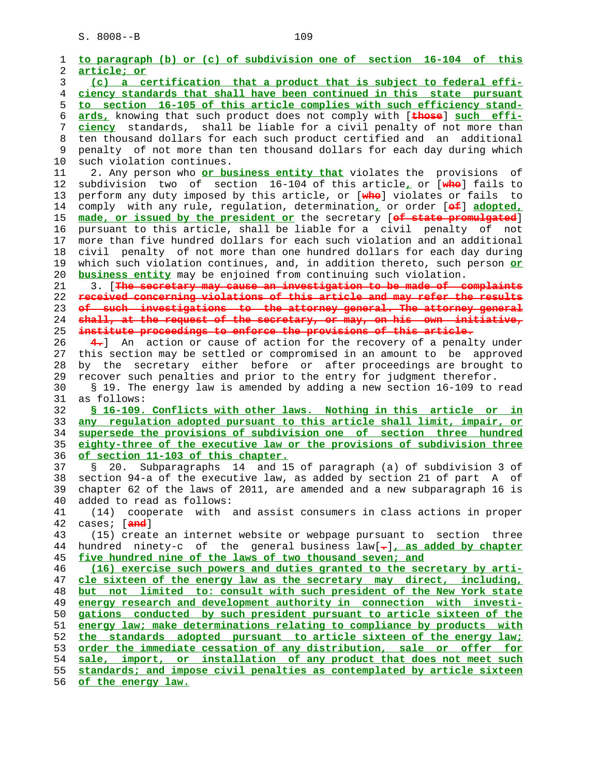| 1<br>2 |                                                                                                       |
|--------|-------------------------------------------------------------------------------------------------------|
|        | to paragraph (b) or (c) of subdivision one of section 16-104 of this                                  |
|        | article; or                                                                                           |
| 3      | (c) a certification that a product that is subject to federal effi-                                   |
| 4      | ciency standards that shall have been continued in this state pursuant                                |
| 5      | to section 16-105 of this article complies with such efficiency stand-                                |
| 6      | ards, knowing that such product does not comply with [these] such effi-                               |
| 7      | ciency standards, shall be liable for a civil penalty of not more than                                |
| 8      | ten thousand dollars for each such product certified and an additional                                |
| 9      | penalty of not more than ten thousand dollars for each day during which                               |
| 10     | such violation continues.                                                                             |
| 11     | 2. Any person who or business entity that violates the provisions of                                  |
| 12     | subdivision two of section 16-104 of this article, or [whe] fails to                                  |
| 13     | perform any duty imposed by this article, or [whe] violates or fails to                               |
| 14     | comply with any rule, regulation, determination, or order [ef] adopted,                               |
| 15     | made, or issued by the president or the secretary [of state promulgated]                              |
| 16     | pursuant to this article, shall be liable for a civil penalty of not                                  |
| 17     | more than five hundred dollars for each such violation and an additional                              |
| 18     | penalty of not more than one hundred dollars for each day during<br>civil                             |
| 19     | which such violation continues, and, in addition thereto, such person or                              |
| 20     | business entity may be enjoined from continuing such violation.                                       |
| 21     | 3. [The secretary may cause an investigation to be made of complaints                                 |
| 22     | received concerning violations of this article and may refer the results                              |
| 23     | of such investigations to the attorney general. The attorney general                                  |
| 24     | shall, at the request of the secretary, or may, on his own initiative,                                |
| 25     | institute proceedings to enforce the provisions of this article.                                      |
| 26     | 4. An action or cause of action for the recovery of a penalty under                                   |
| 27     | this section may be settled or compromised in an amount to be approved                                |
| 28     | secretary either before or after proceedings are brought to<br>by the                                 |
| 29     | recover such penalties and prior to the entry for judgment therefor.                                  |
| 30     | § 19. The energy law is amended by adding a new section 16-109 to read                                |
| 31     | as follows:                                                                                           |
| 32     | \$ 16-109. Conflicts with other laws. Nothing in this article or in                                   |
| 33     | any regulation adopted pursuant to this article shall limit, impair, or                               |
| 34     | supersede the provisions of subdivision one of section three hundred                                  |
| 35     | eighty-three of the executive law or the provisions of subdivision three                              |
|        |                                                                                                       |
| 36     | of section 11-103 of this chapter.                                                                    |
| 37     | Subparagraphs 14 and 15 of paragraph (a) of subdivision 3 of<br>Š.<br>20.                             |
| 38     | section 94-a of the executive law, as added by section 21 of part A of                                |
| 39     |                                                                                                       |
| 40     | chapter 62 of the laws of 2011, are amended and a new subparagraph 16 is<br>added to read as follows: |
| 41     | cooperate with and assist consumers in class actions in proper<br>(14)                                |
| 42     | cases; [ <del>and</del> ]                                                                             |
| 43     | (15) create an internet website or webpage pursuant to section three                                  |
| 44     | hundred ninety-c of the general business $law[-]$ , as added by chapter                               |
| 45     | five hundred nine of the laws of two thousand seven; and                                              |
| 46     | (16) exercise such powers and duties granted to the secretary by arti-                                |
| 47     | cle sixteen of the energy law as the secretary may direct, including,                                 |
| 48     | but not limited to: consult with such president of the New York state                                 |
| 49     | energy research and development authority in connection with investi-                                 |
| 50     | gations conducted by such president pursuant to article sixteen of the                                |
| 51     | energy law; make determinations relating to compliance by products with                               |
| 52     | the standards adopted pursuant to article sixteen of the energy law;                                  |
| 53     | order the immediate cessation of any distribution, sale or offer for                                  |
| 54     | sale, import, or installation of any product that does not meet such                                  |
| 55     | standards; and impose civil penalties as contemplated by article sixteen                              |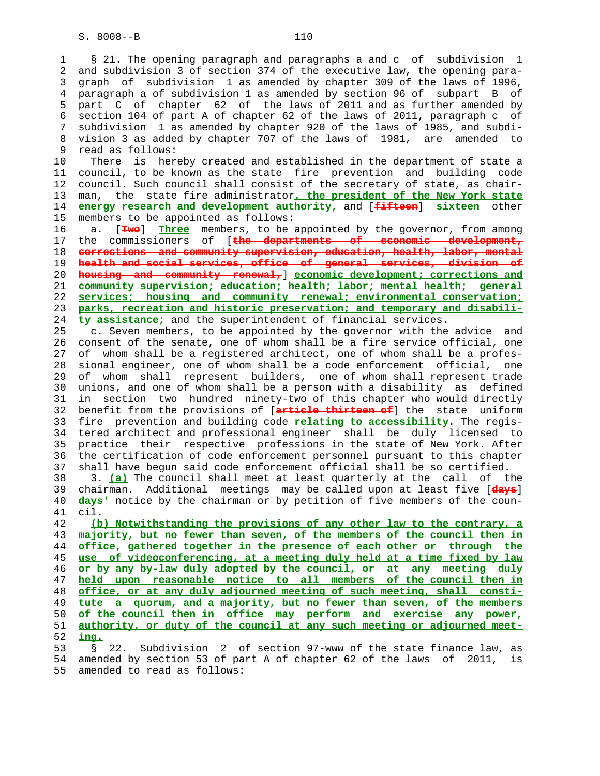1 § 21. The opening paragraph and paragraphs a and c of subdivision 1 2 and subdivision 3 of section 374 of the executive law, the opening para- 3 graph of subdivision 1 as amended by chapter 309 of the laws of 1996, 4 paragraph a of subdivision 1 as amended by section 96 of subpart B of 5 part C of chapter 62 of the laws of 2011 and as further amended by 6 section 104 of part A of chapter 62 of the laws of 2011, paragraph c of 7 subdivision 1 as amended by chapter 920 of the laws of 1985, and subdi- 8 vision 3 as added by chapter 707 of the laws of 1981, are amended to 9 read as follows:

 10 There is hereby created and established in the department of state a 11 council, to be known as the state fire prevention and building code 12 council. Such council shall consist of the secretary of state, as chair- 13 man, the state fire administrator**, the president of the New York state** 14 **energy research and development authority,** and [**fifteen**] **sixteen** other 15 members to be appointed as follows:

 16 a. [**Two**] **Three** members, to be appointed by the governor, from among 17 the commissioners of [**the departments of economic development, corrections and community supervision, education, health, labor, mental health and social services, office of general services, division of housing and community renewal,**] **economic development; corrections and community supervision; education; health; labor; mental health; general services; housing and community renewal; environmental conservation; parks, recreation and historic preservation; and temporary and disabili- ty assistance;** and the superintendent of financial services.

 25 c. Seven members, to be appointed by the governor with the advice and 26 consent of the senate, one of whom shall be a fire service official, one 27 of whom shall be a registered architect, one of whom shall be a profes- 28 sional engineer, one of whom shall be a code enforcement official, one 29 of whom shall represent builders, one of whom shall represent trade 30 unions, and one of whom shall be a person with a disability as defined 31 in section two hundred ninety-two of this chapter who would directly 32 benefit from the provisions of [**article thirteen of**] the state uniform 33 fire prevention and building code **relating to accessibility**. The regis- 34 tered architect and professional engineer shall be duly licensed to 35 practice their respective professions in the state of New York. After 36 the certification of code enforcement personnel pursuant to this chapter 37 shall have begun said code enforcement official shall be so certified. 38 3. **(a)** The council shall meet at least quarterly at the call of the 39 chairman. Additional meetings may be called upon at least five [**days**] 40 **days'** notice by the chairman or by petition of five members of the coun- 41 cil.

**(b) Notwithstanding the provisions of any other law to the contrary, a majority, but no fewer than seven, of the members of the council then in office, gathered together in the presence of each other or through the use of videoconferencing, at a meeting duly held at a time fixed by law or by any by-law duly adopted by the council, or at any meeting duly held upon reasonable notice to all members of the council then in office, or at any duly adjourned meeting of such meeting, shall consti- tute a quorum, and a majority, but no fewer than seven, of the members of the council then in office may perform and exercise any power, authority, or duty of the council at any such meeting or adjourned meet-** 52 **ing.**

 53 § 22. Subdivision 2 of section 97-www of the state finance law, as 54 amended by section 53 of part A of chapter 62 of the laws of 2011, is 55 amended to read as follows: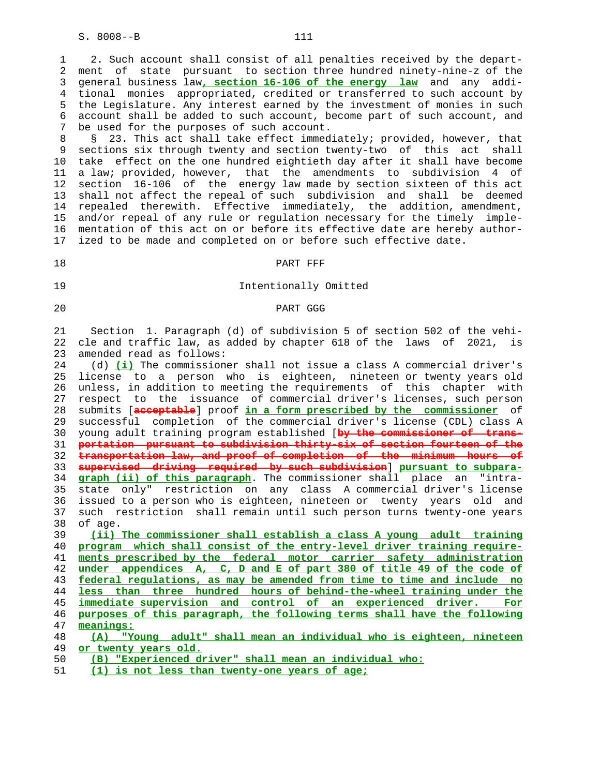1 2. Such account shall consist of all penalties received by the depart- 2 ment of state pursuant to section three hundred ninety-nine-z of the 3 general business law**, section 16-106 of the energy law** and any addi- 4 tional monies appropriated, credited or transferred to such account by 5 the Legislature. Any interest earned by the investment of monies in such 6 account shall be added to such account, become part of such account, and 7 be used for the purposes of such account.

 8 § 23. This act shall take effect immediately; provided, however, that 9 sections six through twenty and section twenty-two of this act shall 10 take effect on the one hundred eightieth day after it shall have become 11 a law; provided, however, that the amendments to subdivision 4 of 12 section 16-106 of the energy law made by section sixteen of this act 13 shall not affect the repeal of such subdivision and shall be deemed 14 repealed therewith. Effective immediately, the addition, amendment, 15 and/or repeal of any rule or regulation necessary for the timely imple- 16 mentation of this act on or before its effective date are hereby author- 17 ized to be made and completed on or before such effective date.

#### 18 PART PER

# 19 Intentionally Omitted

# 20 PART GGG

 21 Section 1. Paragraph (d) of subdivision 5 of section 502 of the vehi- 22 cle and traffic law, as added by chapter 618 of the laws of 2021, is 23 amended read as follows:

 24 (d) **(i)** The commissioner shall not issue a class A commercial driver's 25 license to a person who is eighteen, nineteen or twenty years old 26 unless, in addition to meeting the requirements of this chapter with 27 respect to the issuance of commercial driver's licenses, such person 28 submits [**acceptable**] proof **in a form prescribed by the commissioner** of 29 successful completion of the commercial driver's license (CDL) class A 30 young adult training program established [**by the commissioner of trans-** 31 **portation pursuant to subdivision thirty-six of section fourteen of the** 32 **transportation law, and proof of completion of the minimum hours of** 33 **supervised driving required by such subdivision**] **pursuant to subpara-** 34 **graph (ii) of this paragraph**. The commissioner shall place an "intra- 35 state only" restriction on any class A commercial driver's license 36 issued to a person who is eighteen, nineteen or twenty years old and 37 such restriction shall remain until such person turns twenty-one years 38 of age.

**(ii) The commissioner shall establish a class A young adult training program which shall consist of the entry-level driver training require- ments prescribed by the federal motor carrier safety administration under appendices A, C, D and E of part 380 of title 49 of the code of federal regulations, as may be amended from time to time and include no less than three hundred hours of behind-the-wheel training under the immediate supervision and control of an experienced driver. For purposes of this paragraph, the following terms shall have the following meanings:**

- 50 **(B) "Experienced driver" shall mean an individual who:**
- 51 **(1) is not less than twenty-one years of age;**

 <sup>48</sup> **(A) "Young adult" shall mean an individual who is eighteen, nineteen** 49 **or twenty years old.**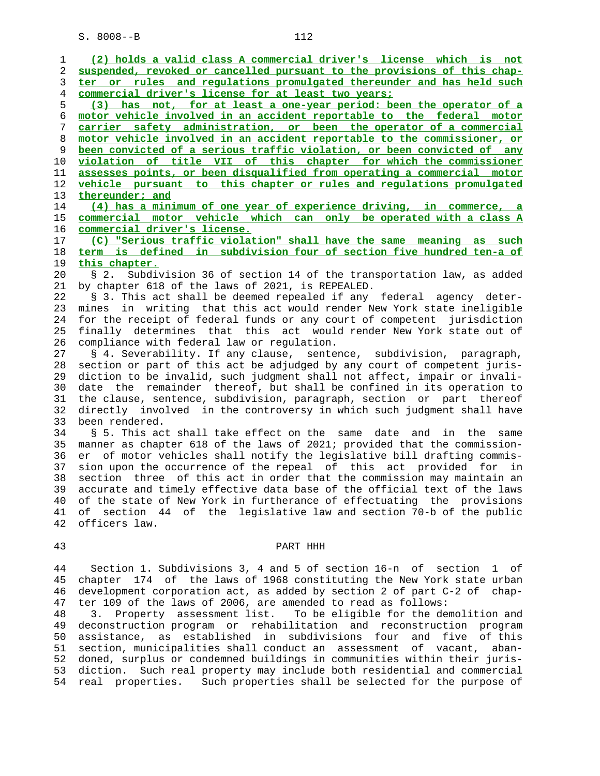1 **(2) holds a valid class A commercial driver's license which is not** 2 **suspended, revoked or cancelled pursuant to the provisions of this chap-** 3 **ter or rules and regulations promulgated thereunder and has held such** 4 **commercial driver's license for at least two years;** 5 **(3) has not, for at least a one-year period: been the operator of a** 6 **motor vehicle involved in an accident reportable to the federal motor** 7 **carrier safety administration, or been the operator of a commercial** 8 **motor vehicle involved in an accident reportable to the commissioner, or** 9 **been convicted of a serious traffic violation, or been convicted of any** 10 **violation of title VII of this chapter for which the commissioner** 11 **assesses points, or been disqualified from operating a commercial motor** 12 **vehicle pursuant to this chapter or rules and regulations promulgated** 13 **thereunder; and** 14 **(4) has a minimum of one year of experience driving, in commerce, a** 15 **commercial motor vehicle which can only be operated with a class A** 16 **commercial driver's license.** 17 **(C) "Serious traffic violation" shall have the same meaning as such** 18 **term is defined in subdivision four of section five hundred ten-a of** 19 **this chapter.** 20 § 2. Subdivision 36 of section 14 of the transportation law, as added 21 by chapter 618 of the laws of 2021, is REPEALED. 22 § 3. This act shall be deemed repealed if any federal agency deter- 23 mines in writing that this act would render New York state ineligible 24 for the receipt of federal funds or any court of competent jurisdiction 25 finally determines that this act would render New York state out of 26 compliance with federal law or regulation. 27 § 4. Severability. If any clause, sentence, subdivision, paragraph, 28 section or part of this act be adjudged by any court of competent juris- 29 diction to be invalid, such judgment shall not affect, impair or invali- 30 date the remainder thereof, but shall be confined in its operation to 31 the clause, sentence, subdivision, paragraph, section or part thereof 32 directly involved in the controversy in which such judgment shall have 33 been rendered. 34 § 5. This act shall take effect on the same date and in the same 35 manner as chapter 618 of the laws of 2021; provided that the commission- 36 er of motor vehicles shall notify the legislative bill drafting commis- 37 sion upon the occurrence of the repeal of this act provided for in 38 section three of this act in order that the commission may maintain an 39 accurate and timely effective data base of the official text of the laws 40 of the state of New York in furtherance of effectuating the provisions 41 of section 44 of the legislative law and section 70-b of the public 42 officers law. 43 PART HHH 44 Section 1. Subdivisions 3, 4 and 5 of section 16-n of section 1 of

 45 chapter 174 of the laws of 1968 constituting the New York state urban 46 development corporation act, as added by section 2 of part C-2 of chap- 47 ter 109 of the laws of 2006, are amended to read as follows:

 48 3. Property assessment list. To be eligible for the demolition and 49 deconstruction program or rehabilitation and reconstruction program 50 assistance, as established in subdivisions four and five of this 51 section, municipalities shall conduct an assessment of vacant, aban- 52 doned, surplus or condemned buildings in communities within their juris- 53 diction. Such real property may include both residential and commercial 54 real properties. Such properties shall be selected for the purpose of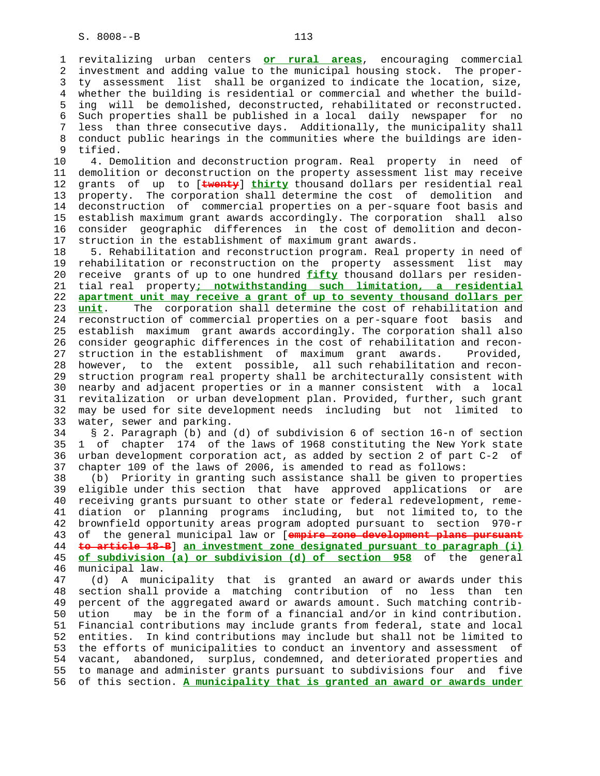1 revitalizing urban centers **or rural areas**, encouraging commercial 2 investment and adding value to the municipal housing stock. The proper- 3 ty assessment list shall be organized to indicate the location, size, 4 whether the building is residential or commercial and whether the build- 5 ing will be demolished, deconstructed, rehabilitated or reconstructed. 6 Such properties shall be published in a local daily newspaper for no 7 less than three consecutive days. Additionally, the municipality shall 8 conduct public hearings in the communities where the buildings are iden- 9 tified.<br>10 4. De

4. Demolition and deconstruction program. Real property in need of 11 demolition or deconstruction on the property assessment list may receive 12 grants of up to [**twenty**] **thirty** thousand dollars per residential real 13 property. The corporation shall determine the cost of demolition and 14 deconstruction of commercial properties on a per-square foot basis and 15 establish maximum grant awards accordingly. The corporation shall also 16 consider geographic differences in the cost of demolition and decon- 17 struction in the establishment of maximum grant awards.

 18 5. Rehabilitation and reconstruction program. Real property in need of 19 rehabilitation or reconstruction on the property assessment list may 20 receive grants of up to one hundred **fifty** thousand dollars per residen- 21 tial real property**; notwithstanding such limitation, a residential** 22 **apartment unit may receive a grant of up to seventy thousand dollars per** 23 **unit**. The corporation shall determine the cost of rehabilitation and 24 reconstruction of commercial properties on a per-square foot basis and 25 establish maximum grant awards accordingly. The corporation shall also 26 consider geographic differences in the cost of rehabilitation and recon- 27 struction in the establishment of maximum grant awards. Provided, 28 however, to the extent possible, all such rehabilitation and recon- 29 struction program real property shall be architecturally consistent with 30 nearby and adjacent properties or in a manner consistent with a local 31 revitalization or urban development plan. Provided, further, such grant 32 may be used for site development needs including but not limited to 33 water, sewer and parking.

 34 § 2. Paragraph (b) and (d) of subdivision 6 of section 16-n of section 35 1 of chapter 174 of the laws of 1968 constituting the New York state 36 urban development corporation act, as added by section 2 of part C-2 of 37 chapter 109 of the laws of 2006, is amended to read as follows:

 38 (b) Priority in granting such assistance shall be given to properties eligible under this section that have approved applications or are 40 receiving grants pursuant to other state or federal redevelopment, reme- 41 diation or planning programs including, but not limited to, to the 42 brownfield opportunity areas program adopted pursuant to section 970-r 43 of the general municipal law or [**empire zone development plans pursuant** 44 **to article 18-B**] **an investment zone designated pursuant to paragraph (i)** 45 **of subdivision (a) or subdivision (d) of section 958** of the general 46 municipal law.

 47 (d) A municipality that is granted an award or awards under this 48 section shall provide a matching contribution of no less than ten 49 percent of the aggregated award or awards amount. Such matching contrib- 50 ution may be in the form of a financial and/or in kind contribution. 51 Financial contributions may include grants from federal, state and local 52 entities. In kind contributions may include but shall not be limited to 53 the efforts of municipalities to conduct an inventory and assessment of 54 vacant, abandoned, surplus, condemned, and deteriorated properties and 55 to manage and administer grants pursuant to subdivisions four and five 56 of this section. **A municipality that is granted an award or awards under**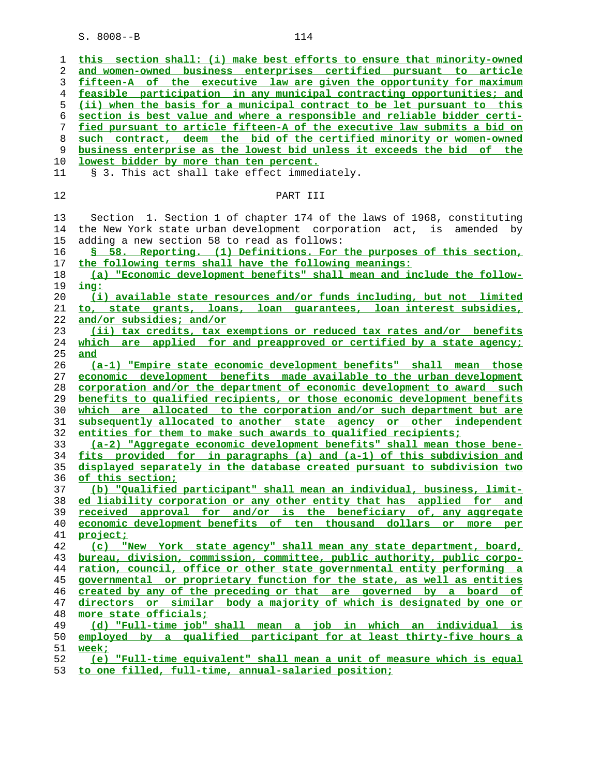**this section shall: (i) make best efforts to ensure that minority-owned and women-owned business enterprises certified pursuant to article fifteen-A of the executive law are given the opportunity for maximum feasible participation in any municipal contracting opportunities; and**

**(ii) when the basis for a municipal contract to be let pursuant to this section is best value and where a responsible and reliable bidder certi- fied pursuant to article fifteen-A of the executive law submits a bid on such contract, deem the bid of the certified minority or women-owned business enterprise as the lowest bid unless it exceeds the bid of the lowest bidder by more than ten percent.** 11 § 3. This act shall take effect immediately. 12 PART III 13 Section 1. Section 1 of chapter 174 of the laws of 1968, constituting

 14 the New York state urban development corporation act, is amended by 15 adding a new section 58 to read as follows: **§ 58. Reporting. (1) Definitions. For the purposes of this section, the following terms shall have the following meanings: (a) "Economic development benefits" shall mean and include the follow- ing: (i) available state resources and/or funds including, but not limited to, state grants, loans, loan guarantees, loan interest subsidies,**

**and/or subsidies; and/or (ii) tax credits, tax exemptions or reduced tax rates and/or benefits which are applied for and preapproved or certified by a state agency; and**

**(a-1) "Empire state economic development benefits" shall mean those economic development benefits made available to the urban development corporation and/or the department of economic development to award such benefits to qualified recipients, or those economic development benefits which are allocated to the corporation and/or such department but are subsequently allocated to another state agency or other independent entities for them to make such awards to qualified recipients;**

**(a-2) "Aggregate economic development benefits" shall mean those bene- fits provided for in paragraphs (a) and (a-1) of this subdivision and displayed separately in the database created pursuant to subdivision two of this section;**

**(b) "Qualified participant" shall mean an individual, business, limit- ed liability corporation or any other entity that has applied for and received approval for and/or is the beneficiary of, any aggregate economic development benefits of ten thousand dollars or more per project;**

**(c) "New York state agency" shall mean any state department, board, bureau, division, commission, committee, public authority, public corpo- ration, council, office or other state governmental entity performing a governmental or proprietary function for the state, as well as entities created by any of the preceding or that are governed by a board of directors or similar body a majority of which is designated by one or more state officials;**

**(d) "Full-time job" shall mean a job in which an individual is employed by a qualified participant for at least thirty-five hours a week;**

**(e) "Full-time equivalent" shall mean a unit of measure which is equal to one filled, full-time, annual-salaried position;**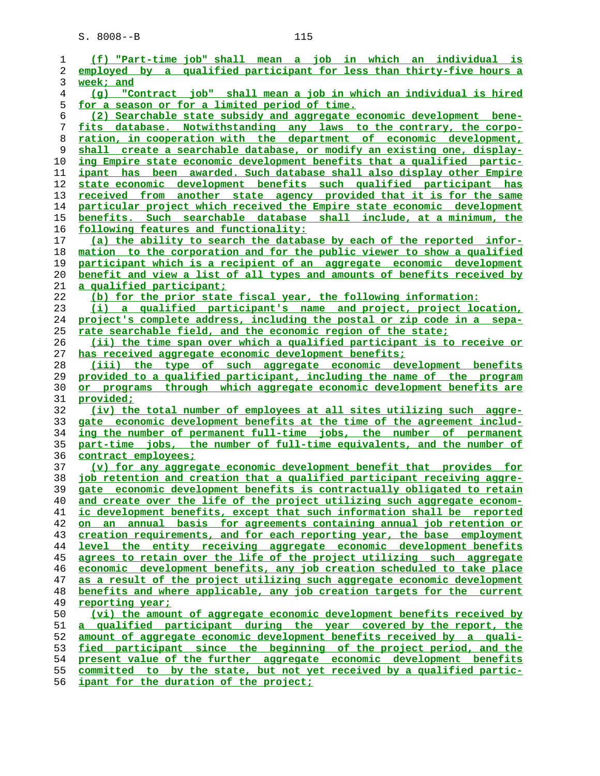| 1        | (f) "Part-time job" shall mean a job in which an individual is                                                                           |
|----------|------------------------------------------------------------------------------------------------------------------------------------------|
| 2        | employed by a qualified participant for less than thirty-five hours a                                                                    |
| 3        | week; and                                                                                                                                |
| 4        | (g) "Contract job" shall mean a job in which an individual is hired                                                                      |
| 5        | for a season or for a limited period of time.                                                                                            |
| 6        | (2) Searchable state subsidy and aggregate economic development bene-                                                                    |
| 7        | fits database. Notwithstanding any laws to the contrary, the corpo-                                                                      |
| 8        | ration, in cooperation with the department of economic development,                                                                      |
| 9        | shall create a searchable database, or modify an existing one, display-                                                                  |
| 10       | ing Empire state economic development benefits that a qualified partic-                                                                  |
| 11       | <u>ipant has been awarded. Such database shall also display other Empire</u>                                                             |
| 12       | state economic development benefits such qualified participant has                                                                       |
| 13       | received from another state agency provided that it is for the same                                                                      |
| 14       | particular project which received the Empire state economic development                                                                  |
| 15       | benefits. Such searchable database shall include, at a minimum, the                                                                      |
| 16       | following features and functionality:                                                                                                    |
| 17       | (a) the ability to search the database by each of the reported infor-                                                                    |
| 18       | mation to the corporation and for the public viewer to show a qualified                                                                  |
| 19       | participant which is a recipient of an aggregate economic development                                                                    |
| 20       | <u>benefit and view a list of all types and amounts of benefits received by</u>                                                          |
| 21       | <u>a qualified participant;</u>                                                                                                          |
| 22       | (b) for the prior state fiscal year, the following information:                                                                          |
| 23       | (i) a qualified participant's name and project, project location,                                                                        |
| 24       | project's complete address, including the postal or zip code in a sepa-                                                                  |
| 25       | <u>rate searchable field, and the economic region of the state;</u>                                                                      |
| 26       | <u>(ii) the time span over which a qualified participant is to receive or</u>                                                            |
| 27       | has received aggregate economic development benefits;                                                                                    |
| 28<br>29 | (iii) the type of such aggregate economic development benefits<br>provided to a qualified participant, including the name of the program |
| 30       | or programs through which aggregate economic development benefits are                                                                    |
| 31       | <u>provided;</u>                                                                                                                         |
| 32       | (iv) the total number of employees at all sites utilizing such aggre-                                                                    |
| 33       | gate economic development benefits at the time of the agreement includ-                                                                  |
| 34       | ing the number of permanent full-time jobs, the number of permanent                                                                      |
| 35       | part-time jobs, the number of full-time equivalents, and the number of                                                                   |
| 36       | contract employees;                                                                                                                      |
| 37       | (v) for any aggregate economic development benefit that provides for                                                                     |
| 38       | job retention and creation that a qualified participant receiving aggre-                                                                 |
| 39       | gate economic development benefits is contractually obligated to retain                                                                  |
| 40       | and create over the life of the project utilizing such aggregate econom-                                                                 |
| 41       | ic development benefits, except that such information shall be reported                                                                  |
| 42       | annual basis for agreements containing annual job retention or<br>an<br><b>on</b>                                                        |
| 43       | creation requirements, and for each reporting year, the base employment                                                                  |
| 44       | level the entity receiving aggregate economic development benefits                                                                       |
| 45       | agrees to retain over the life of the project utilizing such aggregate                                                                   |
| 46       | economic development benefits, any job creation scheduled to take place                                                                  |
| 47       | as a result of the project utilizing such aggregate economic development                                                                 |
| 48       | benefits and where applicable, any job creation targets for the current                                                                  |
| 49       | reporting year;                                                                                                                          |
| 50       | (vi) the amount of aggregate economic development benefits received by                                                                   |
| 51       | qualified participant during the year covered by the report, the<br>a                                                                    |
| 52       | amount of aggregate economic development benefits received by a quali-                                                                   |
| 53       | fied participant since the beginning of the project period, and the                                                                      |
| 54       | present value of the further aggregate economic development benefits                                                                     |
| 55       | committed to by the state, but not yet received by a qualified partic-                                                                   |
| 56       | ipant for the duration of the project;                                                                                                   |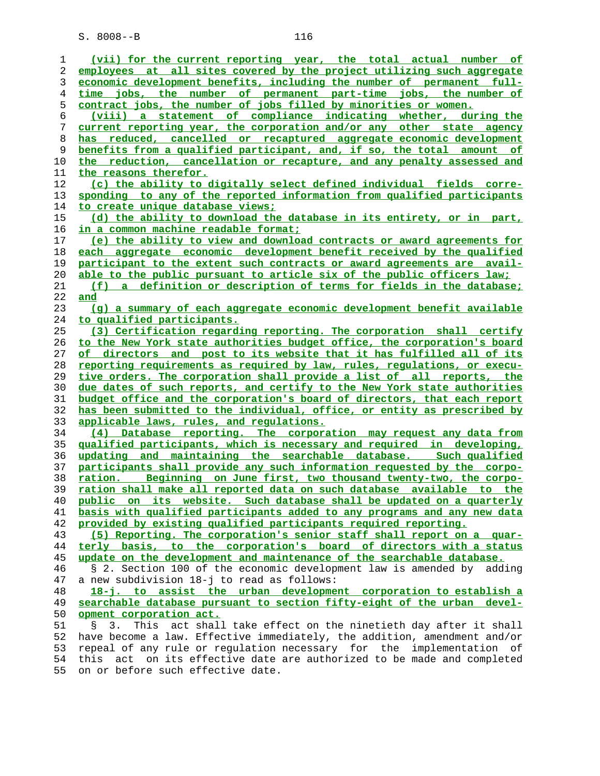| 1  | (vii) for the current reporting year, the total actual number of              |
|----|-------------------------------------------------------------------------------|
| 2  | employees at all sites covered by the project utilizing such aggregate        |
| 3  | economic development benefits, including the number of permanent full-        |
| 4  | time jobs, the number of permanent part-time jobs, the number of              |
| 5  | contract jobs, the number of jobs filled by minorities or women.              |
| 6  | (viii) a statement of compliance indicating whether, during the               |
| 7  | current reporting year, the corporation and/or any other state agency         |
| 8  | has reduced, cancelled or recaptured aggregate economic development           |
| 9  | benefits from a qualified participant, and, if so, the total amount of        |
|    |                                                                               |
| 10 | the reduction, cancellation or recapture, and any penalty assessed and        |
| 11 | the reasons therefor.                                                         |
| 12 | (c) the ability to digitally select defined individual fields corre-          |
| 13 | sponding to any of the reported information from qualified participants       |
| 14 | <u>to create unique database views;</u>                                       |
| 15 | (d) the ability to download the database in its entirety, or in part,         |
| 16 | <u>in a common machine readable format;</u>                                   |
| 17 | (e) the ability to view and download contracts or award agreements for        |
| 18 | each aggregate economic development benefit received by the qualified         |
| 19 | participant to the extent such contracts or award agreements are avail-       |
| 20 | able to the public pursuant to article six of the public officers law;        |
| 21 | (f) a definition or description of terms for fields in the database;          |
| 22 | and                                                                           |
| 23 | (q) a summary of each aggregate economic development benefit available        |
| 24 | to qualified participants.                                                    |
| 25 | (3) Certification regarding reporting. The corporation shall certify          |
| 26 | to the New York state authorities budget office, the corporation's board      |
| 27 | of directors and post to its website that it has fulfilled all of its         |
| 28 | reporting requirements as required by law, rules, requlations, or execu-      |
| 29 | tive orders. The corporation shall provide a list of all reports, the         |
| 30 | due dates of such reports, and certify to the New York state authorities      |
| 31 | budget office and the corporation's board of directors, that each report      |
| 32 | has been submitted to the individual, office, or entity as prescribed by      |
| 33 | applicable laws, rules, and regulations.                                      |
| 34 | (4) Database reporting. The corporation may request any data from             |
| 35 | qualified participants, which is necessary and required in developing,        |
| 36 | updating and maintaining the searchable database. Such qualified              |
| 37 | participants shall provide any such information requested by the corpo-       |
| 38 | ration. Beginning on June first, two thousand twenty-two, the corpo-          |
| 39 | ration shall make all reported data on such database available to the         |
| 40 | public on its website. Such database shall be updated on a quarterly          |
| 41 | basis with qualified participants added to any programs and any new data      |
| 42 | provided by existing qualified participants required reporting.               |
| 43 | (5) Reporting. The corporation's senior staff shall report on a quar-         |
| 44 | terly basis, to the corporation's board of directors with a status            |
| 45 | update on the development and maintenance of the searchable database.         |
| 46 | § 2. Section 100 of the economic development law is amended by adding         |
| 47 | a new subdivision 18-j to read as follows:                                    |
| 48 | 18-j. to assist the urban development corporation to establish a              |
| 49 | searchable database pursuant to section fifty-eight of the urban devel-       |
| 50 | opment corporation act.                                                       |
| 51 | act shall take effect on the ninetieth day after it shall<br>This<br>Š.<br>3. |
| 52 | have become a law. Effective immediately, the addition, amendment and/or      |
| 53 | repeal of any rule or regulation necessary for the<br>implementation of       |
| 54 | act on its effective date are authorized to be made and completed<br>this     |
| 55 | on or before such effective date.                                             |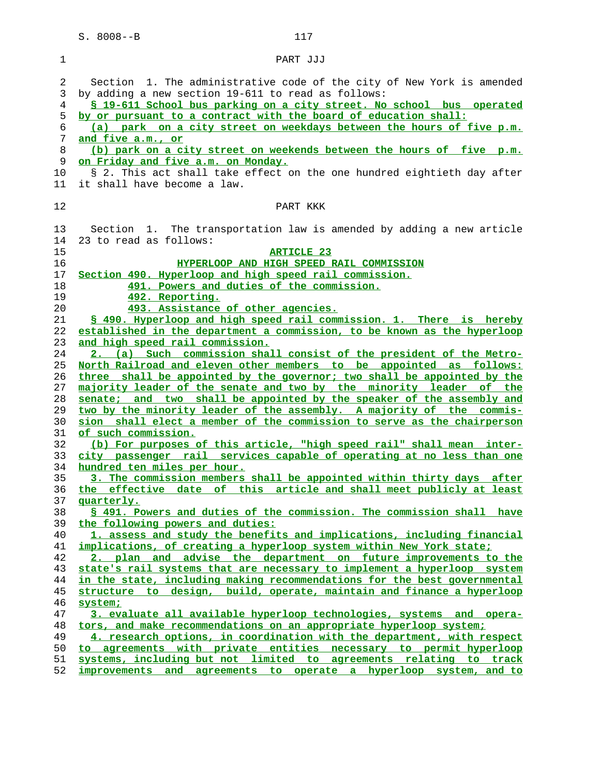| 1  | PART JJJ                                                                 |
|----|--------------------------------------------------------------------------|
|    |                                                                          |
| 2  | Section 1. The administrative code of the city of New York is amended    |
| 3  | by adding a new section 19-611 to read as follows:                       |
| 4  | \$ 19-611 School bus parking on a city street. No school bus operated    |
| 5  | by or pursuant to a contract with the board of education shall:          |
| 6  | (a) park on a city street on weekdays between the hours of five p.m.     |
| 7  | and five a.m., or                                                        |
| 8  | (b) park on a city street on weekends between the hours of five p.m.     |
| 9  | on Friday and five a.m. on Monday.                                       |
| 10 | § 2. This act shall take effect on the one hundred eightieth day after   |
| 11 | it shall have become a law.                                              |
| 12 |                                                                          |
|    | PART KKK                                                                 |
| 13 | Section 1. The transportation law is amended by adding a new article     |
| 14 | 23 to read as follows:                                                   |
| 15 | <b>ARTICLE 23</b>                                                        |
| 16 | HYPERLOOP AND HIGH SPEED RAIL COMMISSION                                 |
| 17 | Section 490. Hyperloop and high speed rail commission.                   |
| 18 | 491. Powers and duties of the commission.                                |
| 19 | 492. Reporting.                                                          |
| 20 | 493. Assistance of other agencies.                                       |
| 21 | § 490. Hyperloop and high speed rail commission. 1. There is hereby      |
| 22 | established in the department a commission, to be known as the hyperloop |
| 23 | and high speed rail commission.                                          |
| 24 | 2. (a) Such commission shall consist of the president of the Metro-      |
| 25 | North Railroad and eleven other members to be appointed as follows:      |
| 26 | three shall be appointed by the governor; two shall be appointed by the  |
| 27 | majority leader of the senate and two by the minority leader of the      |
| 28 | senate; and two shall be appointed by the speaker of the assembly and    |
| 29 | two by the minority leader of the assembly. A majority of the commis-    |
| 30 | sion shall elect a member of the commission to serve as the chairperson  |
| 31 | of such commission.                                                      |
| 32 | (b) For purposes of this article, "high speed rail" shall mean inter-    |
| 33 | city passenger rail services capable of operating at no less than one    |
| 34 | hundred ten miles per hour.                                              |
| 35 | 3. The commission members shall be appointed within thirty days after    |
| 36 | effective date of this article and shall meet publicly at least<br>the   |
| 37 | quarterly.                                                               |
| 38 | § 491. Powers and duties of the commission. The commission shall have    |
| 39 | the following powers and duties:                                         |
| 40 | 1. assess and study the benefits and implications, including financial   |
| 41 | implications, of creating a hyperloop system within New York state;      |
| 42 | 2. plan and advise the department on future improvements to the          |
| 43 | state's rail systems that are necessary to implement a hyperloop system  |
| 44 | in the state, including making recommendations for the best governmental |
| 45 | structure to design, build, operate, maintain and finance a hyperloop    |
| 46 | system;                                                                  |
| 47 | 3. evaluate all available hyperloop technologies, systems and opera-     |
| 48 | tors, and make recommendations on an appropriate hyperloop system;       |
| 49 | 4. research options, in coordination with the department, with respect   |
| 50 | to agreements with private entities necessary to permit hyperloop        |
| 51 | systems, including but not limited to agreements relating to track       |
| 52 | improvements and agreements to operate a hyperloop system, and to        |
|    |                                                                          |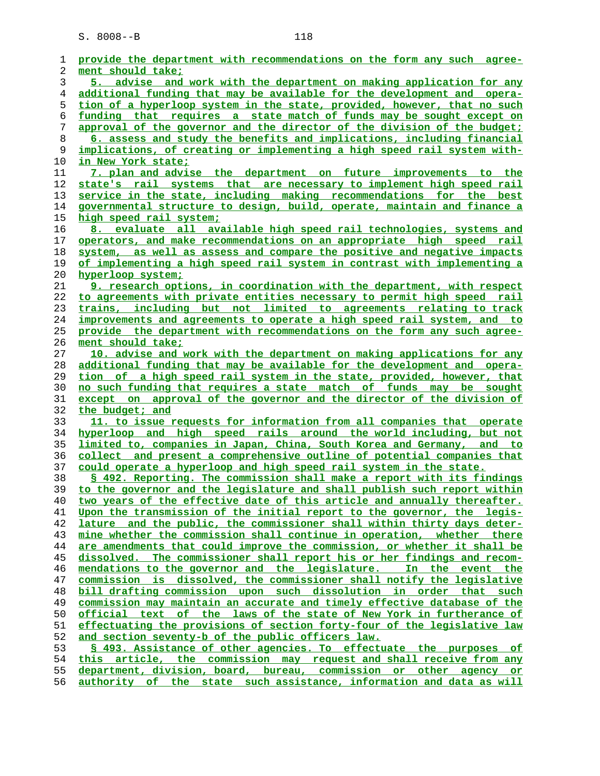| 1              | provide the department with recommendations on the form any such agree-     |
|----------------|-----------------------------------------------------------------------------|
| 2              | ment should take;                                                           |
| 3              | 5. advise and work with the department on making application for any        |
| $\overline{4}$ | additional funding that may be available for the development and opera-     |
| 5              | tion of a hyperloop system in the state, provided, however, that no such    |
| 6              | funding that requires a state match of funds may be sought except on        |
| 7              | approval of the governor and the director of the division of the budget;    |
| 8              | 6. assess and study the benefits and implications, including financial      |
| 9              | implications, of creating or implementing a high speed rail system with-    |
| 10             | in New York state;                                                          |
| 11             | 7. plan and advise the department on future improvements to the             |
| 12             | state's rail systems that are necessary to implement high speed rail        |
| 13             | service in the state, including making recommendations for the best         |
| 14             | governmental structure to design, build, operate, maintain and finance a    |
| 15             | high speed rail system;                                                     |
| 16             | 8. evaluate all available high speed rail technologies, systems and         |
| 17             | operators, and make recommendations on an appropriate high speed rail       |
| 18             | system, as well as assess and compare the positive and negative impacts     |
| 19             | of implementing a high speed rail system in contrast with implementing a    |
| 20             | hyperloop system;                                                           |
| 21             | 9. research options, in coordination with the department, with respect      |
| 22             | to agreements with private entities necessary to permit high speed rail     |
| 23             | trains, including but not limited to agreements relating to track           |
| 24             | improvements and agreements to operate a high speed rail system, and to     |
| 25             | provide the department with recommendations on the form any such agree-     |
| 26             | ment should take;                                                           |
| 27             | 10. advise and work with the department on making applications for any      |
| 28             | additional funding that may be available for the development and opera-     |
| 29             | tion of a high speed rail system in the state, provided, however, that      |
| 30             | no such funding that requires a state match of funds may be sought          |
| 31             | except on approval of the governor and the director of the division of      |
| 32             | the budget; and                                                             |
| 33             | 11. to issue requests for information from all companies that operate       |
| 34             | hyperloop and high speed rails around the world including, but not          |
| 35             | limited to, companies in Japan, China, South Korea and Germany, and to      |
| 36             | collect and present a comprehensive outline of potential companies that     |
| 37             | could operate a hyperloop and high speed rail system in the state.          |
| 38             | § 492. Reporting. The commission shall make a report with its findings      |
| 39             | to the governor and the legislature and shall publish such report within    |
| 40             | two years of the effective date of this article and annually thereafter.    |
| 41             | Upon the transmission of the initial report to the governor, the legis-     |
| 42             | lature and the public, the commissioner shall within thirty days deter-     |
| 43             | mine whether the commission shall continue in operation, whether there      |
| 44             | are amendments that could improve the commission, or whether it shall be    |
| 45             | dissolved. The commissioner shall report his or her findings and recom-     |
| 46             | mendations to the governor and the legislature. In the event the            |
| 47             | commission is dissolved, the commissioner shall notify the legislative      |
| 48             | bill drafting commission upon such dissolution in order that such           |
| 49             | commission may maintain an accurate and timely effective database of the    |
| 50             | <u>official text of the laws of the state of New York in furtherance of</u> |
| 51             | effectuating the provisions of section forty-four of the legislative law    |
| 52             | and section seventy-b of the public officers law.                           |
| 53             | \$ 493. Assistance of other agencies. To effectuate the purposes of         |
| 54             | this article, the commission may request and shall receive from any         |
| 55             | department, division, board, bureau, commission or other agency or          |
| 56             | authority of the state such assistance, information and data as will        |
|                |                                                                             |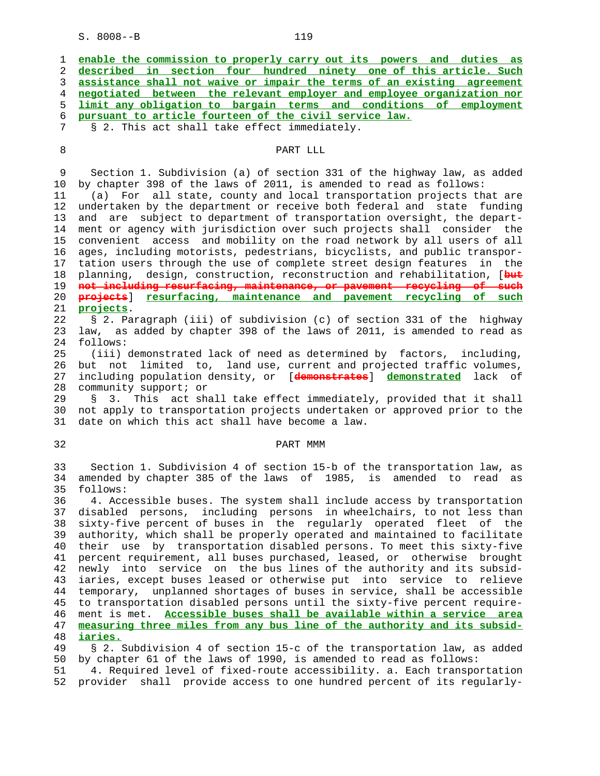| $S. 8008--B$<br>119                                                                                                                                                                                                                                                                                                                                                                                                                                                                                                                                                                                                                                                                                                                                                                                                                                                                                                                                                                                                                                                                                                                                                  |
|----------------------------------------------------------------------------------------------------------------------------------------------------------------------------------------------------------------------------------------------------------------------------------------------------------------------------------------------------------------------------------------------------------------------------------------------------------------------------------------------------------------------------------------------------------------------------------------------------------------------------------------------------------------------------------------------------------------------------------------------------------------------------------------------------------------------------------------------------------------------------------------------------------------------------------------------------------------------------------------------------------------------------------------------------------------------------------------------------------------------------------------------------------------------|
| enable the commission to properly carry out its powers and duties as<br>described in section four hundred ninety one of this article. Such<br>assistance shall not waive or impair the terms of an existing agreement<br>negotiated between the relevant employer and employee organization nor<br>limit any obligation to bargain terms and conditions of employment<br>pursuant to article fourteen of the civil service law.<br>§ 2. This act shall take effect immediately.                                                                                                                                                                                                                                                                                                                                                                                                                                                                                                                                                                                                                                                                                      |
| PART LLL                                                                                                                                                                                                                                                                                                                                                                                                                                                                                                                                                                                                                                                                                                                                                                                                                                                                                                                                                                                                                                                                                                                                                             |
| Section 1. Subdivision (a) of section 331 of the highway law, as added<br>by chapter 398 of the laws of 2011, is amended to read as follows:<br>(a) For all state, county and local transportation projects that are<br>undertaken by the department or receive both federal and state funding<br>and are subject to department of transportation oversight, the depart-<br>ment or agency with jurisdiction over such projects shall consider the<br>convenient access and mobility on the road network by all users of all<br>ages, including motorists, pedestrians, bicyclists, and public transpor-<br>tation users through the use of complete street design features<br>in the<br>planning, design, construction, reconstruction and rehabilitation, [but<br>not including resurfacing, maintenance, or pavement recycling of such<br><del>projects</del> ]<br>resurfacing, maintenance and pavement recycling of such<br>projects.<br>§ 2. Paragraph (iii) of subdivision (c) of section 331 of the highway<br>law, as added by chapter 398 of the laws of 2011, is amended to read as                                                                       |
| follows:<br>(iii) demonstrated lack of need as determined by factors, including,<br>but not limited to, land use, current and projected traffic volumes,<br>including population density, or [demonstrates] demonstrated lack of<br>community support; or<br>This act shall take effect immediately, provided that it shall<br>3.<br>Ş.                                                                                                                                                                                                                                                                                                                                                                                                                                                                                                                                                                                                                                                                                                                                                                                                                              |
| not apply to transportation projects undertaken or approved prior to the<br>date on which this act shall have become a law.                                                                                                                                                                                                                                                                                                                                                                                                                                                                                                                                                                                                                                                                                                                                                                                                                                                                                                                                                                                                                                          |
| PART MMM                                                                                                                                                                                                                                                                                                                                                                                                                                                                                                                                                                                                                                                                                                                                                                                                                                                                                                                                                                                                                                                                                                                                                             |
| Section 1. Subdivision 4 of section 15-b of the transportation law, as<br>amended by chapter 385 of the laws of 1985, is amended to read<br>as<br>follows:<br>4. Accessible buses. The system shall include access by transportation<br>disabled persons, including persons in wheelchairs, to not less than<br>sixty-five percent of buses in the regularly operated fleet of the<br>authority, which shall be properly operated and maintained to facilitate<br>their use by transportation disabled persons. To meet this sixty-five<br>percent requirement, all buses purchased, leased, or otherwise brought<br>newly into service on the bus lines of the authority and its subsid-<br>iaries, except buses leased or otherwise put into service to<br>relieve<br>temporary, unplanned shortages of buses in service, shall be accessible<br>to transportation disabled persons until the sixty-five percent require-<br>ment is met. Accessible buses shall be available within a service area<br>measuring three miles from any bus line of the authority and its subsid-<br>iaries.<br>8.2 Subdivision 4 of section 15-c of the transportation law as added |
|                                                                                                                                                                                                                                                                                                                                                                                                                                                                                                                                                                                                                                                                                                                                                                                                                                                                                                                                                                                                                                                                                                                                                                      |

 49 § 2. Subdivision 4 of section 15-c of the transportation law, as added 50 by chapter 61 of the laws of 1990, is amended to read as follows:<br>51 4. Required level of fixed-route accessibility. a. Each transpor

4. Required level of fixed-route accessibility. a. Each transportation 52 provider shall provide access to one hundred percent of its regularly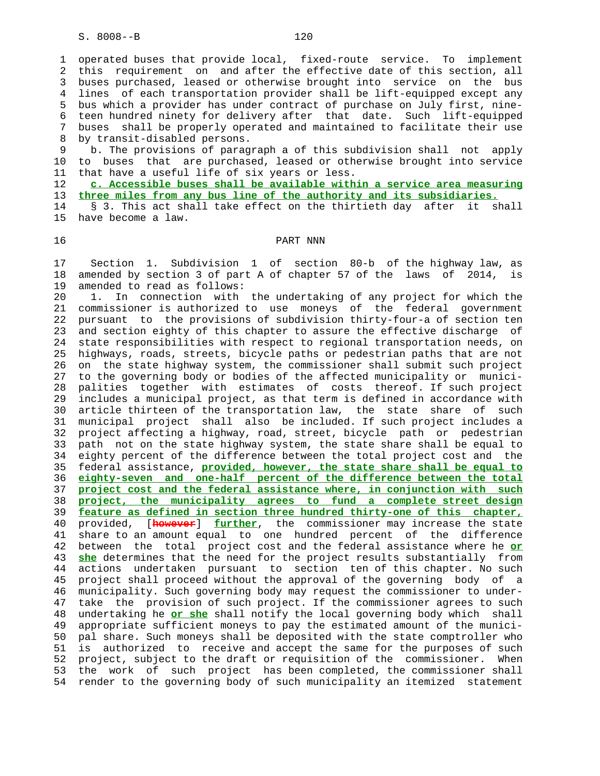1 operated buses that provide local, fixed-route service. To implement 2 this requirement on and after the effective date of this section, all 3 buses purchased, leased or otherwise brought into service on the bus 4 lines of each transportation provider shall be lift-equipped except any 5 bus which a provider has under contract of purchase on July first, nine- 6 teen hundred ninety for delivery after that date. Such lift-equipped 7 buses shall be properly operated and maintained to facilitate their use 8 by transit-disabled persons.

 9 b. The provisions of paragraph a of this subdivision shall not apply 10 to buses that are purchased, leased or otherwise brought into service 11 that have a useful life of six years or less.

 12 **c. Accessible buses shall be available within a service area measuring** 13 **three miles from any bus line of the authority and its subsidiaries.**

 14 § 3. This act shall take effect on the thirtieth day after it shall 15 have become a law.

# 16 PART NNN

 17 Section 1. Subdivision 1 of section 80-b of the highway law, as 18 amended by section 3 of part A of chapter 57 of the laws of 2014, is 19 amended to read as follows:

 20 1. In connection with the undertaking of any project for which the 21 commissioner is authorized to use moneys of the federal government 22 pursuant to the provisions of subdivision thirty-four-a of section ten 23 and section eighty of this chapter to assure the effective discharge of 24 state responsibilities with respect to regional transportation needs, on 25 highways, roads, streets, bicycle paths or pedestrian paths that are not 26 on the state highway system, the commissioner shall submit such project 27 to the governing body or bodies of the affected municipality or munici- 28 palities together with estimates of costs thereof. If such project 29 includes a municipal project, as that term is defined in accordance with 30 article thirteen of the transportation law, the state share of such 31 municipal project shall also be included. If such project includes a 32 project affecting a highway, road, street, bicycle path or pedestrian 33 path not on the state highway system, the state share shall be equal to 34 eighty percent of the difference between the total project cost and the 35 federal assistance, **provided, however, the state share shall be equal to** 36 **eighty-seven and one-half percent of the difference between the total** 37 **project cost and the federal assistance where, in conjunction with such** 38 **project, the municipality agrees to fund a complete street design** 39 **feature as defined in section three hundred thirty-one of this chapter,** 40 provided, [**however**] **further**, the commissioner may increase the state 41 share to an amount equal to one hundred percent of the difference 42 between the total project cost and the federal assistance where he **or** 43 **she** determines that the need for the project results substantially from 44 actions undertaken pursuant to section ten of this chapter. No such 45 project shall proceed without the approval of the governing body of a 46 municipality. Such governing body may request the commissioner to under- 47 take the provision of such project. If the commissioner agrees to such 48 undertaking he **or she** shall notify the local governing body which shall 49 appropriate sufficient moneys to pay the estimated amount of the munici- 50 pal share. Such moneys shall be deposited with the state comptroller who 51 is authorized to receive and accept the same for the purposes of such 52 project, subject to the draft or requisition of the commissioner. When 53 the work of such project has been completed, the commissioner shall 54 render to the governing body of such municipality an itemized statement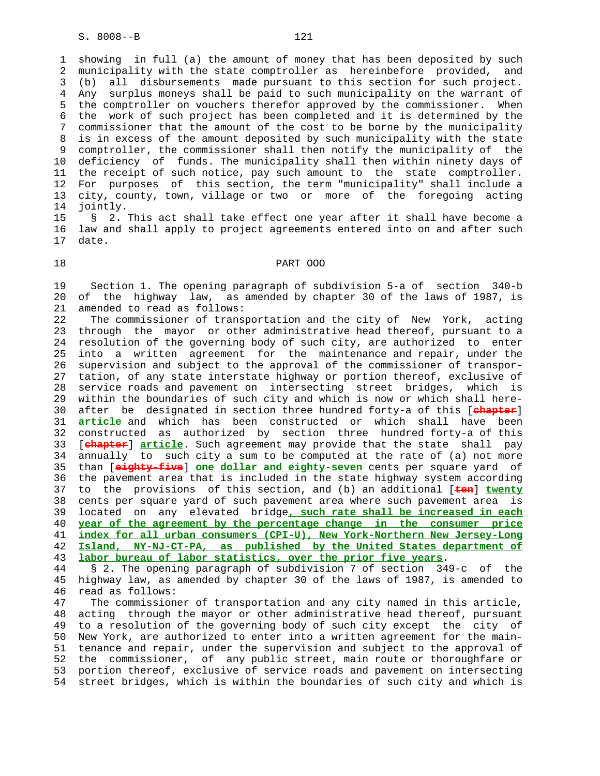1 showing in full (a) the amount of money that has been deposited by such 2 municipality with the state comptroller as hereinbefore provided, and 3 (b) all disbursements made pursuant to this section for such project. 4 Any surplus moneys shall be paid to such municipality on the warrant of 5 the comptroller on vouchers therefor approved by the commissioner. When 6 the work of such project has been completed and it is determined by the 7 commissioner that the amount of the cost to be borne by the municipality 8 is in excess of the amount deposited by such municipality with the state 9 comptroller, the commissioner shall then notify the municipality of the<br>10 deficiency of funds. The municipality shall then within ninety davs of deficiency of funds. The municipality shall then within ninety days of 11 the receipt of such notice, pay such amount to the state comptroller. 12 For purposes of this section, the term "municipality" shall include a 13 city, county, town, village or two or more of the foregoing acting 14 jointly.

 15 § 2. This act shall take effect one year after it shall have become a 16 law and shall apply to project agreements entered into on and after such 17 date.

#### 18 PART OOO

 19 Section 1. The opening paragraph of subdivision 5-a of section 340-b 20 of the highway law, as amended by chapter 30 of the laws of 1987, is 21 amended to read as follows:

 22 The commissioner of transportation and the city of New York, acting 23 through the mayor or other administrative head thereof, pursuant to a 24 resolution of the governing body of such city, are authorized to enter 25 into a written agreement for the maintenance and repair, under the 26 supervision and subject to the approval of the commissioner of transpor- 27 tation, of any state interstate highway or portion thereof, exclusive of 28 service roads and pavement on intersecting street bridges, which is 29 within the boundaries of such city and which is now or which shall here- 30 after be designated in section three hundred forty-a of this [**chapter**] 31 **article** and which has been constructed or which shall have been 32 constructed as authorized by section three hundred forty-a of this 33 [**chapter**] **article**. Such agreement may provide that the state shall pay 34 annually to such city a sum to be computed at the rate of (a) not more 35 than [**eighty-five**] **one dollar and eighty-seven** cents per square yard of 36 the pavement area that is included in the state highway system according 37 to the provisions of this section, and (b) an additional [**ten**] **twenty** 38 cents per square yard of such pavement area where such pavement area is 39 located on any elevated bridge**, such rate shall be increased in each** 40 **year of the agreement by the percentage change in the consumer price** 41 **index for all urban consumers (CPI-U), New York-Northern New Jersey-Long** 42 **Island, NY-NJ-CT-PA, as published by the United States department of** 43 **labor bureau of labor statistics, over the prior five years**.

 44 § 2. The opening paragraph of subdivision 7 of section 349-c of the 45 highway law, as amended by chapter 30 of the laws of 1987, is amended to 46 read as follows:

 47 The commissioner of transportation and any city named in this article, 48 acting through the mayor or other administrative head thereof, pursuant 49 to a resolution of the governing body of such city except the city of 50 New York, are authorized to enter into a written agreement for the main- 51 tenance and repair, under the supervision and subject to the approval of 52 the commissioner, of any public street, main route or thoroughfare or 53 portion thereof, exclusive of service roads and pavement on intersecting 54 street bridges, which is within the boundaries of such city and which is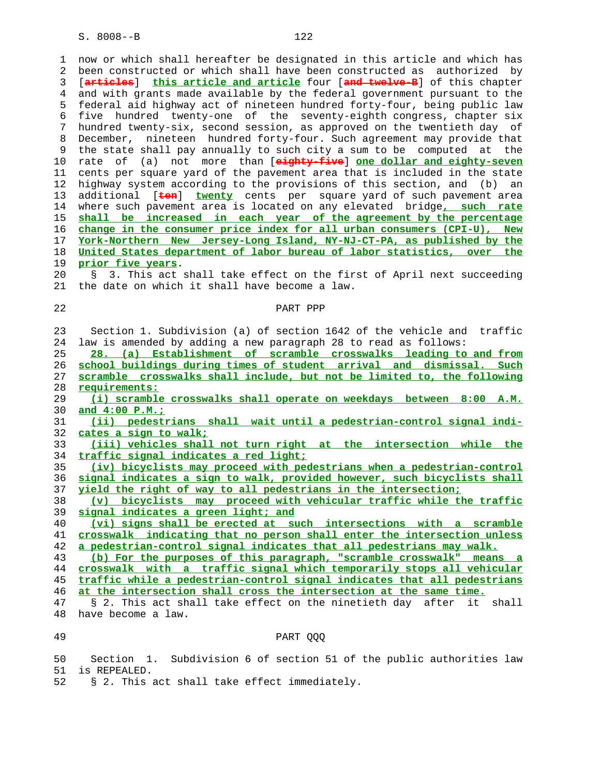1 now or which shall hereafter be designated in this article and which has 2 been constructed or which shall have been constructed as authorized by 3 [**articles**] **this article and article** four [**and twelve-B**] of this chapter 4 and with grants made available by the federal government pursuant to the 5 federal aid highway act of nineteen hundred forty-four, being public law 6 five hundred twenty-one of the seventy-eighth congress, chapter six 7 hundred twenty-six, second session, as approved on the twentieth day of 8 December, nineteen hundred forty-four. Such agreement may provide that 9 the state shall pay annually to such city a sum to be computed at the<br>10 rate of (a) not more than [**eighty-five**] one dollar and eighty-seven 10 rate of (a) not more than [**eighty-five**] **one dollar and eighty-seven** 11 cents per square yard of the pavement area that is included in the state 12 highway system according to the provisions of this section, and (b) an 13 additional [**ten**] **twenty** cents per square yard of such pavement area 14 where such pavement area is located on any elevated bridge**, such rate** 15 **shall be increased in each year of the agreement by the percentage** 16 **change in the consumer price index for all urban consumers (CPI-U), New** 17 **York-Northern New Jersey-Long Island, NY-NJ-CT-PA, as published by the** 18 **United States department of labor bureau of labor statistics, over the** 19 **prior five years**. 20 § 3. This act shall take effect on the first of April next succeeding 21 the date on which it shall have become a law. 22 PART PPP 23 Section 1. Subdivision (a) of section 1642 of the vehicle and traffic 24 law is amended by adding a new paragraph 28 to read as follows: 25 **28. (a) Establishment of scramble crosswalks leading to and from** 26 **school buildings during times of student arrival and dismissal. Such** 27 **scramble crosswalks shall include, but not be limited to, the following** 28 **requirements:** 29 **(i) scramble crosswalks shall operate on weekdays between 8:00 A.M.** 30 **and 4:00 P.M.;** 31 **(ii) pedestrians shall wait until a pedestrian-control signal indi-** 32 **cates a sign to walk;** 33 **(iii) vehicles shall not turn right at the intersection while the** 34 **traffic signal indicates a red light;** 35 **(iv) bicyclists may proceed with pedestrians when a pedestrian-control** 36 **signal indicates a sign to walk, provided however, such bicyclists shall** 37 **yield the right of way to all pedestrians in the intersection;** 38 **(v) bicyclists may proceed with vehicular traffic while the traffic** 39 **signal indicates a green light; and** 40 **(vi) signs shall be erected at such intersections with a scramble** 41 **crosswalk indicating that no person shall enter the intersection unless** 42 **a pedestrian-control signal indicates that all pedestrians may walk.** 43 **(b) For the purposes of this paragraph, "scramble crosswalk" means a** 44 **crosswalk with a traffic signal which temporarily stops all vehicular** 45 **traffic while a pedestrian-control signal indicates that all pedestrians** 46 **at the intersection shall cross the intersection at the same time.** 47 § 2. This act shall take effect on the ninetieth day after it shall 48 have become a law. 49 PART QQQ

 50 Section 1. Subdivision 6 of section 51 of the public authorities law 51 is REPEALED.

52 § 2. This act shall take effect immediately.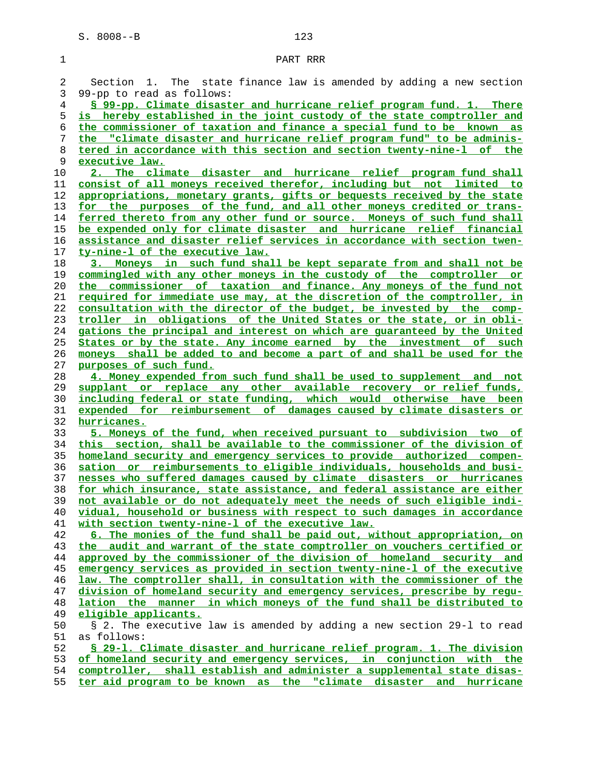| 1        | PART RRR                                                                                                                                             |
|----------|------------------------------------------------------------------------------------------------------------------------------------------------------|
| 2        | Section 1. The state finance law is amended by adding a new section                                                                                  |
| 3        | 99-pp to read as follows:                                                                                                                            |
| 4        | § 99-pp. Climate disaster and hurricane relief program fund. 1. There                                                                                |
| 5        | is hereby established in the joint custody of the state comptroller and                                                                              |
| 6        | the commissioner of taxation and finance a special fund to be known as                                                                               |
| 7        | the "climate disaster and hurricane relief program fund" to be adminis-                                                                              |
| 8        | tered in accordance with this section and section twenty-nine-1 of the                                                                               |
| 9        | executive law.                                                                                                                                       |
| 10       | 2. The climate disaster and hurricane relief program fund shall                                                                                      |
| 11       | consist of all moneys received therefor, including but not limited to                                                                                |
| 12       | appropriations, monetary grants, gifts or bequests received by the state                                                                             |
| 13       | for the purposes of the fund, and all other moneys credited or trans-                                                                                |
| 14       | ferred thereto from any other fund or source. Moneys of such fund shall                                                                              |
| 15       | be expended only for climate disaster and hurricane relief financial                                                                                 |
| 16       | assistance and disaster relief services in accordance with section twen-                                                                             |
| 17       | ty-nine-1 of the executive law.                                                                                                                      |
| 18       | 3. Moneys in such fund shall be kept separate from and shall not be                                                                                  |
| 19       | commingled with any other moneys in the custody of the comptroller or                                                                                |
| 20       | the commissioner of taxation and finance. Any moneys of the fund not                                                                                 |
| 21       | required for immediate use may, at the discretion of the comptroller, in                                                                             |
| 22       | consultation with the director of the budget, be invested by the comp-                                                                               |
| 23       | troller in obligations of the United States or the state, or in obli-                                                                                |
| 24       | gations the principal and interest on which are quaranteed by the United                                                                             |
| 25       | States or by the state. Any income earned by the investment of such                                                                                  |
| 26       | moneys shall be added to and become a part of and shall be used for the                                                                              |
| 27       | purposes of such fund.                                                                                                                               |
| 28       | 4. Money expended from such fund shall be used to supplement and not                                                                                 |
| 29       | supplant or replace any other available recovery or relief funds,                                                                                    |
| 30       | including federal or state funding, which would otherwise have been                                                                                  |
| 31       | expended for reimbursement of damages caused by climate disasters or                                                                                 |
| 32       | hurricanes.                                                                                                                                          |
| 33       | 5. Moneys of the fund, when received pursuant to subdivision two of                                                                                  |
| 34       | this section, shall be available to the commissioner of the division of                                                                              |
| 35       | homeland security and emergency services to provide authorized compen-                                                                               |
| 36       | sation or reimbursements to eligible individuals, households and busi-                                                                               |
| 37<br>38 | nesses who suffered damages caused by climate disasters or hurricanes                                                                                |
| 39       | for which insurance, state assistance, and federal assistance are either<br>not available or do not adequately meet the needs of such eligible indi- |
| 40       | vidual, household or business with respect to such damages in accordance                                                                             |
| 41       | with section twenty-nine-1 of the executive law.                                                                                                     |
| 42       | 6. The monies of the fund shall be paid out, without appropriation, on                                                                               |
| 43       | the audit and warrant of the state comptroller on vouchers certified or                                                                              |
| 44       | approved by the commissioner of the division of homeland security and                                                                                |
| 45       | emergency services as provided in section twenty-nine-1 of the executive                                                                             |
| 46       | law. The comptroller shall, in consultation with the commissioner of the                                                                             |
| 47       | division of homeland security and emergency services, prescribe by requ-                                                                             |
| 48       | lation the manner in which moneys of the fund shall be distributed to                                                                                |
| 49       | eligible applicants.                                                                                                                                 |
| 50       | § 2. The executive law is amended by adding a new section 29-1 to read                                                                               |
| 51       | as follows:                                                                                                                                          |
| 52       | § 29-1. Climate disaster and hurricane relief program. 1. The division                                                                               |
| 53       | of homeland security and emergency services, in conjunction with the                                                                                 |
| 54       | comptroller, shall establish and administer a supplemental state disas-                                                                              |
| 55       | ter aid program to be known as the "climate disaster and hurricane                                                                                   |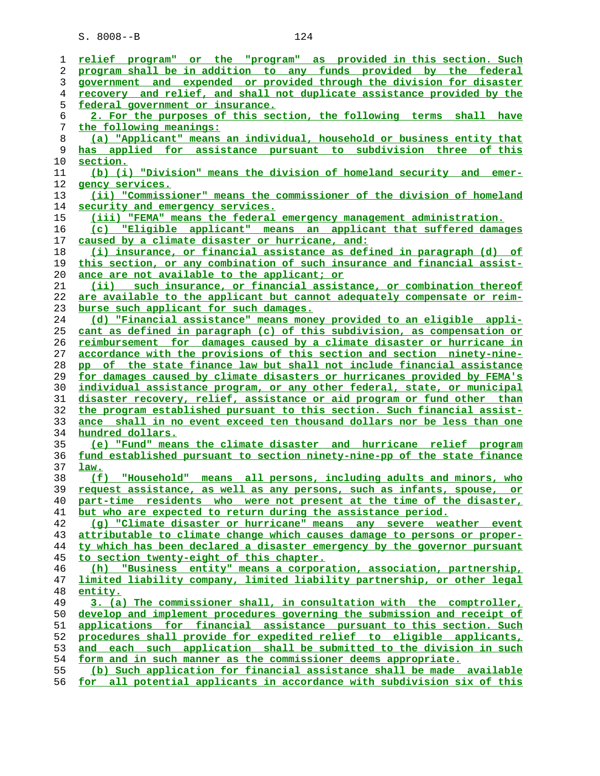| 1  | relief program" or the "program" as provided in this section. Such       |
|----|--------------------------------------------------------------------------|
| 2  | program shall be in addition to any funds provided by the federal        |
| 3  | government and expended or provided through the division for disaster    |
| 4  | recovery and relief, and shall not duplicate assistance provided by the  |
| 5  | federal government or insurance.                                         |
| 6  | 2. For the purposes of this section, the following terms<br>shall have   |
| 7  | the following meanings:                                                  |
| 8  | (a) "Applicant" means an individual, household or business entity that   |
| 9  | has applied for assistance pursuant to subdivision three of this         |
| 10 | section.                                                                 |
| 11 | (b) (i) "Division" means the division of homeland security and<br>emer-  |
| 12 | gency services.                                                          |
| 13 | (ii) "Commissioner" means the commissioner of the division of homeland   |
| 14 | security and emergency services.                                         |
| 15 | (iii) "FEMA" means the federal emergency management administration.      |
| 16 | (c) "Eligible applicant" means an applicant that suffered damages        |
| 17 | caused by a climate disaster or hurricane, and:                          |
| 18 | (i) insurance, or financial assistance as defined in paragraph (d) of    |
| 19 | this section, or any combination of such insurance and financial assist- |
|    |                                                                          |
| 20 | ance are not available to the applicant; or                              |
| 21 | (ii) such insurance, or financial assistance, or combination thereof     |
| 22 | are available to the applicant but cannot adequately compensate or reim- |
| 23 | burse such applicant for such damages.                                   |
| 24 | (d) "Financial assistance" means money provided to an eligible appli-    |
| 25 | cant as defined in paragraph (c) of this subdivision, as compensation or |
| 26 | reimbursement for damages caused by a climate disaster or hurricane in   |
| 27 | accordance with the provisions of this section and section ninety-nine-  |
| 28 | pp of the state finance law but shall not include financial assistance   |
| 29 | for damages caused by climate disasters or hurricanes provided by FEMA's |
| 30 | individual assistance program, or any other federal, state, or municipal |
| 31 | disaster recovery, relief, assistance or aid program or fund other than  |
| 32 | the program established pursuant to this section. Such financial assist- |
| 33 | ance shall in no event exceed ten thousand dollars nor be less than one  |
| 34 | hundred dollars.                                                         |
| 35 | (e) "Fund" means the climate disaster and hurricane relief program       |
| 36 | fund established pursuant to section ninety-nine-pp of the state finance |
| 37 | <u>law.</u>                                                              |
| 38 | "Household" means all persons, including adults and minors, who<br>(E)   |
| 39 | request assistance, as well as any persons, such as infants, spouse, or  |
| 40 | part-time residents who were not present at the time of the disaster,    |
| 41 | but who are expected to return during the assistance period.             |
| 42 | (q) "Climate disaster or hurricane" means any severe weather event       |
| 43 | attributable to climate change which causes damage to persons or proper- |
| 44 | ty which has been declared a disaster emergency by the governor pursuant |
| 45 | to section twenty-eight of this chapter.                                 |
| 46 | "Business entity" means a corporation, association, partnership,<br>(h)  |
| 47 | limited liability company, limited liability partnership, or other legal |
| 48 | entity.                                                                  |
| 49 | 3. (a) The commissioner shall, in consultation with the comptroller,     |
| 50 | develop and implement procedures governing the submission and receipt of |
| 51 | applications for financial assistance pursuant to this section. Such     |
| 52 | procedures shall provide for expedited relief to eligible applicants,    |
| 53 | and each such application shall be submitted to the division in such     |
| 54 | form and in such manner as the commissioner deems appropriate.           |
| 55 | (b) Such application for financial assistance shall be made available    |

**for all potential applicants in accordance with subdivision six of this**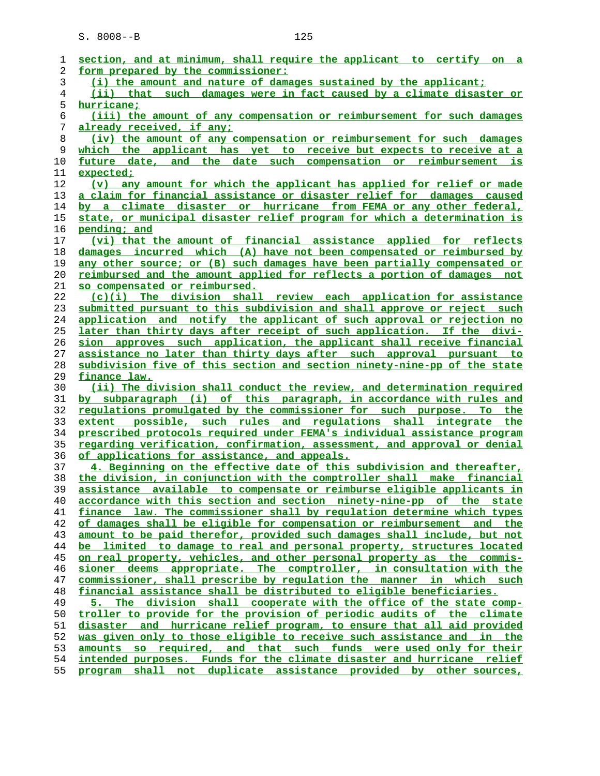| ı  | section, and at minimum, shall require the applicant to certify on a           |
|----|--------------------------------------------------------------------------------|
| 2  | form prepared by the commissioner:                                             |
| 3  | (i) the amount and nature of damages sustained by the applicant;               |
| 4  | (ii) that such damages were in fact caused by a climate disaster or            |
| 5  | hurricane;                                                                     |
| 6  | (iii) the amount of any compensation or reimbursement for such damages         |
| 7  | already received, if any;                                                      |
| 8  | (iv) the amount of any compensation or reimbursement for such damages          |
| 9  | which the applicant has yet to receive but expects to receive at a             |
| 10 | future date, and the date such compensation or reimbursement is                |
| 11 | expected;                                                                      |
| 12 | (v) any amount for which the applicant has applied for relief or made          |
| 13 | a claim for financial assistance or disaster relief for damages caused         |
| 14 | by a climate disaster or hurricane from FEMA or any other federal,             |
| 15 | state, or municipal disaster relief program for which a determination is       |
| 16 | pending; and                                                                   |
| 17 | (vi) that the amount of financial assistance applied for reflects              |
| 18 | damages incurred which (A) have not been compensated or reimbursed by          |
| 19 | any other source; or (B) such damages have been partially compensated or       |
| 20 | <u>reimbursed and the amount applied for reflects a portion of damages not</u> |
| 21 | so compensated or reimbursed.                                                  |
| 22 | (c)(i) The division shall review each application for assistance               |
| 23 | submitted pursuant to this subdivision and shall approve or reject such        |
| 24 | application and notify the applicant of such approval or rejection no          |
| 25 | later than thirty days after receipt of such application. If the divi-         |
| 26 | sion approves such application, the applicant shall receive financial          |
| 27 | assistance no later than thirty days after such approval pursuant to           |
| 28 | subdivision five of this section and section ninety-nine-pp of the state       |
| 29 | finance law.                                                                   |
| 30 | (ii) The division shall conduct the review, and determination required         |
| 31 | by subparagraph (i) of this paragraph, in accordance with rules and            |
| 32 | requlations promulgated by the commissioner for such purpose. To the           |
| 33 | extent possible, such rules and requlations shall integrate the                |
| 34 | prescribed protocols required under FEMA's individual assistance program       |
| 35 | regarding verification, confirmation, assessment, and approval or denial       |
| 36 | <u>of applications for assistance, and appeals.</u>                            |
| 37 | 4. Beginning on the effective date of this subdivision and thereafter,         |
| 38 | the division, in conjunction with the comptroller shall make financial         |
| 39 | assistance available to compensate or reimburse eligible applicants in         |
| 40 | accordance with this section and section ninety-nine-pp of the state           |
| 41 | finance law. The commissioner shall by requlation determine which types        |
| 42 | of damages shall be eligible for compensation or reimbursement and the         |
| 43 | amount to be paid therefor, provided such damages shall include, but not       |
| 44 | be limited to damage to real and personal property, structures located         |
| 45 | <u>on real property, vehicles, and other personal property as the commis-</u>  |
| 46 | sioner deems appropriate. The comptroller, in consultation with the            |
| 47 | commissioner, shall prescribe by requlation the manner in which such           |
| 48 | financial assistance shall be distributed to eligible beneficiaries.           |
| 49 | The division shall cooperate with the office of the state comp-<br>5.          |
| 50 | troller to provide for the provision of periodic audits of the climate         |
| 51 | and hurricane relief program, to ensure that all aid provided<br>disaster      |
| 52 | was given only to those eligible to receive such assistance and in the         |
| 53 | amounts so required, and that such funds were used only for their              |
| 54 | intended purposes. Funds for the climate disaster and hurricane relief         |
| 55 | program shall not duplicate assistance provided by other sources,              |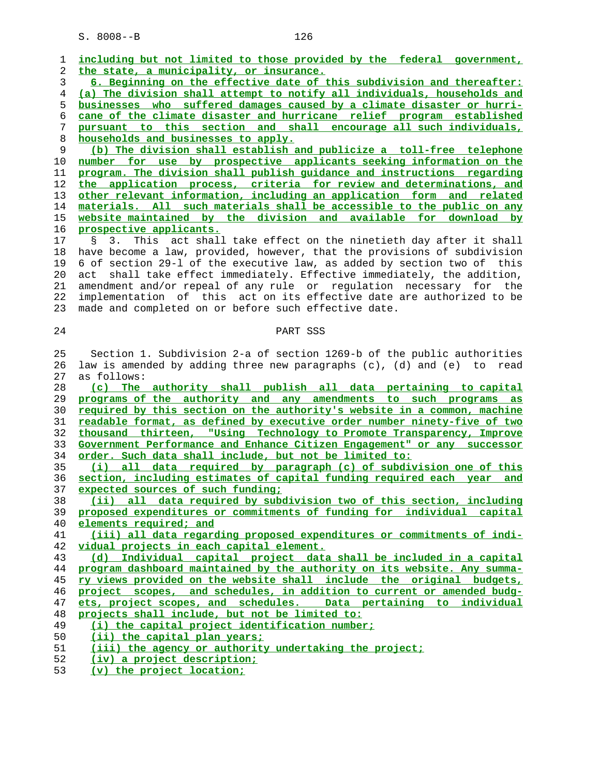| 1  | including but not limited to those provided by the federal government,                                                                           |
|----|--------------------------------------------------------------------------------------------------------------------------------------------------|
| 2  | the state, a municipality, or insurance.                                                                                                         |
| 3  | 6. Beginning on the effective date of this subdivision and thereafter:                                                                           |
| 4  | (a) The division shall attempt to notify all individuals, households and                                                                         |
| 5  | businesses who suffered damages caused by a climate disaster or hurri-                                                                           |
| 6  | cane of the climate disaster and hurricane relief program established                                                                            |
| 7  | pursuant to this section and shall encourage all such individuals,                                                                               |
| 8  | households and businesses to apply.                                                                                                              |
| 9  | (b) The division shall establish and publicize a toll-free telephone                                                                             |
| 10 | number for use by prospective applicants seeking information on the                                                                              |
| 11 | program. The division shall publish quidance and instructions regarding                                                                          |
| 12 | the application process, criteria for review and determinations, and                                                                             |
| 13 | other relevant information, including an application form and related                                                                            |
| 14 | materials. All such materials shall be accessible to the public on any                                                                           |
| 15 | website maintained by the division and available for download by                                                                                 |
| 16 | prospective applicants.                                                                                                                          |
| 17 | This act shall take effect on the ninetieth day after it shall<br>$\mathcal{S}$<br>3.                                                            |
| 18 | have become a law, provided, however, that the provisions of subdivision                                                                         |
| 19 | 6 of section 29-1 of the executive law, as added by section two of this                                                                          |
| 20 | shall take effect immediately. Effective immediately, the addition,<br>act                                                                       |
| 21 | amendment and/or repeal of any rule or regulation necessary for the                                                                              |
| 22 | implementation of this act on its effective date are authorized to be                                                                            |
| 23 | made and completed on or before such effective date.                                                                                             |
|    |                                                                                                                                                  |
| 24 | PART SSS                                                                                                                                         |
|    |                                                                                                                                                  |
| 25 | Section 1. Subdivision 2-a of section 1269-b of the public authorities                                                                           |
| 26 | law is amended by adding three new paragraphs (c), (d) and (e) to read                                                                           |
| 27 | as follows:                                                                                                                                      |
| 28 |                                                                                                                                                  |
| 29 | (c) The authority shall publish all data pertaining to capital<br>programs of the authority and any amendments to such programs as               |
| 30 | required by this section on the authority's website in a common, machine                                                                         |
| 31 | readable format, as defined by executive order number ninety-five of two                                                                         |
| 32 |                                                                                                                                                  |
| 33 | thousand thirteen, "Using Technology to Promote Transparency, Improve<br>Government Performance and Enhance Citizen Engagement" or any successor |
| 34 |                                                                                                                                                  |
| 35 | order. Such data shall include, but not be limited to:<br>(i) all data required by paragraph (c) of subdivision one of this                      |
| 36 | section, including estimates of capital funding required each year and                                                                           |
| 37 | expected sources of such funding;                                                                                                                |
| 38 | (ii) all data required by subdivision two of this section, including                                                                             |
| 39 | proposed expenditures or commitments of funding for individual capital                                                                           |
| 40 | elements required; and                                                                                                                           |
| 41 | (iii) all data regarding proposed expenditures or commitments of indi-                                                                           |
| 42 | vidual projects in each capital element.                                                                                                         |
| 43 | (d) Individual capital project data shall be included in a capital                                                                               |
| 44 | program dashboard maintained by the authority on its website. Any summa-                                                                         |
| 45 | ry views provided on the website shall include the original budgets,                                                                             |
| 46 | project scopes, and schedules, in addition to current or amended budg-                                                                           |
| 47 | ets, project scopes, and schedules. Data pertaining to individual                                                                                |
| 48 | projects shall include, but not be limited to:                                                                                                   |
| 49 | (i) the capital project identification number;                                                                                                   |
| 50 | (ii) the capital plan years;                                                                                                                     |
| 51 | (iii) the agency or authority undertaking the project;                                                                                           |
| 52 | (iv) a project description;                                                                                                                      |
|    | (v) the project location;                                                                                                                        |
| 53 |                                                                                                                                                  |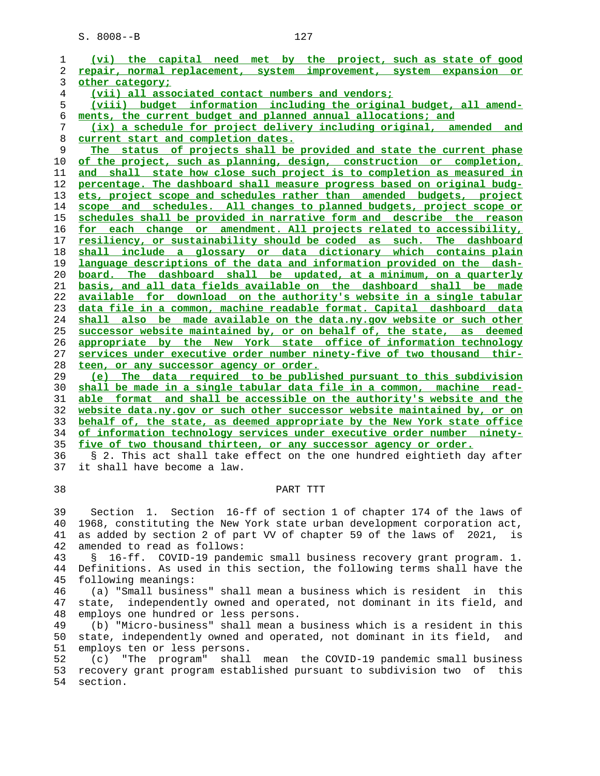**(vi) the capital need met by the project, such as state of good repair, normal replacement, system improvement, system expansion or other category; (vii) all associated contact numbers and vendors; (viii) budget information including the original budget, all amend- ments, the current budget and planned annual allocations; and (ix) a schedule for project delivery including original, amended and current start and completion dates. The status of projects shall be provided and state the current phase of the project, such as planning, design, construction or completion, and shall state how close such project is to completion as measured in percentage. The dashboard shall measure progress based on original budg- ets, project scope and schedules rather than amended budgets, project scope and schedules. All changes to planned budgets, project scope or schedules shall be provided in narrative form and describe the reason for each change or amendment. All projects related to accessibility, resiliency, or sustainability should be coded as such. The dashboard shall include a glossary or data dictionary which contains plain language descriptions of the data and information provided on the dash- board. The dashboard shall be updated, at a minimum, on a quarterly basis, and all data fields available on the dashboard shall be made available for download on the authority's website in a single tabular data file in a common, machine readable format. Capital dashboard data shall also be made available on the data.ny.gov website or such other successor website maintained by, or on behalf of, the state, as deemed appropriate by the New York state office of information technology services under executive order number ninety-five of two thousand thir- teen, or any successor agency or order. (e) The data required to be published pursuant to this subdivision shall be made in a single tabular data file in a common, machine read- able format and shall be accessible on the authority's website and the website data.ny.gov or such other successor website maintained by, or on**

**behalf of, the state, as deemed appropriate by the New York state office of information technology services under executive order number ninety- five of two thousand thirteen, or any successor agency or order.**

 36 § 2. This act shall take effect on the one hundred eightieth day after 37 it shall have become a law.

## 38 PART TTT

 39 Section 1. Section 16-ff of section 1 of chapter 174 of the laws of 40 1968, constituting the New York state urban development corporation act, 41 as added by section 2 of part VV of chapter 59 of the laws of 2021, is 42 amended to read as follows:

 43 § 16-ff. COVID-19 pandemic small business recovery grant program. 1. 44 Definitions. As used in this section, the following terms shall have the 45 following meanings:

 46 (a) "Small business" shall mean a business which is resident in this 47 state, independently owned and operated, not dominant in its field, and 48 employs one hundred or less persons.

 49 (b) "Micro-business" shall mean a business which is a resident in this 50 state, independently owned and operated, not dominant in its field, and 51 employs ten or less persons.

 52 (c) "The program" shall mean the COVID-19 pandemic small business 53 recovery grant program established pursuant to subdivision two of this 54 section.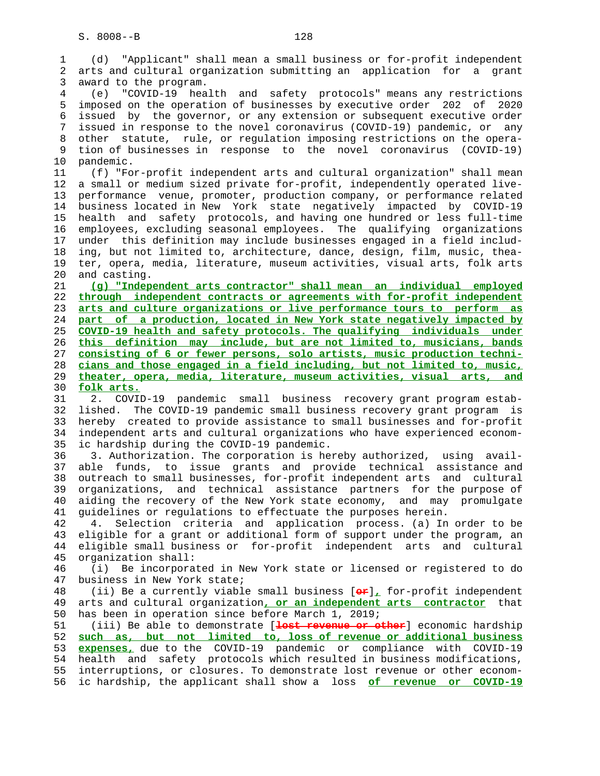1 (d) "Applicant" shall mean a small business or for-profit independent 2 arts and cultural organization submitting an application for a grant 3 award to the program. 4 (e) "COVID-19 health and safety protocols" means any restrictions 5 imposed on the operation of businesses by executive order 202 of 2020 6 issued by the governor, or any extension or subsequent executive order 7 issued in response to the novel coronavirus (COVID-19) pandemic, or any 8 other statute, rule, or regulation imposing restrictions on the opera- 9 tion of businesses in response to the novel coronavirus (COVID-19) 10 pandemic. 11 (f) "For-profit independent arts and cultural organization" shall mean 12 a small or medium sized private for-profit, independently operated live- 13 performance venue, promoter, production company, or performance related 14 business located in New York state negatively impacted by COVID-19 15 health and safety protocols, and having one hundred or less full-time 16 employees, excluding seasonal employees. The qualifying organizations 17 under this definition may include businesses engaged in a field includ- 18 ing, but not limited to, architecture, dance, design, film, music, thea- 19 ter, opera, media, literature, museum activities, visual arts, folk arts 20 and casting. 21 **(g) "Independent arts contractor" shall mean an individual employed** 22 **through independent contracts or agreements with for-profit independent** 23 **arts and culture organizations or live performance tours to perform as** 24 **part of a production, located in New York state negatively impacted by** 25 **COVID-19 health and safety protocols. The qualifying individuals under** 26 **this definition may include, but are not limited to, musicians, bands** 27 **consisting of 6 or fewer persons, solo artists, music production techni-** 28 **cians and those engaged in a field including, but not limited to, music,** 29 **theater, opera, media, literature, museum activities, visual arts, and** 30 **folk arts.** 31 2. COVID-19 pandemic small business recovery grant program estab- 32 lished. The COVID-19 pandemic small business recovery grant program is 33 hereby created to provide assistance to small businesses and for-profit 34 independent arts and cultural organizations who have experienced econom- 35 ic hardship during the COVID-19 pandemic. 36 3. Authorization. The corporation is hereby authorized, using avail- 37 able funds, to issue grants and provide technical assistance and 38 outreach to small businesses, for-profit independent arts and cultural 39 organizations, and technical assistance partners for the purpose of 40 aiding the recovery of the New York state economy, and may promulgate 41 guidelines or regulations to effectuate the purposes herein. 42 4. Selection criteria and application process. (a) In order to be 43 eligible for a grant or additional form of support under the program, an 44 eligible small business or for-profit independent arts and cultural 45 organization shall: 46 (i) Be incorporated in New York state or licensed or registered to do 47 business in New York state; 48 (ii) Be a currently viable small business [**or**]**,** for-profit independent 49 arts and cultural organization**, or an independent arts contractor** that 50 has been in operation since before March 1, 2019; 51 (iii) Be able to demonstrate [**lost revenue or other**] economic hardship 52 **such as, but not limited to, loss of revenue or additional business** 53 **expenses,** due to the COVID-19 pandemic or compliance with COVID-19 54 health and safety protocols which resulted in business modifications, 55 interruptions, or closures. To demonstrate lost revenue or other econom- 56 ic hardship, the applicant shall show a loss **of revenue or COVID-19**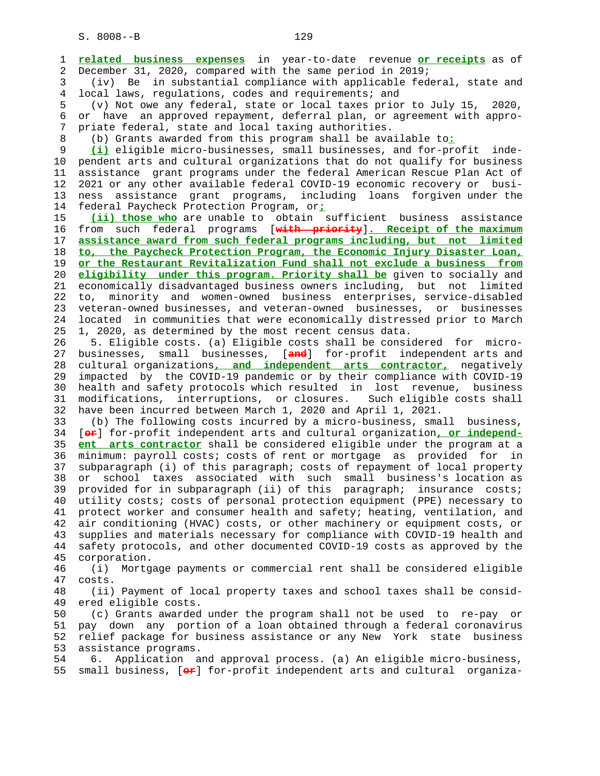1 **related business expenses** in year-to-date revenue **or receipts** as of 2 December 31, 2020, compared with the same period in 2019;

 3 (iv) Be in substantial compliance with applicable federal, state and 4 local laws, regulations, codes and requirements; and

 5 (v) Not owe any federal, state or local taxes prior to July 15, 2020, 6 or have an approved repayment, deferral plan, or agreement with appro- 7 priate federal, state and local taxing authorities.

8 (b) Grants awarded from this program shall be available to**:**

 9 **(i)** eligible micro-businesses, small businesses, and for-profit inde- 10 pendent arts and cultural organizations that do not qualify for business 11 assistance grant programs under the federal American Rescue Plan Act of 12 2021 or any other available federal COVID-19 economic recovery or busi- 13 ness assistance grant programs, including loans forgiven under the 14 federal Paycheck Protection Program, or**;**

 15 **(ii) those who** are unable to obtain sufficient business assistance 16 from such federal programs [**with priority**]**. Receipt of the maximum** 17 **assistance award from such federal programs including, but not limited** 18 **to, the Paycheck Protection Program, the Economic Injury Disaster Loan,** 19 **or the Restaurant Revitalization Fund shall not exclude a business from** 20 **eligibility under this program. Priority shall be** given to socially and 21 economically disadvantaged business owners including, but not limited 22 to, minority and women-owned business enterprises, service-disabled 23 veteran-owned businesses, and veteran-owned businesses, or businesses 24 located in communities that were economically distressed prior to March 25 1, 2020, as determined by the most recent census data.

 26 5. Eligible costs. (a) Eligible costs shall be considered for micro- 27 businesses, small businesses, [**and**] for-profit independent arts and 28 cultural organizations**, and independent arts contractor,** negatively 29 impacted by the COVID-19 pandemic or by their compliance with COVID-19 30 health and safety protocols which resulted in lost revenue, business 31 modifications, interruptions, or closures. Such eligible costs shall 32 have been incurred between March 1, 2020 and April 1, 2021.

 33 (b) The following costs incurred by a micro-business, small business, 34 [**or**] for-profit independent arts and cultural organization**, or independ-** 35 **ent arts contractor** shall be considered eligible under the program at a 36 minimum: payroll costs; costs of rent or mortgage as provided for in 37 subparagraph (i) of this paragraph; costs of repayment of local property 38 or school taxes associated with such small business's location as 39 provided for in subparagraph (ii) of this paragraph; insurance costs; 40 utility costs; costs of personal protection equipment (PPE) necessary to 41 protect worker and consumer health and safety; heating, ventilation, and 42 air conditioning (HVAC) costs, or other machinery or equipment costs, or 43 supplies and materials necessary for compliance with COVID-19 health and 44 safety protocols, and other documented COVID-19 costs as approved by the 45 corporation.

 46 (i) Mortgage payments or commercial rent shall be considered eligible 47 costs.

 48 (ii) Payment of local property taxes and school taxes shall be consid- 49 ered eligible costs.

 50 (c) Grants awarded under the program shall not be used to re-pay or 51 pay down any portion of a loan obtained through a federal coronavirus 52 relief package for business assistance or any New York state business 53 assistance programs.

 54 6. Application and approval process. (a) An eligible micro-business, 55 small business, [**or**] for-profit independent arts and cultural organiza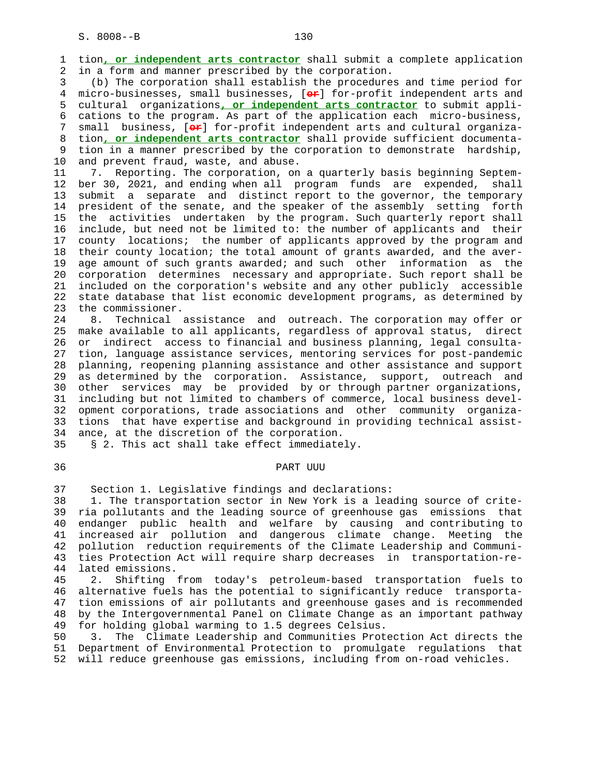1 tion**, or independent arts contractor** shall submit a complete application 2 in a form and manner prescribed by the corporation.

 3 (b) The corporation shall establish the procedures and time period for 4 micro-businesses, small businesses, [**or**] for-profit independent arts and 5 cultural organizations**, or independent arts contractor** to submit appli- 6 cations to the program. As part of the application each micro-business, 7 small business, [**or**] for-profit independent arts and cultural organiza- 8 tion**, or independent arts contractor** shall provide sufficient documenta- 9 tion in a manner prescribed by the corporation to demonstrate hardship, 10 and prevent fraud, waste, and abuse.

 11 7. Reporting. The corporation, on a quarterly basis beginning Septem- 12 ber 30, 2021, and ending when all program funds are expended, shall 13 submit a separate and distinct report to the governor, the temporary 14 president of the senate, and the speaker of the assembly setting forth 15 the activities undertaken by the program. Such quarterly report shall 16 include, but need not be limited to: the number of applicants and their 17 county locations; the number of applicants approved by the program and 18 their county location; the total amount of grants awarded, and the aver- 19 age amount of such grants awarded; and such other information as the 20 corporation determines necessary and appropriate. Such report shall be 21 included on the corporation's website and any other publicly accessible 22 state database that list economic development programs, as determined by 23 the commissioner.

 24 8. Technical assistance and outreach. The corporation may offer or 25 make available to all applicants, regardless of approval status, direct 26 or indirect access to financial and business planning, legal consulta- 27 tion, language assistance services, mentoring services for post-pandemic 28 planning, reopening planning assistance and other assistance and support 29 as determined by the corporation. Assistance, support, outreach and 30 other services may be provided by or through partner organizations, 31 including but not limited to chambers of commerce, local business devel- 32 opment corporations, trade associations and other community organiza- 33 tions that have expertise and background in providing technical assist- 34 ance, at the discretion of the corporation.

35 § 2. This act shall take effect immediately.

### 36 PART UUU

37 Section 1. Legislative findings and declarations:

 38 1. The transportation sector in New York is a leading source of crite- 39 ria pollutants and the leading source of greenhouse gas emissions that 40 endanger public health and welfare by causing and contributing to 41 increased air pollution and dangerous climate change. Meeting the 42 pollution reduction requirements of the Climate Leadership and Communi- 43 ties Protection Act will require sharp decreases in transportation-re- 44 lated emissions.

 45 2. Shifting from today's petroleum-based transportation fuels to 46 alternative fuels has the potential to significantly reduce transporta- 47 tion emissions of air pollutants and greenhouse gases and is recommended 48 by the Intergovernmental Panel on Climate Change as an important pathway 49 for holding global warming to 1.5 degrees Celsius.

 50 3. The Climate Leadership and Communities Protection Act directs the 51 Department of Environmental Protection to promulgate regulations that 52 will reduce greenhouse gas emissions, including from on-road vehicles.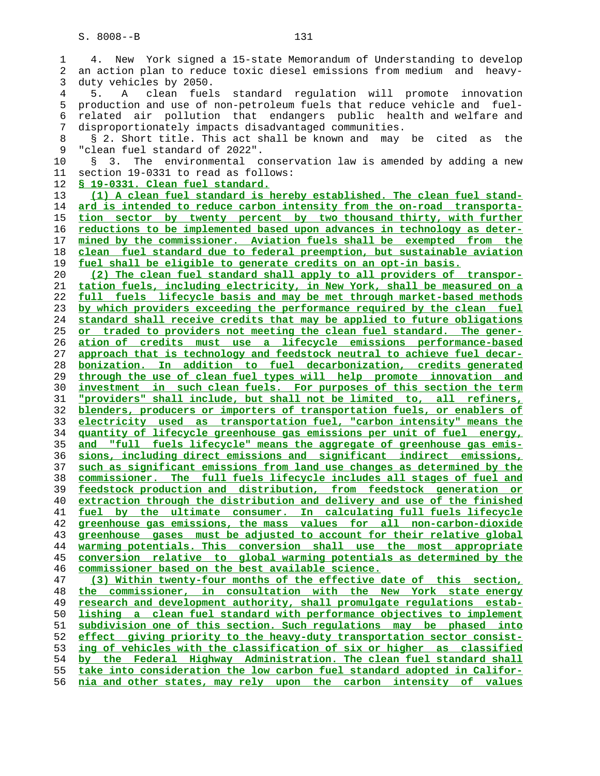1 4. New York signed a 15-state Memorandum of Understanding to develop 2 an action plan to reduce toxic diesel emissions from medium and heavy- 3 duty vehicles by 2050. 4 5. A clean fuels standard regulation will promote innovation 5 production and use of non-petroleum fuels that reduce vehicle and fuel- 6 related air pollution that endangers public health and welfare and 7 disproportionately impacts disadvantaged communities. 8 § 2. Short title. This act shall be known and may be cited as the 9 "clean fuel standard of 2022". 10 § 3. The environmental conservation law is amended by adding a new 11 section 19-0331 to read as follows: **§ 19-0331. Clean fuel standard. (1) A clean fuel standard is hereby established. The clean fuel stand- ard is intended to reduce carbon intensity from the on-road transporta- tion sector by twenty percent by two thousand thirty, with further reductions to be implemented based upon advances in technology as deter- mined by the commissioner. Aviation fuels shall be exempted from the clean fuel standard due to federal preemption, but sustainable aviation fuel shall be eligible to generate credits on an opt-in basis. (2) The clean fuel standard shall apply to all providers of transpor- tation fuels, including electricity, in New York, shall be measured on a full fuels lifecycle basis and may be met through market-based methods by which providers exceeding the performance required by the clean fuel standard shall receive credits that may be applied to future obligations or traded to providers not meeting the clean fuel standard. The gener- ation of credits must use a lifecycle emissions performance-based approach that is technology and feedstock neutral to achieve fuel decar- bonization. In addition to fuel decarbonization, credits generated through the use of clean fuel types will help promote innovation and investment in such clean fuels. For purposes of this section the term "providers" shall include, but shall not be limited to, all refiners, blenders, producers or importers of transportation fuels, or enablers of electricity used as transportation fuel, "carbon intensity" means the quantity of lifecycle greenhouse gas emissions per unit of fuel energy, and "full fuels lifecycle" means the aggregate of greenhouse gas emis- sions, including direct emissions and significant indirect emissions, such as significant emissions from land use changes as determined by the commissioner. The full fuels lifecycle includes all stages of fuel and feedstock production and distribution, from feedstock generation or extraction through the distribution and delivery and use of the finished fuel by the ultimate consumer. In calculating full fuels lifecycle greenhouse gas emissions, the mass values for all non-carbon-dioxide greenhouse gases must be adjusted to account for their relative global warming potentials. This conversion shall use the most appropriate conversion relative to global warming potentials as determined by the commissioner based on the best available science. (3) Within twenty-four months of the effective date of this section, the commissioner, in consultation with the New York state energy research and development authority, shall promulgate regulations estab- lishing a clean fuel standard with performance objectives to implement subdivision one of this section. Such regulations may be phased into effect giving priority to the heavy-duty transportation sector consist- ing of vehicles with the classification of six or higher as classified by the Federal Highway Administration. The clean fuel standard shall take into consideration the low carbon fuel standard adopted in Califor-**

**nia and other states, may rely upon the carbon intensity of values**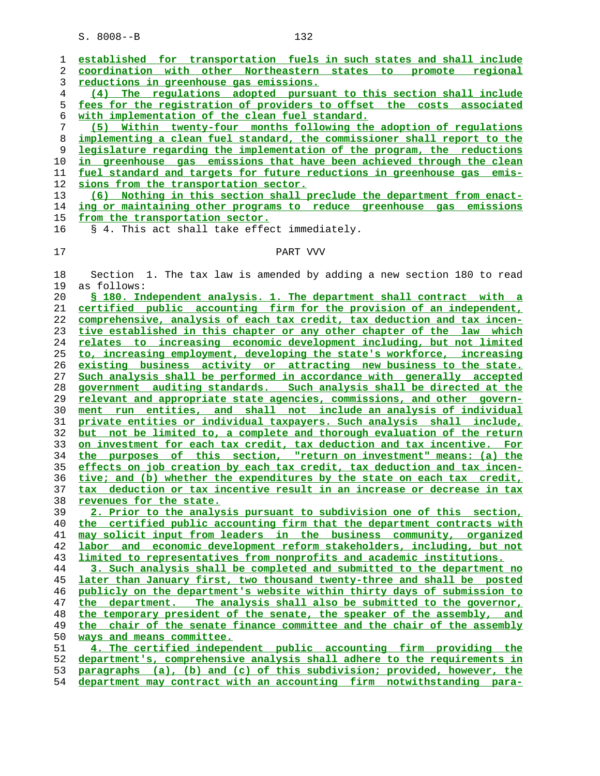| 1   | established for transportation fuels in such states and shall include        |
|-----|------------------------------------------------------------------------------|
| 2   | coordination with other Northeastern states to promote regional              |
| 3   | reductions in greenhouse gas emissions.                                      |
| 4   | (4) The regulations adopted pursuant to this section shall include           |
| 5   | fees for the registration of providers to offset the costs associated        |
| 6   | with implementation of the clean fuel standard.                              |
| 7   | (5) Within twenty-four months following the adoption of regulations          |
| 8   | implementing a clean fuel standard, the commissioner shall report to the     |
| 9   | legislature regarding the implementation of the program, the reductions      |
| 10  | in greenhouse gas emissions that have been achieved through the clean        |
| 11  | fuel standard and targets for future reductions in greenhouse gas emis-      |
| 12  | sions from the transportation sector.                                        |
| 13  | (6) Nothing in this section shall preclude the department from enact-        |
| 14  | ing or maintaining other programs to reduce greenhouse gas emissions         |
| 15  | from the transportation sector.                                              |
| 16  | § 4. This act shall take effect immediately.                                 |
|     |                                                                              |
| 17  | PART VVV                                                                     |
|     |                                                                              |
| 18  | Section 1. The tax law is amended by adding a new section 180 to read        |
| 19  | as follows:                                                                  |
| 20  | § 180. Independent analysis. 1. The department shall contract with a         |
| 21  | certified public accounting firm for the provision of an independent,        |
| 22  | comprehensive, analysis of each tax credit, tax deduction and tax incen-     |
| 23  | tive established in this chapter or any other chapter of the law which       |
| 24  | relates to increasing economic development including, but not limited        |
| 25  | to, increasing employment, developing the state's workforce, increasing      |
| 26  | existing business activity or attracting new business to the state.          |
| 27  | Such analysis shall be performed in accordance with generally accepted       |
| 28  | government auditing standards. Such analysis shall be directed at the        |
| 29  | relevant and appropriate state agencies, commissions, and other govern-      |
| 30  | ment run entities, and shall not include an analysis of individual           |
| 31  | private entities or individual taxpayers. Such analysis shall include,       |
| 32  | but not be limited to, a complete and thorough evaluation of the return      |
| 33  | on investment for each tax credit, tax deduction and tax incentive. For      |
| 34  | the purposes of this section, "return on investment" means: (a) the          |
| 35  | effects on job creation by each tax credit, tax deduction and tax incen-     |
| 36  | tive; and (b) whether the expenditures by the state on each tax credit,      |
| 37  | tax deduction or tax incentive result in an increase or decrease in tax      |
| 38  | revenues for the state.                                                      |
| 39  | 2. Prior to the analysis pursuant to subdivision one of this section,        |
| 40  | the certified public accounting firm that the department contracts with      |
| 41  | may solicit input from leaders in the business community, organized          |
| 42  | labor and economic development reform stakeholders, including, but not       |
| 43  | <u>limited to representatives from nonprofits and academic institutions.</u> |
| 44  | 3. Such analysis shall be completed and submitted to the department no       |
| 45  | later than January first, two thousand twenty-three and shall be posted      |
| 46  | publicly on the department's website within thirty days of submission to     |
| 47  | the department. The analysis shall also be submitted to the governor,        |
| 48  | the temporary president of the senate, the speaker of the assembly, and      |
| 49  | the chair of the senate finance committee and the chair of the assembly      |
| 50  | ways and means committee.                                                    |
| 51  | 4. The certified independent public accounting firm providing the            |
| 52  | department's, comprehensive analysis shall adhere to the requirements in     |
| 53  | paragraphs (a), (b) and (c) of this subdivision; provided, however, the      |
| E A |                                                                              |

**department may contract with an accounting firm notwithstanding para-**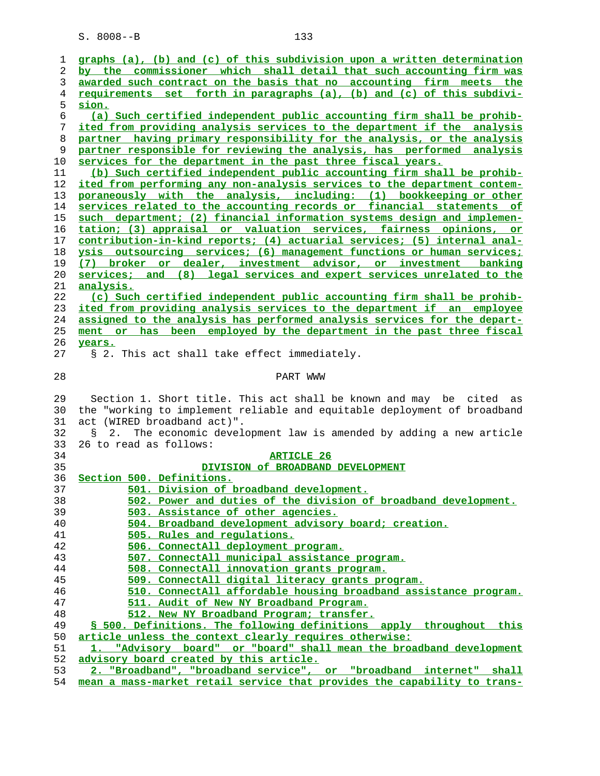| ı  | graphs (a), (b) and (c) of this subdivision upon a written determination        |
|----|---------------------------------------------------------------------------------|
| 2  | by the commissioner which shall detail that such accounting firm was            |
| 3  | awarded such contract on the basis that no accounting firm meets the            |
| 4  | requirements set forth in paragraphs (a), (b) and (c) of this subdivi-          |
| 5  | sion.                                                                           |
| 6  | (a) Such certified independent public accounting firm shall be prohib-          |
| 7  | ited from providing analysis services to the department if the analysis         |
| 8  | partner having primary responsibility for the analysis, or the analysis         |
| 9  |                                                                                 |
|    | partner responsible for reviewing the analysis, has performed analysis          |
| 10 | services for the department in the past three fiscal years.                     |
| 11 | (b) Such certified independent public accounting firm shall be prohib-          |
| 12 | ited from performing any non-analysis services to the department contem-        |
| 13 | poraneously with the analysis, including: (1) bookkeeping or other              |
| 14 | services related to the accounting records or financial statements of           |
| 15 | such department; (2) financial information systems design and implemen-         |
| 16 | tation; (3) appraisal or valuation services, fairness opinions, or              |
| 17 | <u>contribution-in-kind reports; (4) actuarial services; (5) internal anal-</u> |
| 18 | ysis outsourcing services; (6) management functions or human services;          |
| 19 | (7) broker or dealer, investment advisor, or investment banking                 |
| 20 | services; and (8) legal services and expert services unrelated to the           |
| 21 | analysis.                                                                       |
| 22 | (c) Such certified independent public accounting firm shall be prohib-          |
| 23 | ited from providing analysis services to the department if an employee          |
| 24 | assigned to the analysis has performed analysis services for the depart-        |
| 25 | ment or has been employed by the department in the past three fiscal            |
| 26 | years.                                                                          |
|    |                                                                                 |
| 27 | § 2. This act shall take effect immediately.                                    |
| 28 | PART WWW                                                                        |
| 29 | Section 1. Short title. This act shall be known and may be cited as             |
| 30 |                                                                                 |
|    | the "working to implement reliable and equitable deployment of broadband        |
| 31 | act (WIRED broadband act)".                                                     |
| 32 | The economic development law is amended by adding a new article<br>2.<br>Š.     |
| 33 | 26 to read as follows:                                                          |
| 34 | <b>ARTICLE 26</b>                                                               |
| 35 | DIVISION of BROADBAND DEVELOPMENT                                               |
| 36 | Section 500. Definitions.                                                       |
| 37 | 501. Division of broadband development.                                         |
| 38 | 502. Power and duties of the division of broadband development.                 |
| 39 | 503. Assistance of other agencies.                                              |
| 40 | 504. Broadband development advisory board; creation.                            |
| 41 | 505. Rules and regulations.                                                     |
| 42 | 506. ConnectAll deployment program.                                             |
| 43 | 507. ConnectAll municipal assistance program.                                   |
| 44 | 508. ConnectAll innovation grants program.                                      |
| 45 | 509. ConnectAll digital literacy grants program.                                |
| 46 | 510. ConnectAll affordable housing broadband assistance program.                |
| 47 | 511. Audit of New NY Broadband Program.                                         |
| 48 | 512. New NY Broadband Program; transfer.                                        |
| 49 | § 500. Definitions. The following definitions apply throughout this             |
|    | article unless the context clearly requires otherwise:                          |
| 50 |                                                                                 |
| 51 | "Advisory board" or "board" shall mean the broadband development                |
| 52 | advisory board created by this article.                                         |
| 53 | 2. "Broadband", "broadband service", or "broadband internet" shall              |
| 54 | mean a mass-market retail service that provides the capability to trans-        |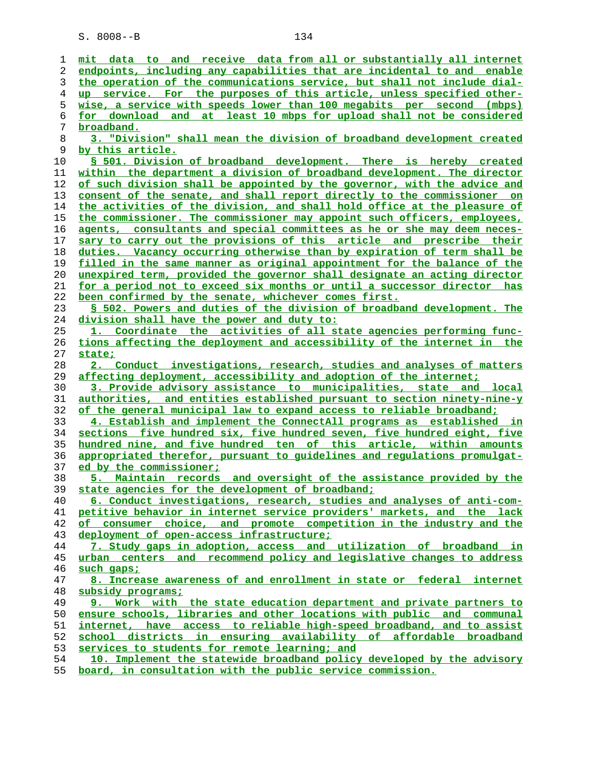| ı  | mit data to and receive data from all or substantially all internet            |
|----|--------------------------------------------------------------------------------|
| 2  | endpoints, including any capabilities that are incidental to and enable        |
| 3  | the operation of the communications service, but shall not include dial-       |
| 4  | up service. For the purposes of this article, unless specified other-          |
| 5  | wise, a service with speeds lower than 100 megabits per second (mbps)          |
| 6  | for download and at least 10 mbps for upload shall not be considered           |
| 7  | broadband.                                                                     |
| 8  | 3. "Division" shall mean the division of broadband development created         |
| 9  | by this article.                                                               |
| 10 | \$ 501. Division of broadband development. There is hereby created             |
| 11 | within the department a division of broadband development. The director        |
| 12 | of such division shall be appointed by the governor, with the advice and       |
| 13 | consent of the senate, and shall report directly to the commissioner on        |
| 14 | the activities of the division, and shall hold office at the pleasure of       |
| 15 | the commissioner. The commissioner may appoint such officers, employees,       |
| 16 | agents, consultants and special committees as he or she may deem neces-        |
| 17 | sary to carry out the provisions of this article and prescribe their           |
| 18 | duties. Vacancy occurring otherwise than by expiration of term shall be        |
| 19 | filled in the same manner as original appointment for the balance of the       |
| 20 | unexpired term, provided the governor shall designate an acting director       |
| 21 | for a period not to exceed six months or until a successor director has        |
| 22 | been confirmed by the senate, whichever comes first.                           |
| 23 | § 502. Powers and duties of the division of broadband development. The         |
|    |                                                                                |
| 24 | division shall have the power and duty to:                                     |
| 25 | 1. Coordinate the activities of all state agencies performing func-            |
| 26 | tions affecting the deployment and accessibility of the internet in the        |
| 27 | state;                                                                         |
| 28 | 2. Conduct investigations, research, studies and analyses of matters           |
| 29 | affecting deployment, accessibility and adoption of the internet;              |
| 30 | 3. Provide advisory assistance to municipalities, state and local              |
| 31 | <u>authorities, and entities established pursuant to section ninety-nine-y</u> |
| 32 | of the general municipal law to expand access to reliable broadband;           |
| 33 | 4. Establish and implement the ConnectAll programs as established in           |
| 34 | sections five hundred six, five hundred seven, five hundred eight, five        |
| 35 | hundred nine, and five hundred ten of this article, within amounts             |
| 36 | appropriated therefor, pursuant to quidelines and requlations promulgat-       |
| 37 | ed by the commissioner;                                                        |
| 38 | <u>5. Maintain records and oversight of the assistance provided by the</u>     |
| 39 | state agencies for the development of broadband;                               |
| 40 | 6. Conduct investigations, research, studies and analyses of anti-com-         |
| 41 | petitive behavior in internet service providers' markets, and the lack         |
| 42 | consumer choice, and promote competition in the industry and the<br>оf         |
| 43 | deployment of open-access infrastructure;                                      |
| 44 | 7. Study gaps in adoption, access and utilization of broadband in              |
| 45 | urban centers and recommend policy and legislative changes to address          |
| 46 | such gaps;                                                                     |
| 47 | 8. Increase awareness of and enrollment in state or federal internet           |
| 48 | subsidy programs;                                                              |
| 49 | 9. Work with the state education department and private partners to            |
| 50 | ensure schools, libraries and other locations with public and communal         |
| 51 | internet, have access to reliable high-speed broadband, and to assist          |
| 52 | school districts in ensuring availability of affordable broadband              |
| 53 | services to students for remote learning; and                                  |
| 54 | 10. Implement the statewide broadband policy developed by the advisory         |
| 55 | board, in consultation with the public service commission.                     |
|    |                                                                                |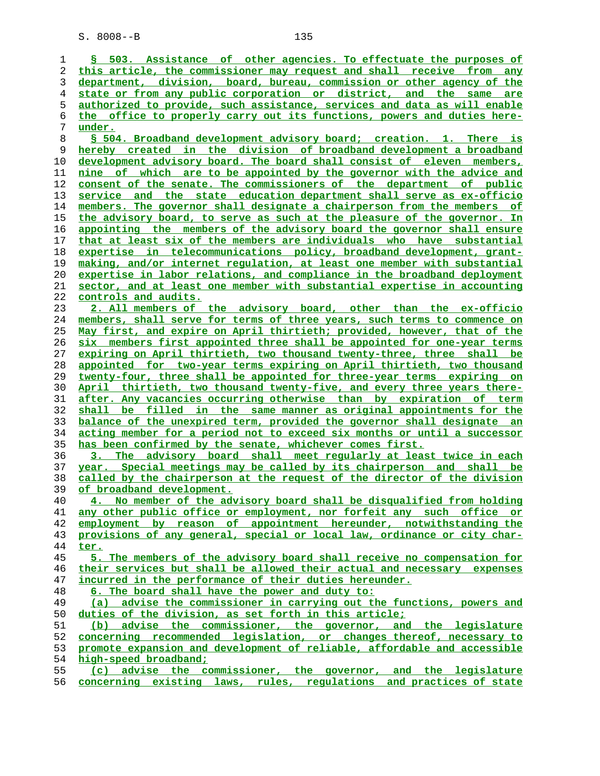| 1  | § 503. Assistance of other agencies. To effectuate the purposes of       |
|----|--------------------------------------------------------------------------|
| 2  | this article, the commissioner may request and shall receive from any    |
| 3  | department, division, board, bureau, commission or other agency of the   |
| 4  | state or from any public corporation or district, and the same are       |
| 5  | authorized to provide, such assistance, services and data as will enable |
| 6  | the office to properly carry out its functions, powers and duties here-  |
| 7  | under.                                                                   |
| 8  | \$ 504. Broadband development advisory board; creation. 1. There is      |
| 9  | hereby created in the division of broadband development a broadband      |
|    |                                                                          |
| 10 | development advisory board. The board shall consist of eleven members,   |
| 11 | nine of which are to be appointed by the governor with the advice and    |
| 12 | consent of the senate. The commissioners of the department of public     |
| 13 | service and the state education department shall serve as ex-officio     |
| 14 | members. The governor shall designate a chairperson from the members of  |
| 15 | the advisory board, to serve as such at the pleasure of the governor. In |
| 16 | appointing the members of the advisory board the governor shall ensure   |
| 17 | that at least six of the members are individuals who have substantial    |
| 18 | expertise in telecommunications policy, broadband development, grant-    |
| 19 | making, and/or internet regulation, at least one member with substantial |
| 20 | expertise in labor relations, and compliance in the broadband deployment |
| 21 | sector, and at least one member with substantial expertise in accounting |
| 22 | controls and audits.                                                     |
| 23 | 2. All members of the advisory board, other than the ex-officio          |
| 24 | members, shall serve for terms of three years, such terms to commence on |
| 25 | May first, and expire on April thirtieth; provided, however, that of the |
| 26 | six members first appointed three shall be appointed for one-year terms  |
| 27 | expiring on April thirtieth, two thousand twenty-three, three shall be   |
| 28 | appointed for two-year terms expiring on April thirtieth, two thousand   |
| 29 | twenty-four, three shall be appointed for three-year terms expiring on   |
| 30 | April thirtieth, two thousand twenty-five, and every three years there-  |
| 31 | after. Any vacancies occurring otherwise than by expiration of term      |
| 32 | shall be filled in the same manner as original appointments for the      |
| 33 | balance of the unexpired term, provided the governor shall designate an  |
| 34 | acting member for a period not to exceed six months or until a successor |
| 35 | has been confirmed by the senate, whichever comes first.                 |
| 36 | 3. The advisory board shall meet regularly at least twice in each        |
| 37 | year. Special meetings may be called by its chairperson and shall be     |
| 38 | called by the chairperson at the request of the director of the division |
| 39 | of broadband development.                                                |
| 40 | 4. No member of the advisory board shall be disqualified from holding    |
| 41 | any other public office or employment, nor forfeit any such office or    |
| 42 | employment by reason of appointment hereunder, notwithstanding the       |
| 43 | provisions of any general, special or local law, ordinance or city char- |
| 44 | ter.                                                                     |
| 45 | 5. The members of the advisory board shall receive no compensation for   |
|    | their services but shall be allowed their actual and necessary expenses  |
| 46 | incurred in the performance of their duties hereunder.                   |
| 47 |                                                                          |
| 48 | 6. The board shall have the power and duty to:                           |
| 49 | advise the commissioner in carrying out the functions, powers and<br>(a) |
| 50 | duties of the division, as set forth in this article;                    |
| 51 | (b) advise the commissioner, the governor, and the legislature           |
| 52 | concerning recommended legislation, or changes thereof, necessary to     |
| 53 | promote expansion and development of reliable, affordable and accessible |
| 54 | high-speed broadband;                                                    |
| 55 | (c) advise the commissioner, the governor, and the legislature           |
| 56 | concerning existing laws, rules, regulations and practices of state      |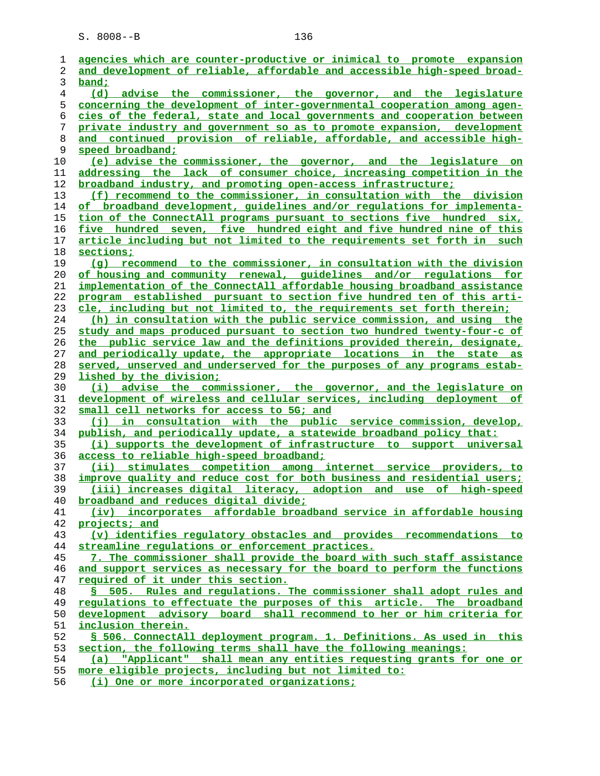| 1              | agencies which are counter-productive or inimical to promote expansion                                        |
|----------------|---------------------------------------------------------------------------------------------------------------|
| 2              | and development of reliable, affordable and accessible high-speed broad-                                      |
| 3              | band;                                                                                                         |
| $\overline{4}$ | (d) advise the commissioner, the governor, and the legislature                                                |
| 5              | <u>concerning the development of inter-governmental cooperation among agen-</u>                               |
| 6              | cies of the federal, state and local governments and cooperation between                                      |
| 7              | private industry and government so as to promote expansion, development                                       |
| 8              | and continued provision of reliable, affordable, and accessible high-                                         |
| 9              | speed broadband;                                                                                              |
| 10             | (e) advise the commissioner, the governor, and the legislature on                                             |
| 11             | addressing the lack of consumer choice, increasing competition in the                                         |
| 12             | broadband industry, and promoting open-access infrastructure;                                                 |
| 13             | (f) recommend to the commissioner, in consultation with the division                                          |
| 14             | of broadband development, guidelines and/or regulations for implementa-                                       |
| 15             | tion of the ConnectAll programs pursuant to sections five hundred six,                                        |
| 16             | five hundred seven, five hundred eight and five hundred nine of this                                          |
| 17             | article including but not limited to the requirements set forth in such                                       |
| 18             | sections;                                                                                                     |
| 19             | (g) recommend to the commissioner, in consultation with the division                                          |
| 20             | of housing and community renewal, quidelines and/or requlations for                                           |
| 21             | implementation of the ConnectAll affordable housing broadband assistance                                      |
| 22             | program established pursuant to section five hundred ten of this arti-                                        |
| 23             | cle, including but not limited to, the requirements set forth therein;                                        |
| 24             | (h) in consultation with the public service commission, and using the                                         |
| 25             | study and maps produced pursuant to section two hundred twenty-four-c of                                      |
| 26             | the public service law and the definitions provided therein, designate,                                       |
| 27             | and periodically update, the appropriate locations in the state as                                            |
| 28             | served, unserved and underserved for the purposes of any programs estab-                                      |
| 29             | lished by the division;                                                                                       |
| 30             | (i) advise the commissioner, the governor, and the legislature on                                             |
| 31             | development of wireless and cellular services, including deployment of                                        |
| 32<br>33       | small cell networks for access to 5G; and<br>(i) in consultation with the public service commission, develop, |
| 34             | publish, and periodically update, a statewide broadband policy that:                                          |
| 35             | (i) supports the development of infrastructure to support universal                                           |
| 36             | access to reliable high-speed broadband;                                                                      |
| 37             | (ii) stimulates competition among internet service providers, to                                              |
| 38             | improve quality and reduce cost for both business and residential users;                                      |
| 39             | (iii) increases digital literacy, adoption and use of high-speed                                              |
| 40             | broadband and reduces digital divide;                                                                         |
| 41             | (iv) incorporates affordable broadband service in affordable housing                                          |
| 42             | projects; and                                                                                                 |
| 43             | (v) identifies regulatory obstacles and provides recommendations to                                           |
| 44             | streamline regulations or enforcement practices.                                                              |
| 45             | 7. The commissioner shall provide the board with such staff assistance                                        |
| 46             | and support services as necessary for the board to perform the functions                                      |
| 47             | required of it under this section.                                                                            |
| 48             | § 505. Rules and regulations. The commissioner shall adopt rules and                                          |
| 49             | regulations to effectuate the purposes of this article. The broadband                                         |
| 50             | development advisory board shall recommend to her or him criteria for                                         |
| 51             | inclusion therein.                                                                                            |
| 52             | § 506. ConnectAll deployment program. 1. Definitions. As used in this                                         |
| 53             | section, the following terms shall have the following meanings:                                               |
| 54             | (a) "Applicant" shall mean any entities requesting grants for one or                                          |
| 55             | more eligible projects, including but not limited to:                                                         |
| 56             | $(i)$ One or more incorporated organizations:                                                                 |

**(i) One or more incorporated organizations;**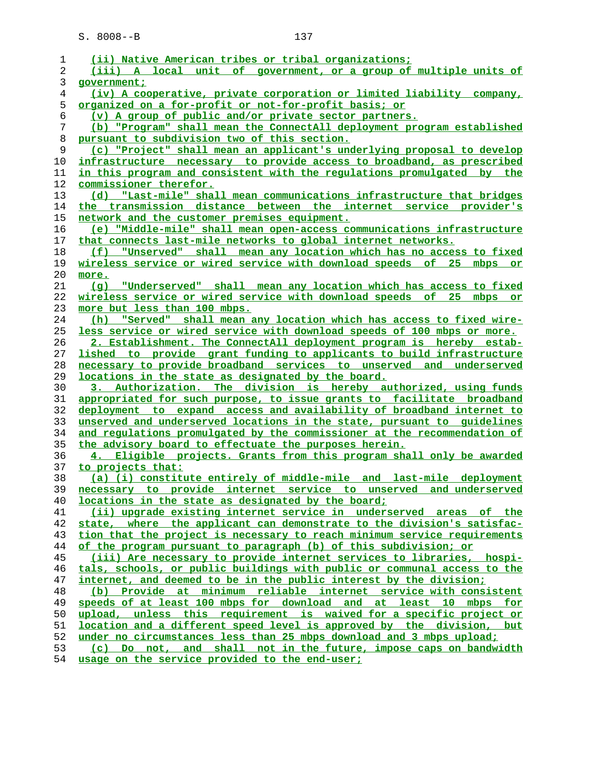| 1              | (ii) Native American tribes or tribal organizations;                                                                |
|----------------|---------------------------------------------------------------------------------------------------------------------|
| $\overline{c}$ | (iii) A local unit of government, or a group of multiple units of                                                   |
| 3              | qovernment;                                                                                                         |
| $\overline{4}$ | (iv) A cooperative, private corporation or limited liability company,                                               |
| 5              | <u>organized on a for-profit or not-for-profit basis; or</u>                                                        |
| 6              | (v) A group of public and/or private sector partners.                                                               |
| 7              | (b) "Program" shall mean the ConnectAll deployment program established                                              |
| 8              | pursuant to subdivision two of this section.                                                                        |
| 9              | (c) "Project" shall mean an applicant's underlying proposal to develop                                              |
| 10             | infrastructure necessary to provide access to broadband, as prescribed                                              |
| 11             | in this program and consistent with the regulations promulgated by the                                              |
| 12             | commissioner therefor.                                                                                              |
| 13             | (d) "Last-mile" shall mean communications infrastructure that bridges                                               |
| 14             | the transmission distance between the internet service provider's                                                   |
| 15             | network and the customer premises equipment.                                                                        |
| 16             | (e) "Middle-mile" shall mean open-access communications infrastructure                                              |
| 17             | that connects last-mile networks to global internet networks.                                                       |
| 18             | (f) "Unserved" shall mean any location which has no access to fixed                                                 |
| 19             | wireless service or wired service with download speeds of 25 mbps or                                                |
| 20             | more.                                                                                                               |
| 21             | (g) "Underserved" shall mean any location which has access to fixed                                                 |
| 22             | wireless service or wired service with download speeds of 25 mbps or                                                |
| 23             | more but less than 100 mbps.                                                                                        |
| 24             | (h) "Served" shall mean any location which has access to fixed wire-                                                |
| 25             | less service or wired service with download speeds of 100 mbps or more.                                             |
| 26             | 2. Establishment. The ConnectAll deployment program is hereby estab-                                                |
| 27             | lished to provide grant funding to applicants to build infrastructure                                               |
| 28             | necessary to provide broadband services to unserved and underserved                                                 |
| 29             | locations in the state as designated by the board.                                                                  |
| 30             | 3. Authorization. The division is hereby authorized, using funds                                                    |
| 31             | appropriated for such purpose, to issue grants to facilitate broadband                                              |
| 32             | deployment to expand access and availability of broadband internet to                                               |
| 33             | unserved and underserved locations in the state, pursuant to quidelines                                             |
| 34             | and regulations promulgated by the commissioner at the recommendation of                                            |
| 35             | the advisory board to effectuate the purposes herein.                                                               |
| 36             | 4. Eligible projects. Grants from this program shall only be awarded                                                |
| 37             | to projects that:                                                                                                   |
| 38             | (a) (i) constitute entirely of middle-mile and last-mile deployment                                                 |
| 39             | necessary to provide internet service to unserved and underserved                                                   |
| 40             | locations in the state as designated by the board;                                                                  |
| 41             | (ii) upgrade existing internet service in underserved areas of the                                                  |
| 42             | state, where the applicant can demonstrate to the division's satisfac-                                              |
| 43             | tion that the project is necessary to reach minimum service requirements                                            |
| 44             | of the program pursuant to paragraph (b) of this subdivision; or                                                    |
| 45             | (iii) Are necessary to provide internet services to libraries, hospi-                                               |
| 46             | tals, schools, or public buildings with public or communal access to the                                            |
| 47             | internet, and deemed to be in the public interest by the division;                                                  |
| 48             | (b) Provide at minimum reliable internet service with consistent                                                    |
| 49             | speeds of at least 100 mbps for download and at least 10 mbps for                                                   |
| 50             | upload, unless this requirement is waived for a specific project or                                                 |
| 51             |                                                                                                                     |
|                | location and a different speed level is approved by the division, but                                               |
| 52             | under no circumstances less than 25 mbps download and 3 mbps upload;                                                |
| 53             | (c) Do not, and shall not in the future, impose caps on bandwidth<br>usage on the service provided to the end-user; |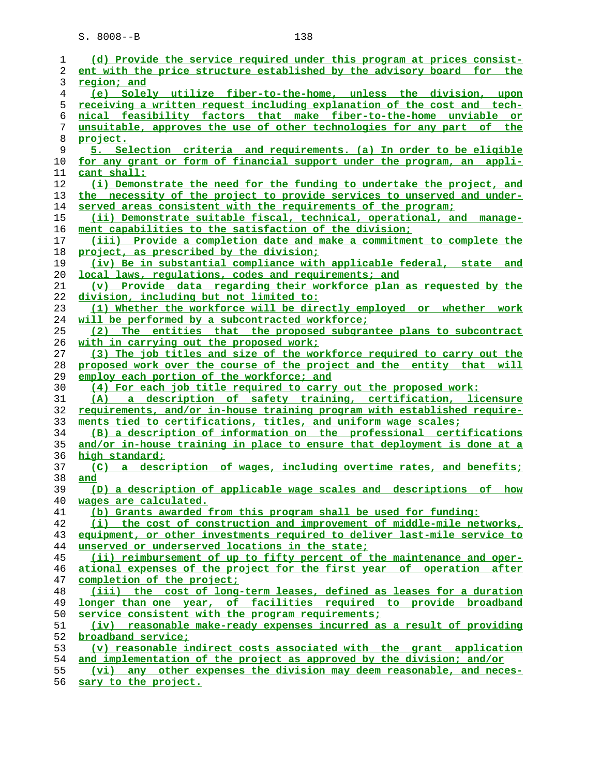| (d) Provide the service required under this program at prices consist-                       |
|----------------------------------------------------------------------------------------------|
| ent with the price structure established by the advisory board for the                       |
| region; and                                                                                  |
| (e) Solely utilize fiber-to-the-home, unless the division, upon                              |
| receiving a written request including explanation of the cost and tech-                      |
| nical feasibility factors that make fiber-to-the-home unviable or                            |
| unsuitable, approves the use of other technologies for any part of the                       |
| project.                                                                                     |
|                                                                                              |
| 5. Selection criteria and requirements. (a) In order to be eligible                          |
| for any grant or form of financial support under the program, an appli-                      |
| cant shall:                                                                                  |
| (i) Demonstrate the need for the funding to undertake the project, and                       |
| the necessity of the project to provide services to unserved and under-                      |
| served areas consistent with the requirements of the program;                                |
| (ii) Demonstrate suitable fiscal, technical, operational, and manage-                        |
| ment capabilities to the satisfaction of the division;                                       |
| (iii) Provide a completion date and make a commitment to complete the                        |
| project, as prescribed by the division;                                                      |
| (iv) Be in substantial compliance with applicable federal, state<br>and                      |
| local laws, requlations, codes and requirements; and                                         |
| (v) Provide data regarding their workforce plan as requested by the                          |
| division, including but not limited to:                                                      |
| (1) Whether the workforce will be directly employed or whether work                          |
| will be performed by a subcontracted workforce;                                              |
| (2) The entities that the proposed subgrantee plans to subcontract                           |
| with in carrying out the proposed work;                                                      |
| (3) The job titles and size of the workforce required to carry out the                       |
|                                                                                              |
|                                                                                              |
| proposed work over the course of the project and the entity that will                        |
| employ each portion of the workforce; and                                                    |
| (4) For each job title required to carry out the proposed work:                              |
| (A) a description of safety training, certification, licensure                               |
| requirements, and/or in-house training program with established require-                     |
| ments tied to certifications, titles, and uniform wage scales;                               |
| (B) a description of information on the professional certifications                          |
| and/or in-house training in place to ensure that deployment is done at a                     |
| high standard;                                                                               |
| (C) a description of wages, including overtime rates, and benefits;                          |
| and                                                                                          |
| (D) a description of applicable wage scales and descriptions<br>of how                       |
| wages are calculated.                                                                        |
| (b) Grants awarded from this program shall be used for funding:                              |
| (i) the cost of construction and improvement of middle-mile networks,                        |
| equipment, or other investments required to deliver last-mile service to                     |
| unserved or underserved locations in the state;                                              |
| (ii) reimbursement of up to fifty percent of the maintenance and oper-                       |
| ational expenses of the project for the first year of operation after                        |
| completion of the project;                                                                   |
| (iii) the cost of long-term leases, defined as leases for a duration                         |
| longer than one year, of facilities required to provide broadband                            |
| service consistent with the program requirements;                                            |
| (iv) reasonable make-ready expenses incurred as a result of providing                        |
| broadband service;                                                                           |
| (v) reasonable indirect costs associated with the grant application                          |
| and implementation of the project as approved by the division; and/or                        |
| (vi) any other expenses the division may deem reasonable, and neces-<br>sary to the project. |
|                                                                                              |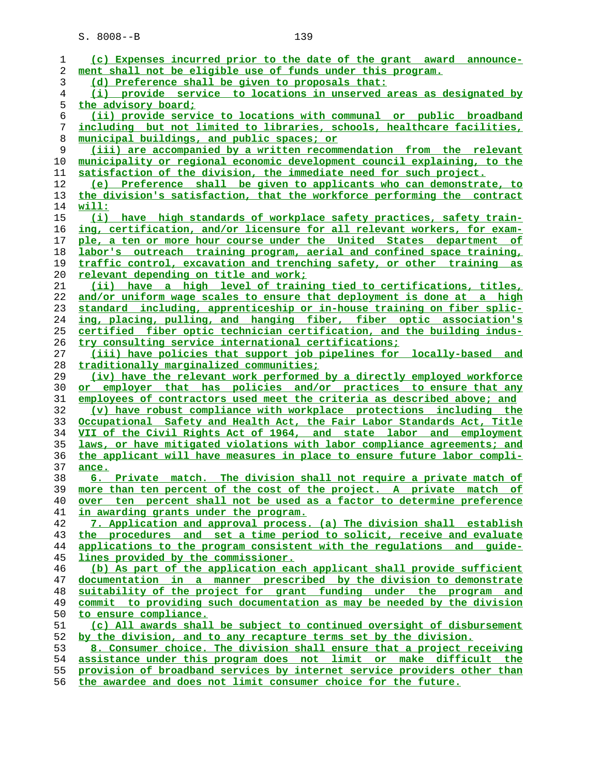| 1              | (c) Expenses incurred prior to the date of the grant award announce-     |
|----------------|--------------------------------------------------------------------------|
| 2              | ment shall not be eligible use of funds under this program.              |
| 3              | (d) Preference shall be given to proposals that:                         |
| $\overline{4}$ | (i) provide service to locations in unserved areas as designated by      |
| 5              | the advisory board;                                                      |
| 6              | (ii) provide service to locations with communal or public broadband      |
| 7              | including but not limited to libraries, schools, healthcare facilities,  |
| 8              | municipal buildings, and public spaces; or                               |
| 9              | (iii) are accompanied by a written recommendation from the relevant      |
| 10             | municipality or regional economic development council explaining, to the |
| 11             | satisfaction of the division, the immediate need for such project.       |
| 12             |                                                                          |
|                | (e) Preference shall be given to applicants who can demonstrate, to      |
| 13             | the division's satisfaction, that the workforce performing the contract  |
| 14             | <u> will:</u>                                                            |
| 15             | (i) have high standards of workplace safety practices, safety train-     |
| 16             | ing, certification, and/or licensure for all relevant workers, for exam- |
| 17             | ple, a ten or more hour course under the United States department of     |
| 18             | labor's outreach training program, aerial and confined space training,   |
| 19             | traffic control, excavation and trenching safety, or other training as   |
| 20             | relevant depending on title and work;                                    |
| 21             | (ii) have a high level of training tied to certifications, titles,       |
| 22             | and/or uniform wage scales to ensure that deployment is done at a high   |
| 23             | standard including, apprenticeship or in-house training on fiber splic-  |
| 24             | ing, placing, pulling, and hanging fiber, fiber optic association's      |
| 25             | certified fiber optic technician certification, and the building indus-  |
| 26             | try consulting service international certifications;                     |
| 27             | (iii) have policies that support job pipelines for locally-based and     |
|                |                                                                          |
| 28             | traditionally marginalized communities;                                  |
| 29             | (iv) have the relevant work performed by a directly employed workforce   |
| 30             | or employer that has policies and/or practices to ensure that any        |
| 31             | employees of contractors used meet the criteria as described above; and  |
| 32             | (v) have robust compliance with workplace protections including the      |
| 33             | Occupational Safety and Health Act, the Fair Labor Standards Act, Title  |
| 34             | VII of the Civil Rights Act of 1964, and state labor and employment      |
| 35             | laws, or have mitigated violations with labor compliance agreements; and |
| 36             | the applicant will have measures in place to ensure future labor compli- |
| 37             | ance.                                                                    |
| 38             | 6. Private match. The division shall not require a private match of      |
| 39             | more than ten percent of the cost of the project. A private match of     |
| 40             | over ten percent shall not be used as a factor to determine preference   |
| 41             | in awarding grants under the program.                                    |
| 42             | 7. Application and approval process. (a) The division shall establish    |
| 43             | the procedures and set a time period to solicit, receive and evaluate    |
| 44             | applications to the program consistent with the regulations and guide-   |
| 45             | lines provided by the commissioner.                                      |
| 46             | (b) As part of the application each applicant shall provide sufficient   |
|                |                                                                          |
| 47             | documentation in a manner prescribed by the division to demonstrate      |
| 48             | suitability of the project for grant funding under the program and       |
| 49             | commit to providing such documentation as may be needed by the division  |
| 50             | to ensure compliance.                                                    |
| 51             | (c) All awards shall be subject to continued oversight of disbursement   |
| 52             | by the division, and to any recapture terms set by the division.         |
| 53             | 8. Consumer choice. The division shall ensure that a project receiving   |
| 54             | assistance under this program does not limit or make difficult the       |
| 55             | provision of broadband services by internet service providers other than |
|                |                                                                          |

**the awardee and does not limit consumer choice for the future.**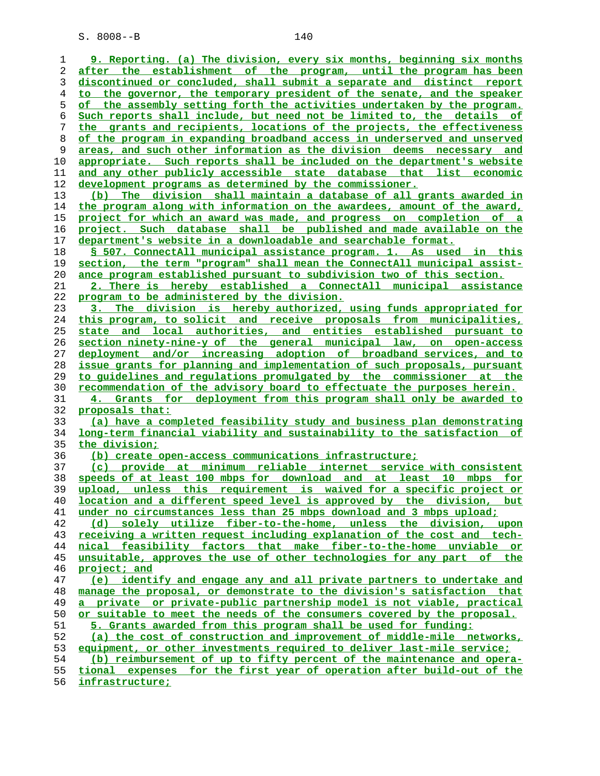**9. Reporting. (a) The division, every six months, beginning six months after the establishment of the program, until the program has been discontinued or concluded, shall submit a separate and distinct report to the governor, the temporary president of the senate, and the speaker of the assembly setting forth the activities undertaken by the program. Such reports shall include, but need not be limited to, the details of the grants and recipients, locations of the projects, the effectiveness of the program in expanding broadband access in underserved and unserved areas, and such other information as the division deems necessary and appropriate. Such reports shall be included on the department's website and any other publicly accessible state database that list economic development programs as determined by the commissioner. (b) The division shall maintain a database of all grants awarded in the program along with information on the awardees, amount of the award, project for which an award was made, and progress on completion of a project. Such database shall be published and made available on the department's website in a downloadable and searchable format. § 507. ConnectAll municipal assistance program. 1. As used in this section, the term "program" shall mean the ConnectAll municipal assist- ance program established pursuant to subdivision two of this section. 2. There is hereby established a ConnectAll municipal assistance program to be administered by the division. 3. The division is hereby authorized, using funds appropriated for this program, to solicit and receive proposals from municipalities, state and local authorities, and entities established pursuant to section ninety-nine-y of the general municipal law, on open-access deployment and/or increasing adoption of broadband services, and to issue grants for planning and implementation of such proposals, pursuant to guidelines and regulations promulgated by the commissioner at the recommendation of the advisory board to effectuate the purposes herein. 4. Grants for deployment from this program shall only be awarded to proposals that: (a) have a completed feasibility study and business plan demonstrating long-term financial viability and sustainability to the satisfaction of the division; (b) create open-access communications infrastructure; (c) provide at minimum reliable internet service with consistent speeds of at least 100 mbps for download and at least 10 mbps for upload, unless this requirement is waived for a specific project or location and a different speed level is approved by the division, but under no circumstances less than 25 mbps download and 3 mbps upload; (d) solely utilize fiber-to-the-home, unless the division, upon receiving a written request including explanation of the cost and tech- nical feasibility factors that make fiber-to-the-home unviable or unsuitable, approves the use of other technologies for any part of the project; and (e) identify and engage any and all private partners to undertake and manage the proposal, or demonstrate to the division's satisfaction that a private or private-public partnership model is not viable, practical or suitable to meet the needs of the consumers covered by the proposal. 5. Grants awarded from this program shall be used for funding: (a) the cost of construction and improvement of middle-mile networks, equipment, or other investments required to deliver last-mile service; (b) reimbursement of up to fifty percent of the maintenance and opera- tional expenses for the first year of operation after build-out of the infrastructure;**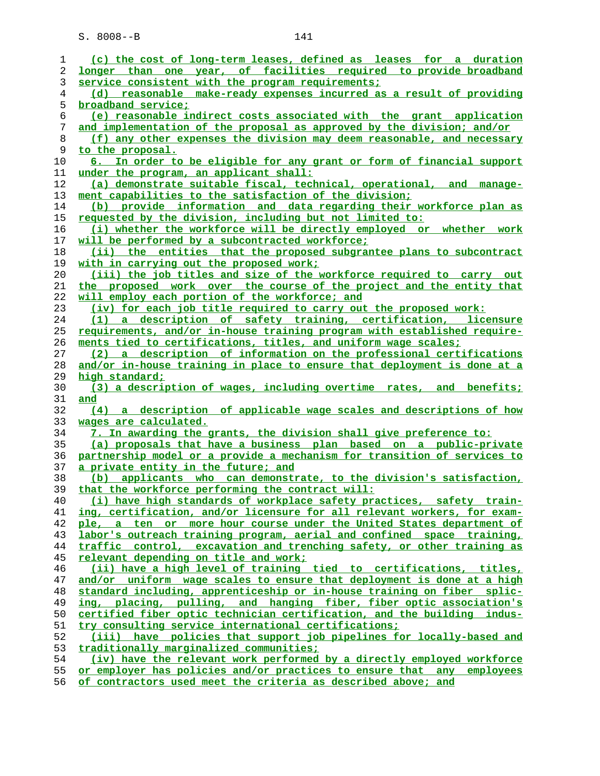| ı  | (c) the cost of long-term leases, defined as leases for a duration       |
|----|--------------------------------------------------------------------------|
| 2  | longer than one year, of facilities required to provide broadband        |
| 3  | service consistent with the program requirements;                        |
| 4  | (d) reasonable make-ready expenses incurred as a result of providing     |
| 5  | broadband service;                                                       |
| 6  | (e) reasonable indirect costs associated with the grant application      |
| 7  | and implementation of the proposal as approved by the division; and/or   |
| 8  | (f) any other expenses the division may deem reasonable, and necessary   |
| 9  | to the proposal.                                                         |
| 10 | 6. In order to be eligible for any grant or form of financial support    |
| 11 | under the program, an applicant shall:                                   |
| 12 | (a) demonstrate suitable fiscal, technical, operational, and manage-     |
| 13 | ment capabilities to the satisfaction of the division;                   |
| 14 | (b) provide information and data regarding their workforce plan as       |
| 15 | requested by the division, including but not limited to:                 |
| 16 | (i) whether the workforce will be directly employed or whether work      |
| 17 | will be performed by a subcontracted workforce;                          |
| 18 | (ii) the entities that the proposed subgrantee plans to subcontract      |
| 19 | with in carrying out the proposed work;                                  |
| 20 | (iii) the job titles and size of the workforce required to carry out     |
| 21 | the proposed work over the course of the project and the entity that     |
| 22 | will employ each portion of the workforce; and                           |
| 23 | (iv) for each job title required to carry out the proposed work:         |
| 24 | (1) a description of safety training, certification, licensure           |
| 25 | requirements, and/or in-house training program with established require- |
| 26 | ments tied to certifications, titles, and uniform wage scales;           |
| 27 | (2) a description of information on the professional certifications      |
| 28 | and/or in-house training in place to ensure that deployment is done at a |
| 29 | high standard;                                                           |
| 30 | (3) a description of wages, including overtime rates, and benefits;      |
| 31 | and                                                                      |
| 32 | (4) a description of applicable wage scales and descriptions of how      |
| 33 | wages are calculated.                                                    |
| 34 | 7. In awarding the grants, the division shall give preference to:        |
| 35 | (a) proposals that have a business plan based on a public-private        |
| 36 | partnership model or a provide a mechanism for transition of services to |
| 37 | a private entity in the future; and                                      |
| 38 | (b) applicants who can demonstrate, to the division's satisfaction,      |
| 39 | that the workforce performing the contract will:                         |
| 40 | (i) have high standards of workplace safety practices, safety train-     |
| 41 | ing, certification, and/or licensure for all relevant workers, for exam- |
| 42 | ple, a ten or more hour course under the United States department of     |
| 43 | labor's outreach training program, aerial and confined space training,   |
| 44 | traffic control, excavation and trenching safety, or other training as   |
| 45 | relevant depending on title and work;                                    |
| 46 | (ii) have a high level of training tied to certifications, titles,       |
| 47 | and/or uniform wage scales to ensure that deployment is done at a high   |
| 48 | standard including, apprenticeship or in-house training on fiber splic-  |
| 49 | ing, placing, pulling, and hanging fiber, fiber optic association's      |
| 50 | certified fiber optic technician certification, and the building indus-  |
| 51 | try consulting service international certifications;                     |
| 52 | (iii) have policies that support job pipelines for locally-based and     |
| 53 | traditionally marginalized communities;                                  |
| 54 | (iv) have the relevant work performed by a directly employed workforce   |
| 55 | or employer has policies and/or practices to ensure that any employees   |
|    |                                                                          |

**of contractors used meet the criteria as described above; and**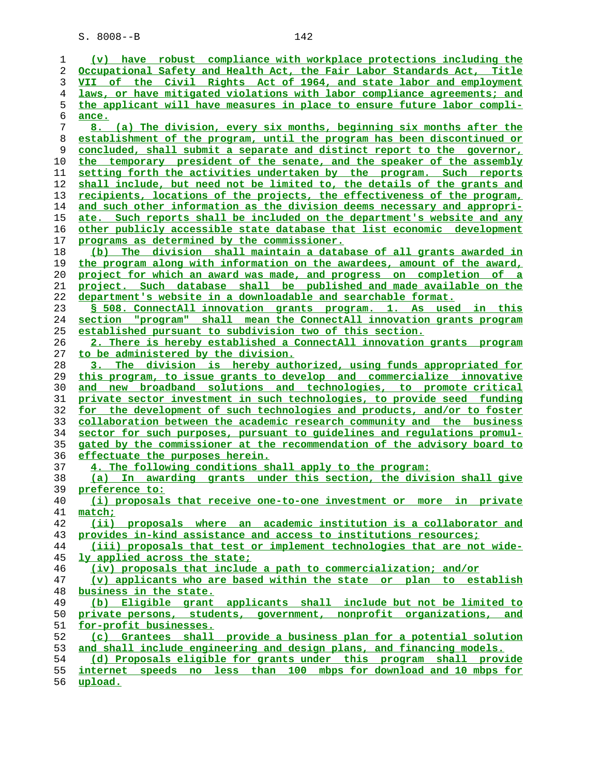| 1  | (v) have robust compliance with workplace protections including the      |
|----|--------------------------------------------------------------------------|
| 2  | Occupational Safety and Health Act, the Fair Labor Standards Act, Title  |
| 3  | VII of the Civil Rights Act of 1964, and state labor and employment      |
| 4  | laws, or have mitigated violations with labor compliance agreements; and |
| 5  | the applicant will have measures in place to ensure future labor compli- |
| 6  | ance.                                                                    |
| 7  | 8. (a) The division, every six months, beginning six months after the    |
| 8  | establishment of the program, until the program has been discontinued or |
| 9  | concluded, shall submit a separate and distinct report to the governor,  |
| 10 | the temporary president of the senate, and the speaker of the assembly   |
| 11 | setting forth the activities undertaken by the program. Such reports     |
| 12 | shall include, but need not be limited to, the details of the grants and |
| 13 | recipients, locations of the projects, the effectiveness of the program, |
| 14 | and such other information as the division deems necessary and appropri- |
| 15 | ate. Such reports shall be included on the department's website and any  |
| 16 | other publicly accessible state database that list economic development  |
| 17 | programs as determined by the commissioner.                              |
| 18 | (b) The division shall maintain a database of all grants awarded in      |
| 19 | the program along with information on the awardees, amount of the award, |
| 20 | project for which an award was made, and progress on completion of a     |
| 21 | project. Such database shall be published and made available on the      |
| 22 | department's website in a downloadable and searchable format.            |
| 23 | § 508. ConnectAll innovation grants program. 1. As used in this          |
| 24 | section "program" shall mean the ConnectAll innovation grants program    |
| 25 | established pursuant to subdivision two of this section.                 |
| 26 | 2. There is hereby established a ConnectAll innovation grants program    |
| 27 | to be administered by the division.                                      |
| 28 | 3. The division is hereby authorized, using funds appropriated for       |
| 29 | this program, to issue grants to develop and commercialize innovative    |
| 30 | and new broadband solutions and technologies, to promote critical        |
| 31 | private sector investment in such technologies, to provide seed funding  |
| 32 | for the development of such technologies and products, and/or to foster  |
| 33 | collaboration between the academic research community and the business   |
| 34 | sector for such purposes, pursuant to guidelines and regulations promul- |
| 35 | gated by the commissioner at the recommendation of the advisory board to |
| 36 | effectuate the purposes herein.                                          |
| 37 | 4. The following conditions shall apply to the program:                  |
| 38 | (a) In awarding grants under this section, the division shall give       |
| 39 | preference to:                                                           |
| 40 | (i) proposals that receive one-to-one investment or more in private      |
| 41 | match;                                                                   |
| 42 | (ii) proposals where an academic institution is a collaborator and       |
| 43 | provides in-kind assistance and access to institutions resources;        |
| 44 | (iii) proposals that test or implement technologies that are not wide-   |
| 45 | <u>ly applied across the state;</u>                                      |
| 46 | (iv) proposals that include a path to commercialization; and/or          |
| 47 | (v) applicants who are based within the state or plan to establish       |
| 48 | business in the state.                                                   |
| 49 | (b) Eligible grant applicants shall include but not be limited to        |
| 50 | private persons, students, government, nonprofit organizations, and      |
| 51 | for-profit businesses.                                                   |
| 52 | (c) Grantees shall provide a business plan for a potential solution      |
| 53 | and shall include engineering and design plans, and financing models.    |
| 54 | (d) Proposals eligible for grants under this program shall provide       |
| 55 | internet speeds no less than 100 mbps for download and 10 mbps for       |
| 56 | upload.                                                                  |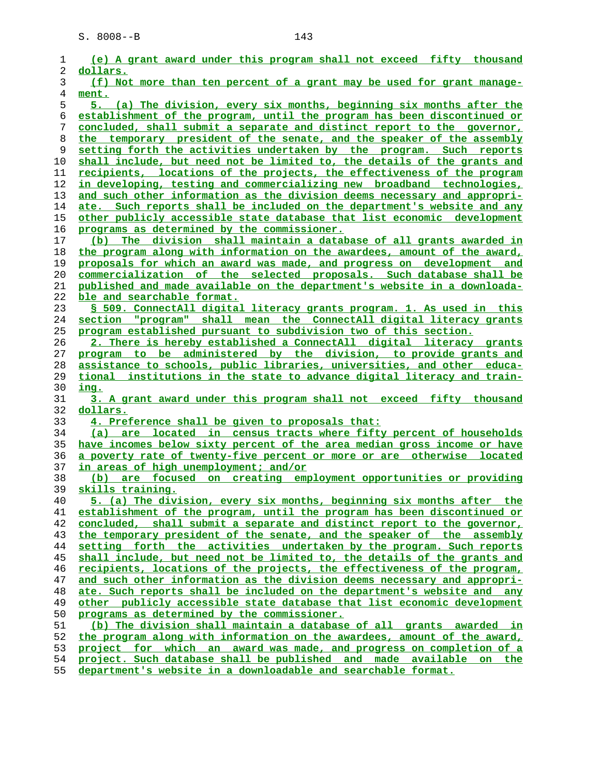| 1              | (e) A grant award under this program shall not exceed fifty thousand           |
|----------------|--------------------------------------------------------------------------------|
| 2              | dollars.                                                                       |
| 3              | (f) Not more than ten percent of a grant may be used for grant manage-         |
| $\overline{4}$ | ment.                                                                          |
| 5              | 5. (a) The division, every six months, beginning six months after the          |
| 6              | establishment of the program, until the program has been discontinued or       |
| 7              | concluded, shall submit a separate and distinct report to the governor,        |
| 8              | the temporary president of the senate, and the speaker of the assembly         |
| 9              | setting forth the activities undertaken by the program. Such reports           |
| 10             | shall include, but need not be limited to, the details of the grants and       |
| 11             | <u>recipients, locations of the projects, the effectiveness of the program</u> |
| 12             | in developing, testing and commercializing new broadband technologies,         |
| 13             | and such other information as the division deems necessary and appropri-       |
| 14             | ate. Such reports shall be included on the department's website and any        |
| 15             | other publicly accessible state database that list economic development        |
| 16             | programs as determined by the commissioner.                                    |
| 17             | (b) The division shall maintain a database of all grants awarded in            |
| 18             | the program along with information on the awardees, amount of the award,       |
| 19             | proposals for which an award was made, and progress on development and         |
| 20             | commercialization of the selected proposals. Such database shall be            |
| 21             | published and made available on the department's website in a downloada-       |
| 22             | ble and searchable format.                                                     |
| 23             | § 509. ConnectAll digital literacy grants program. 1. As used in this          |
| 24             | section "program" shall mean the ConnectAll digital literacy grants            |
| 25             | program established pursuant to subdivision two of this section.               |
| 26             | 2. There is hereby established a ConnectAll digital literacy grants            |
| 27             | program to be administered by the division, to provide grants and              |
| 28             | assistance to schools, public libraries, universities, and other educa-        |
| 29             | tional institutions in the state to advance digital literacy and train-        |
| 30             | <u>ing.</u>                                                                    |
| 31             | 3. A grant award under this program shall not exceed fifty thousand            |
| 32             | dollars.                                                                       |
| 33             | 4. Preference shall be given to proposals that:                                |
| 34             | (a) are located in census tracts where fifty percent of households             |
| 35             | have incomes below sixty percent of the area median gross income or have       |
| 36             | a poverty rate of twenty-five percent or more or are otherwise located         |
| 37             | in areas of high unemployment; and/or                                          |
| 38             | (b) are focused on creating employment opportunities or providing              |
| 39             | skills training.                                                               |
| 40             | 5. (a) The division, every six months, beginning six months after the          |
| 41             | establishment of the program, until the program has been discontinued or       |
| 42             | concluded, shall submit a separate and distinct report to the governor,        |
| 43             | the temporary president of the senate, and the speaker of the assembly         |
| 44             | setting forth the activities undertaken by the program. Such reports           |
| 45             | shall include, but need not be limited to, the details of the grants and       |
| 46             | recipients, locations of the projects, the effectiveness of the program,       |
| 47             | and such other information as the division deems necessary and appropri-       |
| 48             | ate. Such reports shall be included on the department's website and any        |
| 49             | other publicly accessible state database that list economic development        |
| 50             | programs as determined by the commissioner.                                    |
| 51             | (b) The division shall maintain a database of all grants awarded in            |
| 52             | the program along with information on the awardees, amount of the award,       |
| 53             | project for which an award was made, and progress on completion of a           |
| 54             | project. Such database shall be published and made available on the            |
|                |                                                                                |

**department's website in a downloadable and searchable format.**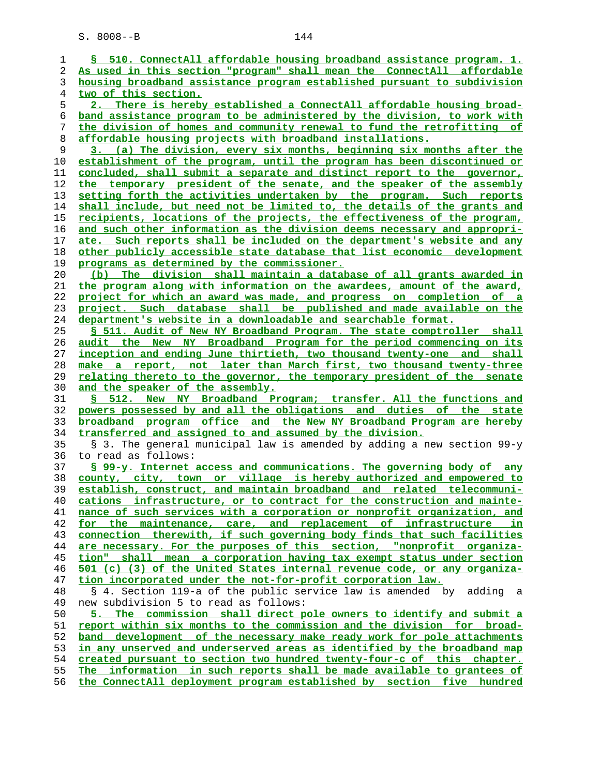| 1        | § 510. ConnectAll affordable housing broadband assistance program. 1.                                                                       |
|----------|---------------------------------------------------------------------------------------------------------------------------------------------|
| 2        | As used in this section "program" shall mean the ConnectAll affordable                                                                      |
| 3        | housing broadband assistance program established pursuant to subdivision                                                                    |
| 4        | two of this section.                                                                                                                        |
| 5        | 2. There is hereby established a ConnectAll affordable housing broad-                                                                       |
| 6        | band assistance program to be administered by the division, to work with                                                                    |
| 7        | the division of homes and community renewal to fund the retrofitting of                                                                     |
| 8        | affordable housing projects with broadband installations.                                                                                   |
| 9        | 3. (a) The division, every six months, beginning six months after the                                                                       |
| 10       | establishment of the program, until the program has been discontinued or                                                                    |
| 11       | concluded, shall submit a separate and distinct report to the governor,                                                                     |
| 12       | the temporary president of the senate, and the speaker of the assembly                                                                      |
| 13       | setting forth the activities undertaken by the program. Such reports                                                                        |
| 14       | shall include, but need not be limited to, the details of the grants and                                                                    |
| 15       | recipients, locations of the projects, the effectiveness of the program,                                                                    |
| 16       | and such other information as the division deems necessary and appropri-                                                                    |
| 17       | ate. Such reports shall be included on the department's website and any                                                                     |
| 18       | other publicly accessible state database that list economic development                                                                     |
| 19       | programs as determined by the commissioner.                                                                                                 |
| 20       | (b) The division shall maintain a database of all grants awarded in                                                                         |
| 21       | the program along with information on the awardees, amount of the award,                                                                    |
| 22       | project for which an award was made, and progress on completion of a<br>project. Such database shall be published and made available on the |
| 23<br>24 | department's website in a downloadable and searchable format.                                                                               |
| 25       | S 511. Audit of New NY Broadband Program. The state comptroller shall                                                                       |
| 26       | audit the New NY Broadband Program for the period commencing on its                                                                         |
| 27       | inception and ending June thirtieth, two thousand twenty-one and shall                                                                      |
| 28       | make a report, not later than March first, two thousand twenty-three                                                                        |
| 29       | relating thereto to the governor, the temporary president of the senate                                                                     |
| 30       | and the speaker of the assembly.                                                                                                            |
| 31       | 512. New NY Broadband Program; transfer. All the functions and<br>S.                                                                        |
| 32       | powers possessed by and all the obligations and duties of the state                                                                         |
| 33       | broadband program office and the New NY Broadband Program are hereby                                                                        |
| 34       | transferred and assigned to and assumed by the division.                                                                                    |
| 35       | § 3. The general municipal law is amended by adding a new section 99-y                                                                      |
| 36       | to read as follows:                                                                                                                         |
| 37       | § 99-y. Internet access and communications. The governing body of any                                                                       |
| 38       | county, city, town or village is hereby authorized and empowered to                                                                         |
| 39       | establish, construct, and maintain broadband and related telecommuni-                                                                       |
| 40       | cations infrastructure, or to contract for the construction and mainte-                                                                     |
| 41       | nance of such services with a corporation or nonprofit organization, and                                                                    |
| 42       | for the maintenance, care, and replacement of infrastructure in                                                                             |
| 43       | connection therewith, if such governing body finds that such facilities                                                                     |
| 44       | are necessary. For the purposes of this section, "nonprofit organiza-                                                                       |
| 45       | tion" shall mean a corporation having tax exempt status under section                                                                       |
| 46       | 501 (c) (3) of the United States internal revenue code, or any organiza-                                                                    |
| 47       | tion incorporated under the not-for-profit corporation law.                                                                                 |
| 48<br>49 | § 4. Section 119-a of the public service law is amended by<br>adding a<br>new subdivision 5 to read as follows:                             |
| 50       | 5. The commission shall direct pole owners to identify and submit a                                                                         |
| 51       | report within six months to the commission and the division for broad-                                                                      |
| 52       | band development of the necessary make ready work for pole attachments                                                                      |
| 53       | in any unserved and underserved areas as identified by the broadband map                                                                    |
| 54       | created pursuant to section two hundred twenty-four-c of this chapter.                                                                      |
| 55       | The information in such reports shall be made available to grantees of                                                                      |
| 56       | the ConnectAll deployment program established by section five hundred                                                                       |
|          |                                                                                                                                             |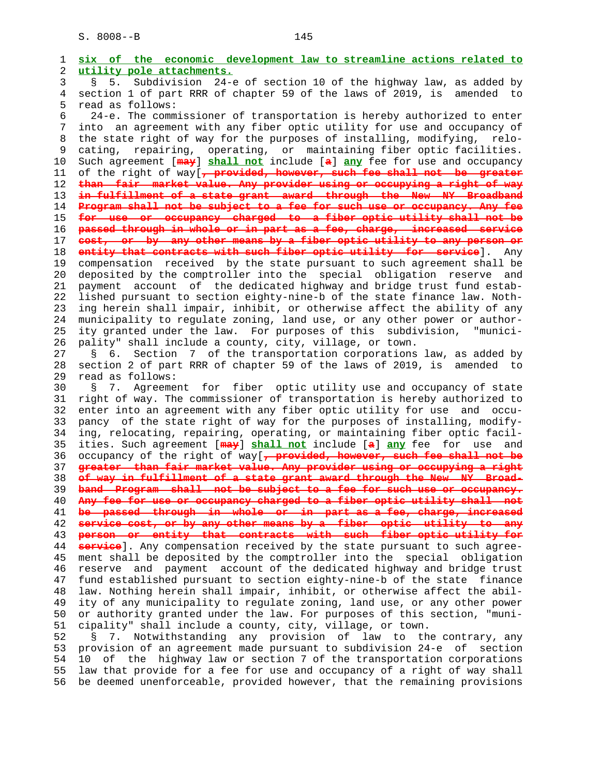1 **six of the economic development law to streamline actions related to** 2 **utility pole attachments.** 3 § 5. Subdivision 24-e of section 10 of the highway law, as added by 4 section 1 of part RRR of chapter 59 of the laws of 2019, is amended to read as follows: 6 24-e. The commissioner of transportation is hereby authorized to enter 7 into an agreement with any fiber optic utility for use and occupancy of 8 the state right of way for the purposes of installing, modifying, relo- 9 cating, repairing, operating, or maintaining fiber optic facilities.<br>10 Such agreement [may] shall not include [a] any fee for use and occupancy 10 Such agreement [**may**] **shall not** include [**a**] **any** fee for use and occupancy 11 of the right of way[**, provided, however, such fee shall not be greater** 12 **than fair market value. Any provider using or occupying a right of way** 13 **in fulfillment of a state grant award through the New NY Broadband** 14 **Program shall not be subject to a fee for such use or occupancy. Any fee** 15 **for use or occupancy charged to a fiber optic utility shall not be** 16 **passed through in whole or in part as a fee, charge, increased service** 17 **cost, or by any other means by a fiber optic utility to any person or** 18 **entity that contracts with such fiber optic utility for service**]. Any 19 compensation received by the state pursuant to such agreement shall be 20 deposited by the comptroller into the special obligation reserve and 21 payment account of the dedicated highway and bridge trust fund estab- 22 lished pursuant to section eighty-nine-b of the state finance law. Noth- 23 ing herein shall impair, inhibit, or otherwise affect the ability of any 24 municipality to regulate zoning, land use, or any other power or author- 25 ity granted under the law. For purposes of this subdivision, "munici- 26 pality" shall include a county, city, village, or town. 27 § 6. Section 7 of the transportation corporations law, as added by 28 section 2 of part RRR of chapter 59 of the laws of 2019, is amended to 29 read as follows: 30 § 7. Agreement for fiber optic utility use and occupancy of state 31 right of way. The commissioner of transportation is hereby authorized to 32 enter into an agreement with any fiber optic utility for use and occu- 33 pancy of the state right of way for the purposes of installing, modify- 34 ing, relocating, repairing, operating, or maintaining fiber optic facil- 35 ities. Such agreement [**may**] **shall not** include [**a**] **any** fee for use and 36 occupancy of the right of way[**, provided, however, such fee shall not be** 37 **greater than fair market value. Any provider using or occupying a right** 38 **of way in fulfillment of a state grant award through the New NY Broad-** 39 **band Program shall not be subject to a fee for such use or occupancy.** 40 **Any fee for use or occupancy charged to a fiber optic utility shall not** 41 **be passed through in whole or in part as a fee, charge, increased** 42 **service cost, or by any other means by a fiber optic utility to any** 43 **person or entity that contracts with such fiber optic utility for** 44 **service**]. Any compensation received by the state pursuant to such agree- 45 ment shall be deposited by the comptroller into the special obligation 46 reserve and payment account of the dedicated highway and bridge trust 47 fund established pursuant to section eighty-nine-b of the state finance 48 law. Nothing herein shall impair, inhibit, or otherwise affect the abil- 49 ity of any municipality to regulate zoning, land use, or any other power 50 or authority granted under the law. For purposes of this section, "muni- 51 cipality" shall include a county, city, village, or town. 52 § 7. Notwithstanding any provision of law to the contrary, any 53 provision of an agreement made pursuant to subdivision 24-e of section 54 10 of the highway law or section 7 of the transportation corporations

 55 law that provide for a fee for use and occupancy of a right of way shall 56 be deemed unenforceable, provided however, that the remaining provisions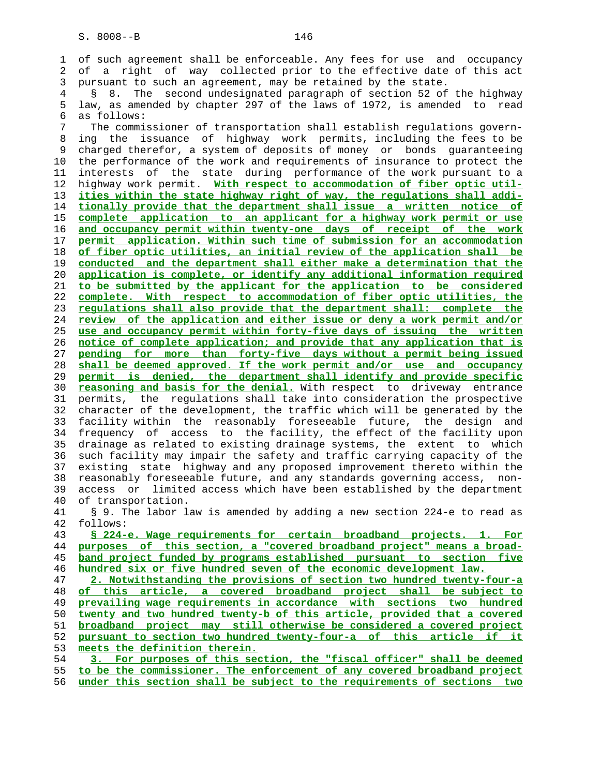1 of such agreement shall be enforceable. Any fees for use and occupancy 2 of a right of way collected prior to the effective date of this act 3 pursuant to such an agreement, may be retained by the state.

 4 § 8. The second undesignated paragraph of section 52 of the highway 5 law, as amended by chapter 297 of the laws of 1972, is amended to read 6 as follows:

 7 The commissioner of transportation shall establish regulations govern- 8 ing the issuance of highway work permits, including the fees to be 9 charged therefor, a system of deposits of money or bonds guaranteeing 10 the performance of the work and requirements of insurance to protect the 11 interests of the state during performance of the work pursuant to a 12 highway work permit. **With respect to accommodation of fiber optic util-** 13 **ities within the state highway right of way, the regulations shall addi-** 14 **tionally provide that the department shall issue a written notice of** 15 **complete application to an applicant for a highway work permit or use** 16 **and occupancy permit within twenty-one days of receipt of the work** 17 **permit application. Within such time of submission for an accommodation** 18 **of fiber optic utilities, an initial review of the application shall be** 19 **conducted and the department shall either make a determination that the** 20 **application is complete, or identify any additional information required** 21 **to be submitted by the applicant for the application to be considered** 22 **complete. With respect to accommodation of fiber optic utilities, the** 23 **regulations shall also provide that the department shall: complete the** 24 **review of the application and either issue or deny a work permit and/or** 25 **use and occupancy permit within forty-five days of issuing the written** 26 **notice of complete application; and provide that any application that is** 27 **pending for more than forty-five days without a permit being issued** 28 **shall be deemed approved. If the work permit and/or use and occupancy** 29 **permit is denied, the department shall identify and provide specific** 30 **reasoning and basis for the denial.** With respect to driveway entrance 31 permits, the regulations shall take into consideration the prospective 32 character of the development, the traffic which will be generated by the 33 facility within the reasonably foreseeable future, the design and 34 frequency of access to the facility, the effect of the facility upon 35 drainage as related to existing drainage systems, the extent to which 36 such facility may impair the safety and traffic carrying capacity of the 37 existing state highway and any proposed improvement thereto within the 38 reasonably foreseeable future, and any standards governing access, non- 39 access or limited access which have been established by the department 40 of transportation.

 41 § 9. The labor law is amended by adding a new section 224-e to read as 42 follows:

**§ 224-e. Wage requirements for certain broadband projects. 1. For purposes of this section, a "covered broadband project" means a broad- band project funded by programs established pursuant to section five hundred six or five hundred seven of the economic development law.**

**2. Notwithstanding the provisions of section two hundred twenty-four-a of this article, a covered broadband project shall be subject to prevailing wage requirements in accordance with sections two hundred twenty and two hundred twenty-b of this article, provided that a covered broadband project may still otherwise be considered a covered project pursuant to section two hundred twenty-four-a of this article if it meets the definition therein.**

 54 **3. For purposes of this section, the "fiscal officer" shall be deemed** 55 **to be the commissioner. The enforcement of any covered broadband project** 56 **under this section shall be subject to the requirements of sections two**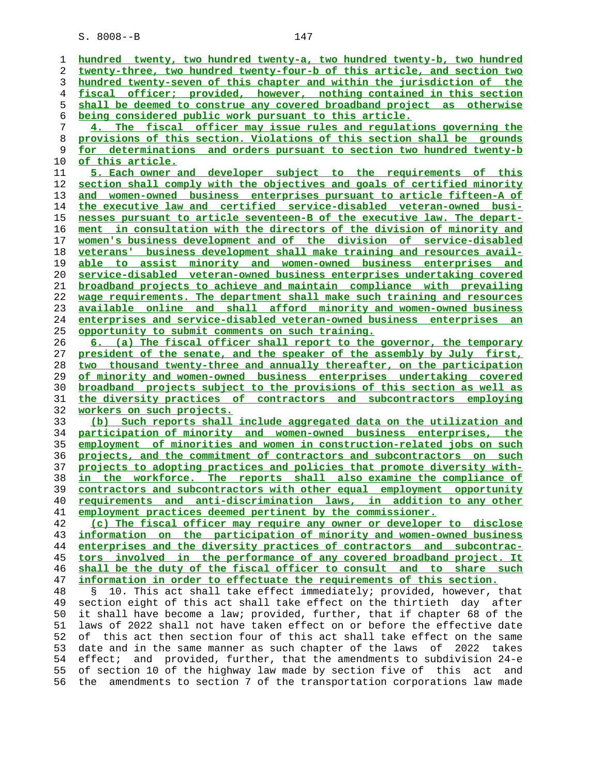S. 8008--B 147

**hundred twenty, two hundred twenty-a, two hundred twenty-b, two hundred twenty-three, two hundred twenty-four-b of this article, and section two hundred twenty-seven of this chapter and within the jurisdiction of the fiscal officer; provided, however, nothing contained in this section shall be deemed to construe any covered broadband project as otherwise being considered public work pursuant to this article. 4. The fiscal officer may issue rules and regulations governing the provisions of this section. Violations of this section shall be grounds for determinations and orders pursuant to section two hundred twenty-b of this article. 5. Each owner and developer subject to the requirements of this section shall comply with the objectives and goals of certified minority and women-owned business enterprises pursuant to article fifteen-A of the executive law and certified service-disabled veteran-owned busi- nesses pursuant to article seventeen-B of the executive law. The depart- ment in consultation with the directors of the division of minority and women's business development and of the division of service-disabled veterans' business development shall make training and resources avail- able to assist minority and women-owned business enterprises and service-disabled veteran-owned business enterprises undertaking covered broadband projects to achieve and maintain compliance with prevailing wage requirements. The department shall make such training and resources available online and shall afford minority and women-owned business enterprises and service-disabled veteran-owned business enterprises an opportunity to submit comments on such training. 6. (a) The fiscal officer shall report to the governor, the temporary president of the senate, and the speaker of the assembly by July first, two thousand twenty-three and annually thereafter, on the participation of minority and women-owned business enterprises undertaking covered broadband projects subject to the provisions of this section as well as the diversity practices of contractors and subcontractors employing workers on such projects. (b) Such reports shall include aggregated data on the utilization and participation of minority and women-owned business enterprises, the employment of minorities and women in construction-related jobs on such projects, and the commitment of contractors and subcontractors on such projects to adopting practices and policies that promote diversity with- in the workforce. The reports shall also examine the compliance of contractors and subcontractors with other equal employment opportunity requirements and anti-discrimination laws, in addition to any other employment practices deemed pertinent by the commissioner. (c) The fiscal officer may require any owner or developer to disclose information on the participation of minority and women-owned business enterprises and the diversity practices of contractors and subcontrac- tors involved in the performance of any covered broadband project. It shall be the duty of the fiscal officer to consult and to share such information in order to effectuate the requirements of this section.** 48 § 10. This act shall take effect immediately; provided, however, that 49 section eight of this act shall take effect on the thirtieth day after 50 it shall have become a law; provided, further, that if chapter 68 of the 51 laws of 2022 shall not have taken effect on or before the effective date 52 of this act then section four of this act shall take effect on the same 53 date and in the same manner as such chapter of the laws of 2022 takes 54 effect; and provided, further, that the amendments to subdivision 24-e 55 of section 10 of the highway law made by section five of this act and 56 the amendments to section 7 of the transportation corporations law made